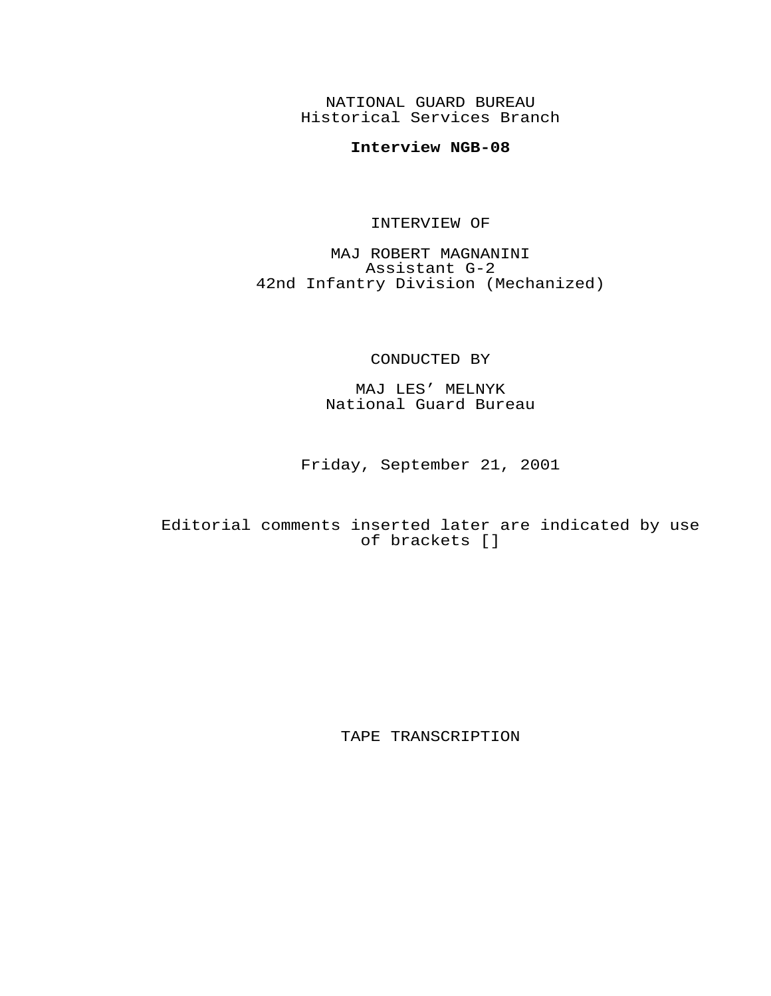NATIONAL GUARD BUREAU Historical Services Branch

# **Interview NGB-08**

### INTERVIEW OF

MAJ ROBERT MAGNANINI Assistant G-2 42nd Infantry Division (Mechanized)

## CONDUCTED BY

MAJ LES' MELNYK National Guard Bureau

Friday, September 21, 2001

## Editorial comments inserted later are indicated by use of brackets []

TAPE TRANSCRIPTION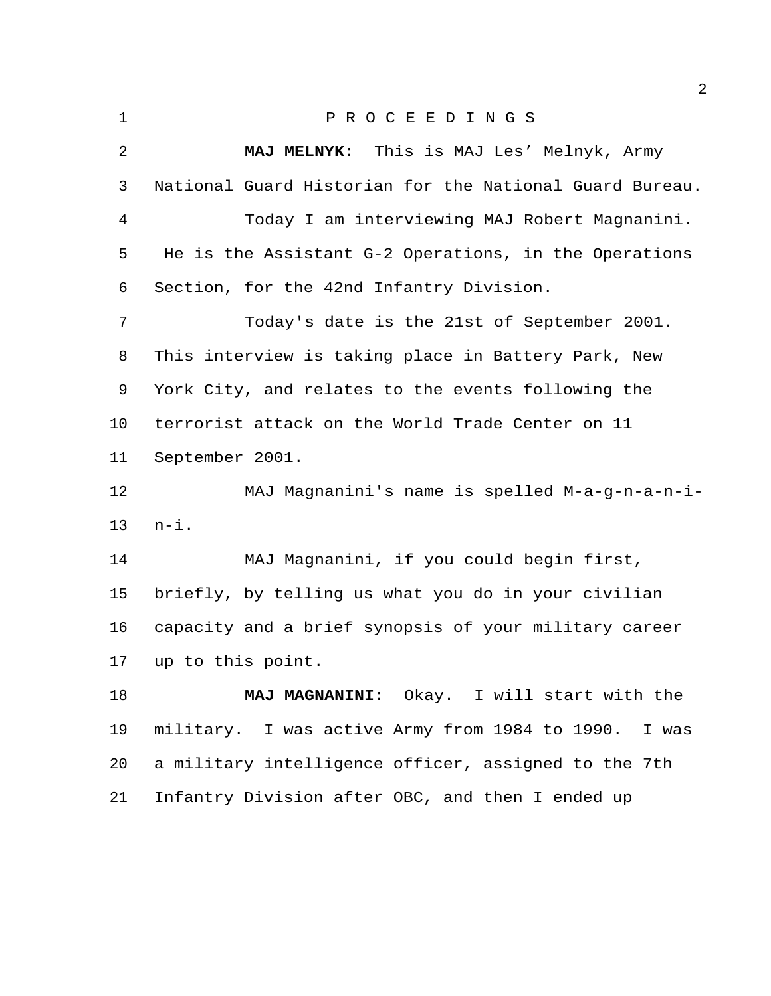| $\mathbf{1}$   | PROCEEDINGS                                             |
|----------------|---------------------------------------------------------|
| $\overline{2}$ | MAJ MELNYK: This is MAJ Les' Melnyk, Army               |
| 3              | National Guard Historian for the National Guard Bureau. |
| 4              | Today I am interviewing MAJ Robert Magnanini.           |
| 5              | He is the Assistant G-2 Operations, in the Operations   |
| 6              | Section, for the 42nd Infantry Division.                |
| 7              | Today's date is the 21st of September 2001.             |
| 8              | This interview is taking place in Battery Park, New     |
| 9              | York City, and relates to the events following the      |
| 10             | terrorist attack on the World Trade Center on 11        |
| 11             | September 2001.                                         |
| 12             | MAJ Magnanini's name is spelled M-a-g-n-a-n-i-          |
| 13             | $n - i$ .                                               |
| 14             | MAJ Magnanini, if you could begin first,                |
| 15             | briefly, by telling us what you do in your civilian     |
| 16             | capacity and a brief synopsis of your military career   |
| 17             | up to this point.                                       |
| 18             | MAJ MAGNANINI: Okay. I will start with the              |
| 19             | military. I was active Army from 1984 to 1990.<br>I was |
| 20             | a military intelligence officer, assigned to the 7th    |
| 21             | Infantry Division after OBC, and then I ended up        |
|                |                                                         |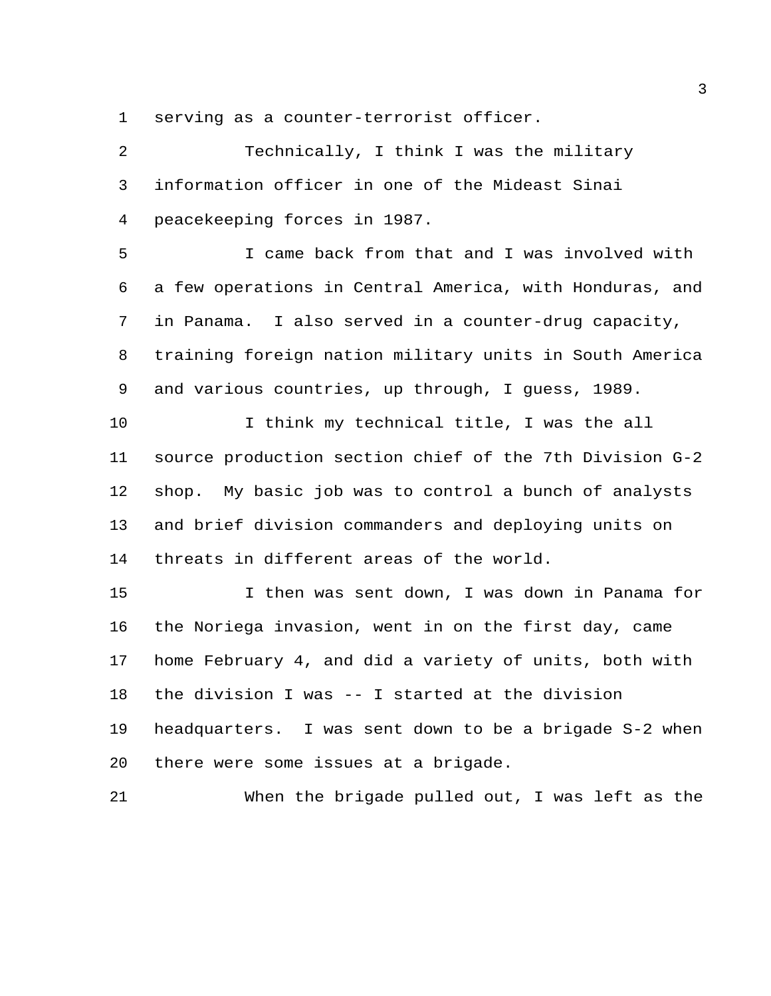serving as a counter-terrorist officer.

 Technically, I think I was the military information officer in one of the Mideast Sinai peacekeeping forces in 1987. I came back from that and I was involved with a few operations in Central America, with Honduras, and in Panama. I also served in a counter-drug capacity, training foreign nation military units in South America and various countries, up through, I guess, 1989. I think my technical title, I was the all source production section chief of the 7th Division G-2 shop. My basic job was to control a bunch of analysts and brief division commanders and deploying units on threats in different areas of the world. I then was sent down, I was down in Panama for the Noriega invasion, went in on the first day, came home February 4, and did a variety of units, both with the division I was -- I started at the division headquarters. I was sent down to be a brigade S-2 when there were some issues at a brigade. When the brigade pulled out, I was left as the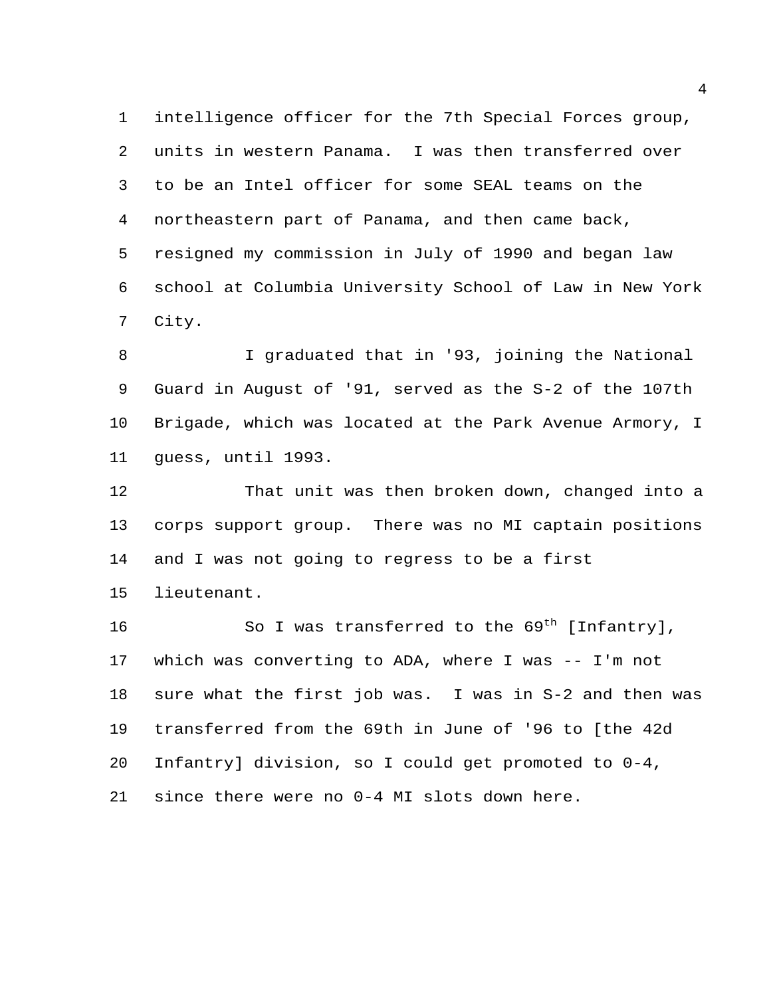intelligence officer for the 7th Special Forces group, units in western Panama. I was then transferred over to be an Intel officer for some SEAL teams on the northeastern part of Panama, and then came back, resigned my commission in July of 1990 and began law school at Columbia University School of Law in New York City.

 I graduated that in '93, joining the National Guard in August of '91, served as the S-2 of the 107th Brigade, which was located at the Park Avenue Armory, I guess, until 1993.

 That unit was then broken down, changed into a corps support group. There was no MI captain positions and I was not going to regress to be a first lieutenant.

16 So I was transferred to the  $69^{\text{th}}$  [Infantry], which was converting to ADA, where I was -- I'm not sure what the first job was. I was in S-2 and then was transferred from the 69th in June of '96 to [the 42d Infantry] division, so I could get promoted to 0-4, since there were no 0-4 MI slots down here.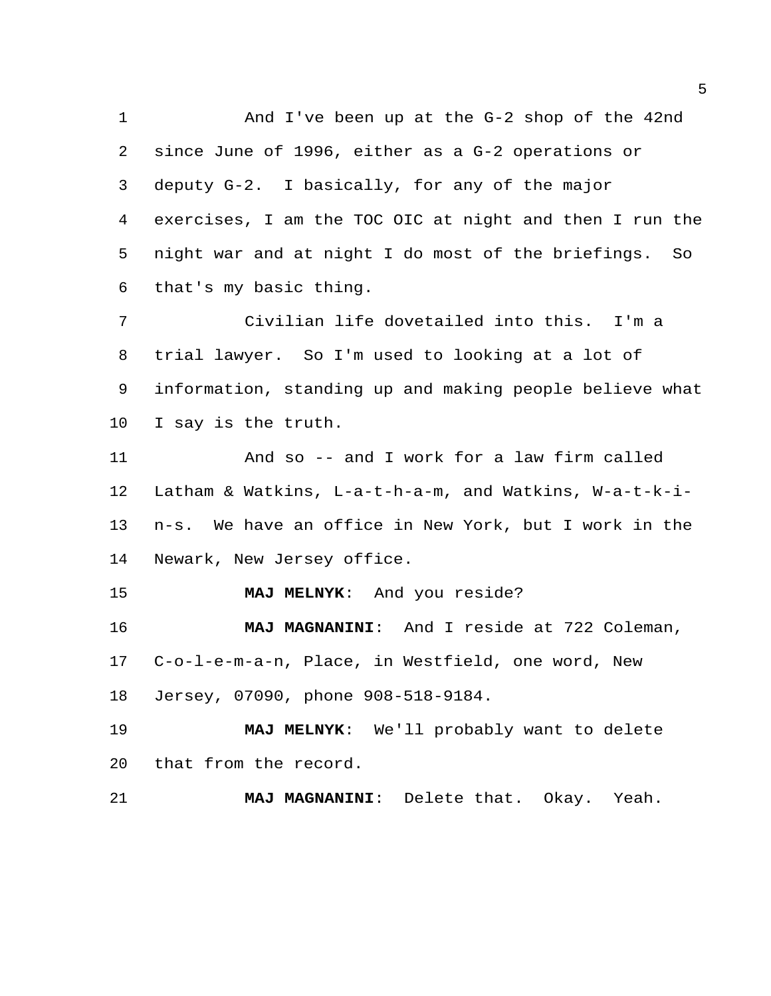And I've been up at the G-2 shop of the 42nd since June of 1996, either as a G-2 operations or deputy G-2. I basically, for any of the major exercises, I am the TOC OIC at night and then I run the night war and at night I do most of the briefings. So that's my basic thing. Civilian life dovetailed into this. I'm a trial lawyer. So I'm used to looking at a lot of information, standing up and making people believe what I say is the truth. And so -- and I work for a law firm called Latham & Watkins, L-a-t-h-a-m, and Watkins, W-a-t-k-i- n-s. We have an office in New York, but I work in the Newark, New Jersey office. **MAJ MELNYK**: And you reside? **MAJ MAGNANINI**: And I reside at 722 Coleman, C-o-l-e-m-a-n, Place, in Westfield, one word, New Jersey, 07090, phone 908-518-9184. **MAJ MELNYK**: We'll probably want to delete that from the record. **MAJ MAGNANINI**: Delete that. Okay. Yeah.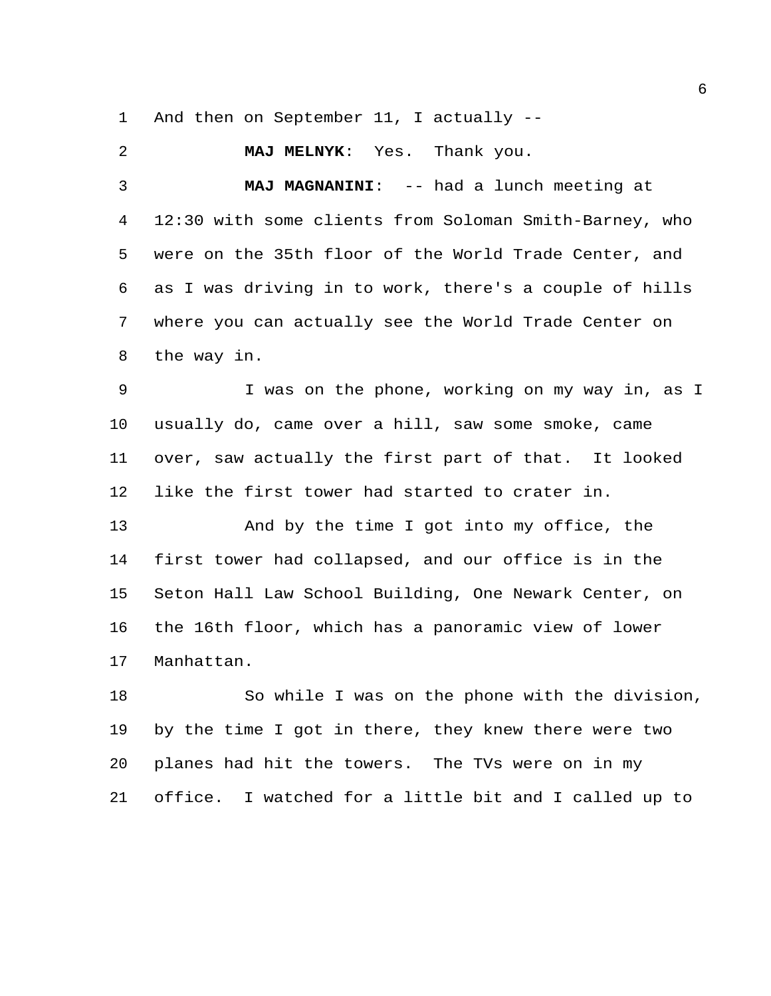And then on September 11, I actually --

 **MAJ MELNYK**: Yes. Thank you. **MAJ MAGNANINI**: -- had a lunch meeting at 12:30 with some clients from Soloman Smith-Barney, who were on the 35th floor of the World Trade Center, and as I was driving in to work, there's a couple of hills where you can actually see the World Trade Center on the way in.

 I was on the phone, working on my way in, as I usually do, came over a hill, saw some smoke, came over, saw actually the first part of that. It looked like the first tower had started to crater in.

 And by the time I got into my office, the first tower had collapsed, and our office is in the Seton Hall Law School Building, One Newark Center, on the 16th floor, which has a panoramic view of lower Manhattan.

 So while I was on the phone with the division, by the time I got in there, they knew there were two planes had hit the towers. The TVs were on in my office. I watched for a little bit and I called up to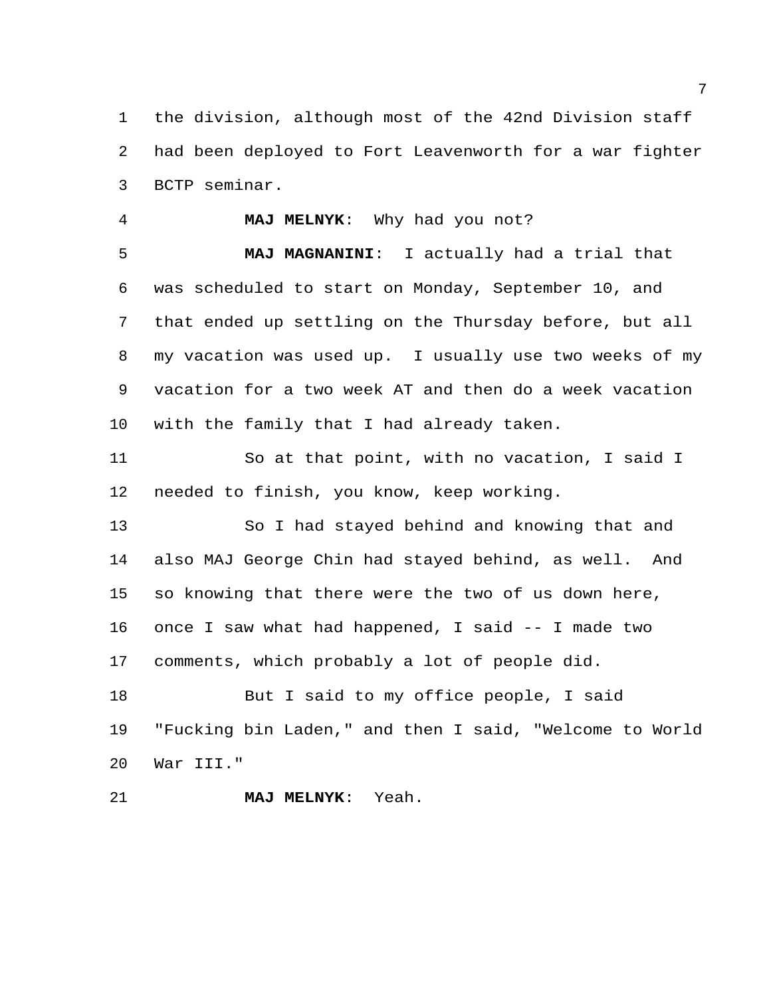the division, although most of the 42nd Division staff had been deployed to Fort Leavenworth for a war fighter BCTP seminar.

#### **MAJ MELNYK**: Why had you not?

 **MAJ MAGNANINI**: I actually had a trial that was scheduled to start on Monday, September 10, and that ended up settling on the Thursday before, but all my vacation was used up. I usually use two weeks of my vacation for a two week AT and then do a week vacation with the family that I had already taken.

 So at that point, with no vacation, I said I needed to finish, you know, keep working.

 So I had stayed behind and knowing that and also MAJ George Chin had stayed behind, as well. And so knowing that there were the two of us down here, once I saw what had happened, I said -- I made two comments, which probably a lot of people did.

18 But I said to my office people, I said "Fucking bin Laden," and then I said, "Welcome to World War III."

**MAJ MELNYK**: Yeah.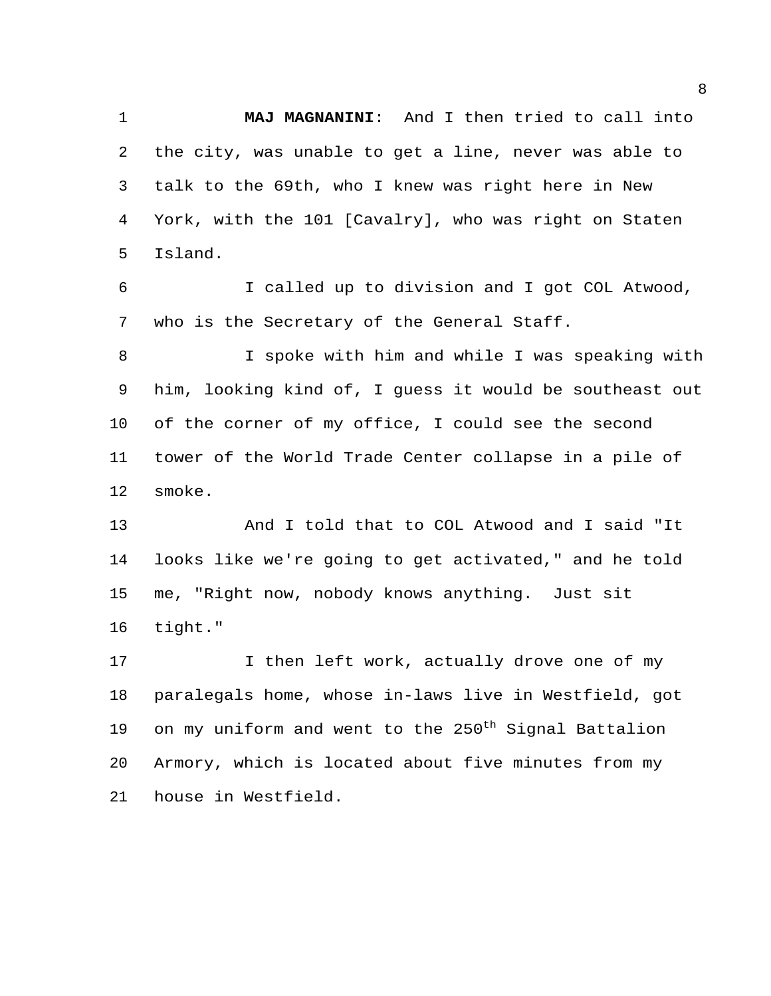**MAJ MAGNANINI**: And I then tried to call into the city, was unable to get a line, never was able to talk to the 69th, who I knew was right here in New York, with the 101 [Cavalry], who was right on Staten Island.

 I called up to division and I got COL Atwood, who is the Secretary of the General Staff.

 I spoke with him and while I was speaking with him, looking kind of, I guess it would be southeast out of the corner of my office, I could see the second tower of the World Trade Center collapse in a pile of smoke.

 And I told that to COL Atwood and I said "It looks like we're going to get activated," and he told me, "Right now, nobody knows anything. Just sit tight."

17 17 I then left work, actually drove one of my paralegals home, whose in-laws live in Westfield, got 19 on my uniform and went to the  $250^{\text{th}}$  Signal Battalion Armory, which is located about five minutes from my house in Westfield.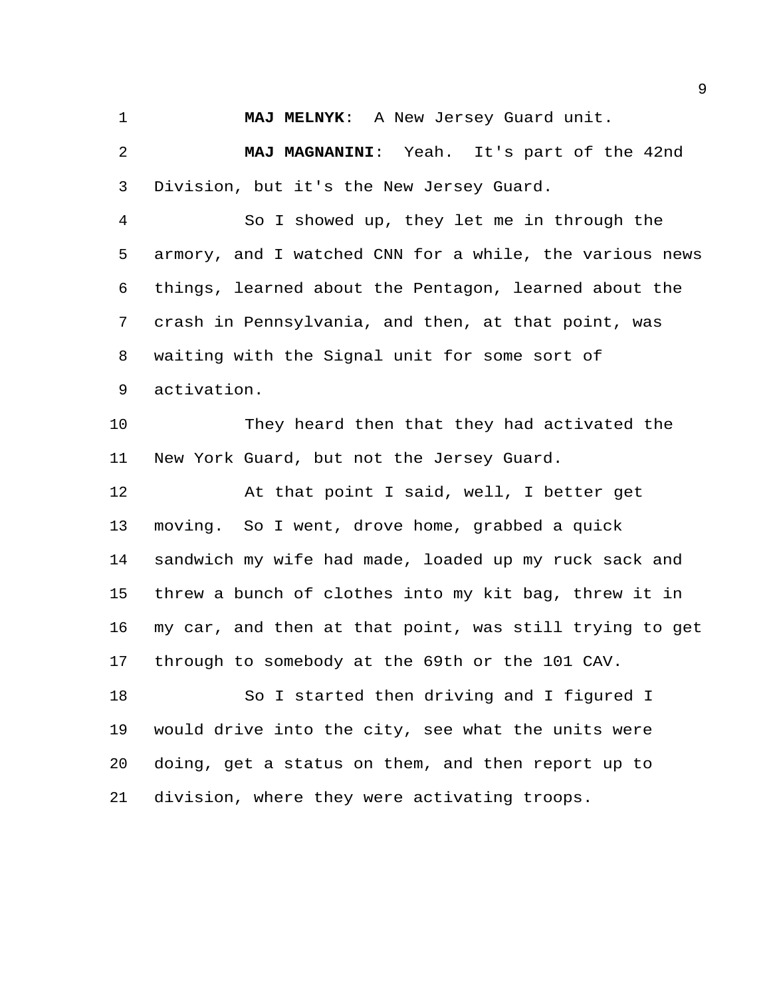**MAJ MELNYK**: A New Jersey Guard unit.

 **MAJ MAGNANINI**: Yeah. It's part of the 42nd Division, but it's the New Jersey Guard.

 So I showed up, they let me in through the armory, and I watched CNN for a while, the various news things, learned about the Pentagon, learned about the crash in Pennsylvania, and then, at that point, was waiting with the Signal unit for some sort of activation.

 They heard then that they had activated the New York Guard, but not the Jersey Guard.

 At that point I said, well, I better get moving. So I went, drove home, grabbed a quick sandwich my wife had made, loaded up my ruck sack and threw a bunch of clothes into my kit bag, threw it in my car, and then at that point, was still trying to get through to somebody at the 69th or the 101 CAV.

18 So I started then driving and I figured I would drive into the city, see what the units were doing, get a status on them, and then report up to division, where they were activating troops.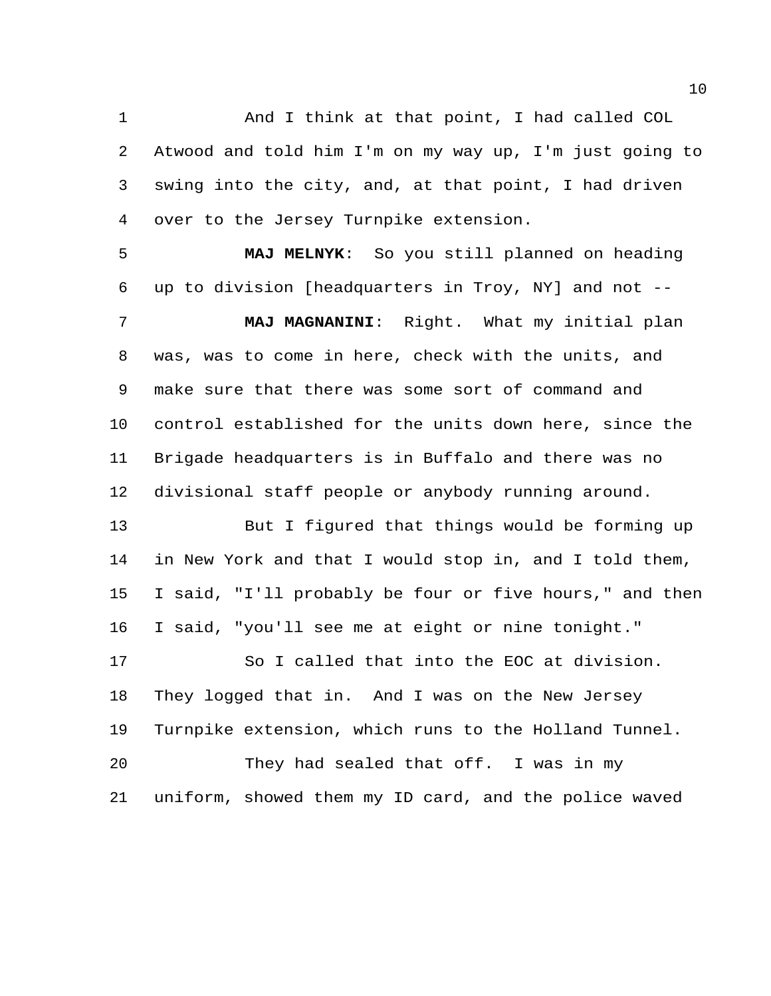And I think at that point, I had called COL Atwood and told him I'm on my way up, I'm just going to swing into the city, and, at that point, I had driven over to the Jersey Turnpike extension.

 **MAJ MELNYK**: So you still planned on heading up to division [headquarters in Troy, NY] and not --

 **MAJ MAGNANINI**: Right. What my initial plan was, was to come in here, check with the units, and make sure that there was some sort of command and control established for the units down here, since the Brigade headquarters is in Buffalo and there was no divisional staff people or anybody running around.

 But I figured that things would be forming up in New York and that I would stop in, and I told them, I said, "I'll probably be four or five hours," and then I said, "you'll see me at eight or nine tonight." So I called that into the EOC at division. They logged that in. And I was on the New Jersey Turnpike extension, which runs to the Holland Tunnel. They had sealed that off. I was in my uniform, showed them my ID card, and the police waved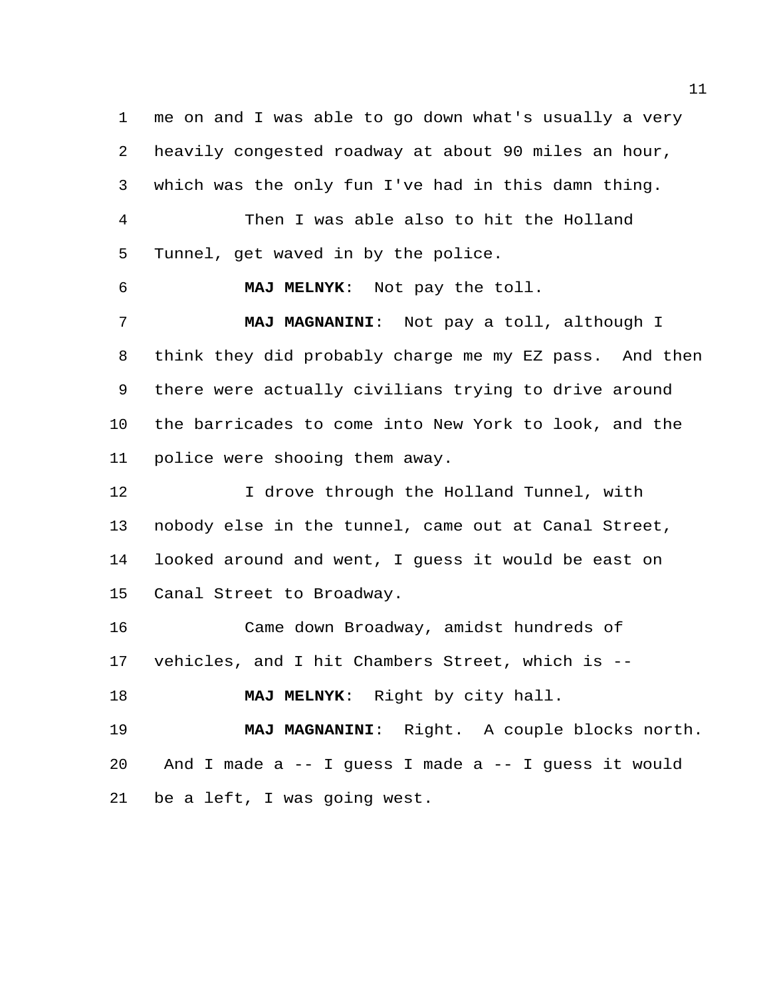me on and I was able to go down what's usually a very heavily congested roadway at about 90 miles an hour, which was the only fun I've had in this damn thing. Then I was able also to hit the Holland Tunnel, get waved in by the police. **MAJ MELNYK**: Not pay the toll. **MAJ MAGNANINI**: Not pay a toll, although I think they did probably charge me my EZ pass. And then

 there were actually civilians trying to drive around the barricades to come into New York to look, and the police were shooing them away.

12 12 I drove through the Holland Tunnel, with nobody else in the tunnel, came out at Canal Street, looked around and went, I guess it would be east on Canal Street to Broadway.

 Came down Broadway, amidst hundreds of vehicles, and I hit Chambers Street, which is --

**MAJ MELNYK**: Right by city hall.

 **MAJ MAGNANINI**: Right. A couple blocks north. And I made a -- I guess I made a -- I guess it would be a left, I was going west.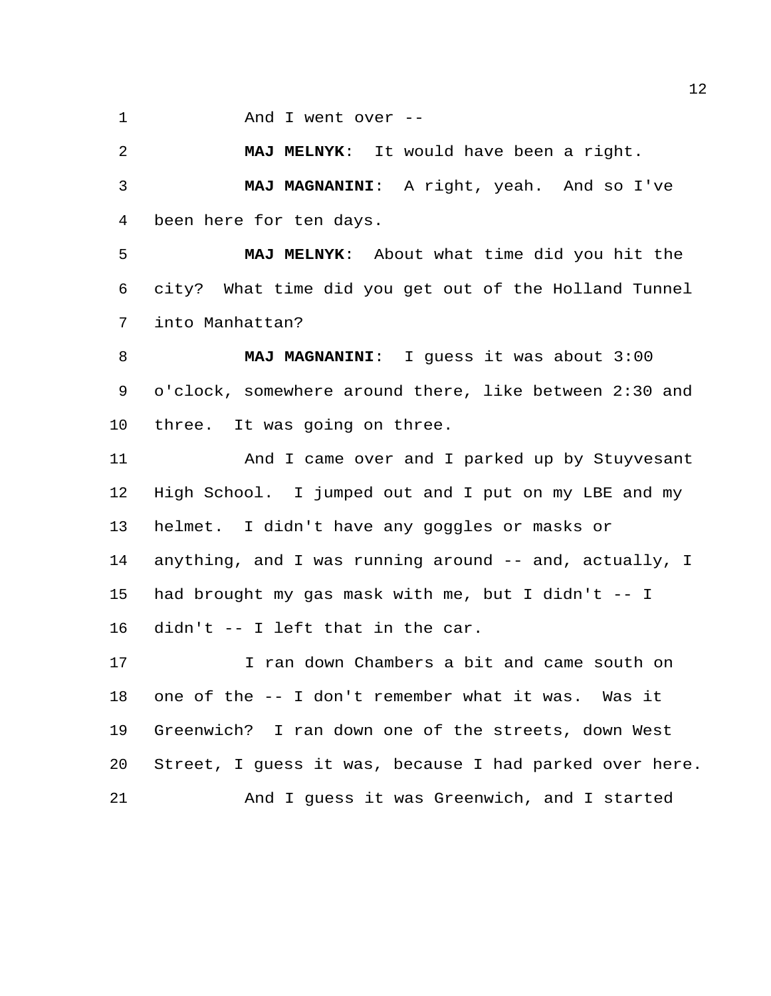And I went over --

 **MAJ MELNYK**: It would have been a right. **MAJ MAGNANINI**: A right, yeah. And so I've been here for ten days.

 **MAJ MELNYK**: About what time did you hit the city? What time did you get out of the Holland Tunnel into Manhattan?

 **MAJ MAGNANINI**: I guess it was about 3:00 o'clock, somewhere around there, like between 2:30 and three. It was going on three.

 And I came over and I parked up by Stuyvesant High School. I jumped out and I put on my LBE and my helmet. I didn't have any goggles or masks or anything, and I was running around -- and, actually, I had brought my gas mask with me, but I didn't -- I didn't -- I left that in the car.

 I ran down Chambers a bit and came south on one of the -- I don't remember what it was. Was it Greenwich? I ran down one of the streets, down West Street, I guess it was, because I had parked over here. And I guess it was Greenwich, and I started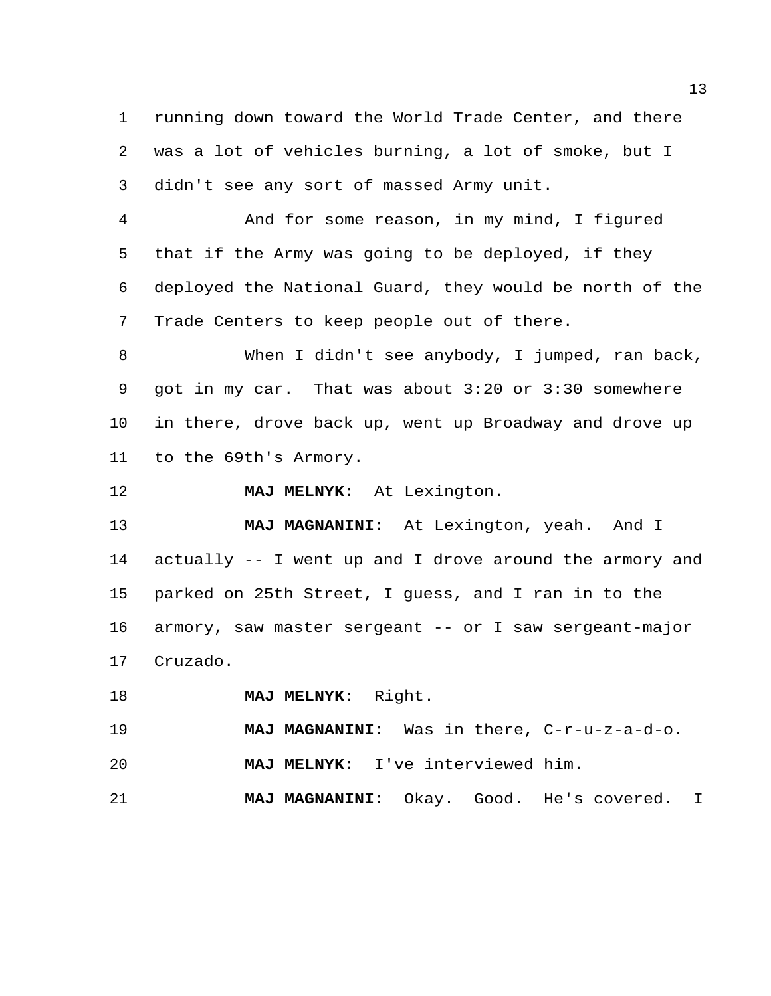running down toward the World Trade Center, and there was a lot of vehicles burning, a lot of smoke, but I didn't see any sort of massed Army unit.

 And for some reason, in my mind, I figured that if the Army was going to be deployed, if they deployed the National Guard, they would be north of the Trade Centers to keep people out of there.

 When I didn't see anybody, I jumped, ran back, got in my car. That was about 3:20 or 3:30 somewhere in there, drove back up, went up Broadway and drove up to the 69th's Armory.

**MAJ MELNYK**: At Lexington.

 **MAJ MAGNANINI**: At Lexington, yeah. And I actually -- I went up and I drove around the armory and parked on 25th Street, I guess, and I ran in to the armory, saw master sergeant -- or I saw sergeant-major Cruzado.

**MAJ MELNYK**: Right.

 **MAJ MAGNANINI**: Was in there, C-r-u-z-a-d-o. **MAJ MELNYK**: I've interviewed him.

**MAJ MAGNANINI**: Okay. Good. He's covered. I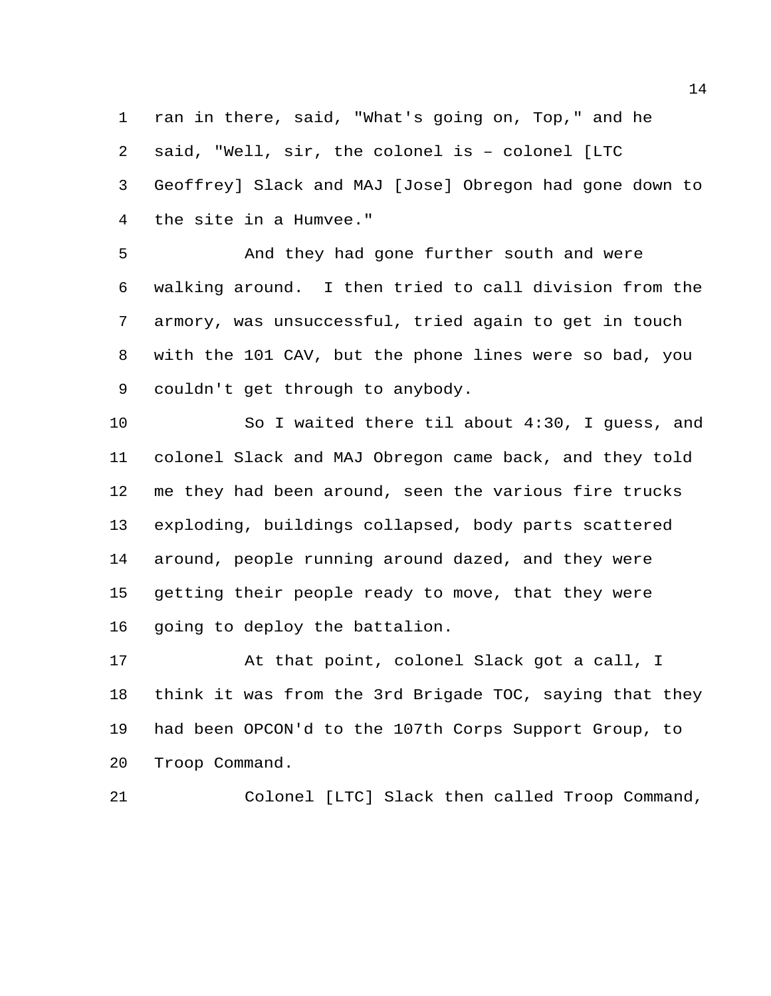ran in there, said, "What's going on, Top," and he said, "Well, sir, the colonel is – colonel [LTC Geoffrey] Slack and MAJ [Jose] Obregon had gone down to the site in a Humvee."

 And they had gone further south and were walking around. I then tried to call division from the armory, was unsuccessful, tried again to get in touch with the 101 CAV, but the phone lines were so bad, you couldn't get through to anybody.

 So I waited there til about 4:30, I guess, and colonel Slack and MAJ Obregon came back, and they told me they had been around, seen the various fire trucks exploding, buildings collapsed, body parts scattered around, people running around dazed, and they were getting their people ready to move, that they were going to deploy the battalion.

 At that point, colonel Slack got a call, I think it was from the 3rd Brigade TOC, saying that they had been OPCON'd to the 107th Corps Support Group, to Troop Command.

Colonel [LTC] Slack then called Troop Command,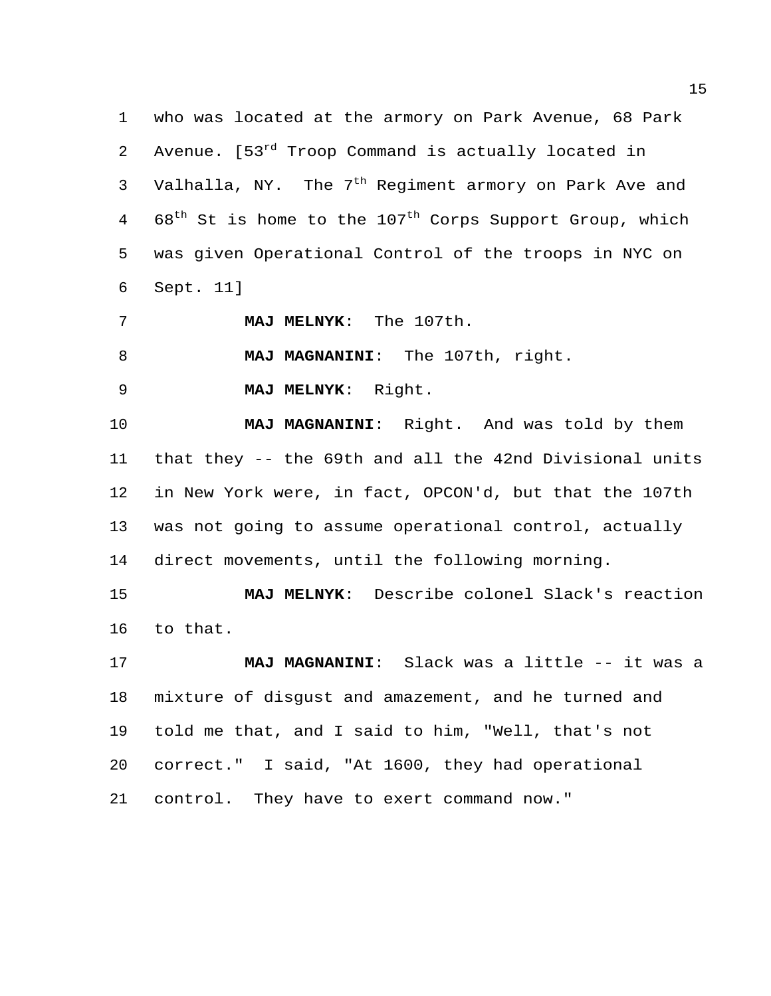who was located at the armory on Park Avenue, 68 Park 2 Avenue. [53<sup>rd</sup> Troop Command is actually located in 3 Valhalla, NY. The  $7<sup>th</sup>$  Regiment armory on Park Ave and 4 68<sup>th</sup> St is home to the 107<sup>th</sup> Corps Support Group, which was given Operational Control of the troops in NYC on Sept. 11]

**MAJ MELNYK**: The 107th.

**MAJ MAGNANINI**: The 107th, right.

**MAJ MELNYK**: Right.

 **MAJ MAGNANINI**: Right. And was told by them that they -- the 69th and all the 42nd Divisional units in New York were, in fact, OPCON'd, but that the 107th was not going to assume operational control, actually direct movements, until the following morning.

 **MAJ MELNYK**: Describe colonel Slack's reaction to that.

 **MAJ MAGNANINI**: Slack was a little -- it was a mixture of disgust and amazement, and he turned and told me that, and I said to him, "Well, that's not correct." I said, "At 1600, they had operational control. They have to exert command now."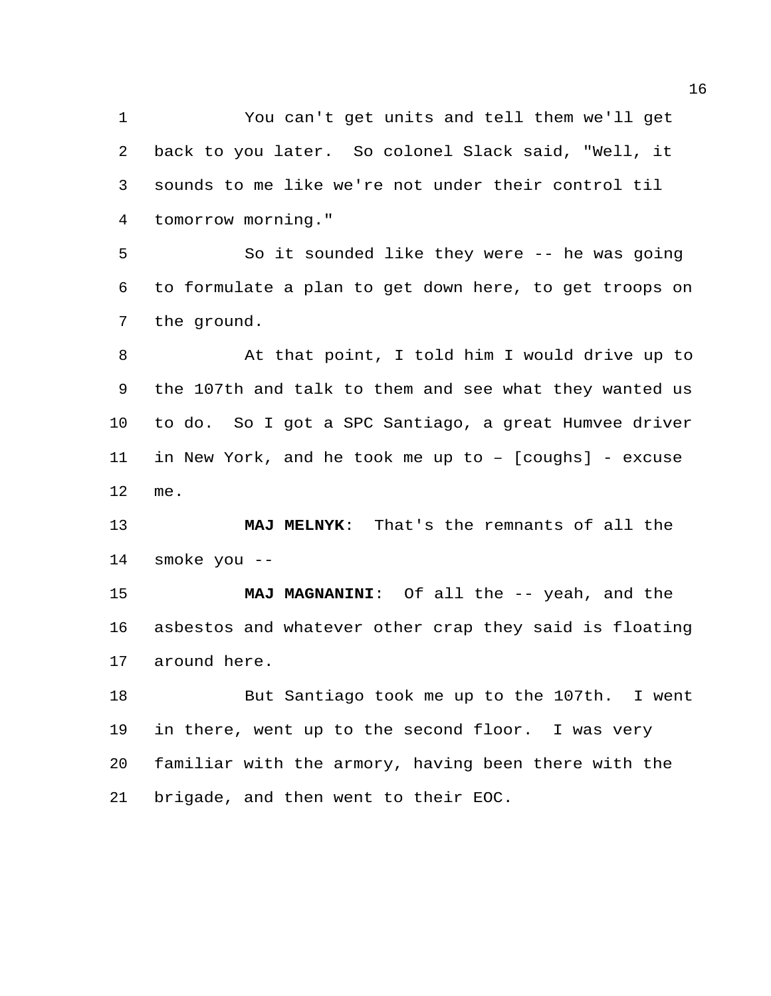You can't get units and tell them we'll get back to you later. So colonel Slack said, "Well, it sounds to me like we're not under their control til tomorrow morning."

 So it sounded like they were -- he was going to formulate a plan to get down here, to get troops on the ground.

 At that point, I told him I would drive up to the 107th and talk to them and see what they wanted us to do. So I got a SPC Santiago, a great Humvee driver in New York, and he took me up to – [coughs] - excuse me.

 **MAJ MELNYK**: That's the remnants of all the smoke you --

 **MAJ MAGNANINI**: Of all the -- yeah, and the asbestos and whatever other crap they said is floating around here.

 But Santiago took me up to the 107th. I went in there, went up to the second floor. I was very familiar with the armory, having been there with the brigade, and then went to their EOC.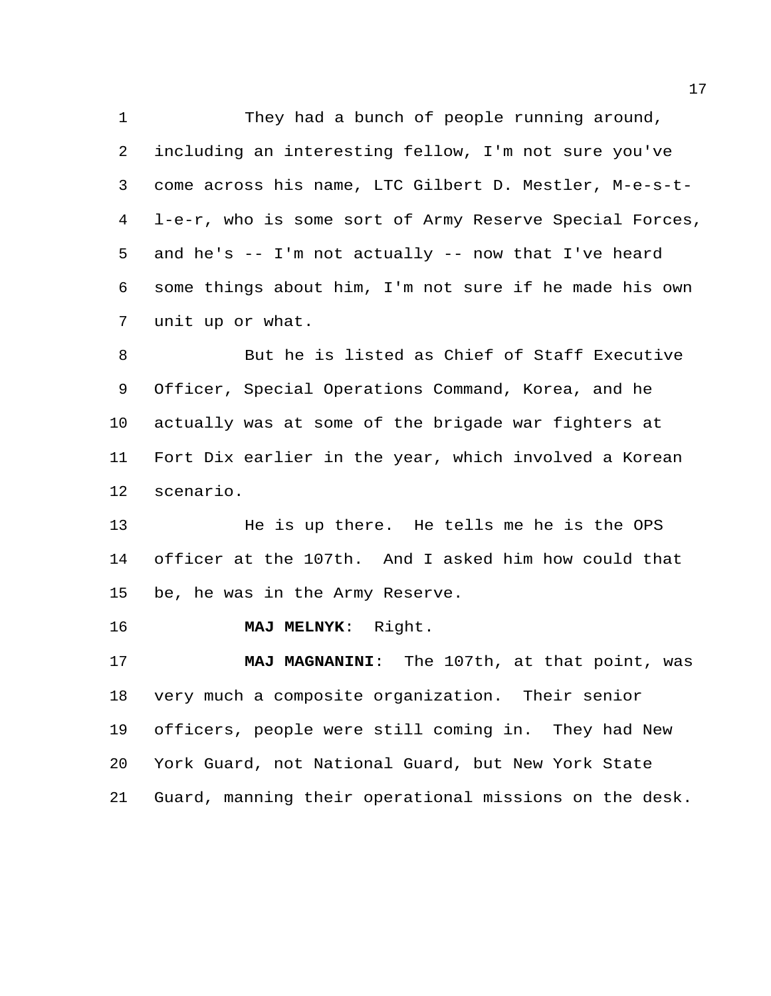1 They had a bunch of people running around, including an interesting fellow, I'm not sure you've come across his name, LTC Gilbert D. Mestler, M-e-s-t- l-e-r, who is some sort of Army Reserve Special Forces, and he's -- I'm not actually -- now that I've heard some things about him, I'm not sure if he made his own unit up or what.

 But he is listed as Chief of Staff Executive Officer, Special Operations Command, Korea, and he actually was at some of the brigade war fighters at Fort Dix earlier in the year, which involved a Korean scenario.

 He is up there. He tells me he is the OPS officer at the 107th. And I asked him how could that be, he was in the Army Reserve.

**MAJ MELNYK**: Right.

 **MAJ MAGNANINI**: The 107th, at that point, was very much a composite organization. Their senior officers, people were still coming in. They had New York Guard, not National Guard, but New York State Guard, manning their operational missions on the desk.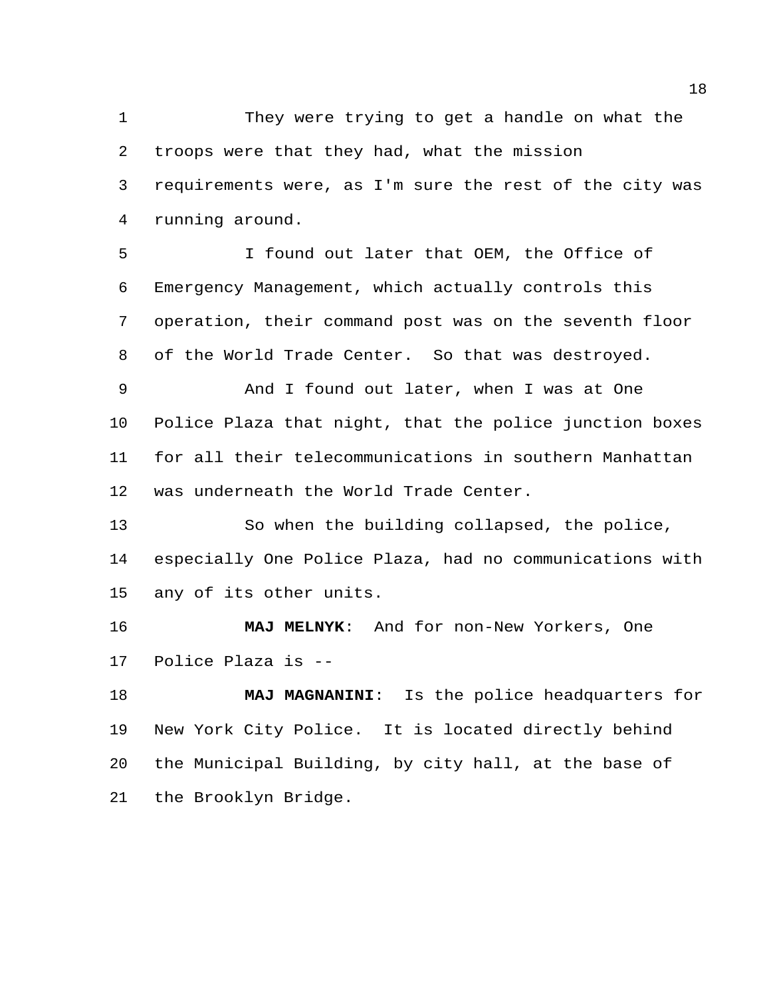They were trying to get a handle on what the troops were that they had, what the mission requirements were, as I'm sure the rest of the city was running around.

 I found out later that OEM, the Office of Emergency Management, which actually controls this operation, their command post was on the seventh floor of the World Trade Center. So that was destroyed.

 And I found out later, when I was at One Police Plaza that night, that the police junction boxes for all their telecommunications in southern Manhattan was underneath the World Trade Center.

 So when the building collapsed, the police, especially One Police Plaza, had no communications with any of its other units.

 **MAJ MELNYK**: And for non-New Yorkers, One Police Plaza is --

 **MAJ MAGNANINI**: Is the police headquarters for New York City Police. It is located directly behind the Municipal Building, by city hall, at the base of the Brooklyn Bridge.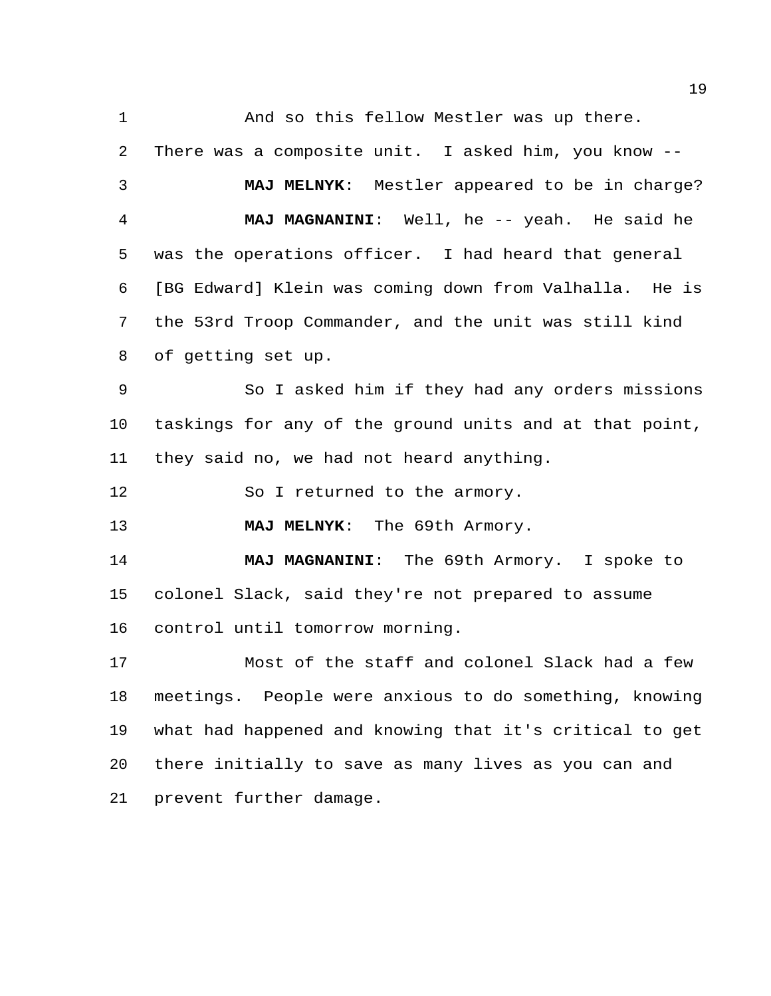And so this fellow Mestler was up there. There was a composite unit. I asked him, you know -- **MAJ MELNYK**: Mestler appeared to be in charge? **MAJ MAGNANINI**: Well, he -- yeah. He said he was the operations officer. I had heard that general [BG Edward] Klein was coming down from Valhalla. He is the 53rd Troop Commander, and the unit was still kind of getting set up. So I asked him if they had any orders missions taskings for any of the ground units and at that point, they said no, we had not heard anything. 12 So I returned to the armory. **MAJ MELNYK**: The 69th Armory. **MAJ MAGNANINI**: The 69th Armory. I spoke to colonel Slack, said they're not prepared to assume control until tomorrow morning. Most of the staff and colonel Slack had a few meetings. People were anxious to do something, knowing what had happened and knowing that it's critical to get there initially to save as many lives as you can and prevent further damage.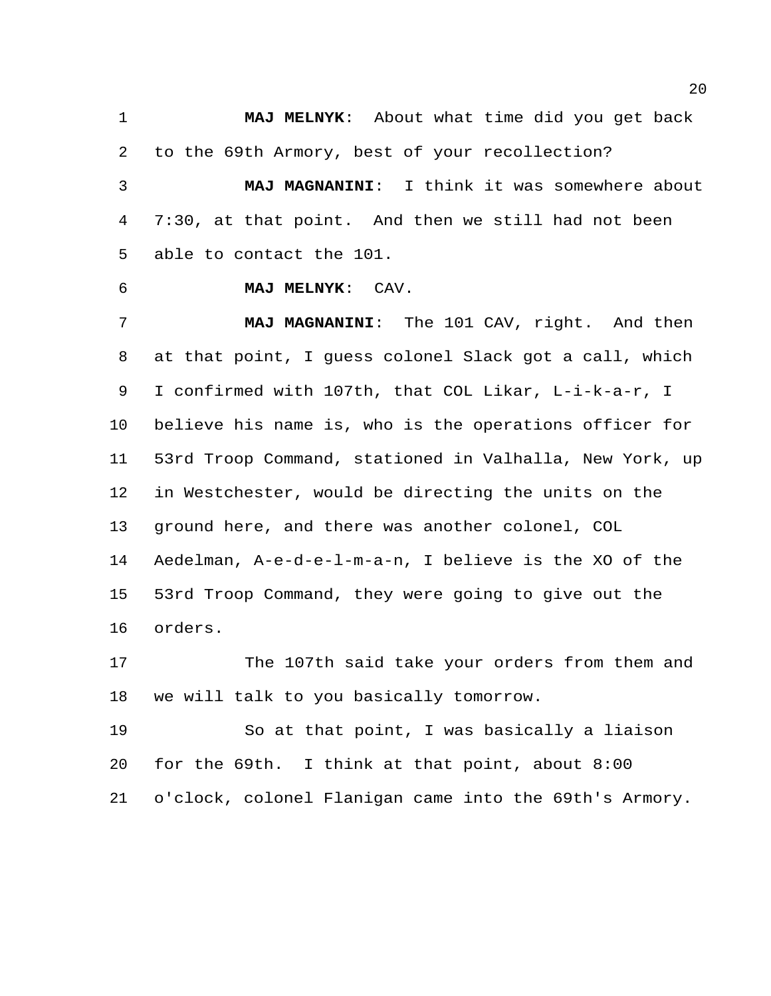**MAJ MELNYK**: About what time did you get back to the 69th Armory, best of your recollection?

 **MAJ MAGNANINI**: I think it was somewhere about 7:30, at that point. And then we still had not been able to contact the 101.

**MAJ MELNYK**: CAV.

 **MAJ MAGNANINI**: The 101 CAV, right. And then at that point, I guess colonel Slack got a call, which I confirmed with 107th, that COL Likar, L-i-k-a-r, I believe his name is, who is the operations officer for 53rd Troop Command, stationed in Valhalla, New York, up in Westchester, would be directing the units on the ground here, and there was another colonel, COL Aedelman, A-e-d-e-l-m-a-n, I believe is the XO of the 53rd Troop Command, they were going to give out the orders.

 The 107th said take your orders from them and we will talk to you basically tomorrow.

 So at that point, I was basically a liaison for the 69th. I think at that point, about 8:00 o'clock, colonel Flanigan came into the 69th's Armory.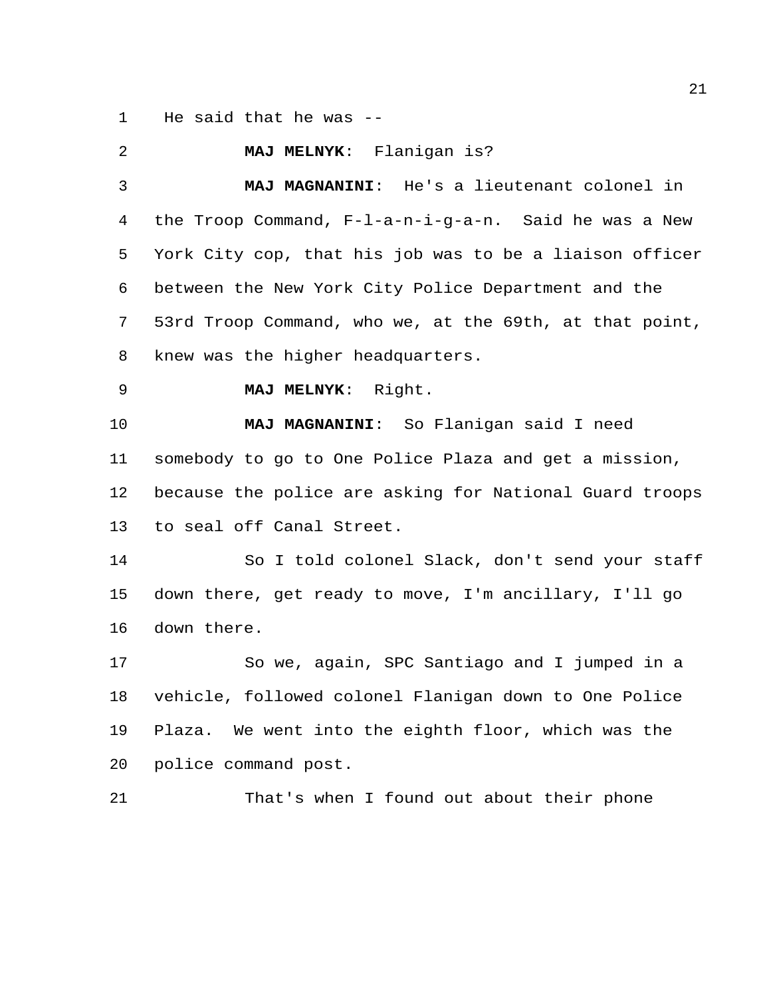He said that he was --

 **MAJ MELNYK**: Flanigan is? **MAJ MAGNANINI**: He's a lieutenant colonel in the Troop Command, F-l-a-n-i-g-a-n. Said he was a New York City cop, that his job was to be a liaison officer between the New York City Police Department and the 53rd Troop Command, who we, at the 69th, at that point, knew was the higher headquarters. **MAJ MELNYK**: Right. **MAJ MAGNANINI**: So Flanigan said I need somebody to go to One Police Plaza and get a mission, because the police are asking for National Guard troops to seal off Canal Street. So I told colonel Slack, don't send your staff down there, get ready to move, I'm ancillary, I'll go down there. So we, again, SPC Santiago and I jumped in a vehicle, followed colonel Flanigan down to One Police Plaza. We went into the eighth floor, which was the police command post. That's when I found out about their phone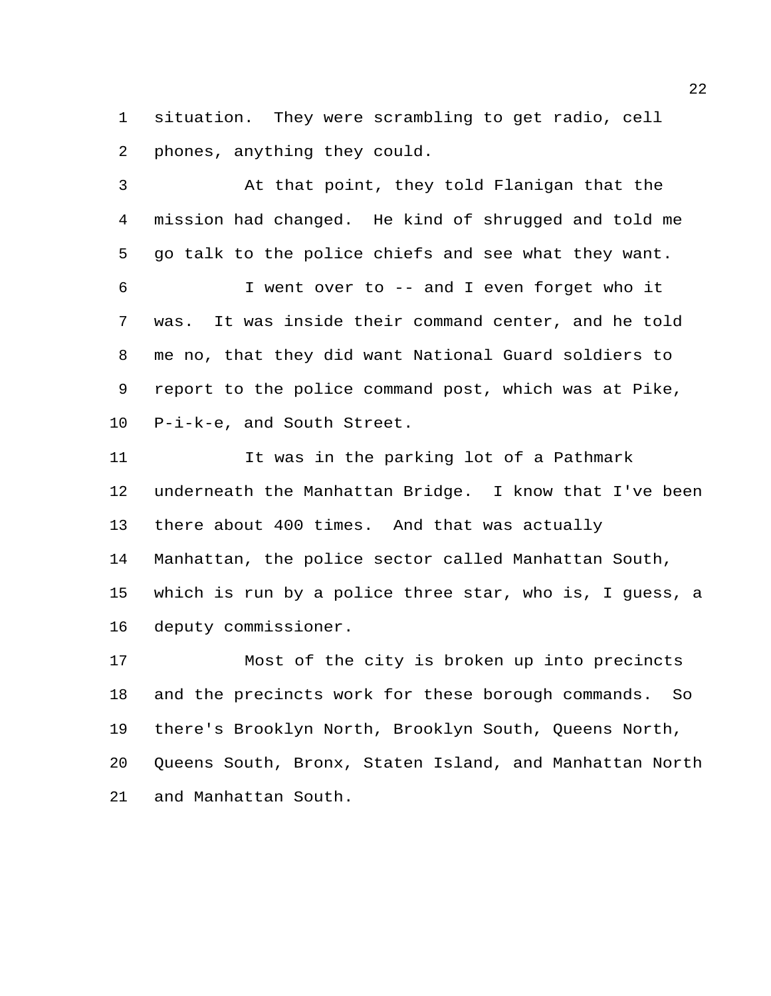situation. They were scrambling to get radio, cell phones, anything they could.

 At that point, they told Flanigan that the mission had changed. He kind of shrugged and told me go talk to the police chiefs and see what they want. I went over to -- and I even forget who it was. It was inside their command center, and he told me no, that they did want National Guard soldiers to

 report to the police command post, which was at Pike, P-i-k-e, and South Street.

 It was in the parking lot of a Pathmark underneath the Manhattan Bridge. I know that I've been there about 400 times. And that was actually Manhattan, the police sector called Manhattan South, which is run by a police three star, who is, I guess, a deputy commissioner.

 Most of the city is broken up into precincts and the precincts work for these borough commands. So there's Brooklyn North, Brooklyn South, Queens North, Queens South, Bronx, Staten Island, and Manhattan North and Manhattan South.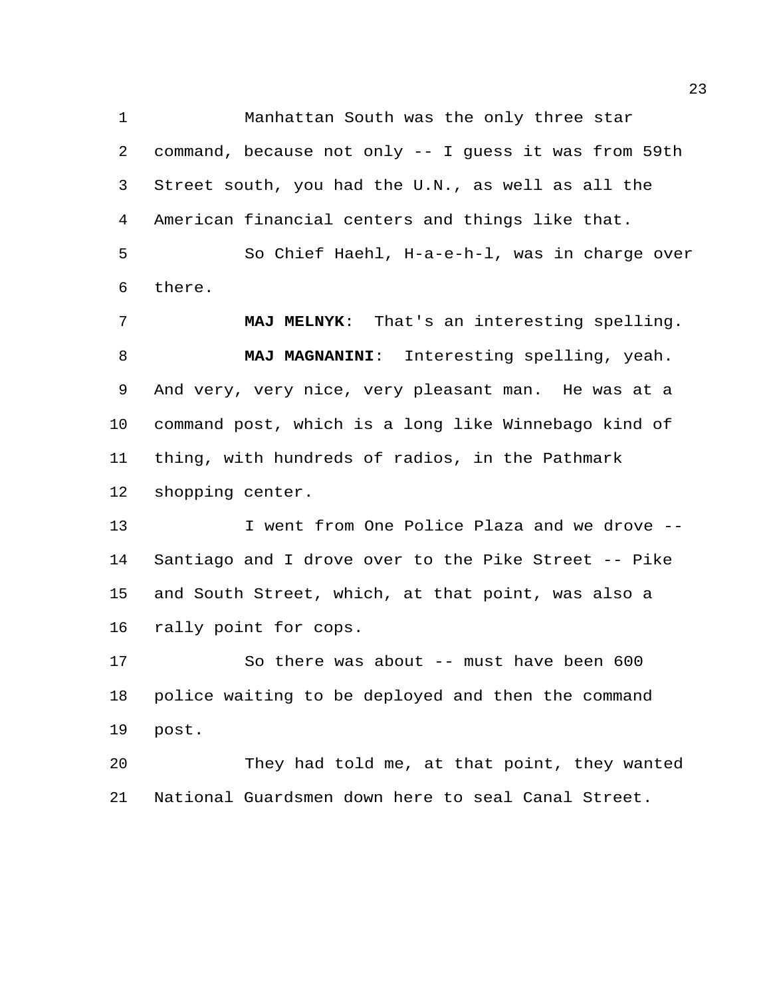Manhattan South was the only three star command, because not only -- I guess it was from 59th Street south, you had the U.N., as well as all the American financial centers and things like that.

 So Chief Haehl, H-a-e-h-l, was in charge over there.

 **MAJ MELNYK**: That's an interesting spelling. **MAJ MAGNANINI**: Interesting spelling, yeah. And very, very nice, very pleasant man. He was at a command post, which is a long like Winnebago kind of thing, with hundreds of radios, in the Pathmark shopping center.

 I went from One Police Plaza and we drove -- Santiago and I drove over to the Pike Street -- Pike and South Street, which, at that point, was also a rally point for cops.

 So there was about -- must have been 600 police waiting to be deployed and then the command post.

 They had told me, at that point, they wanted National Guardsmen down here to seal Canal Street.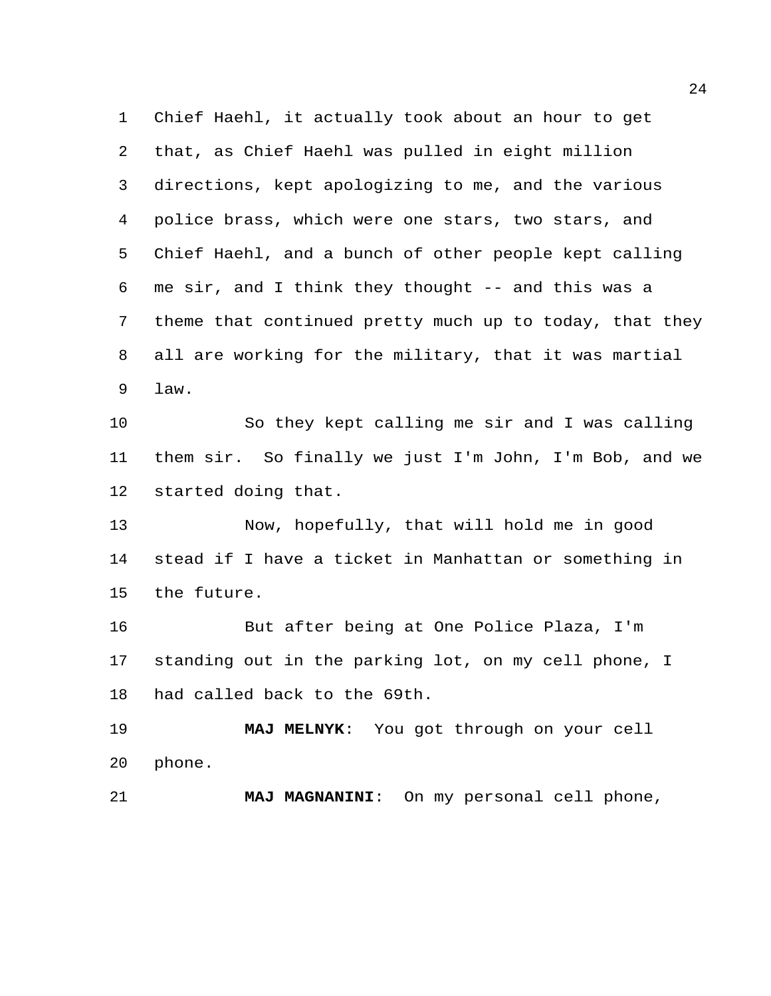Chief Haehl, it actually took about an hour to get that, as Chief Haehl was pulled in eight million directions, kept apologizing to me, and the various police brass, which were one stars, two stars, and Chief Haehl, and a bunch of other people kept calling me sir, and I think they thought -- and this was a theme that continued pretty much up to today, that they all are working for the military, that it was martial law.

 So they kept calling me sir and I was calling them sir. So finally we just I'm John, I'm Bob, and we started doing that.

 Now, hopefully, that will hold me in good stead if I have a ticket in Manhattan or something in the future.

 But after being at One Police Plaza, I'm standing out in the parking lot, on my cell phone, I had called back to the 69th.

 **MAJ MELNYK**: You got through on your cell phone.

**MAJ MAGNANINI**: On my personal cell phone,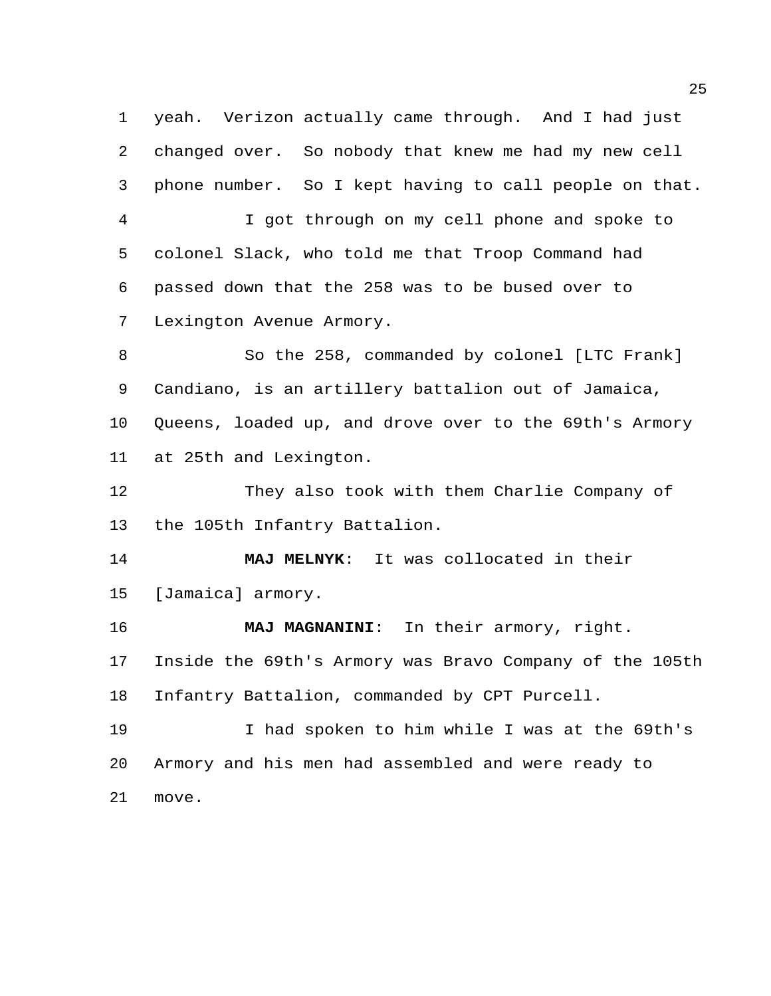yeah. Verizon actually came through. And I had just changed over. So nobody that knew me had my new cell phone number. So I kept having to call people on that.

 I got through on my cell phone and spoke to colonel Slack, who told me that Troop Command had passed down that the 258 was to be bused over to Lexington Avenue Armory.

 So the 258, commanded by colonel [LTC Frank] Candiano, is an artillery battalion out of Jamaica, Queens, loaded up, and drove over to the 69th's Armory at 25th and Lexington.

 They also took with them Charlie Company of the 105th Infantry Battalion.

 **MAJ MELNYK**: It was collocated in their [Jamaica] armory.

 **MAJ MAGNANINI**: In their armory, right. Inside the 69th's Armory was Bravo Company of the 105th Infantry Battalion, commanded by CPT Purcell.

 I had spoken to him while I was at the 69th's Armory and his men had assembled and were ready to move.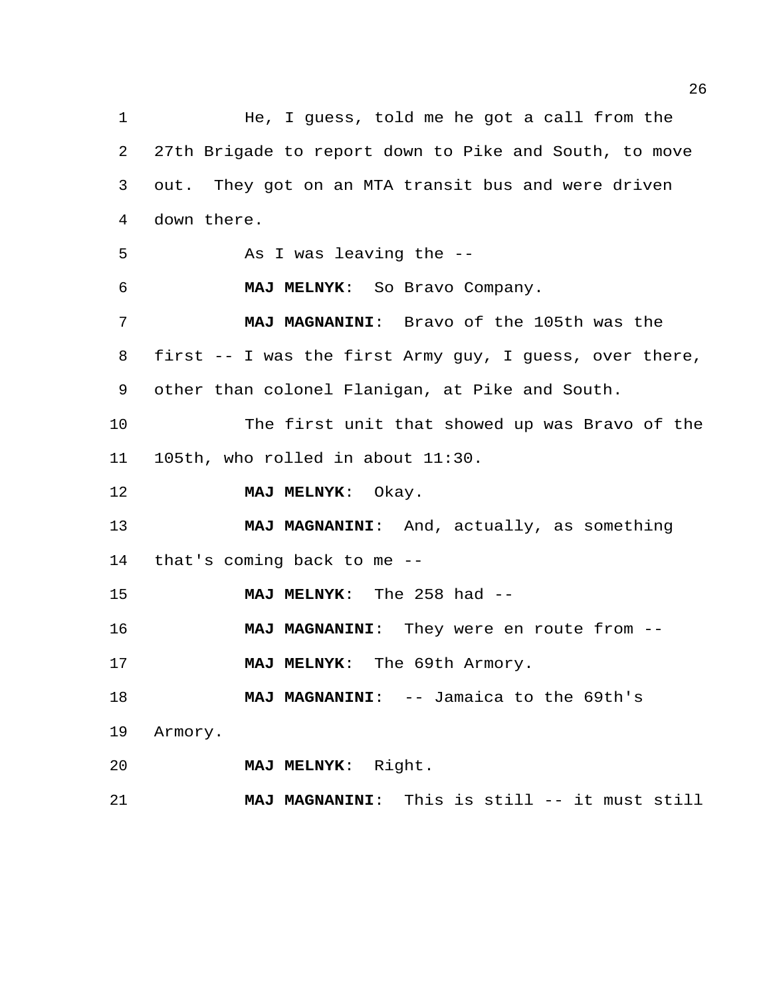He, I guess, told me he got a call from the 27th Brigade to report down to Pike and South, to move out. They got on an MTA transit bus and were driven down there. As I was leaving the -- **MAJ MELNYK**: So Bravo Company. **MAJ MAGNANINI**: Bravo of the 105th was the first -- I was the first Army guy, I guess, over there, other than colonel Flanigan, at Pike and South. The first unit that showed up was Bravo of the 105th, who rolled in about 11:30. **MAJ MELNYK**: Okay. **MAJ MAGNANINI**: And, actually, as something that's coming back to me -- **MAJ MELNYK**: The 258 had -- **MAJ MAGNANINI**: They were en route from -- **MAJ MELNYK**: The 69th Armory. **MAJ MAGNANINI:** -- Jamaica to the 69th's Armory. **MAJ MELNYK**: Right. **MAJ MAGNANINI**: This is still -- it must still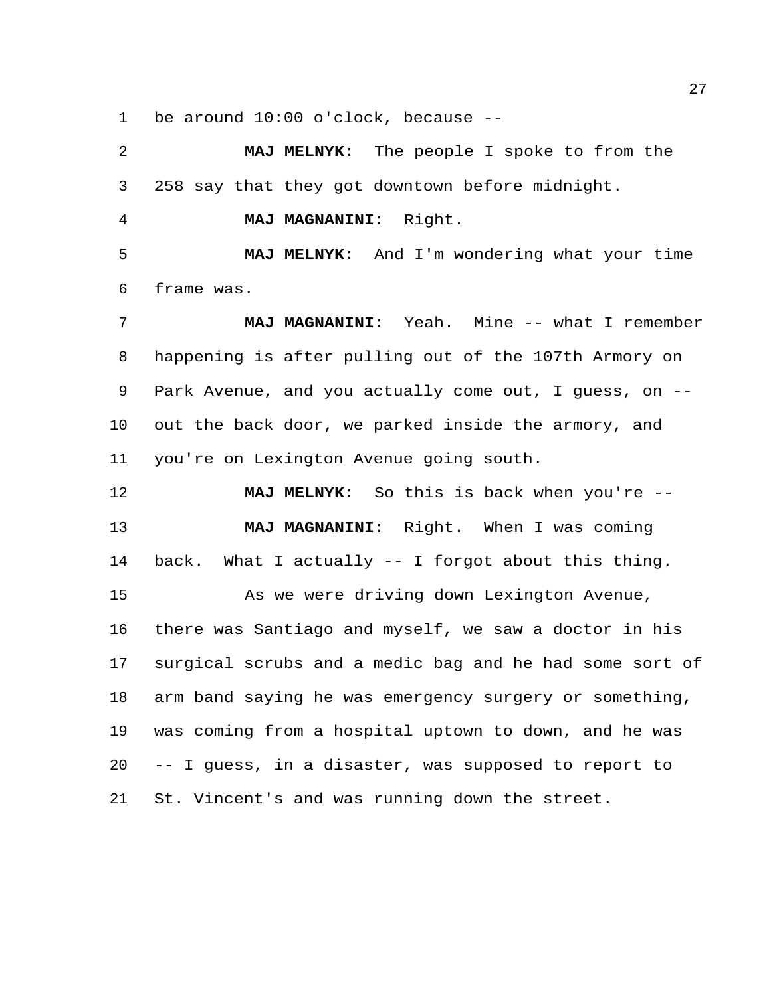be around 10:00 o'clock, because --

 **MAJ MELNYK**: The people I spoke to from the 258 say that they got downtown before midnight.

**MAJ MAGNANINI**: Right.

 **MAJ MELNYK**: And I'm wondering what your time frame was.

 **MAJ MAGNANINI**: Yeah. Mine -- what I remember happening is after pulling out of the 107th Armory on Park Avenue, and you actually come out, I guess, on -- out the back door, we parked inside the armory, and you're on Lexington Avenue going south.

 **MAJ MELNYK**: So this is back when you're -- **MAJ MAGNANINI**: Right. When I was coming back. What I actually -- I forgot about this thing. As we were driving down Lexington Avenue, there was Santiago and myself, we saw a doctor in his surgical scrubs and a medic bag and he had some sort of arm band saying he was emergency surgery or something, was coming from a hospital uptown to down, and he was -- I guess, in a disaster, was supposed to report to St. Vincent's and was running down the street.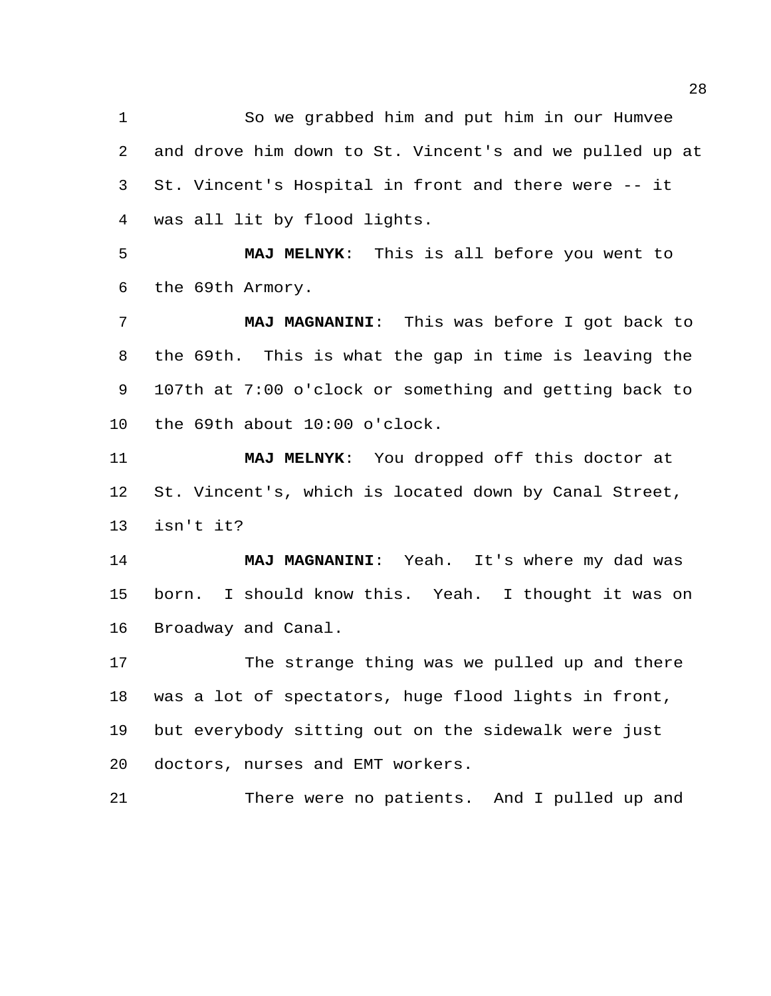So we grabbed him and put him in our Humvee and drove him down to St. Vincent's and we pulled up at St. Vincent's Hospital in front and there were -- it was all lit by flood lights.

 **MAJ MELNYK**: This is all before you went to the 69th Armory.

 **MAJ MAGNANINI**: This was before I got back to the 69th. This is what the gap in time is leaving the 107th at 7:00 o'clock or something and getting back to the 69th about 10:00 o'clock.

 **MAJ MELNYK**: You dropped off this doctor at St. Vincent's, which is located down by Canal Street, isn't it?

 **MAJ MAGNANINI**: Yeah. It's where my dad was born. I should know this. Yeah. I thought it was on Broadway and Canal.

 The strange thing was we pulled up and there was a lot of spectators, huge flood lights in front, but everybody sitting out on the sidewalk were just doctors, nurses and EMT workers.

There were no patients. And I pulled up and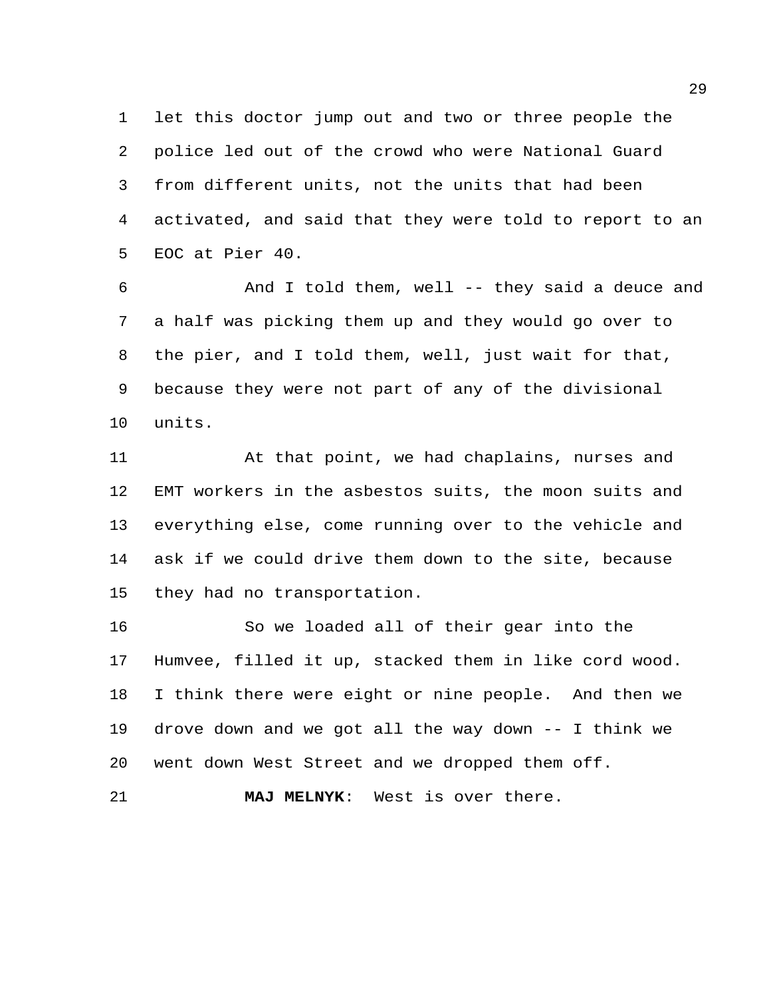let this doctor jump out and two or three people the police led out of the crowd who were National Guard from different units, not the units that had been activated, and said that they were told to report to an EOC at Pier 40.

 And I told them, well -- they said a deuce and a half was picking them up and they would go over to the pier, and I told them, well, just wait for that, because they were not part of any of the divisional units.

 At that point, we had chaplains, nurses and EMT workers in the asbestos suits, the moon suits and everything else, come running over to the vehicle and ask if we could drive them down to the site, because they had no transportation.

 So we loaded all of their gear into the Humvee, filled it up, stacked them in like cord wood. I think there were eight or nine people. And then we drove down and we got all the way down -- I think we went down West Street and we dropped them off.

**MAJ MELNYK**: West is over there.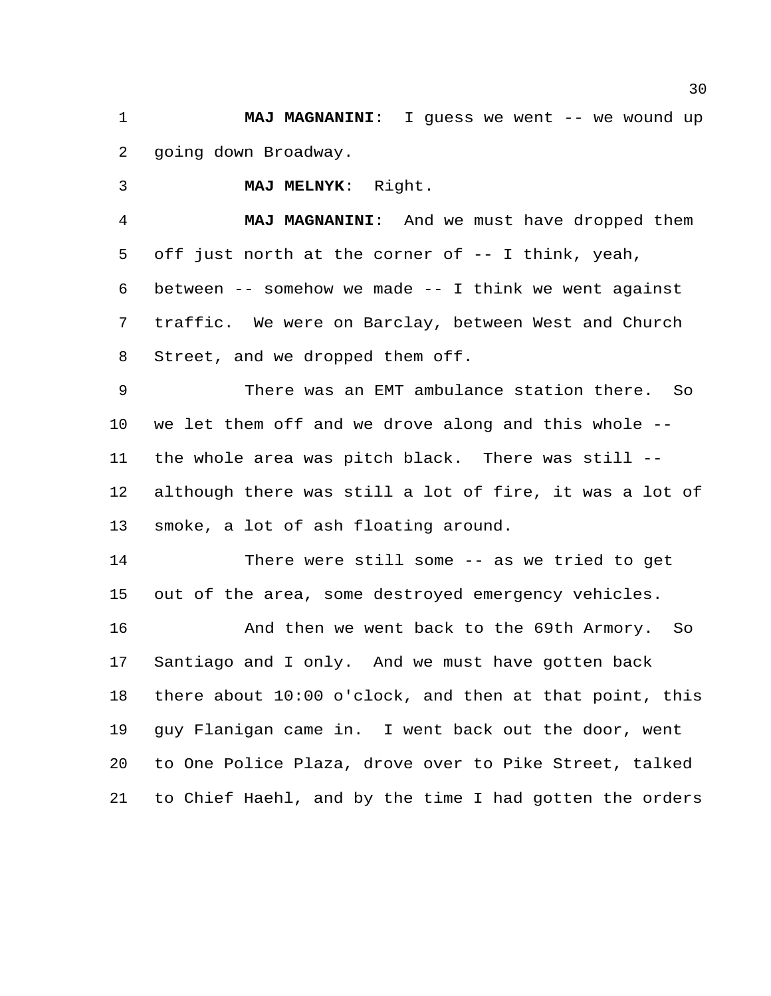**MAJ MAGNANINI:** I guess we went -- we wound up going down Broadway.

**MAJ MELNYK**: Right.

 **MAJ MAGNANINI**: And we must have dropped them off just north at the corner of -- I think, yeah, between -- somehow we made -- I think we went against traffic. We were on Barclay, between West and Church Street, and we dropped them off.

 There was an EMT ambulance station there. So we let them off and we drove along and this whole -- the whole area was pitch black. There was still -- although there was still a lot of fire, it was a lot of smoke, a lot of ash floating around.

 There were still some -- as we tried to get out of the area, some destroyed emergency vehicles.

 And then we went back to the 69th Armory. So Santiago and I only. And we must have gotten back there about 10:00 o'clock, and then at that point, this guy Flanigan came in. I went back out the door, went to One Police Plaza, drove over to Pike Street, talked to Chief Haehl, and by the time I had gotten the orders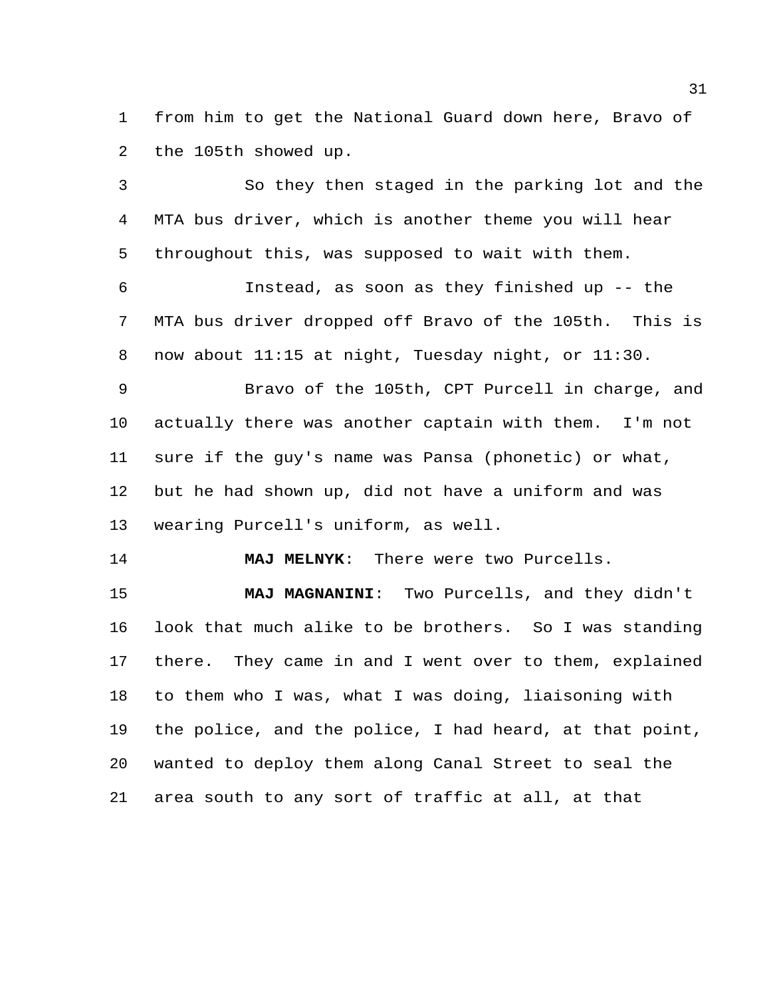from him to get the National Guard down here, Bravo of the 105th showed up.

 So they then staged in the parking lot and the MTA bus driver, which is another theme you will hear throughout this, was supposed to wait with them.

 Instead, as soon as they finished up -- the MTA bus driver dropped off Bravo of the 105th. This is now about 11:15 at night, Tuesday night, or 11:30.

 Bravo of the 105th, CPT Purcell in charge, and actually there was another captain with them. I'm not sure if the guy's name was Pansa (phonetic) or what, but he had shown up, did not have a uniform and was wearing Purcell's uniform, as well.

**MAJ MELNYK**: There were two Purcells.

 **MAJ MAGNANINI**: Two Purcells, and they didn't look that much alike to be brothers. So I was standing there. They came in and I went over to them, explained to them who I was, what I was doing, liaisoning with the police, and the police, I had heard, at that point, wanted to deploy them along Canal Street to seal the area south to any sort of traffic at all, at that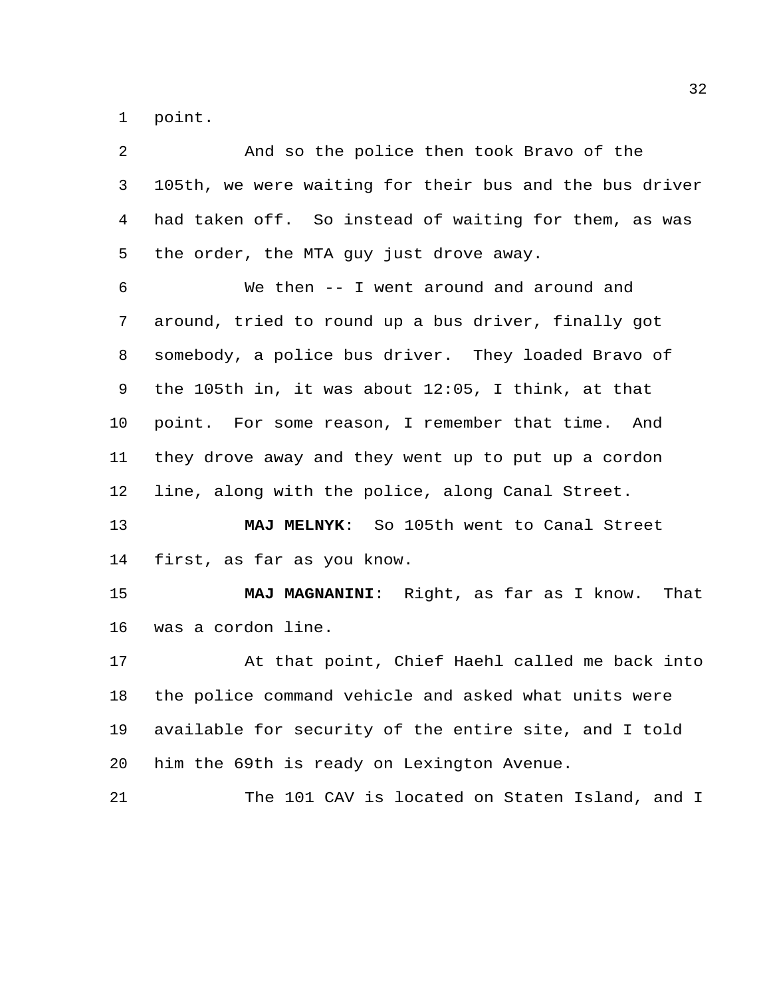point.

| 2       | And so the police then took Bravo of the                |
|---------|---------------------------------------------------------|
| 3       | 105th, we were waiting for their bus and the bus driver |
| 4       | had taken off. So instead of waiting for them, as was   |
| 5       | the order, the MTA guy just drove away.                 |
| 6       | We then -- I went around and around and                 |
| 7       | around, tried to round up a bus driver, finally got     |
| 8       | somebody, a police bus driver. They loaded Bravo of     |
| 9       | the 105th in, it was about $12:05$ , I think, at that   |
| $10 \,$ | point. For some reason, I remember that time. And       |
| 11      | they drove away and they went up to put up a cordon     |
| 12      | line, along with the police, along Canal Street.        |
| 13      | MAJ MELNYK: So 105th went to Canal Street               |
| 14      | first, as far as you know.                              |
| 15      | MAJ MAGNANINI: Right, as far as I know. That            |
| 16      | was a cordon line.                                      |
| 17      | At that point, Chief Haehl called me back into          |
| 18      | the police command vehicle and asked what units were    |
| 19      | available for security of the entire site, and I told   |
| 20      | him the 69th is ready on Lexington Avenue.              |
| 21      | The 101 CAV is located on Staten Island, and I          |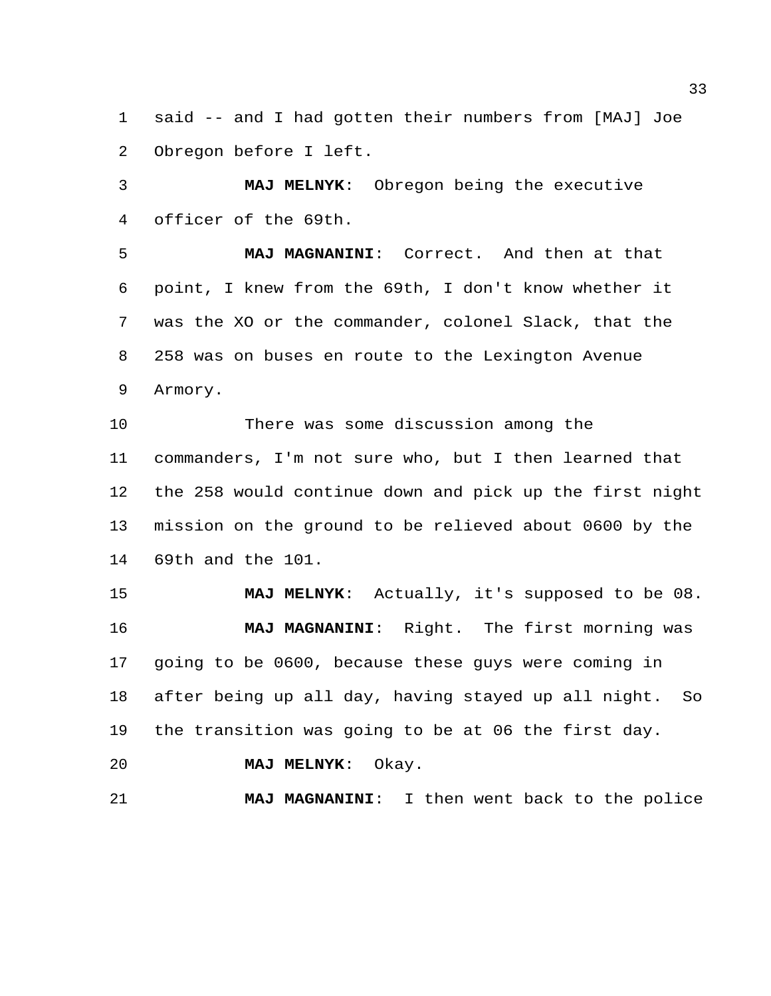said -- and I had gotten their numbers from [MAJ] Joe Obregon before I left.

 **MAJ MELNYK**: Obregon being the executive officer of the 69th.

 **MAJ MAGNANINI**: Correct. And then at that point, I knew from the 69th, I don't know whether it was the XO or the commander, colonel Slack, that the 258 was on buses en route to the Lexington Avenue Armory.

 There was some discussion among the commanders, I'm not sure who, but I then learned that the 258 would continue down and pick up the first night mission on the ground to be relieved about 0600 by the 69th and the 101.

 **MAJ MELNYK**: Actually, it's supposed to be 08. **MAJ MAGNANINI**: Right. The first morning was going to be 0600, because these guys were coming in after being up all day, having stayed up all night. So the transition was going to be at 06 the first day.

**MAJ MELNYK**: Okay.

**MAJ MAGNANINI**: I then went back to the police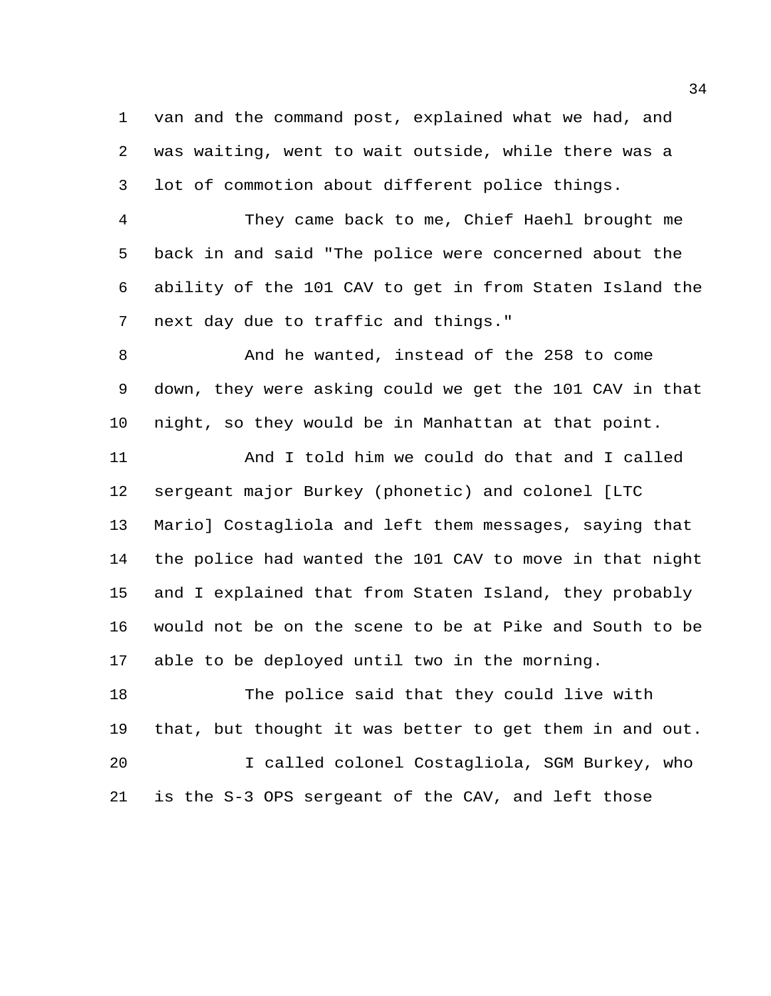van and the command post, explained what we had, and was waiting, went to wait outside, while there was a lot of commotion about different police things.

 They came back to me, Chief Haehl brought me back in and said "The police were concerned about the ability of the 101 CAV to get in from Staten Island the next day due to traffic and things."

 And he wanted, instead of the 258 to come down, they were asking could we get the 101 CAV in that night, so they would be in Manhattan at that point.

 And I told him we could do that and I called sergeant major Burkey (phonetic) and colonel [LTC Mario] Costagliola and left them messages, saying that the police had wanted the 101 CAV to move in that night and I explained that from Staten Island, they probably would not be on the scene to be at Pike and South to be able to be deployed until two in the morning.

 The police said that they could live with that, but thought it was better to get them in and out. I called colonel Costagliola, SGM Burkey, who is the S-3 OPS sergeant of the CAV, and left those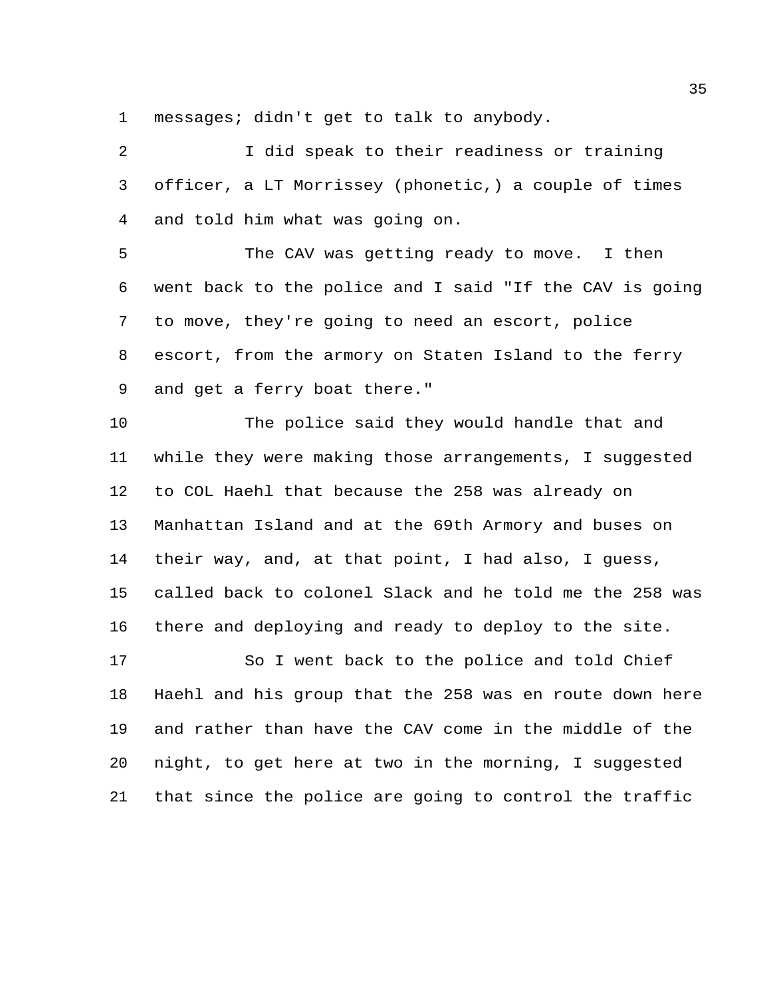messages; didn't get to talk to anybody.

 I did speak to their readiness or training officer, a LT Morrissey (phonetic,) a couple of times and told him what was going on.

 The CAV was getting ready to move. I then went back to the police and I said "If the CAV is going to move, they're going to need an escort, police escort, from the armory on Staten Island to the ferry and get a ferry boat there."

 The police said they would handle that and while they were making those arrangements, I suggested to COL Haehl that because the 258 was already on Manhattan Island and at the 69th Armory and buses on their way, and, at that point, I had also, I guess, called back to colonel Slack and he told me the 258 was there and deploying and ready to deploy to the site.

 So I went back to the police and told Chief Haehl and his group that the 258 was en route down here and rather than have the CAV come in the middle of the night, to get here at two in the morning, I suggested that since the police are going to control the traffic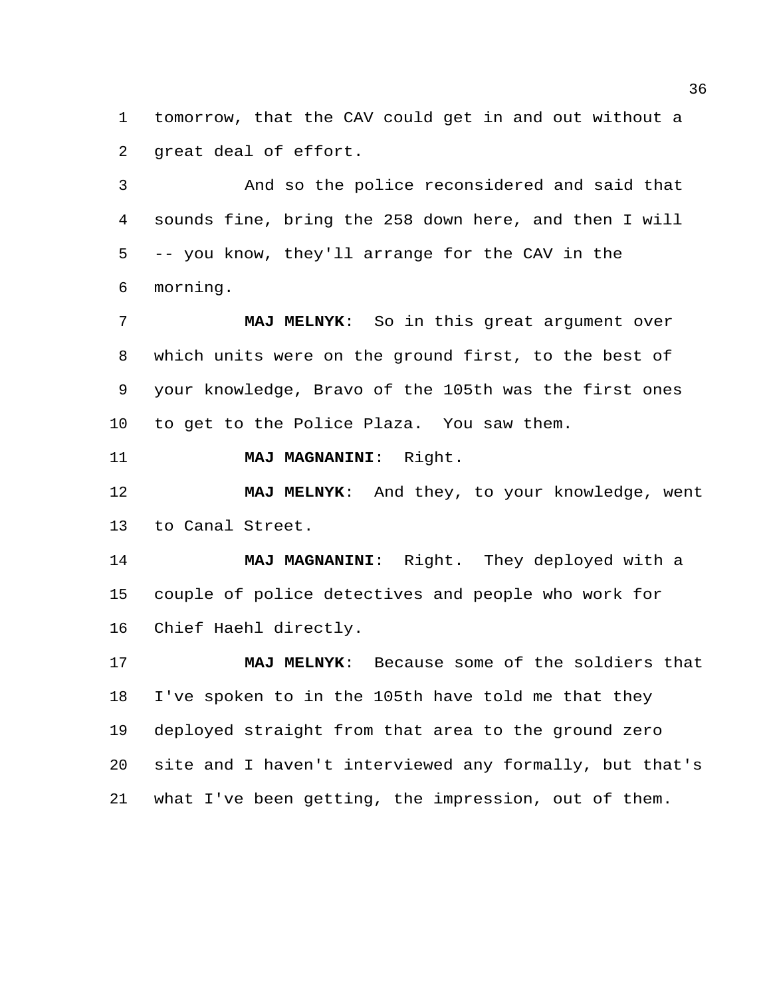tomorrow, that the CAV could get in and out without a great deal of effort.

 And so the police reconsidered and said that sounds fine, bring the 258 down here, and then I will -- you know, they'll arrange for the CAV in the morning.

 **MAJ MELNYK**: So in this great argument over which units were on the ground first, to the best of your knowledge, Bravo of the 105th was the first ones to get to the Police Plaza. You saw them.

**MAJ MAGNANINI**: Right.

 **MAJ MELNYK**: And they, to your knowledge, went to Canal Street.

 **MAJ MAGNANINI**: Right. They deployed with a couple of police detectives and people who work for Chief Haehl directly.

 **MAJ MELNYK**: Because some of the soldiers that I've spoken to in the 105th have told me that they deployed straight from that area to the ground zero site and I haven't interviewed any formally, but that's what I've been getting, the impression, out of them.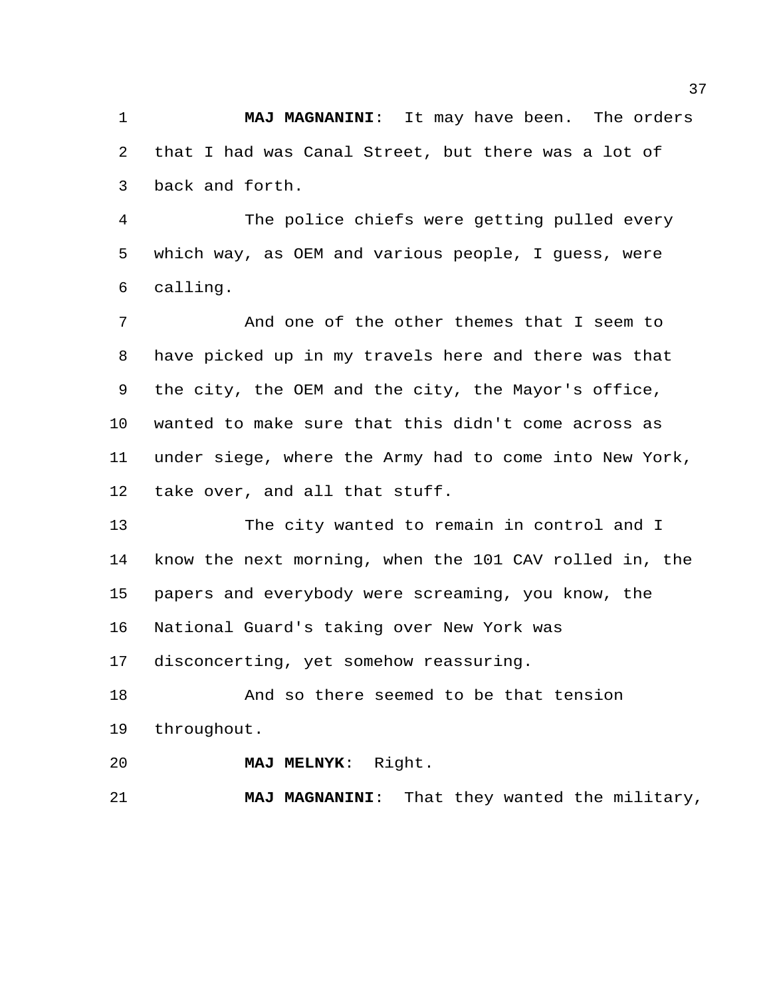**MAJ MAGNANINI**: It may have been. The orders that I had was Canal Street, but there was a lot of back and forth.

 The police chiefs were getting pulled every which way, as OEM and various people, I guess, were calling.

 And one of the other themes that I seem to have picked up in my travels here and there was that the city, the OEM and the city, the Mayor's office, wanted to make sure that this didn't come across as under siege, where the Army had to come into New York, take over, and all that stuff.

 The city wanted to remain in control and I know the next morning, when the 101 CAV rolled in, the papers and everybody were screaming, you know, the National Guard's taking over New York was

disconcerting, yet somehow reassuring.

 And so there seemed to be that tension throughout.

**MAJ MELNYK**: Right.

**MAJ MAGNANINI**: That they wanted the military,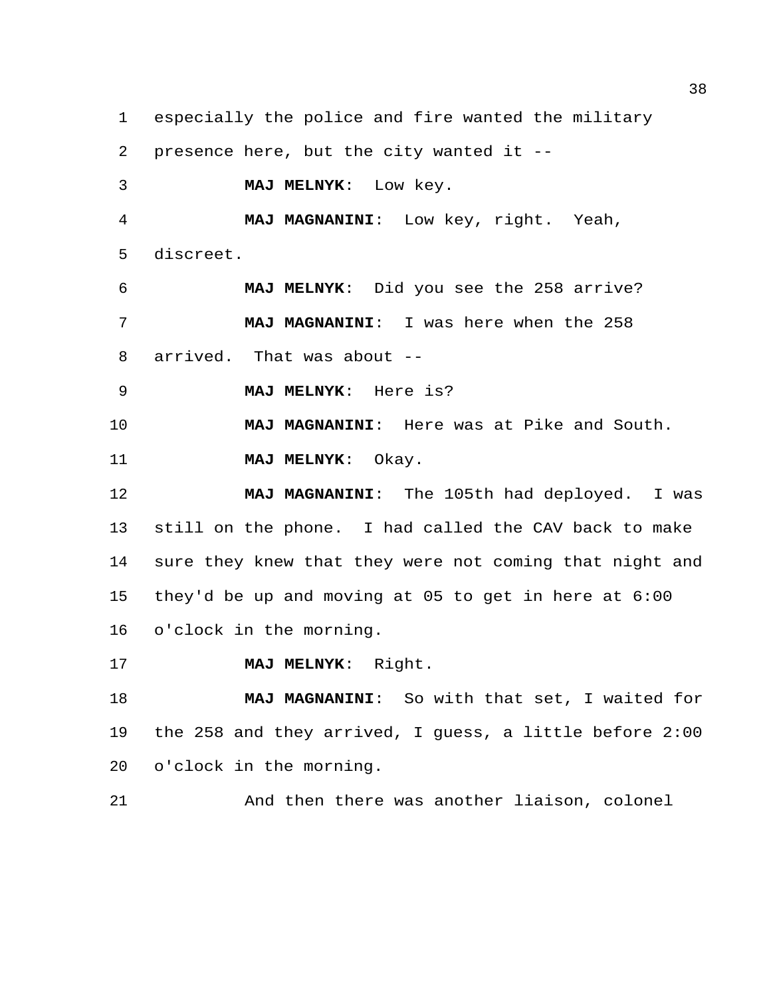especially the police and fire wanted the military presence here, but the city wanted it -- **MAJ MELNYK**: Low key. **MAJ MAGNANINI**: Low key, right. Yeah, discreet. **MAJ MELNYK**: Did you see the 258 arrive? **MAJ MAGNANINI**: I was here when the 258 arrived. That was about -- **MAJ MELNYK**: Here is? **MAJ MAGNANINI**: Here was at Pike and South. **MAJ MELNYK**: Okay. **MAJ MAGNANINI**: The 105th had deployed. I was still on the phone. I had called the CAV back to make sure they knew that they were not coming that night and they'd be up and moving at 05 to get in here at 6:00 o'clock in the morning. **MAJ MELNYK**: Right. **MAJ MAGNANINI**: So with that set, I waited for the 258 and they arrived, I guess, a little before 2:00 o'clock in the morning.

And then there was another liaison, colonel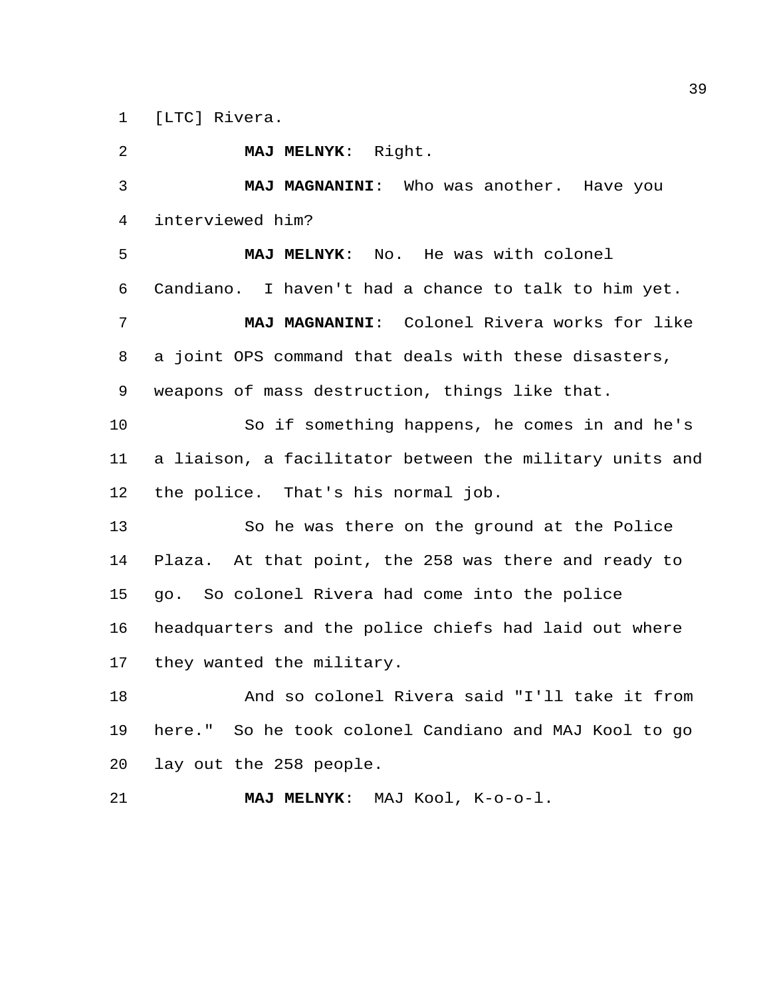[LTC] Rivera.

 **MAJ MELNYK**: Right. **MAJ MAGNANINI**: Who was another. Have you interviewed him? **MAJ MELNYK**: No. He was with colonel Candiano. I haven't had a chance to talk to him yet. **MAJ MAGNANINI**: Colonel Rivera works for like a joint OPS command that deals with these disasters, weapons of mass destruction, things like that. So if something happens, he comes in and he's a liaison, a facilitator between the military units and the police. That's his normal job. So he was there on the ground at the Police Plaza. At that point, the 258 was there and ready to go. So colonel Rivera had come into the police headquarters and the police chiefs had laid out where they wanted the military. And so colonel Rivera said "I'll take it from here." So he took colonel Candiano and MAJ Kool to go lay out the 258 people. **MAJ MELNYK**: MAJ Kool, K-o-o-l.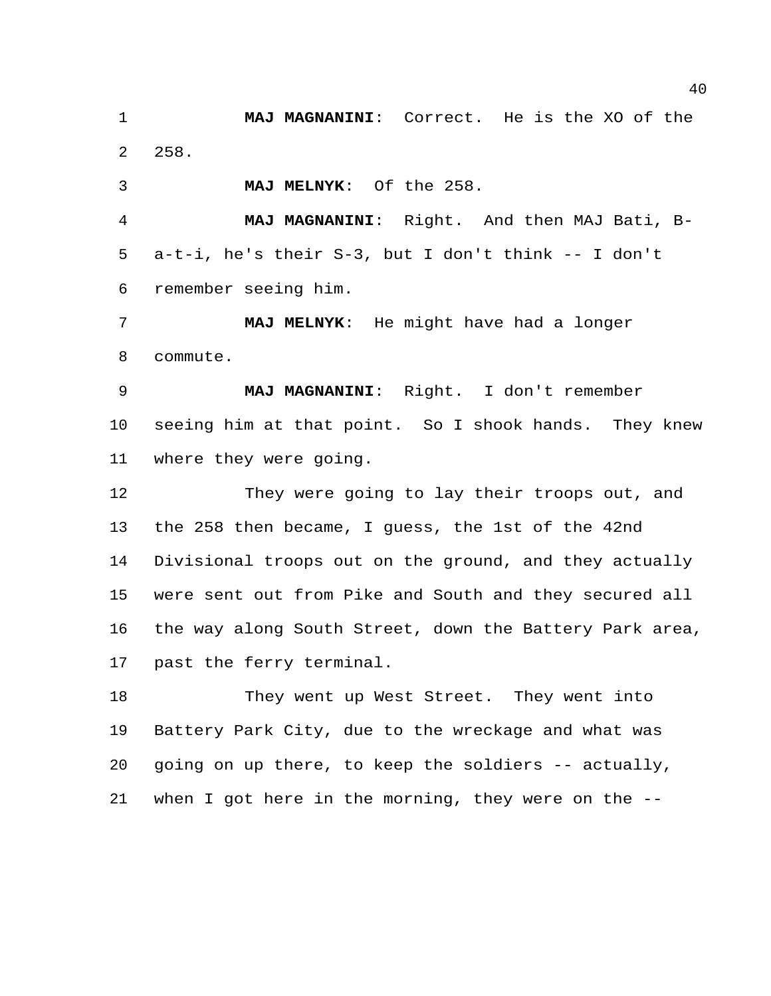**MAJ MAGNANINI**: Correct. He is the XO of the 258.

**MAJ MELNYK**: Of the 258.

 **MAJ MAGNANINI**: Right. And then MAJ Bati, B- a-t-i, he's their S-3, but I don't think -- I don't remember seeing him.

 **MAJ MELNYK**: He might have had a longer commute.

 **MAJ MAGNANINI**: Right. I don't remember seeing him at that point. So I shook hands. They knew where they were going.

 They were going to lay their troops out, and the 258 then became, I guess, the 1st of the 42nd Divisional troops out on the ground, and they actually were sent out from Pike and South and they secured all the way along South Street, down the Battery Park area, past the ferry terminal.

18 They went up West Street. They went into Battery Park City, due to the wreckage and what was going on up there, to keep the soldiers -- actually, when I got here in the morning, they were on the --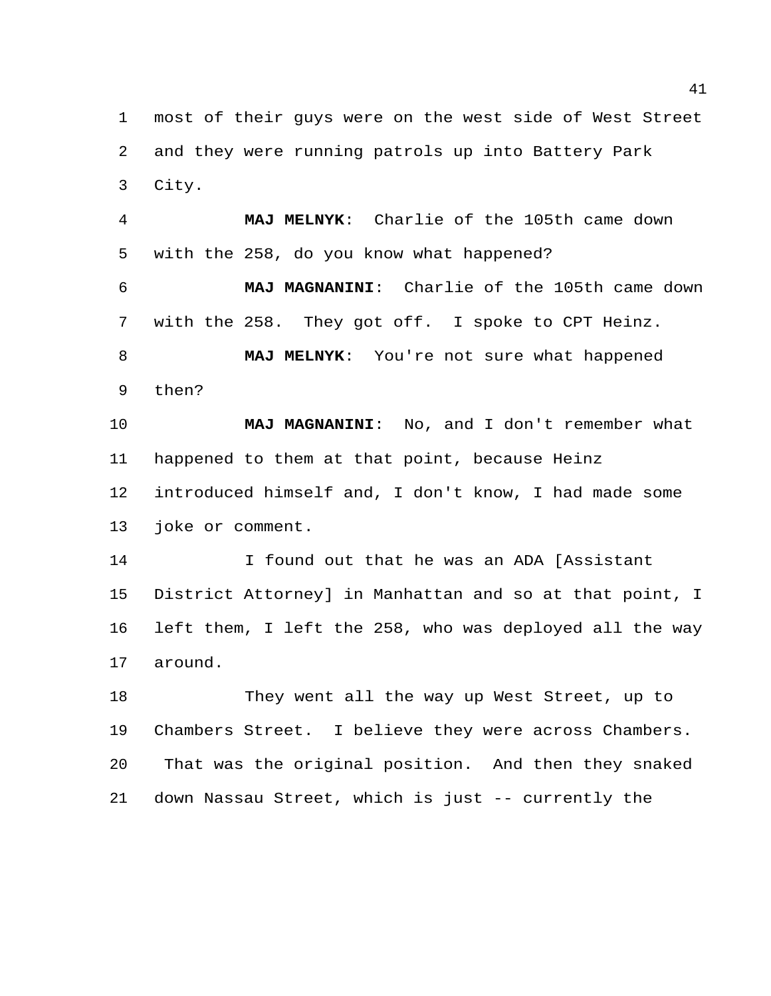most of their guys were on the west side of West Street and they were running patrols up into Battery Park City.

 **MAJ MELNYK**: Charlie of the 105th came down with the 258, do you know what happened? **MAJ MAGNANINI**: Charlie of the 105th came down with the 258. They got off. I spoke to CPT Heinz. **MAJ MELNYK**: You're not sure what happened then?

 **MAJ MAGNANINI**: No, and I don't remember what happened to them at that point, because Heinz introduced himself and, I don't know, I had made some joke or comment.

 I found out that he was an ADA [Assistant District Attorney] in Manhattan and so at that point, I left them, I left the 258, who was deployed all the way around.

 They went all the way up West Street, up to Chambers Street. I believe they were across Chambers. That was the original position. And then they snaked down Nassau Street, which is just -- currently the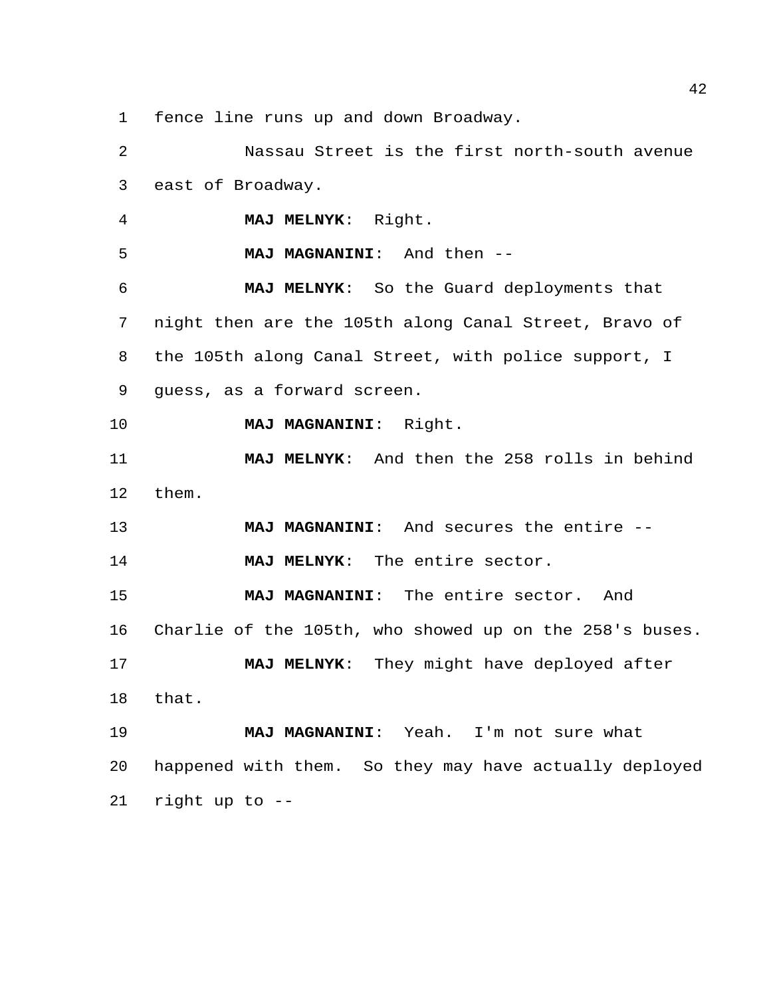fence line runs up and down Broadway.

 Nassau Street is the first north-south avenue east of Broadway. **MAJ MELNYK**: Right. **MAJ MAGNANINI**: And then -- **MAJ MELNYK**: So the Guard deployments that night then are the 105th along Canal Street, Bravo of the 105th along Canal Street, with police support, I guess, as a forward screen. **MAJ MAGNANINI**: Right. **MAJ MELNYK**: And then the 258 rolls in behind them. **MAJ MAGNANINI**: And secures the entire -- **MAJ MELNYK**: The entire sector. **MAJ MAGNANINI**: The entire sector. And Charlie of the 105th, who showed up on the 258's buses. **MAJ MELNYK**: They might have deployed after that. **MAJ MAGNANINI**: Yeah. I'm not sure what happened with them. So they may have actually deployed right up to --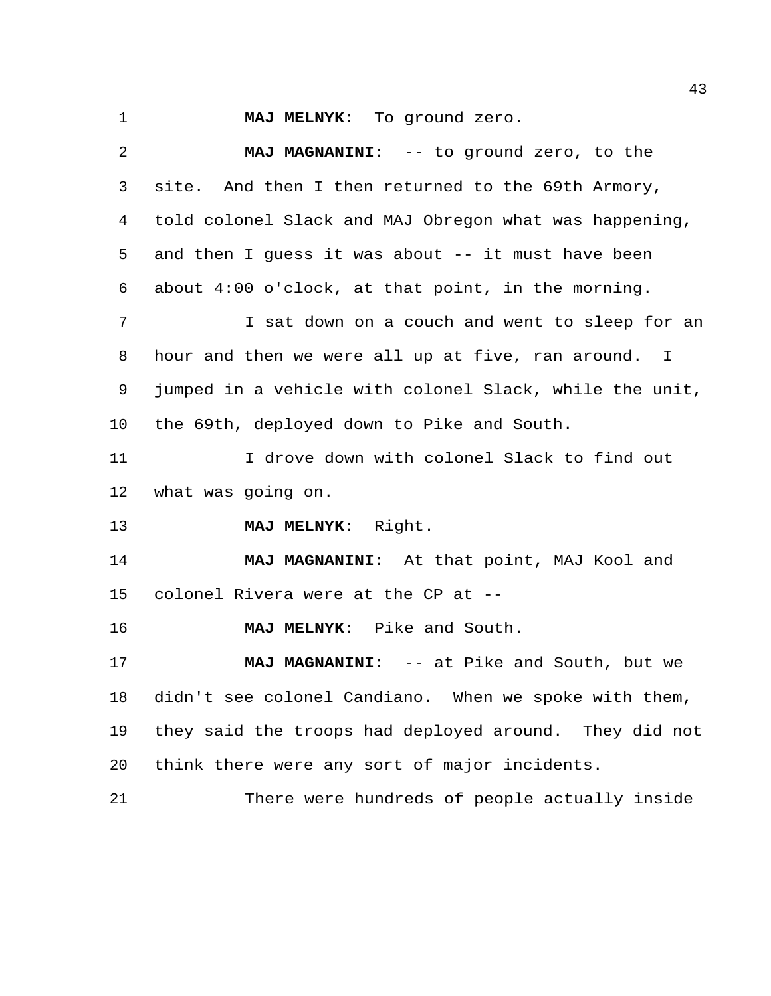**MAJ MELNYK**: To ground zero.

 **MAJ MAGNANINI**: -- to ground zero, to the site. And then I then returned to the 69th Armory, told colonel Slack and MAJ Obregon what was happening, and then I guess it was about -- it must have been about 4:00 o'clock, at that point, in the morning. I sat down on a couch and went to sleep for an hour and then we were all up at five, ran around. I jumped in a vehicle with colonel Slack, while the unit, the 69th, deployed down to Pike and South. I drove down with colonel Slack to find out what was going on. **MAJ MELNYK**: Right. **MAJ MAGNANINI**: At that point, MAJ Kool and colonel Rivera were at the CP at -- **MAJ MELNYK**: Pike and South. 17 MAJ MAGNANINI: -- at Pike and South, but we didn't see colonel Candiano. When we spoke with them, they said the troops had deployed around. They did not think there were any sort of major incidents. There were hundreds of people actually inside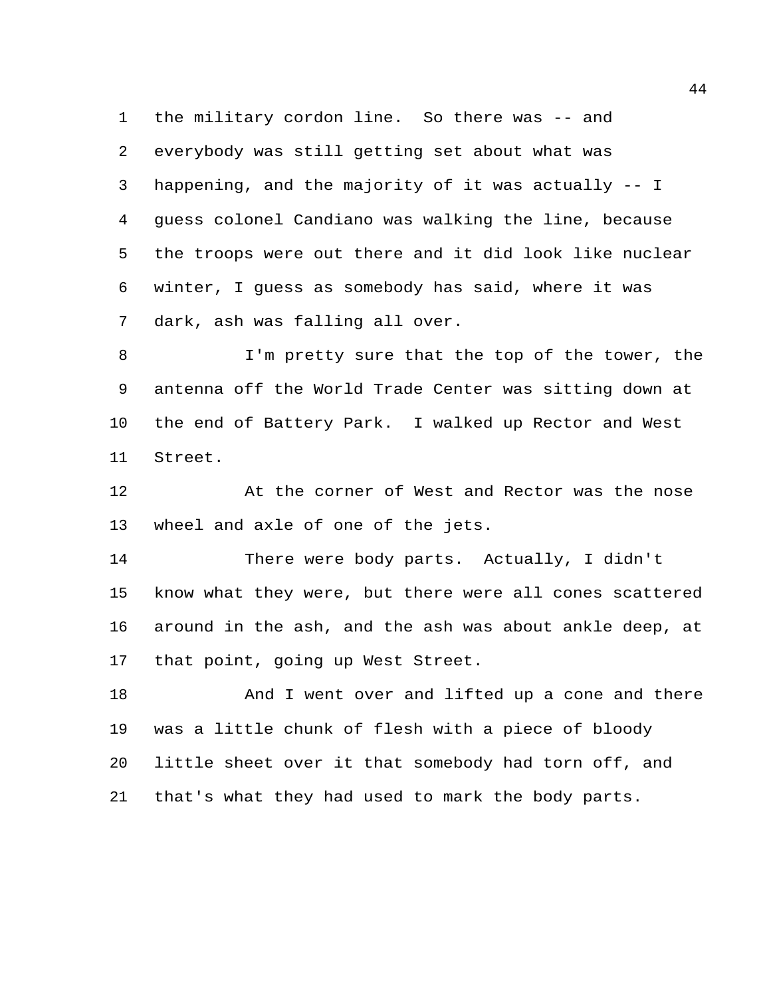the military cordon line. So there was -- and everybody was still getting set about what was happening, and the majority of it was actually -- I guess colonel Candiano was walking the line, because the troops were out there and it did look like nuclear winter, I guess as somebody has said, where it was dark, ash was falling all over.

8 I'm pretty sure that the top of the tower, the antenna off the World Trade Center was sitting down at the end of Battery Park. I walked up Rector and West Street.

 At the corner of West and Rector was the nose wheel and axle of one of the jets.

 There were body parts. Actually, I didn't know what they were, but there were all cones scattered around in the ash, and the ash was about ankle deep, at that point, going up West Street.

18 And I went over and lifted up a cone and there was a little chunk of flesh with a piece of bloody little sheet over it that somebody had torn off, and that's what they had used to mark the body parts.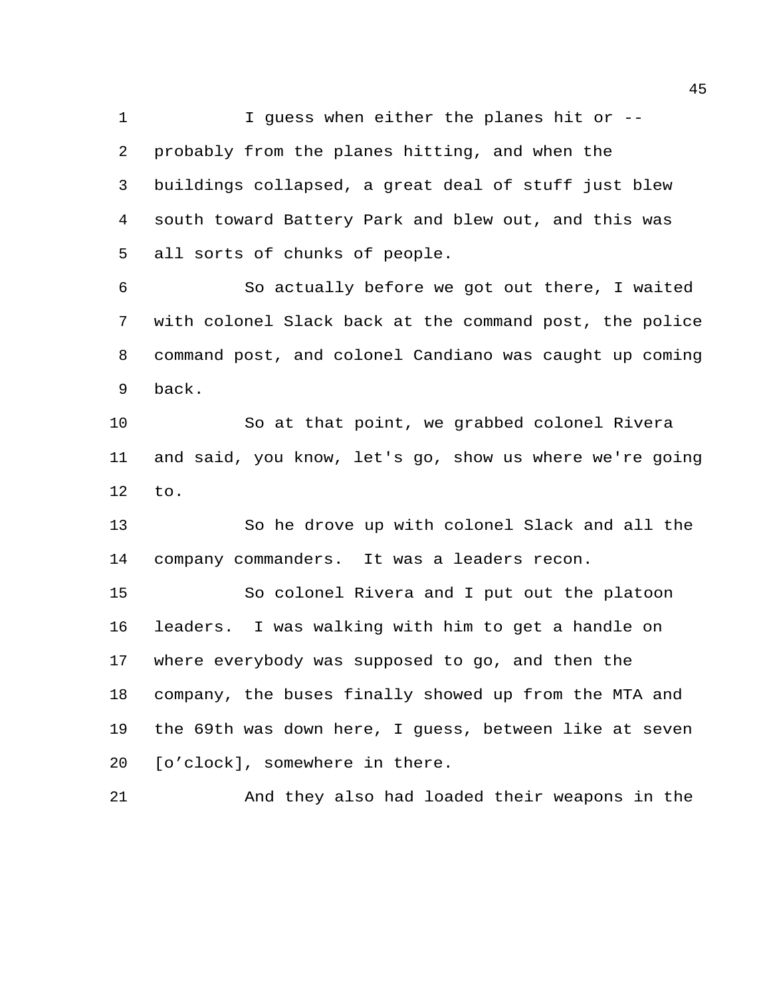1 I guess when either the planes hit or -- probably from the planes hitting, and when the buildings collapsed, a great deal of stuff just blew south toward Battery Park and blew out, and this was all sorts of chunks of people.

 So actually before we got out there, I waited with colonel Slack back at the command post, the police command post, and colonel Candiano was caught up coming back.

 So at that point, we grabbed colonel Rivera and said, you know, let's go, show us where we're going to.

 So he drove up with colonel Slack and all the company commanders. It was a leaders recon.

 So colonel Rivera and I put out the platoon leaders. I was walking with him to get a handle on where everybody was supposed to go, and then the company, the buses finally showed up from the MTA and the 69th was down here, I guess, between like at seven [o'clock], somewhere in there.

And they also had loaded their weapons in the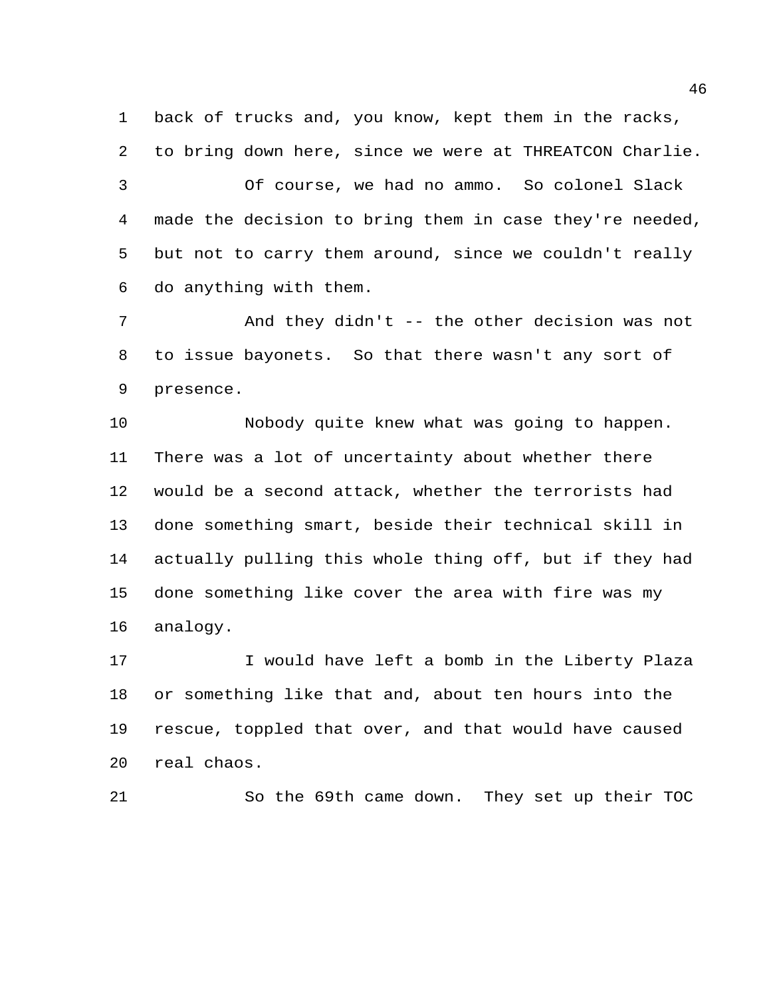back of trucks and, you know, kept them in the racks, to bring down here, since we were at THREATCON Charlie. Of course, we had no ammo. So colonel Slack made the decision to bring them in case they're needed, but not to carry them around, since we couldn't really do anything with them.

 And they didn't -- the other decision was not to issue bayonets. So that there wasn't any sort of presence.

 Nobody quite knew what was going to happen. There was a lot of uncertainty about whether there would be a second attack, whether the terrorists had done something smart, beside their technical skill in actually pulling this whole thing off, but if they had done something like cover the area with fire was my analogy.

 I would have left a bomb in the Liberty Plaza or something like that and, about ten hours into the rescue, toppled that over, and that would have caused real chaos.

So the 69th came down. They set up their TOC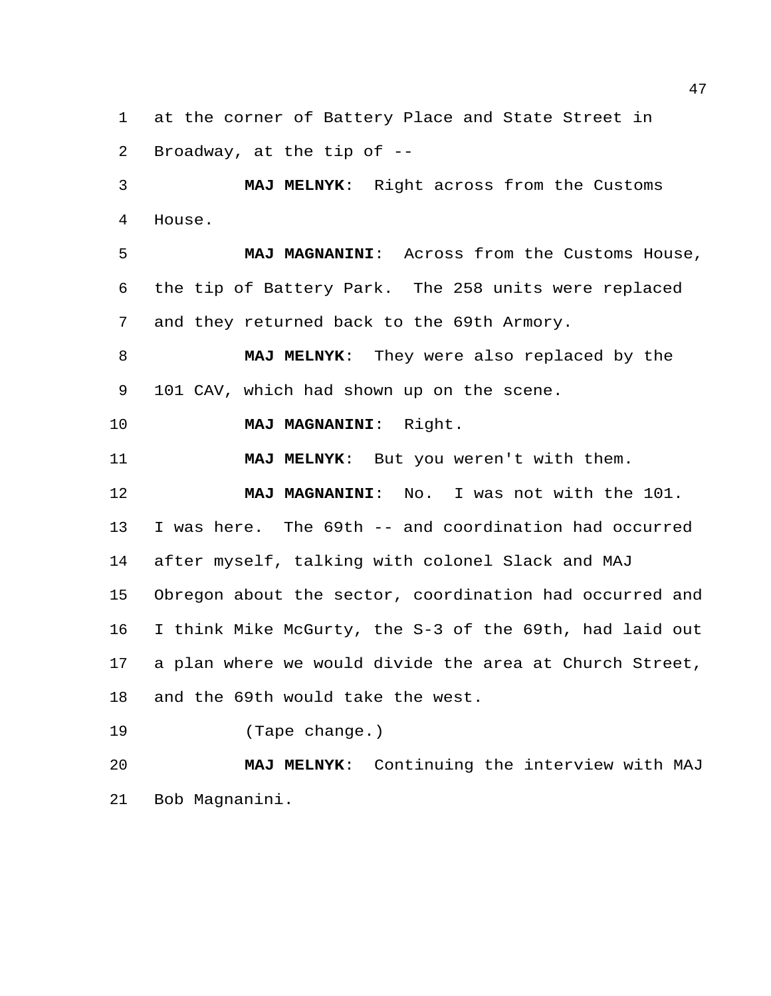at the corner of Battery Place and State Street in Broadway, at the tip of --

 **MAJ MELNYK**: Right across from the Customs House.

 **MAJ MAGNANINI**: Across from the Customs House, the tip of Battery Park. The 258 units were replaced and they returned back to the 69th Armory.

 **MAJ MELNYK**: They were also replaced by the 101 CAV, which had shown up on the scene.

**MAJ MAGNANINI**: Right.

**MAJ MELNYK**: But you weren't with them.

 **MAJ MAGNANINI**: No. I was not with the 101. I was here. The 69th -- and coordination had occurred after myself, talking with colonel Slack and MAJ Obregon about the sector, coordination had occurred and I think Mike McGurty, the S-3 of the 69th, had laid out a plan where we would divide the area at Church Street, and the 69th would take the west.

(Tape change.)

 **MAJ MELNYK**: Continuing the interview with MAJ Bob Magnanini.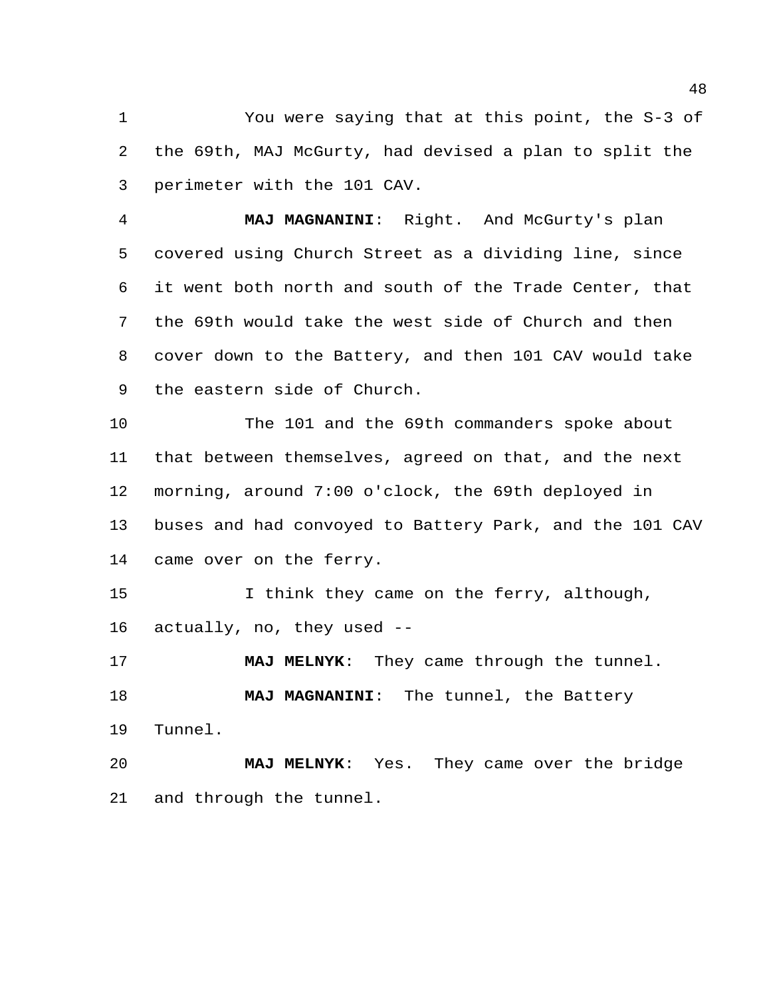You were saying that at this point, the S-3 of the 69th, MAJ McGurty, had devised a plan to split the perimeter with the 101 CAV.

 **MAJ MAGNANINI**: Right. And McGurty's plan covered using Church Street as a dividing line, since it went both north and south of the Trade Center, that the 69th would take the west side of Church and then cover down to the Battery, and then 101 CAV would take the eastern side of Church.

 The 101 and the 69th commanders spoke about that between themselves, agreed on that, and the next morning, around 7:00 o'clock, the 69th deployed in buses and had convoyed to Battery Park, and the 101 CAV came over on the ferry.

15 15 I think they came on the ferry, although, actually, no, they used --

 **MAJ MELNYK**: They came through the tunnel. **MAJ MAGNANINI**: The tunnel, the Battery Tunnel.

 **MAJ MELNYK**: Yes. They came over the bridge and through the tunnel.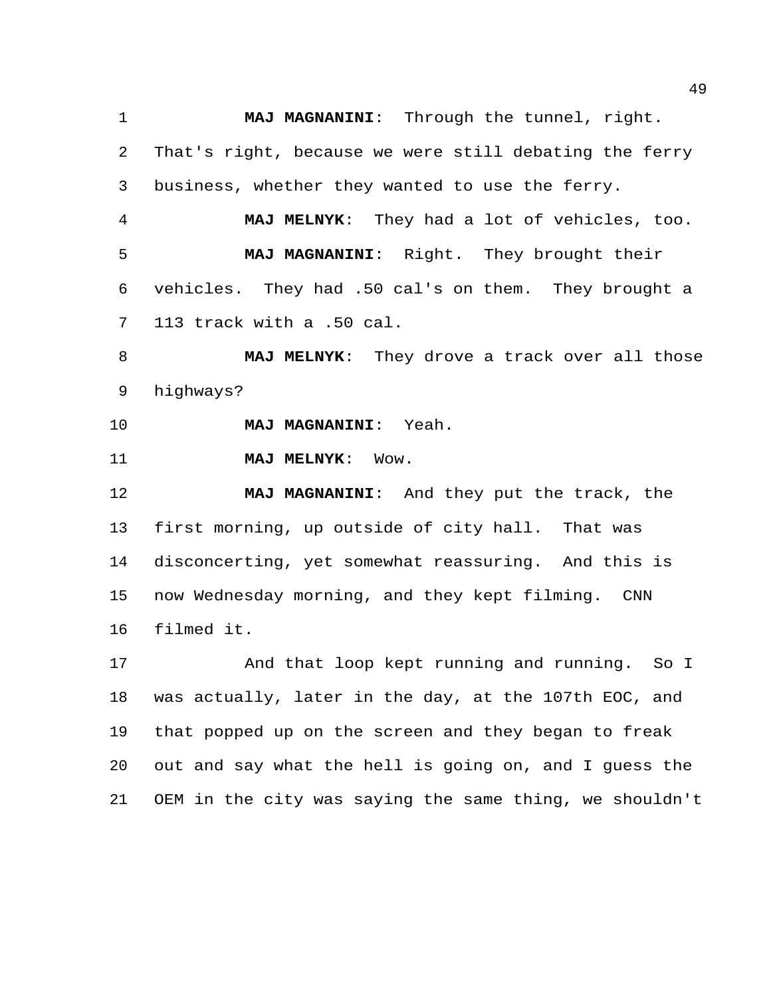**MAJ MAGNANINI**: Through the tunnel, right. That's right, because we were still debating the ferry business, whether they wanted to use the ferry.

 **MAJ MELNYK**: They had a lot of vehicles, too. **MAJ MAGNANINI**: Right. They brought their vehicles. They had .50 cal's on them. They brought a 113 track with a .50 cal.

 **MAJ MELNYK**: They drove a track over all those highways?

**MAJ MAGNANINI**: Yeah.

**MAJ MELNYK**: Wow.

 **MAJ MAGNANINI**: And they put the track, the first morning, up outside of city hall. That was disconcerting, yet somewhat reassuring. And this is now Wednesday morning, and they kept filming. CNN filmed it.

 And that loop kept running and running. So I was actually, later in the day, at the 107th EOC, and that popped up on the screen and they began to freak out and say what the hell is going on, and I guess the OEM in the city was saying the same thing, we shouldn't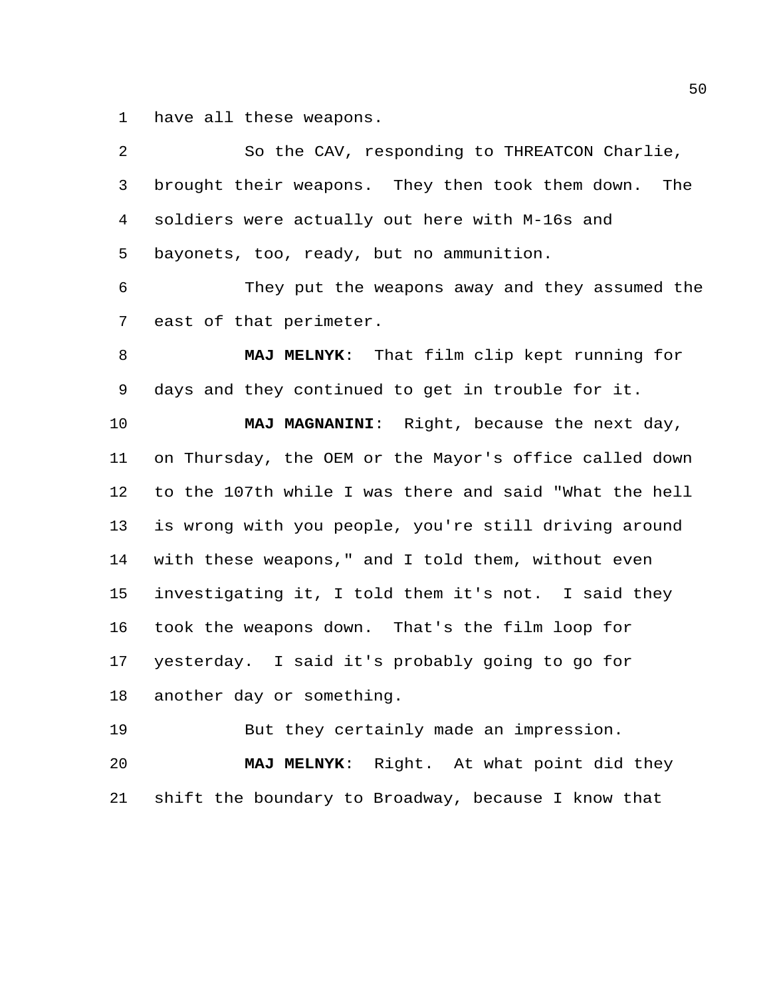have all these weapons.

| 2  | So the CAV, responding to THREATCON Charlie,            |
|----|---------------------------------------------------------|
| 3  | brought their weapons. They then took them down.<br>The |
| 4  | soldiers were actually out here with M-16s and          |
| 5  | bayonets, too, ready, but no ammunition.                |
| 6  | They put the weapons away and they assumed the          |
| 7  | east of that perimeter.                                 |
| 8  | MAJ MELNYK: That film clip kept running for             |
| 9  | days and they continued to get in trouble for it.       |
| 10 | MAJ MAGNANINI: Right, because the next day,             |
| 11 | on Thursday, the OEM or the Mayor's office called down  |
| 12 | to the 107th while I was there and said "What the hell  |
| 13 | is wrong with you people, you're still driving around   |
| 14 | with these weapons," and I told them, without even      |
| 15 | investigating it, I told them it's not. I said they     |
| 16 | took the weapons down. That's the film loop for         |
| 17 | yesterday. I said it's probably going to go for         |
| 18 | another day or something.                               |
| 19 | But they certainly made an impression.                  |
| 20 | Right. At what point did they<br><b>MAJ MELNYK:</b>     |
| 21 | shift the boundary to Broadway, because I know that     |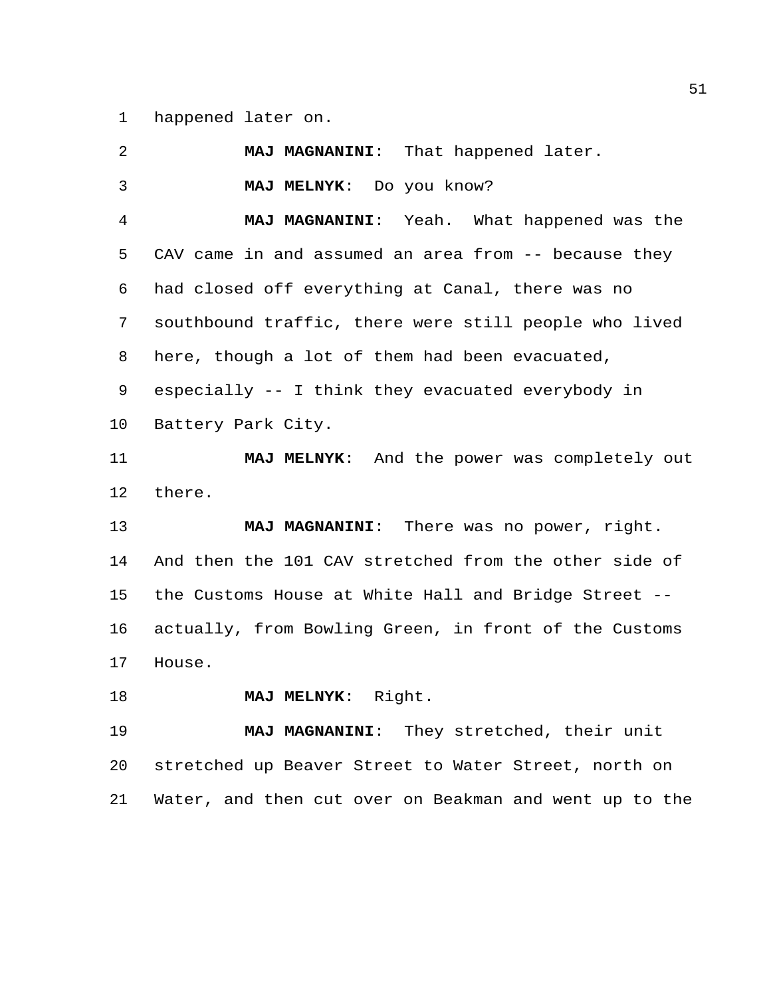happened later on.

 **MAJ MAGNANINI**: That happened later. **MAJ MELNYK**: Do you know? **MAJ MAGNANINI**: Yeah. What happened was the CAV came in and assumed an area from -- because they had closed off everything at Canal, there was no southbound traffic, there were still people who lived here, though a lot of them had been evacuated, especially -- I think they evacuated everybody in Battery Park City. **MAJ MELNYK**: And the power was completely out there. **MAJ MAGNANINI**: There was no power, right. And then the 101 CAV stretched from the other side of the Customs House at White Hall and Bridge Street -- actually, from Bowling Green, in front of the Customs House. **MAJ MELNYK**: Right. **MAJ MAGNANINI**: They stretched, their unit stretched up Beaver Street to Water Street, north on Water, and then cut over on Beakman and went up to the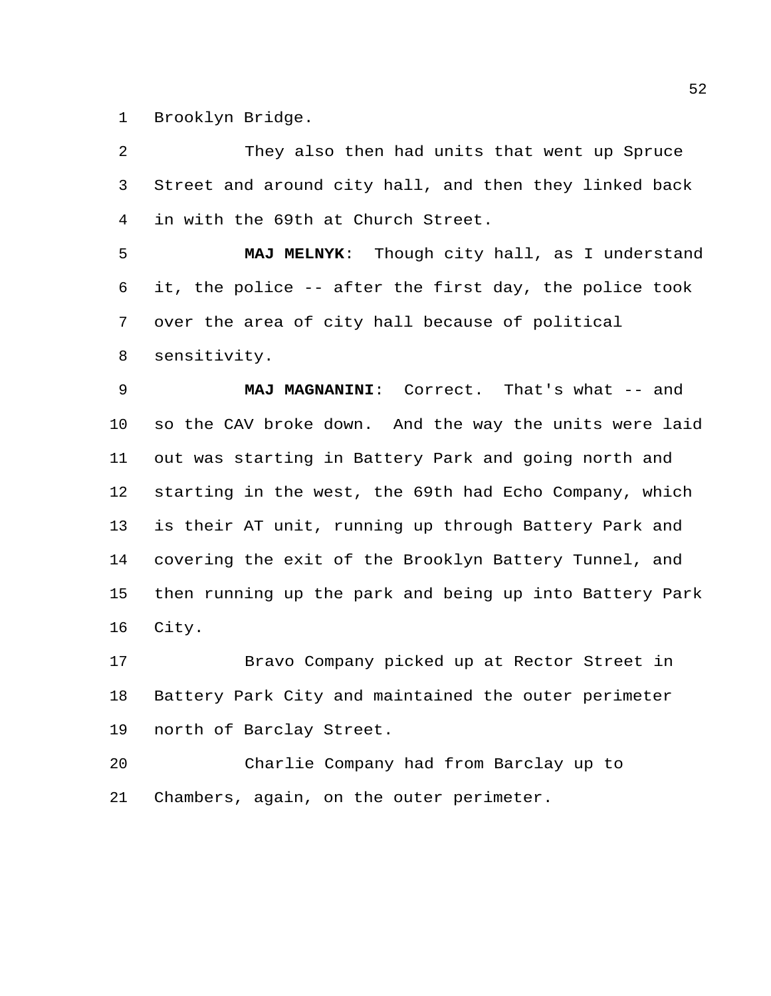Brooklyn Bridge.

 They also then had units that went up Spruce Street and around city hall, and then they linked back in with the 69th at Church Street.

 **MAJ MELNYK**: Though city hall, as I understand it, the police -- after the first day, the police took over the area of city hall because of political sensitivity.

 **MAJ MAGNANINI**: Correct. That's what -- and so the CAV broke down. And the way the units were laid out was starting in Battery Park and going north and starting in the west, the 69th had Echo Company, which is their AT unit, running up through Battery Park and covering the exit of the Brooklyn Battery Tunnel, and then running up the park and being up into Battery Park City.

 Bravo Company picked up at Rector Street in Battery Park City and maintained the outer perimeter north of Barclay Street.

 Charlie Company had from Barclay up to Chambers, again, on the outer perimeter.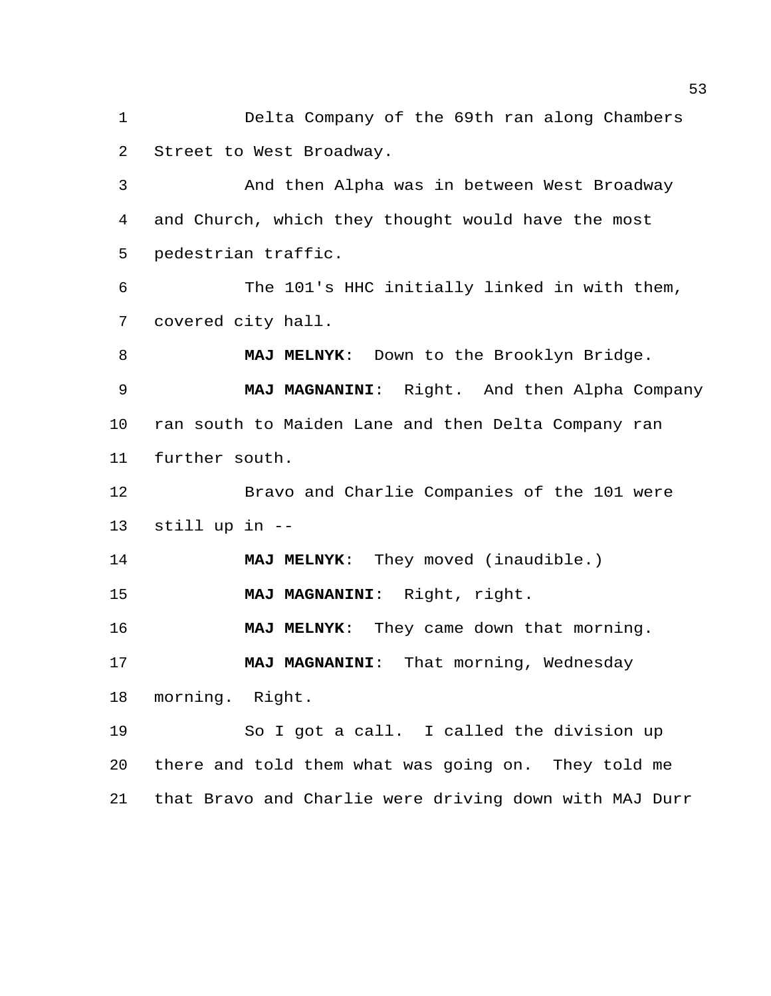Delta Company of the 69th ran along Chambers Street to West Broadway.

 And then Alpha was in between West Broadway and Church, which they thought would have the most pedestrian traffic.

 The 101's HHC initially linked in with them, covered city hall.

 **MAJ MELNYK**: Down to the Brooklyn Bridge. **MAJ MAGNANINI**: Right. And then Alpha Company ran south to Maiden Lane and then Delta Company ran further south.

 Bravo and Charlie Companies of the 101 were still up in --

**MAJ MELNYK**: They moved (inaudible.)

**MAJ MAGNANINI**: Right, right.

**MAJ MELNYK**: They came down that morning.

 **MAJ MAGNANINI**: That morning, Wednesday morning. Right.

 So I got a call. I called the division up there and told them what was going on. They told me that Bravo and Charlie were driving down with MAJ Durr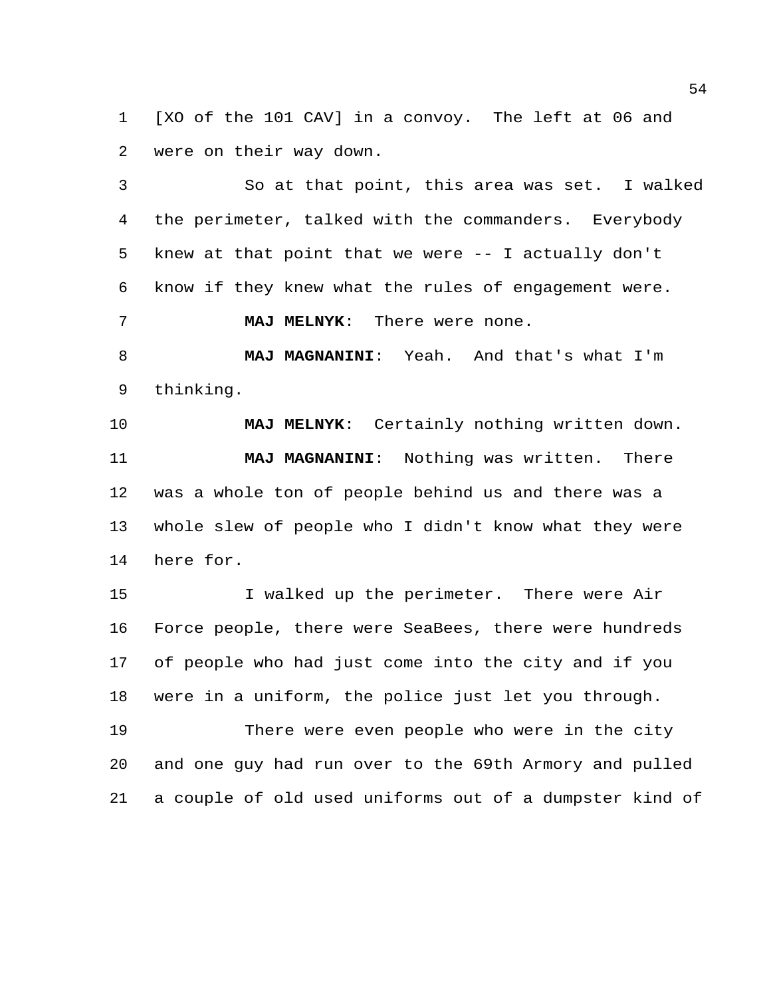[XO of the 101 CAV] in a convoy. The left at 06 and were on their way down.

 So at that point, this area was set. I walked the perimeter, talked with the commanders. Everybody knew at that point that we were -- I actually don't know if they knew what the rules of engagement were. **MAJ MELNYK**: There were none.

 **MAJ MAGNANINI**: Yeah. And that's what I'm thinking.

 **MAJ MELNYK**: Certainly nothing written down. **MAJ MAGNANINI**: Nothing was written. There was a whole ton of people behind us and there was a whole slew of people who I didn't know what they were here for.

15 I walked up the perimeter. There were Air Force people, there were SeaBees, there were hundreds of people who had just come into the city and if you were in a uniform, the police just let you through.

 There were even people who were in the city and one guy had run over to the 69th Armory and pulled a couple of old used uniforms out of a dumpster kind of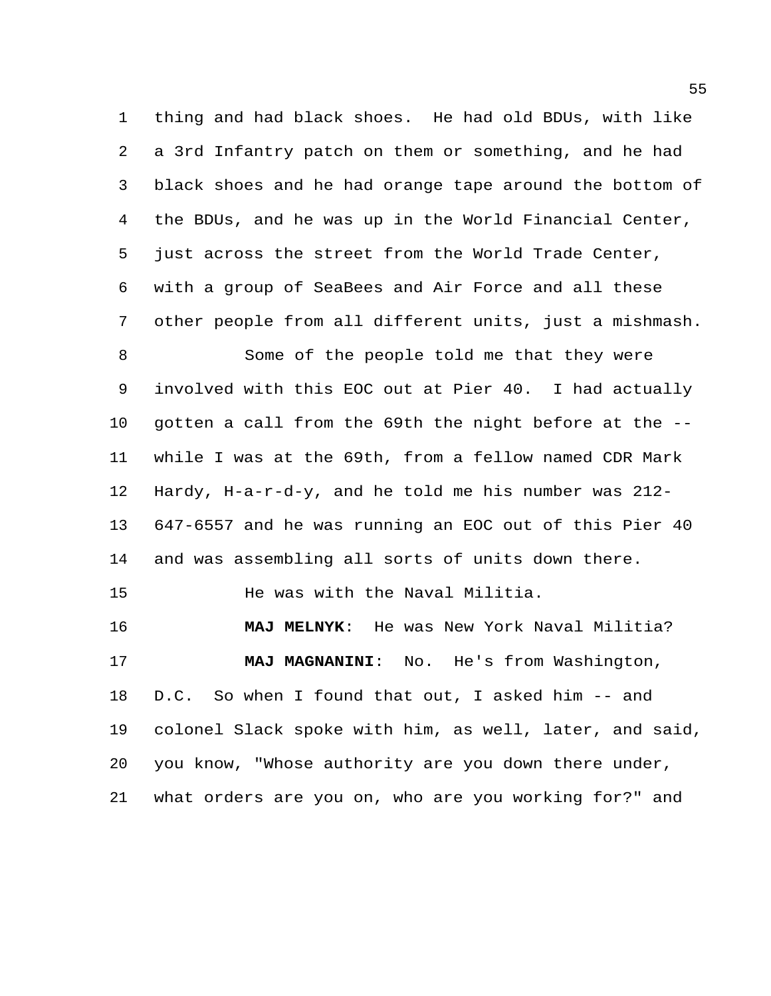thing and had black shoes. He had old BDUs, with like a 3rd Infantry patch on them or something, and he had black shoes and he had orange tape around the bottom of the BDUs, and he was up in the World Financial Center, just across the street from the World Trade Center, with a group of SeaBees and Air Force and all these other people from all different units, just a mishmash.

 Some of the people told me that they were involved with this EOC out at Pier 40. I had actually gotten a call from the 69th the night before at the -- while I was at the 69th, from a fellow named CDR Mark Hardy, H-a-r-d-y, and he told me his number was 212- 647-6557 and he was running an EOC out of this Pier 40 and was assembling all sorts of units down there.

He was with the Naval Militia.

 **MAJ MELNYK**: He was New York Naval Militia? **MAJ MAGNANINI**: No. He's from Washington, D.C. So when I found that out, I asked him -- and colonel Slack spoke with him, as well, later, and said, you know, "Whose authority are you down there under, what orders are you on, who are you working for?" and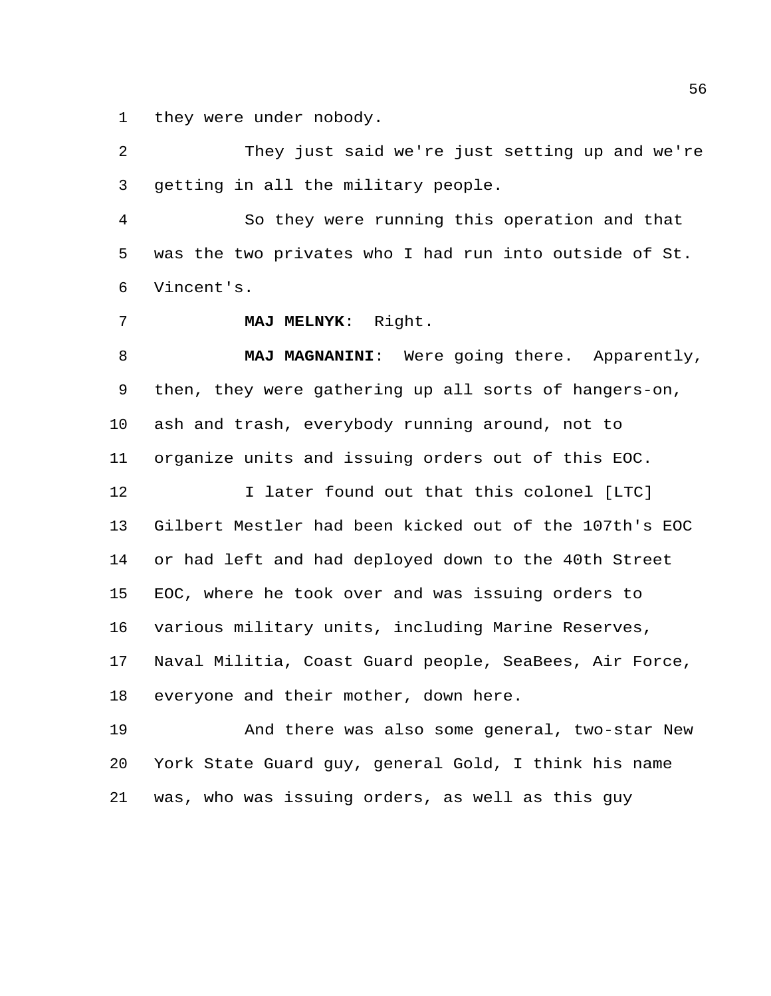they were under nobody.

 They just said we're just setting up and we're getting in all the military people.

 So they were running this operation and that was the two privates who I had run into outside of St. Vincent's.

**MAJ MELNYK**: Right.

 **MAJ MAGNANINI**: Were going there. Apparently, then, they were gathering up all sorts of hangers-on, ash and trash, everybody running around, not to organize units and issuing orders out of this EOC.

 I later found out that this colonel [LTC] Gilbert Mestler had been kicked out of the 107th's EOC or had left and had deployed down to the 40th Street EOC, where he took over and was issuing orders to various military units, including Marine Reserves, Naval Militia, Coast Guard people, SeaBees, Air Force, everyone and their mother, down here.

 And there was also some general, two-star New York State Guard guy, general Gold, I think his name was, who was issuing orders, as well as this guy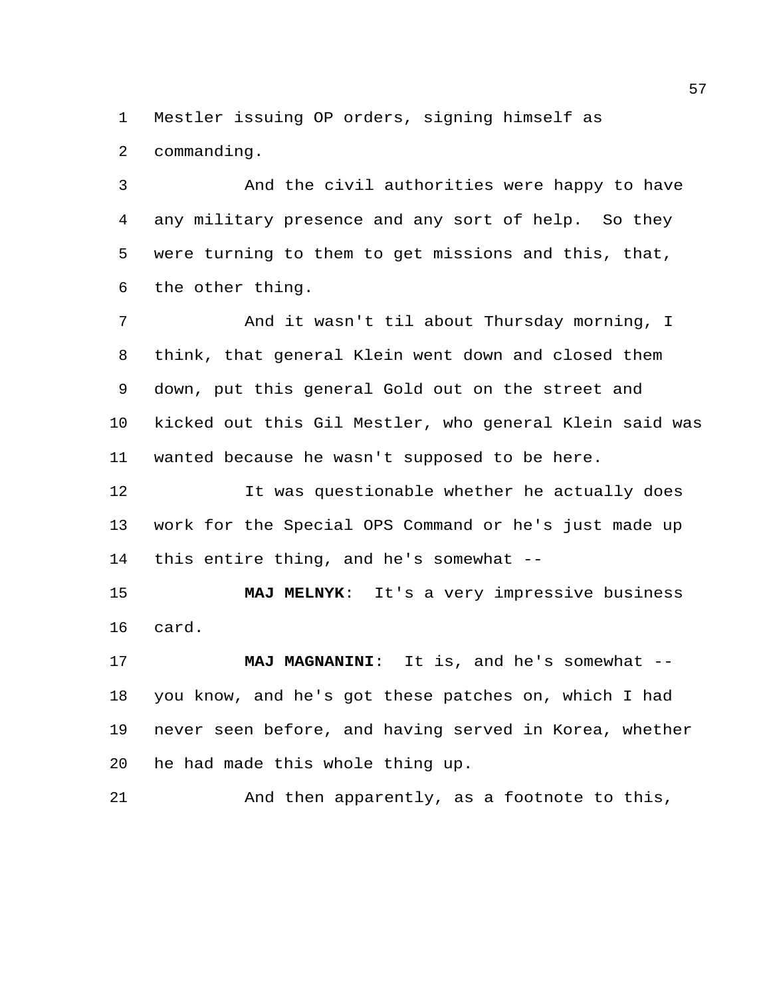Mestler issuing OP orders, signing himself as

commanding.

 And the civil authorities were happy to have any military presence and any sort of help. So they were turning to them to get missions and this, that, the other thing.

 And it wasn't til about Thursday morning, I think, that general Klein went down and closed them down, put this general Gold out on the street and kicked out this Gil Mestler, who general Klein said was wanted because he wasn't supposed to be here.

 It was questionable whether he actually does work for the Special OPS Command or he's just made up this entire thing, and he's somewhat --

 **MAJ MELNYK**: It's a very impressive business card.

 **MAJ MAGNANINI**: It is, and he's somewhat -- you know, and he's got these patches on, which I had never seen before, and having served in Korea, whether he had made this whole thing up.

And then apparently, as a footnote to this,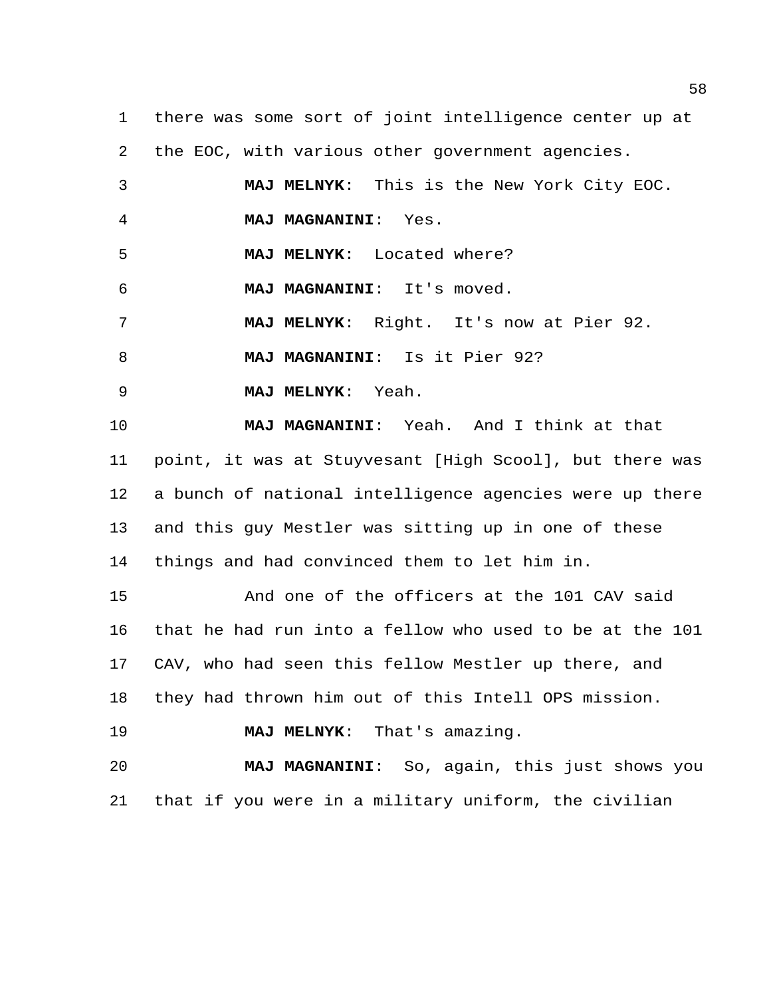there was some sort of joint intelligence center up at the EOC, with various other government agencies.

 **MAJ MELNYK**: This is the New York City EOC. **MAJ MAGNANINI**: Yes. **MAJ MELNYK**: Located where? **MAJ MAGNANINI**: It's moved. **MAJ MELNYK**: Right. It's now at Pier 92. **MAJ MAGNANINI**: Is it Pier 92? **MAJ MELNYK**: Yeah. **MAJ MAGNANINI**: Yeah. And I think at that point, it was at Stuyvesant [High Scool], but there was a bunch of national intelligence agencies were up there and this guy Mestler was sitting up in one of these things and had convinced them to let him in. And one of the officers at the 101 CAV said that he had run into a fellow who used to be at the 101 CAV, who had seen this fellow Mestler up there, and they had thrown him out of this Intell OPS mission. **MAJ MELNYK**: That's amazing. **MAJ MAGNANINI**: So, again, this just shows you

that if you were in a military uniform, the civilian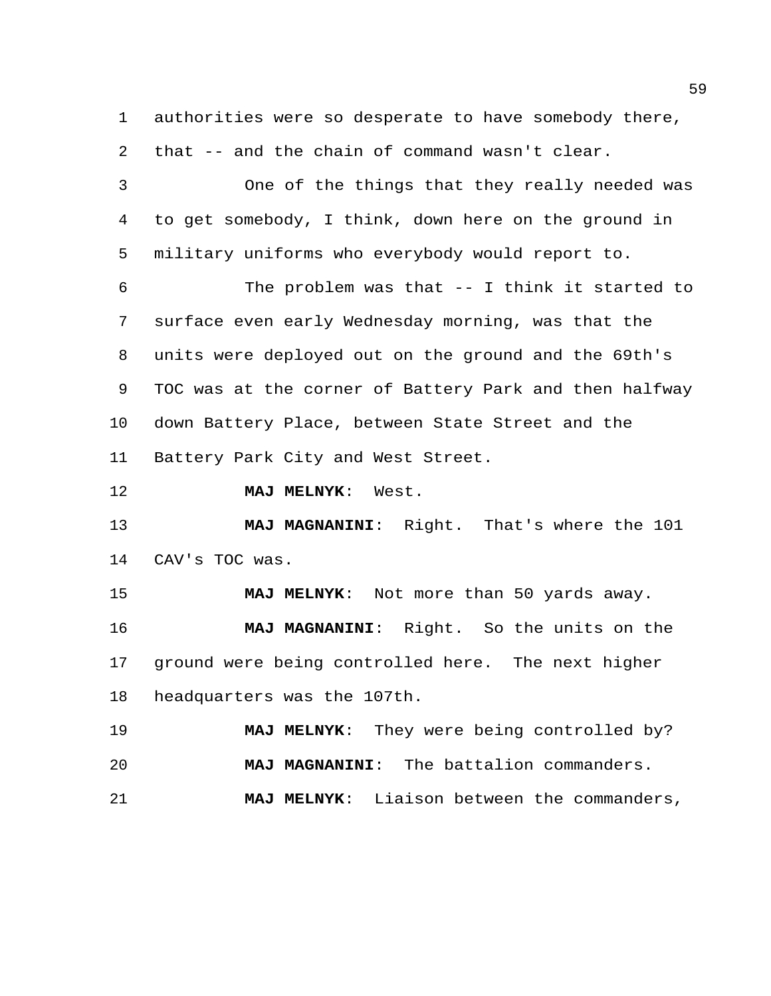authorities were so desperate to have somebody there, that -- and the chain of command wasn't clear.

 One of the things that they really needed was to get somebody, I think, down here on the ground in military uniforms who everybody would report to.

 The problem was that -- I think it started to surface even early Wednesday morning, was that the units were deployed out on the ground and the 69th's TOC was at the corner of Battery Park and then halfway down Battery Place, between State Street and the Battery Park City and West Street.

**MAJ MELNYK**: West.

 **MAJ MAGNANINI**: Right. That's where the 101 CAV's TOC was.

 **MAJ MELNYK**: Not more than 50 yards away. **MAJ MAGNANINI**: Right. So the units on the ground were being controlled here. The next higher headquarters was the 107th.

 **MAJ MELNYK**: They were being controlled by? **MAJ MAGNANINI**: The battalion commanders. **MAJ MELNYK**: Liaison between the commanders,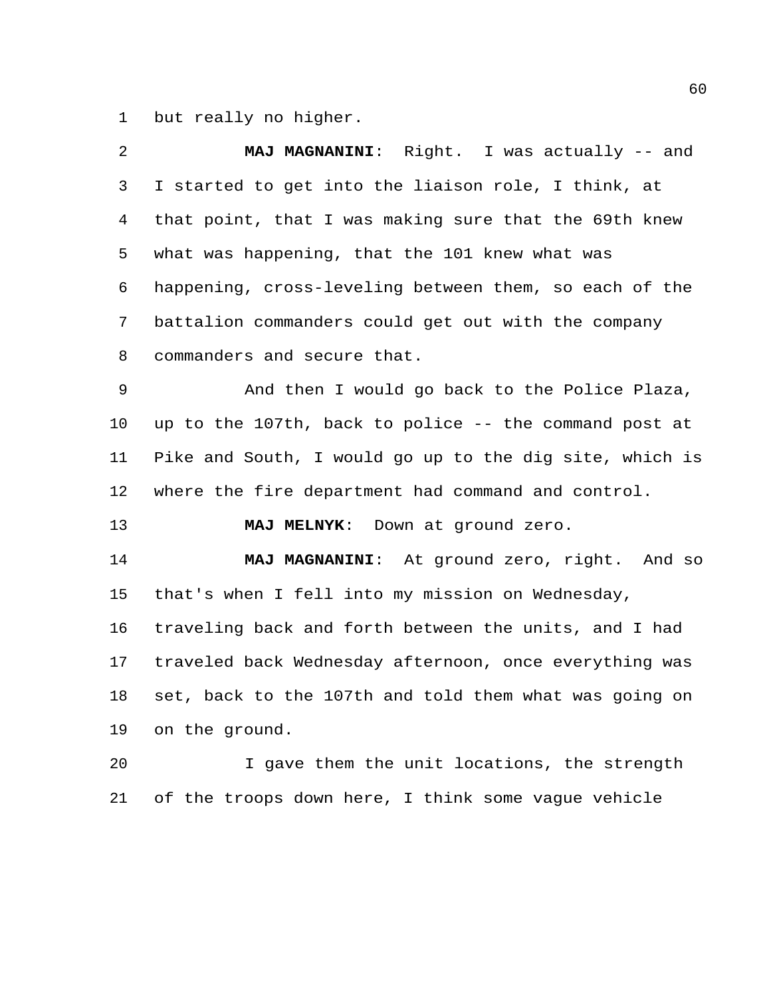but really no higher.

| 2       | MAJ MAGNANINI: Right. I was actually -- and             |
|---------|---------------------------------------------------------|
| 3       | I started to get into the liaison role, I think, at     |
| 4       | that point, that I was making sure that the 69th knew   |
| 5       | what was happening, that the 101 knew what was          |
| 6       | happening, cross-leveling between them, so each of the  |
| 7       | battalion commanders could get out with the company     |
| 8       | commanders and secure that.                             |
| 9       | And then I would go back to the Police Plaza,           |
| $10 \,$ | up to the 107th, back to police -- the command post at  |
| 11      | Pike and South, I would go up to the dig site, which is |
|         |                                                         |
| 12      | where the fire department had command and control.      |
| 13      | <b>MAJ MELNYK:</b><br>Down at ground zero.              |
| 14      | MAJ MAGNANINI: At ground zero, right. And so            |
| 15      | that's when I fell into my mission on Wednesday,        |
| 16      | traveling back and forth between the units, and I had   |
| 17      | traveled back Wednesday afternoon, once everything was  |
| 18      | set, back to the 107th and told them what was going on  |
| 19      | on the ground.                                          |
| 20      | I gave them the unit locations, the strength            |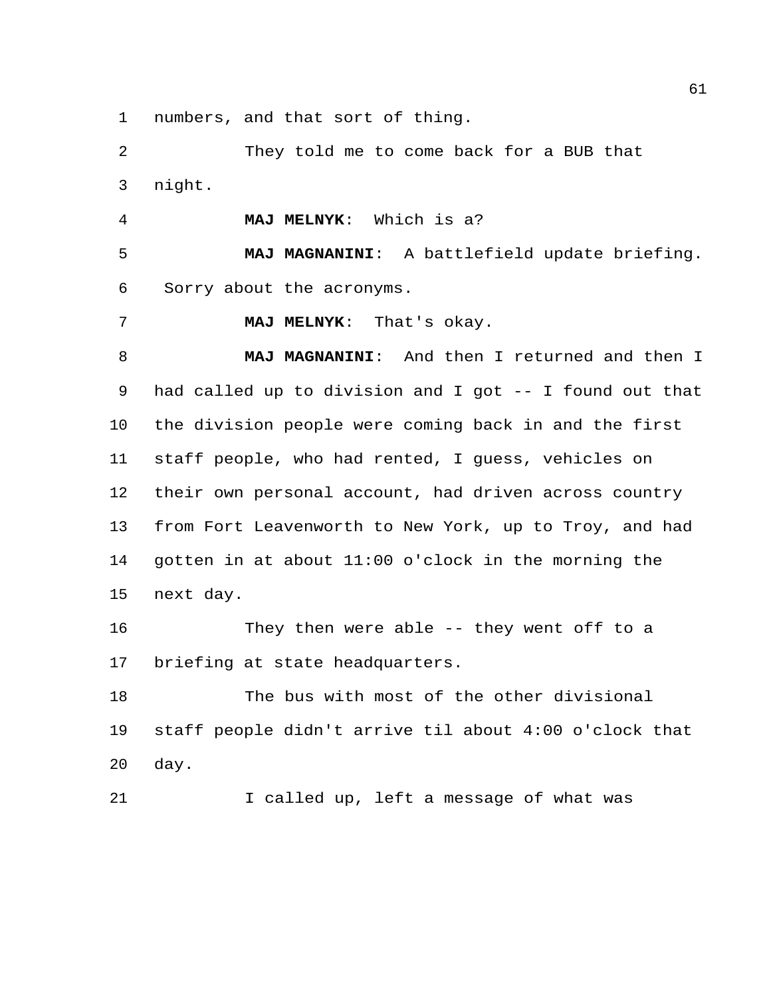numbers, and that sort of thing.

 They told me to come back for a BUB that night.

**MAJ MELNYK**: Which is a?

 **MAJ MAGNANINI**: A battlefield update briefing. Sorry about the acronyms.

**MAJ MELNYK**: That's okay.

 **MAJ MAGNANINI**: And then I returned and then I had called up to division and I got -- I found out that the division people were coming back in and the first staff people, who had rented, I guess, vehicles on their own personal account, had driven across country from Fort Leavenworth to New York, up to Troy, and had gotten in at about 11:00 o'clock in the morning the next day.

 They then were able -- they went off to a briefing at state headquarters.

 The bus with most of the other divisional staff people didn't arrive til about 4:00 o'clock that day.

21 I called up, left a message of what was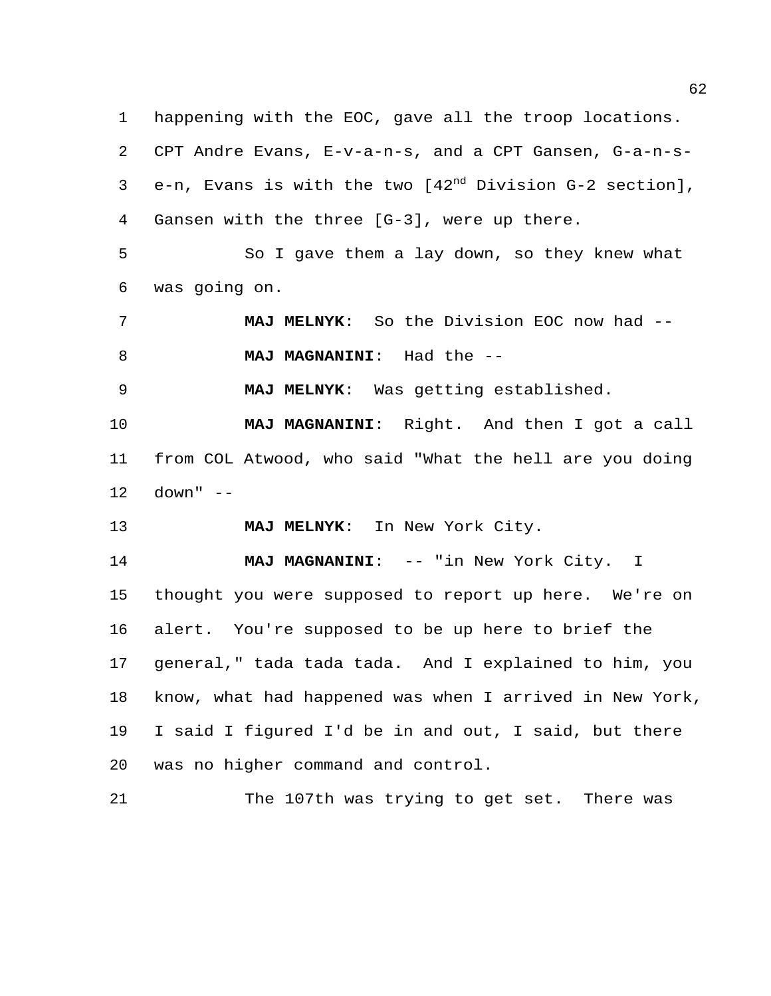happening with the EOC, gave all the troop locations. CPT Andre Evans, E-v-a-n-s, and a CPT Gansen, G-a-n-s $e-n$ , Evans is with the two  $[42^{nd}$  Division G-2 section], Gansen with the three [G-3], were up there.

 So I gave them a lay down, so they knew what was going on.

 **MAJ MELNYK**: So the Division EOC now had -- **MAJ MAGNANINI**: Had the --

**MAJ MELNYK**: Was getting established.

 **MAJ MAGNANINI**: Right. And then I got a call from COL Atwood, who said "What the hell are you doing down" --

**MAJ MELNYK**: In New York City.

**MAJ MAGNANINI:** -- "in New York City. I thought you were supposed to report up here. We're on alert. You're supposed to be up here to brief the general," tada tada tada. And I explained to him, you know, what had happened was when I arrived in New York, I said I figured I'd be in and out, I said, but there was no higher command and control.

The 107th was trying to get set. There was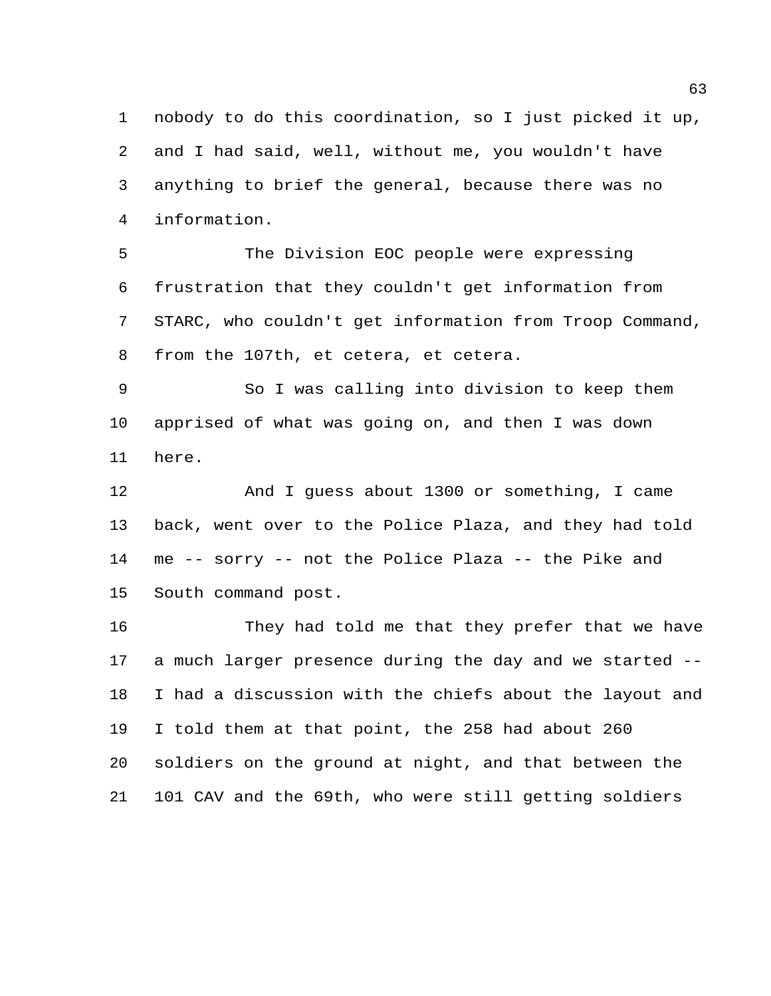nobody to do this coordination, so I just picked it up, and I had said, well, without me, you wouldn't have anything to brief the general, because there was no information.

 The Division EOC people were expressing frustration that they couldn't get information from STARC, who couldn't get information from Troop Command, from the 107th, et cetera, et cetera.

 So I was calling into division to keep them apprised of what was going on, and then I was down here.

 And I guess about 1300 or something, I came back, went over to the Police Plaza, and they had told me -- sorry -- not the Police Plaza -- the Pike and South command post.

 They had told me that they prefer that we have a much larger presence during the day and we started -- I had a discussion with the chiefs about the layout and I told them at that point, the 258 had about 260 soldiers on the ground at night, and that between the 101 CAV and the 69th, who were still getting soldiers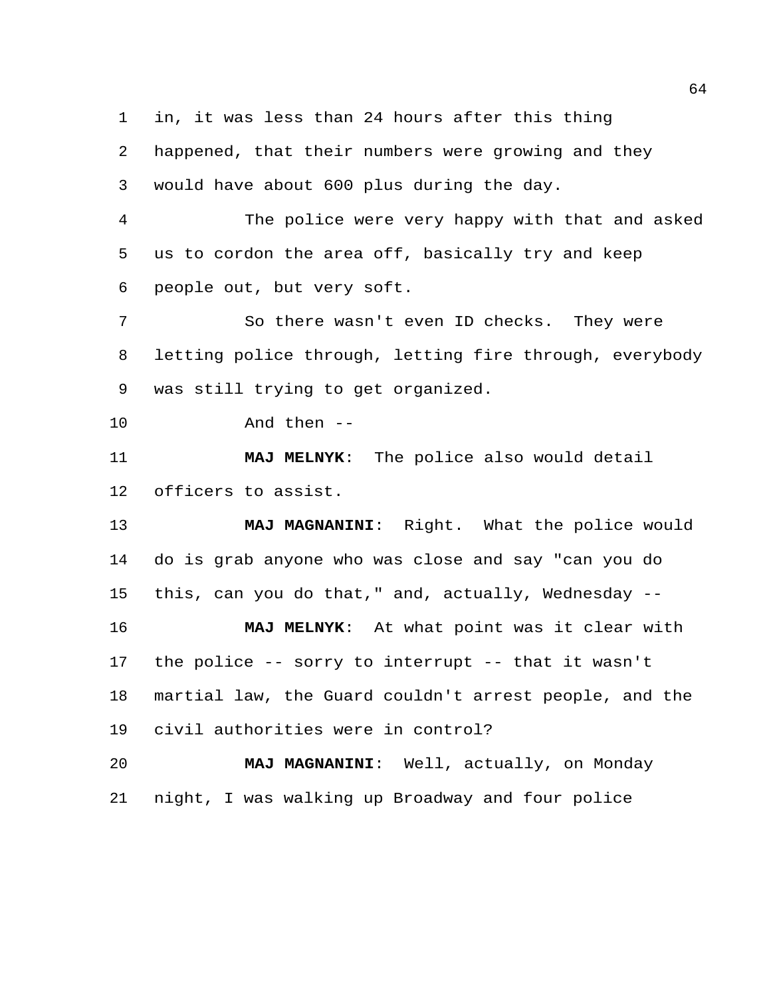in, it was less than 24 hours after this thing

 happened, that their numbers were growing and they would have about 600 plus during the day.

 The police were very happy with that and asked us to cordon the area off, basically try and keep people out, but very soft.

 So there wasn't even ID checks. They were letting police through, letting fire through, everybody was still trying to get organized.

And then --

 **MAJ MELNYK**: The police also would detail officers to assist.

 **MAJ MAGNANINI**: Right. What the police would do is grab anyone who was close and say "can you do this, can you do that," and, actually, Wednesday --

 **MAJ MELNYK**: At what point was it clear with the police -- sorry to interrupt -- that it wasn't martial law, the Guard couldn't arrest people, and the civil authorities were in control?

 **MAJ MAGNANINI**: Well, actually, on Monday night, I was walking up Broadway and four police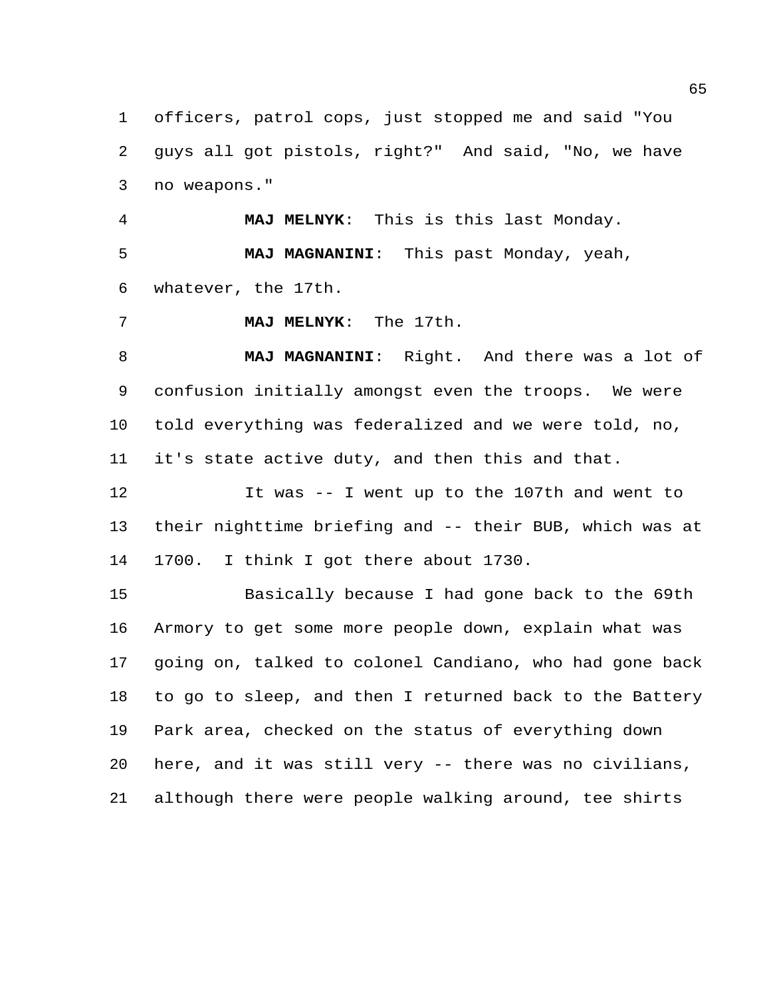officers, patrol cops, just stopped me and said "You guys all got pistols, right?" And said, "No, we have no weapons."

 **MAJ MELNYK**: This is this last Monday. **MAJ MAGNANINI**: This past Monday, yeah, whatever, the 17th.

**MAJ MELNYK**: The 17th.

 **MAJ MAGNANINI**: Right. And there was a lot of confusion initially amongst even the troops. We were told everything was federalized and we were told, no, it's state active duty, and then this and that.

 It was -- I went up to the 107th and went to their nighttime briefing and -- their BUB, which was at 1700. I think I got there about 1730.

 Basically because I had gone back to the 69th Armory to get some more people down, explain what was going on, talked to colonel Candiano, who had gone back to go to sleep, and then I returned back to the Battery Park area, checked on the status of everything down here, and it was still very -- there was no civilians, although there were people walking around, tee shirts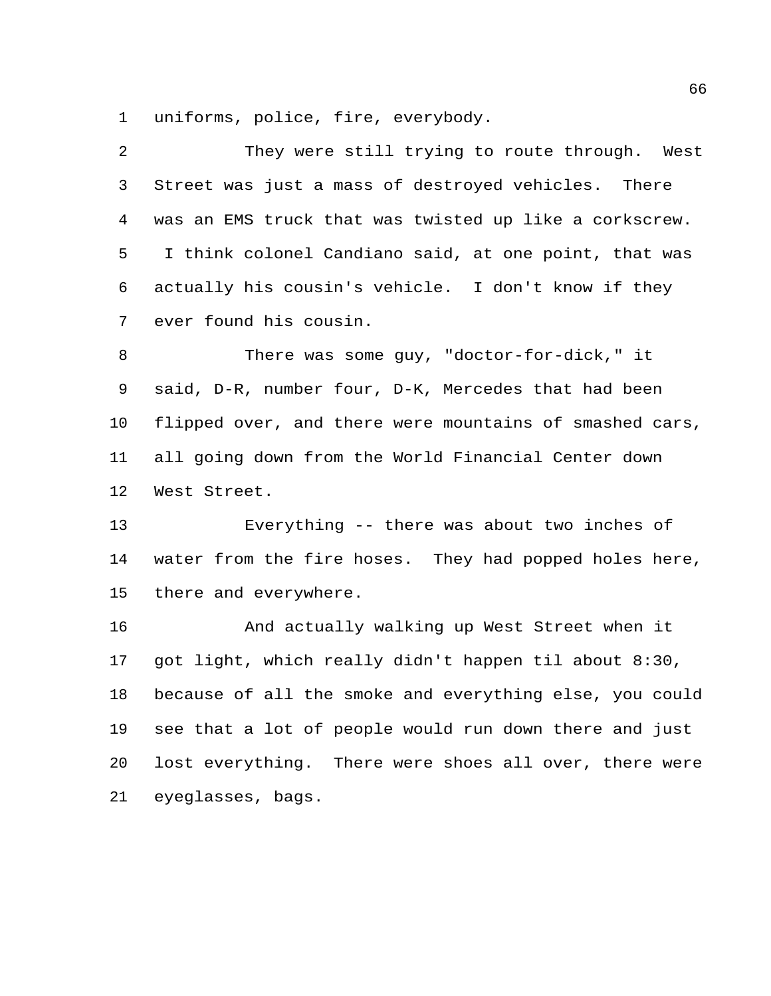uniforms, police, fire, everybody.

| 2  | They were still trying to route through. West           |
|----|---------------------------------------------------------|
| 3  | Street was just a mass of destroyed vehicles. There     |
| 4  | was an EMS truck that was twisted up like a corkscrew.  |
| 5  | I think colonel Candiano said, at one point, that was   |
| 6  | actually his cousin's vehicle. I don't know if they     |
| 7  | ever found his cousin.                                  |
| 8  | There was some guy, "doctor-for-dick," it               |
| 9  | said, D-R, number four, D-K, Mercedes that had been     |
| 10 | flipped over, and there were mountains of smashed cars, |
| 11 | all going down from the World Financial Center down     |
| 12 | West Street.                                            |
| 13 | Everything -- there was about two inches of             |
| 14 | water from the fire hoses. They had popped holes here,  |
| 15 | there and everywhere.                                   |
| 16 | And actually walking up West Street when it             |
| 17 | got light, which really didn't happen til about 8:30,   |
| 18 | because of all the smoke and everything else, you could |
| 19 | see that a lot of people would run down there and just  |
| 20 | lost everything. There were shoes all over, there were  |
| 21 | eyeglasses, bags.                                       |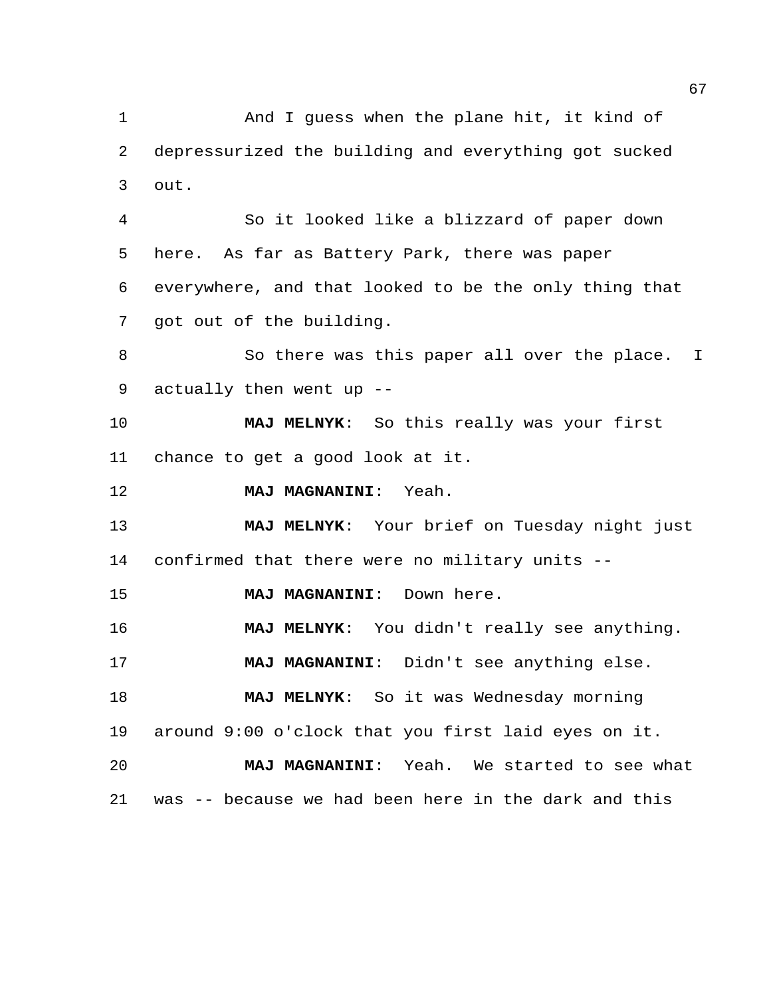And I guess when the plane hit, it kind of depressurized the building and everything got sucked out.

 So it looked like a blizzard of paper down here. As far as Battery Park, there was paper everywhere, and that looked to be the only thing that got out of the building.

8 So there was this paper all over the place. I actually then went up --

 **MAJ MELNYK**: So this really was your first chance to get a good look at it.

**MAJ MAGNANINI**: Yeah.

 **MAJ MELNYK**: Your brief on Tuesday night just confirmed that there were no military units --

**MAJ MAGNANINI**: Down here.

**MAJ MELNYK**: You didn't really see anything.

**MAJ MAGNANINI**: Didn't see anything else.

 **MAJ MELNYK**: So it was Wednesday morning around 9:00 o'clock that you first laid eyes on it.

**MAJ MAGNANINI**: Yeah. We started to see what

was -- because we had been here in the dark and this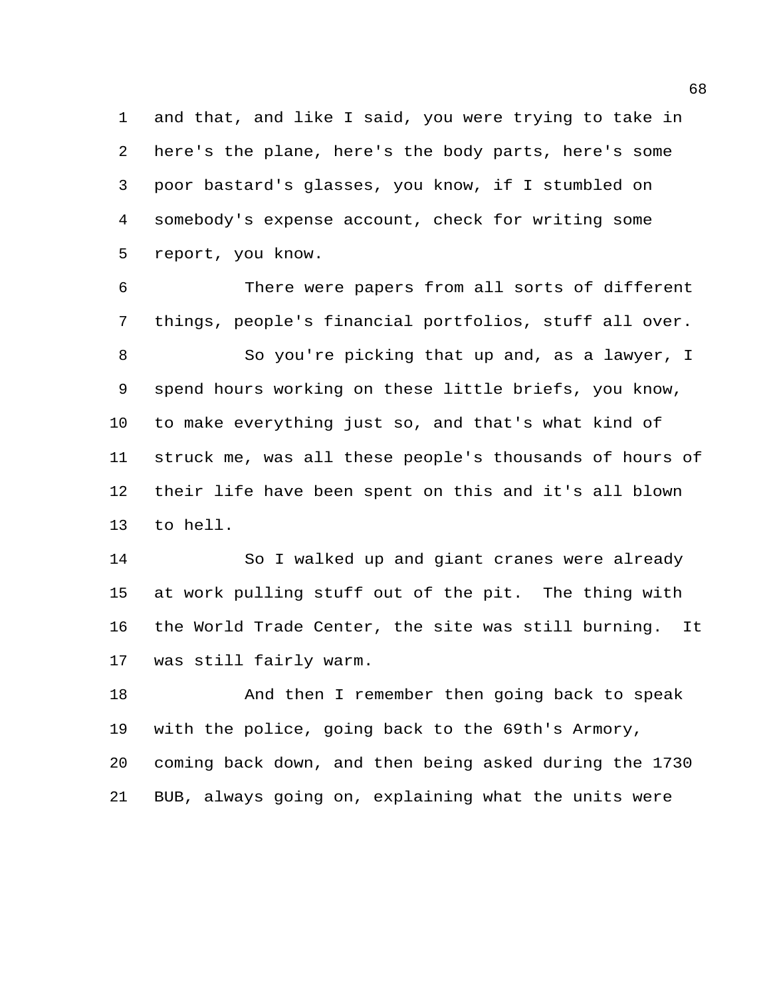and that, and like I said, you were trying to take in here's the plane, here's the body parts, here's some poor bastard's glasses, you know, if I stumbled on somebody's expense account, check for writing some report, you know.

 There were papers from all sorts of different things, people's financial portfolios, stuff all over. So you're picking that up and, as a lawyer, I spend hours working on these little briefs, you know, to make everything just so, and that's what kind of struck me, was all these people's thousands of hours of their life have been spent on this and it's all blown to hell.

 So I walked up and giant cranes were already at work pulling stuff out of the pit. The thing with the World Trade Center, the site was still burning. It was still fairly warm.

 And then I remember then going back to speak with the police, going back to the 69th's Armory, coming back down, and then being asked during the 1730 BUB, always going on, explaining what the units were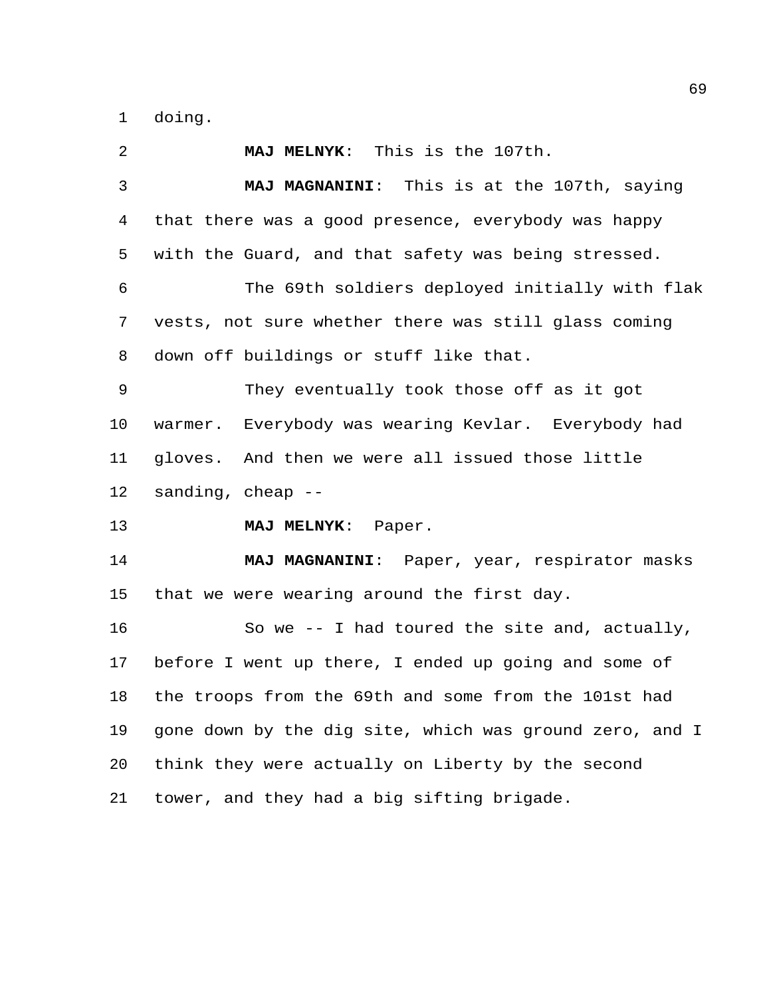doing.

 **MAJ MELNYK**: This is the 107th. **MAJ MAGNANINI**: This is at the 107th, saying that there was a good presence, everybody was happy with the Guard, and that safety was being stressed. The 69th soldiers deployed initially with flak vests, not sure whether there was still glass coming down off buildings or stuff like that. They eventually took those off as it got warmer. Everybody was wearing Kevlar. Everybody had gloves. And then we were all issued those little sanding, cheap -- **MAJ MELNYK**: Paper. **MAJ MAGNANINI**: Paper, year, respirator masks that we were wearing around the first day. So we -- I had toured the site and, actually, before I went up there, I ended up going and some of the troops from the 69th and some from the 101st had gone down by the dig site, which was ground zero, and I think they were actually on Liberty by the second tower, and they had a big sifting brigade.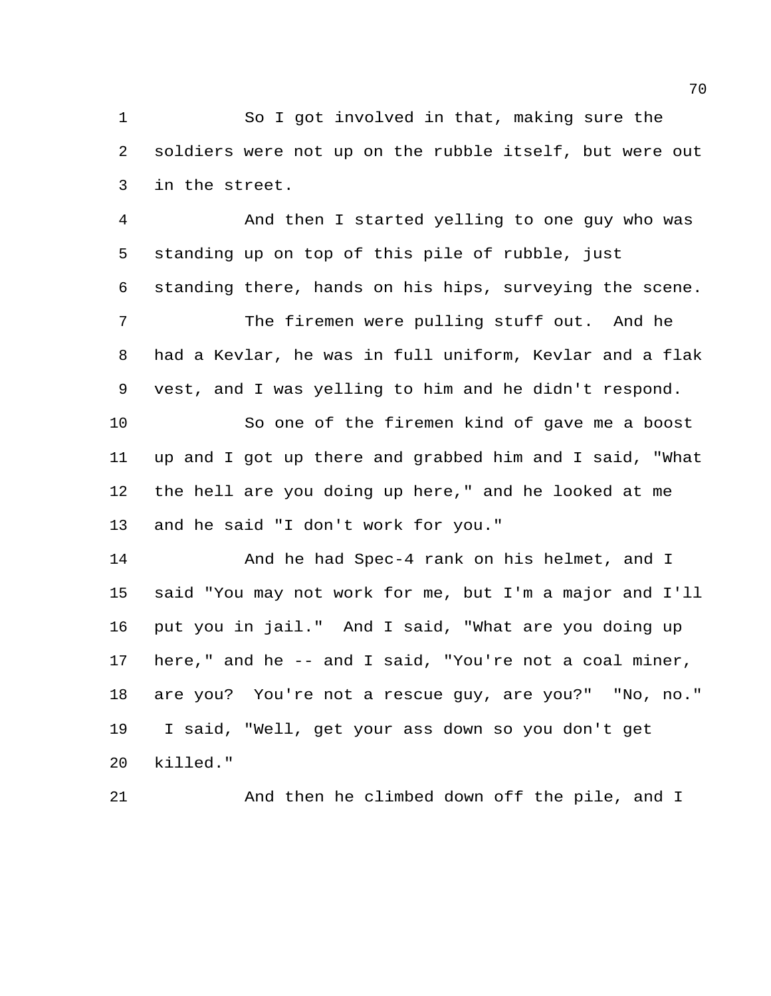So I got involved in that, making sure the soldiers were not up on the rubble itself, but were out in the street.

 And then I started yelling to one guy who was standing up on top of this pile of rubble, just standing there, hands on his hips, surveying the scene.

 The firemen were pulling stuff out. And he had a Kevlar, he was in full uniform, Kevlar and a flak vest, and I was yelling to him and he didn't respond.

 So one of the firemen kind of gave me a boost up and I got up there and grabbed him and I said, "What the hell are you doing up here," and he looked at me and he said "I don't work for you."

14 And he had Spec-4 rank on his helmet, and I said "You may not work for me, but I'm a major and I'll put you in jail." And I said, "What are you doing up here," and he -- and I said, "You're not a coal miner, are you? You're not a rescue guy, are you?" "No, no." I said, "Well, get your ass down so you don't get killed."

And then he climbed down off the pile, and I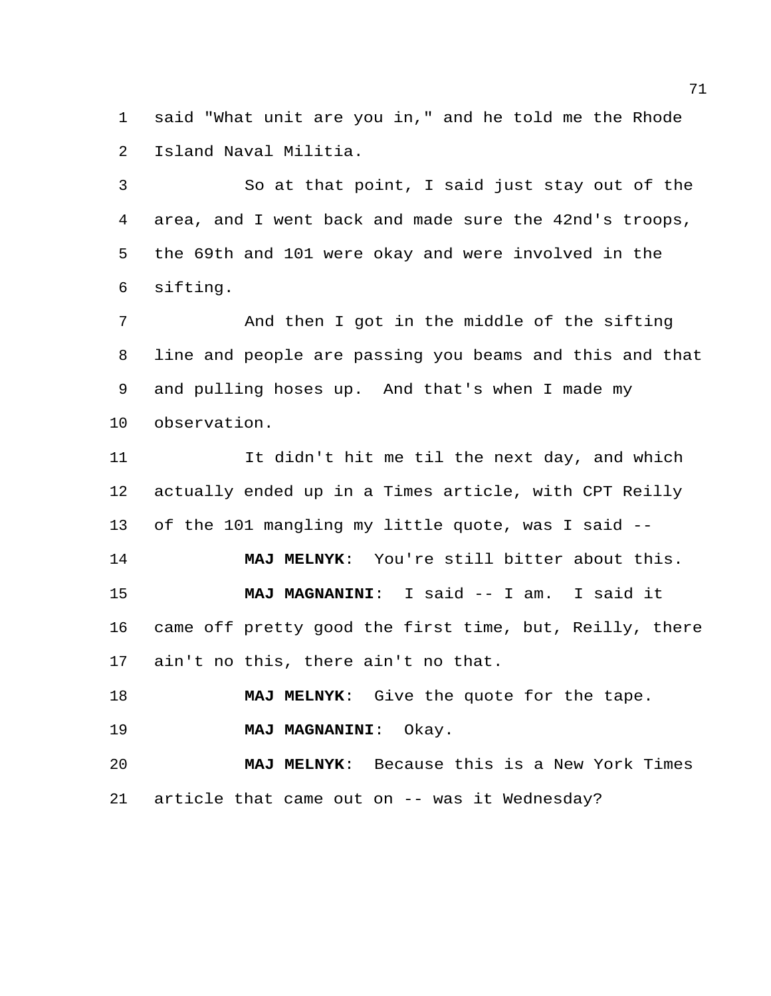said "What unit are you in," and he told me the Rhode Island Naval Militia.

 So at that point, I said just stay out of the area, and I went back and made sure the 42nd's troops, the 69th and 101 were okay and were involved in the sifting.

 And then I got in the middle of the sifting line and people are passing you beams and this and that and pulling hoses up. And that's when I made my observation.

 It didn't hit me til the next day, and which actually ended up in a Times article, with CPT Reilly of the 101 mangling my little quote, was I said -- **MAJ MELNYK**: You're still bitter about this.

 **MAJ MAGNANINI**: I said -- I am. I said it came off pretty good the first time, but, Reilly, there ain't no this, there ain't no that.

**MAJ MELNYK**: Give the quote for the tape.

**MAJ MAGNANINI**: Okay.

 **MAJ MELNYK**: Because this is a New York Times article that came out on -- was it Wednesday?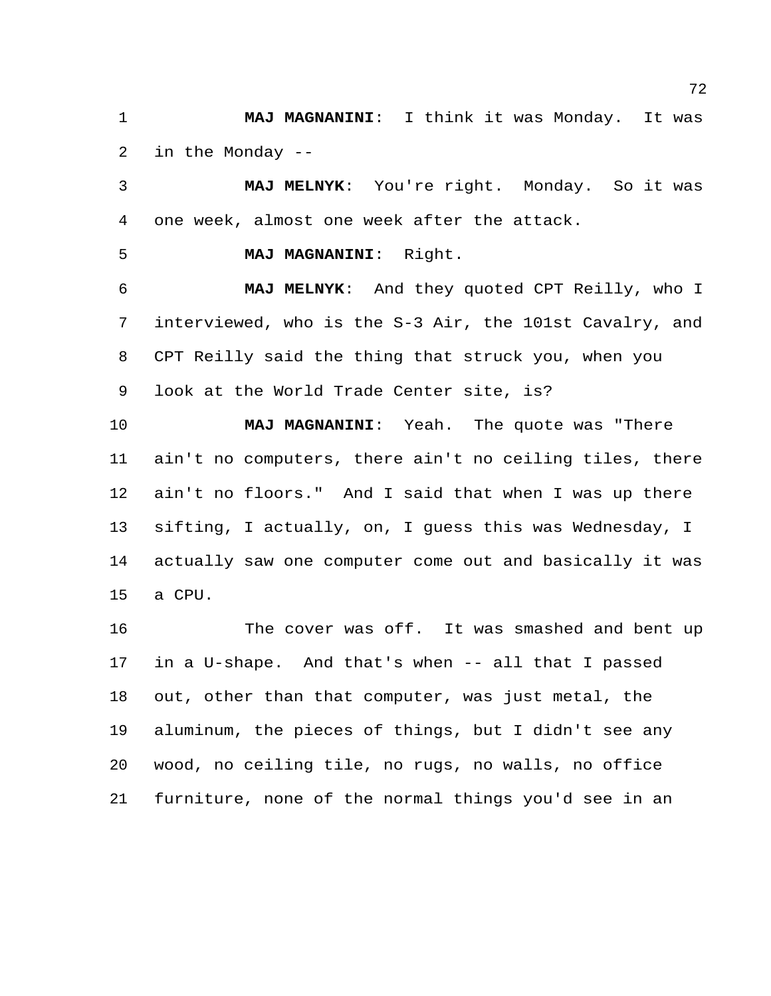**MAJ MAGNANINI**: I think it was Monday. It was in the Monday --

 **MAJ MELNYK**: You're right. Monday. So it was one week, almost one week after the attack.

**MAJ MAGNANINI**: Right.

 **MAJ MELNYK**: And they quoted CPT Reilly, who I interviewed, who is the S-3 Air, the 101st Cavalry, and CPT Reilly said the thing that struck you, when you look at the World Trade Center site, is?

 **MAJ MAGNANINI**: Yeah. The quote was "There ain't no computers, there ain't no ceiling tiles, there ain't no floors." And I said that when I was up there sifting, I actually, on, I guess this was Wednesday, I actually saw one computer come out and basically it was a CPU.

16 The cover was off. It was smashed and bent up in a U-shape. And that's when -- all that I passed out, other than that computer, was just metal, the aluminum, the pieces of things, but I didn't see any wood, no ceiling tile, no rugs, no walls, no office furniture, none of the normal things you'd see in an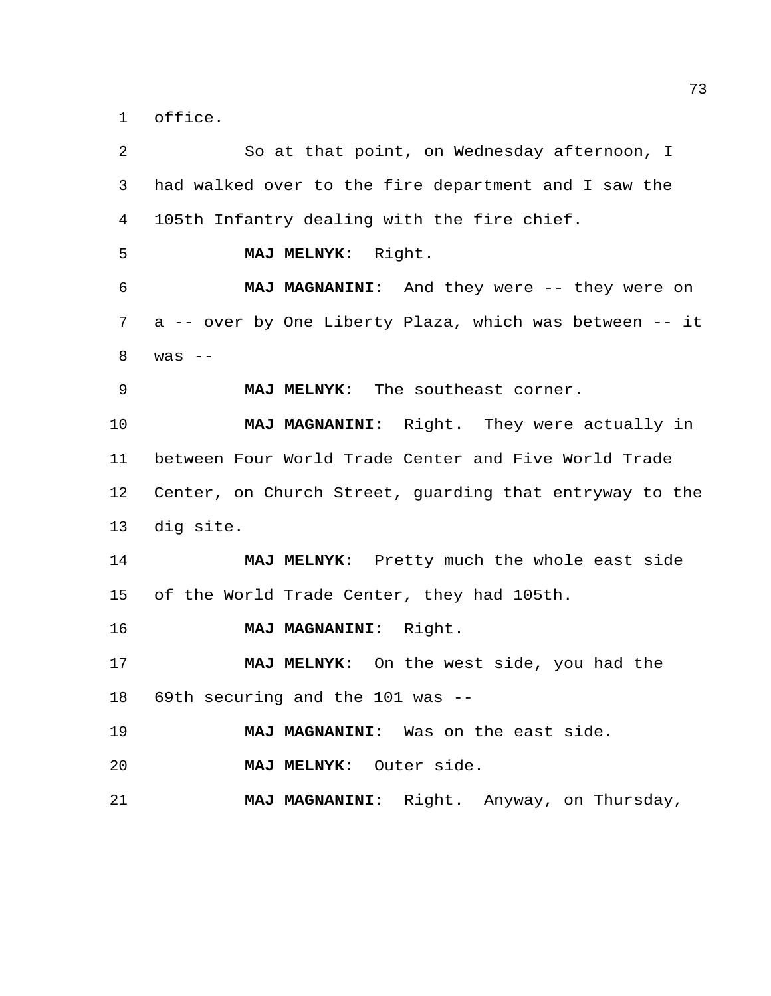office.

| 2  | So at that point, on Wednesday afternoon, I             |
|----|---------------------------------------------------------|
| 3  | had walked over to the fire department and I saw the    |
| 4  | 105th Infantry dealing with the fire chief.             |
| 5  | MAJ MELNYK: Right.                                      |
| 6  | MAJ MAGNANINI: And they were -- they were on            |
| 7  | a -- over by One Liberty Plaza, which was between -- it |
| 8  | was $--$                                                |
| 9  | MAJ MELNYK: The southeast corner.                       |
| 10 | MAJ MAGNANINI: Right. They were actually in             |
| 11 | between Four World Trade Center and Five World Trade    |
| 12 | Center, on Church Street, guarding that entryway to the |
| 13 | dig site.                                               |
| 14 | MAJ MELNYK: Pretty much the whole east side             |
| 15 | of the World Trade Center, they had 105th.              |
| 16 | MAJ MAGNANINI: Right.                                   |
| 17 | MAJ MELNYK: On the west side, you had the               |
| 18 | 69th securing and the 101 was --                        |
| 19 | MAJ MAGNANINI: Was on the east side.                    |
| 20 | MAJ MELNYK: Outer side.                                 |
| 21 | MAJ MAGNANINI: Right. Anyway, on Thursday,              |
|    |                                                         |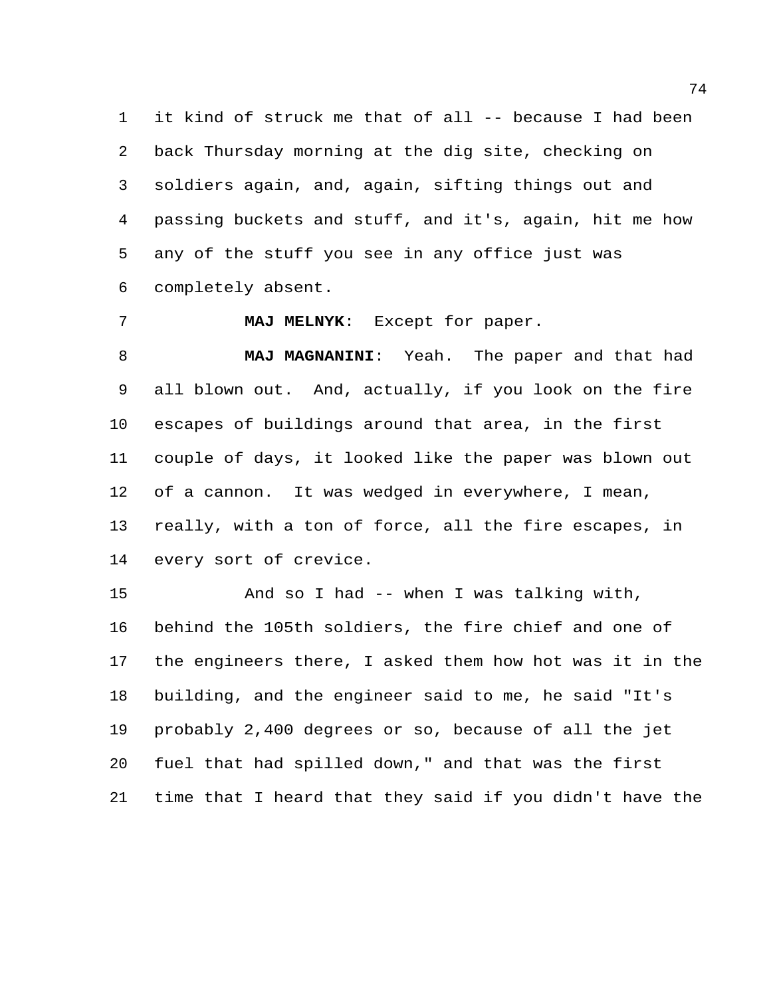it kind of struck me that of all -- because I had been back Thursday morning at the dig site, checking on soldiers again, and, again, sifting things out and passing buckets and stuff, and it's, again, hit me how any of the stuff you see in any office just was completely absent.

**MAJ MELNYK**: Except for paper.

 **MAJ MAGNANINI**: Yeah. The paper and that had all blown out. And, actually, if you look on the fire escapes of buildings around that area, in the first couple of days, it looked like the paper was blown out of a cannon. It was wedged in everywhere, I mean, really, with a ton of force, all the fire escapes, in every sort of crevice.

 And so I had -- when I was talking with, behind the 105th soldiers, the fire chief and one of the engineers there, I asked them how hot was it in the building, and the engineer said to me, he said "It's probably 2,400 degrees or so, because of all the jet fuel that had spilled down," and that was the first time that I heard that they said if you didn't have the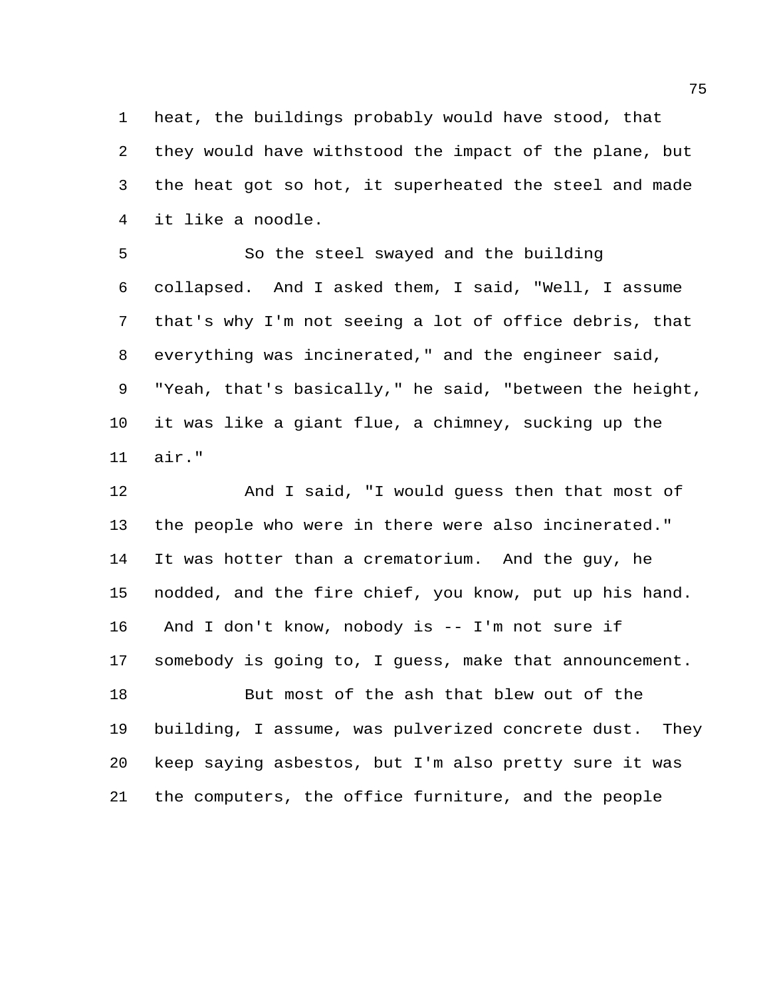heat, the buildings probably would have stood, that they would have withstood the impact of the plane, but the heat got so hot, it superheated the steel and made it like a noodle.

 So the steel swayed and the building collapsed. And I asked them, I said, "Well, I assume that's why I'm not seeing a lot of office debris, that everything was incinerated," and the engineer said, "Yeah, that's basically," he said, "between the height, it was like a giant flue, a chimney, sucking up the air."

 And I said, "I would guess then that most of the people who were in there were also incinerated." It was hotter than a crematorium. And the guy, he nodded, and the fire chief, you know, put up his hand. And I don't know, nobody is -- I'm not sure if somebody is going to, I guess, make that announcement. But most of the ash that blew out of the building, I assume, was pulverized concrete dust. They keep saying asbestos, but I'm also pretty sure it was the computers, the office furniture, and the people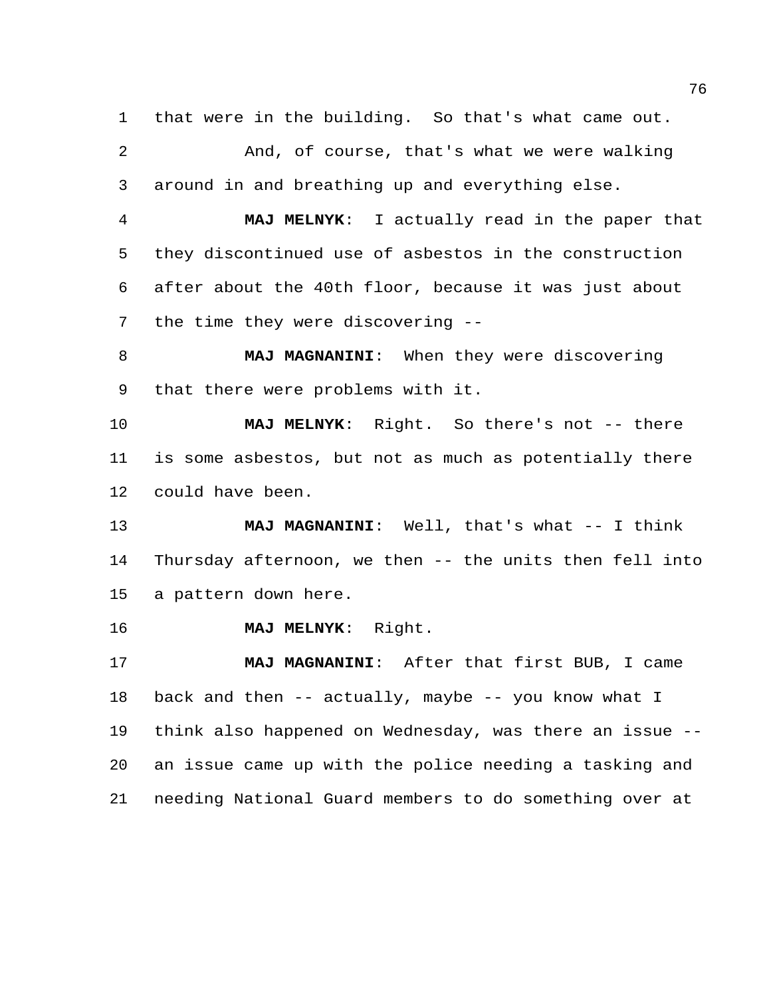that were in the building. So that's what came out.

 And, of course, that's what we were walking around in and breathing up and everything else.

 **MAJ MELNYK**: I actually read in the paper that they discontinued use of asbestos in the construction after about the 40th floor, because it was just about the time they were discovering --

 **MAJ MAGNANINI**: When they were discovering that there were problems with it.

 **MAJ MELNYK**: Right. So there's not -- there is some asbestos, but not as much as potentially there could have been.

 **MAJ MAGNANINI**: Well, that's what -- I think Thursday afternoon, we then -- the units then fell into a pattern down here.

**MAJ MELNYK**: Right.

 **MAJ MAGNANINI**: After that first BUB, I came back and then -- actually, maybe -- you know what I think also happened on Wednesday, was there an issue -- an issue came up with the police needing a tasking and needing National Guard members to do something over at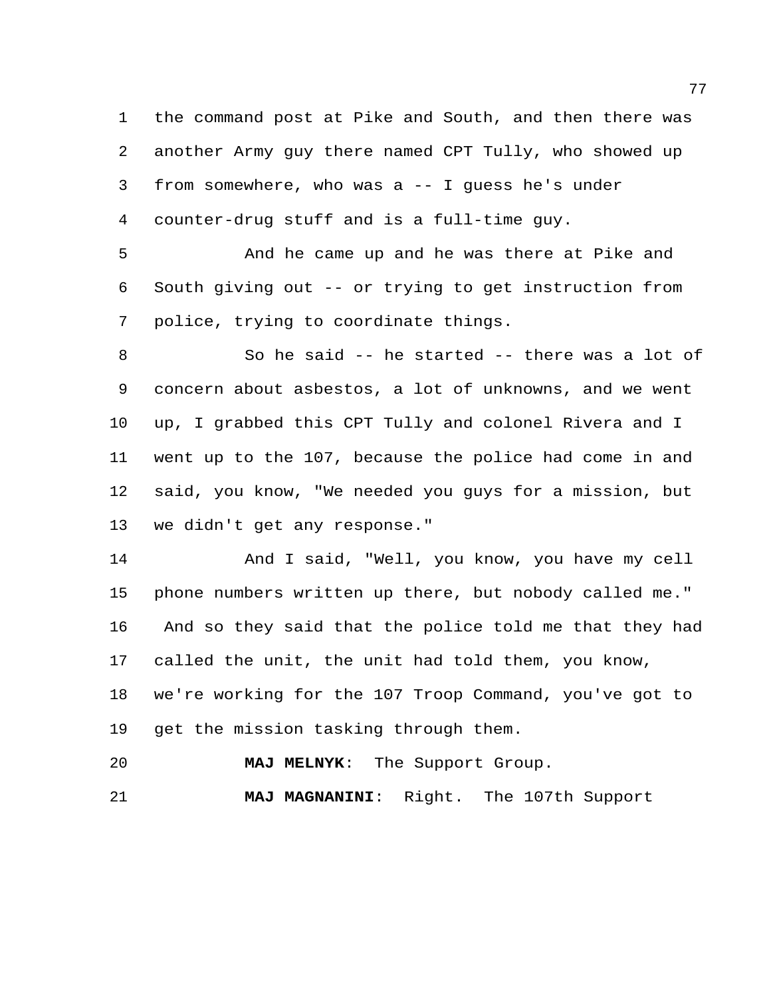the command post at Pike and South, and then there was another Army guy there named CPT Tully, who showed up from somewhere, who was a -- I guess he's under counter-drug stuff and is a full-time guy.

 And he came up and he was there at Pike and South giving out -- or trying to get instruction from police, trying to coordinate things.

 So he said -- he started -- there was a lot of concern about asbestos, a lot of unknowns, and we went up, I grabbed this CPT Tully and colonel Rivera and I went up to the 107, because the police had come in and said, you know, "We needed you guys for a mission, but we didn't get any response."

 And I said, "Well, you know, you have my cell phone numbers written up there, but nobody called me." And so they said that the police told me that they had called the unit, the unit had told them, you know, we're working for the 107 Troop Command, you've got to get the mission tasking through them.

**MAJ MELNYK**: The Support Group.

**MAJ MAGNANINI**: Right. The 107th Support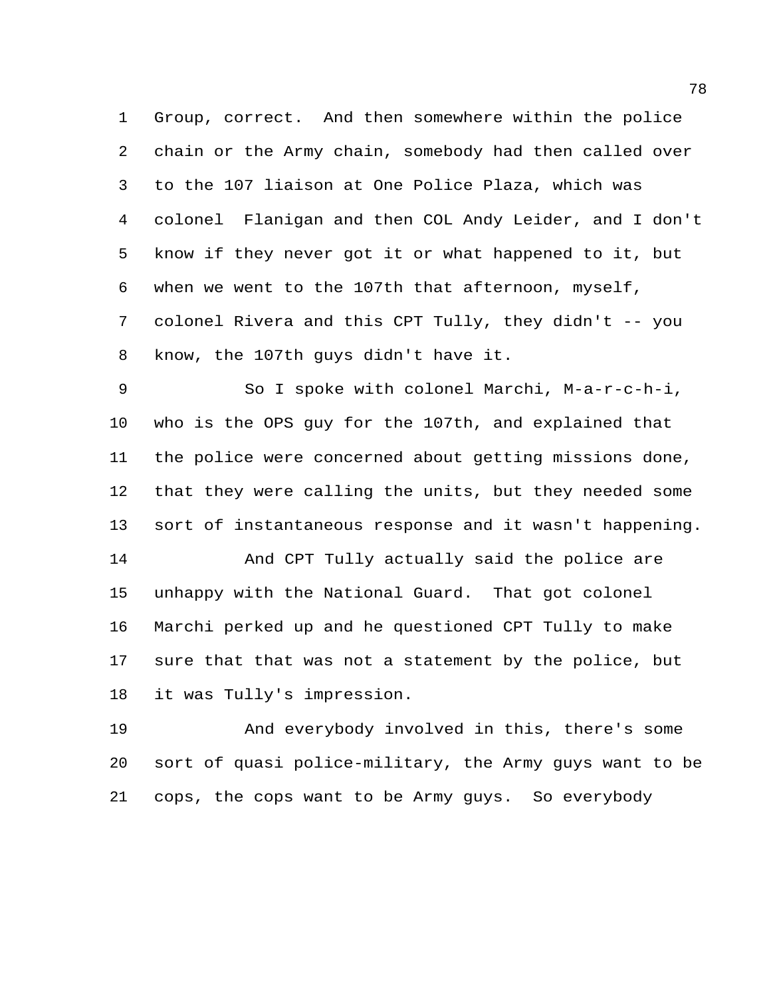Group, correct. And then somewhere within the police chain or the Army chain, somebody had then called over to the 107 liaison at One Police Plaza, which was colonel Flanigan and then COL Andy Leider, and I don't know if they never got it or what happened to it, but when we went to the 107th that afternoon, myself, colonel Rivera and this CPT Tully, they didn't -- you know, the 107th guys didn't have it.

 So I spoke with colonel Marchi, M-a-r-c-h-i, who is the OPS guy for the 107th, and explained that the police were concerned about getting missions done, that they were calling the units, but they needed some sort of instantaneous response and it wasn't happening. And CPT Tully actually said the police are

 unhappy with the National Guard. That got colonel Marchi perked up and he questioned CPT Tully to make sure that that was not a statement by the police, but it was Tully's impression.

 And everybody involved in this, there's some sort of quasi police-military, the Army guys want to be cops, the cops want to be Army guys. So everybody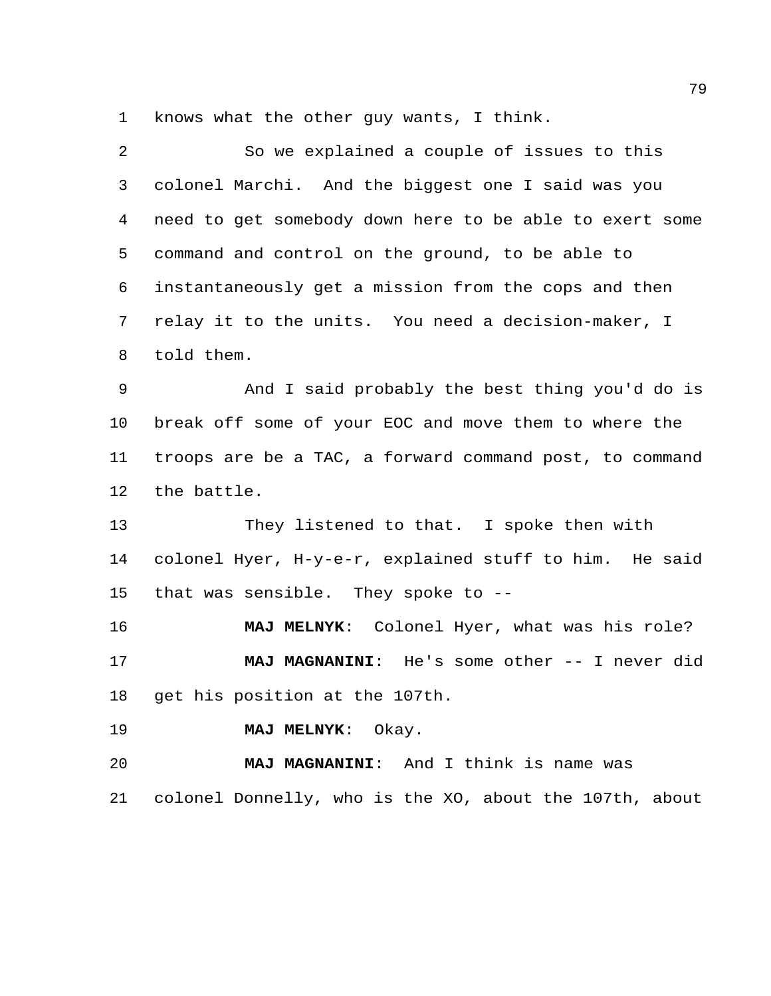knows what the other guy wants, I think.

| 2              | So we explained a couple of issues to this              |
|----------------|---------------------------------------------------------|
| 3              | colonel Marchi. And the biggest one I said was you      |
| 4              | need to get somebody down here to be able to exert some |
| 5              | command and control on the ground, to be able to        |
| 6              | instantaneously get a mission from the cops and then    |
| $7\phantom{.}$ | relay it to the units. You need a decision-maker, I     |
| 8              | told them.                                              |
| 9              | And I said probably the best thing you'd do is          |
| 10             | break off some of your EOC and move them to where the   |
| 11             | troops are be a TAC, a forward command post, to command |
| 12             | the battle.                                             |
| 13             | They listened to that. I spoke then with                |
| 14             | colonel Hyer, H-y-e-r, explained stuff to him. He said  |
| 15             | that was sensible. They spoke to --                     |
| 16             | MAJ MELNYK: Colonel Hyer, what was his role?            |
| 17             | MAJ MAGNANINI: He's some other -- I never did           |
| 18             | get his position at the 107th.                          |
| 19             | MAJ MELNYK: Okay.                                       |
| 20             | MAJ MAGNANINI: And I think is name was                  |
| 21             | colonel Donnelly, who is the XO, about the 107th, about |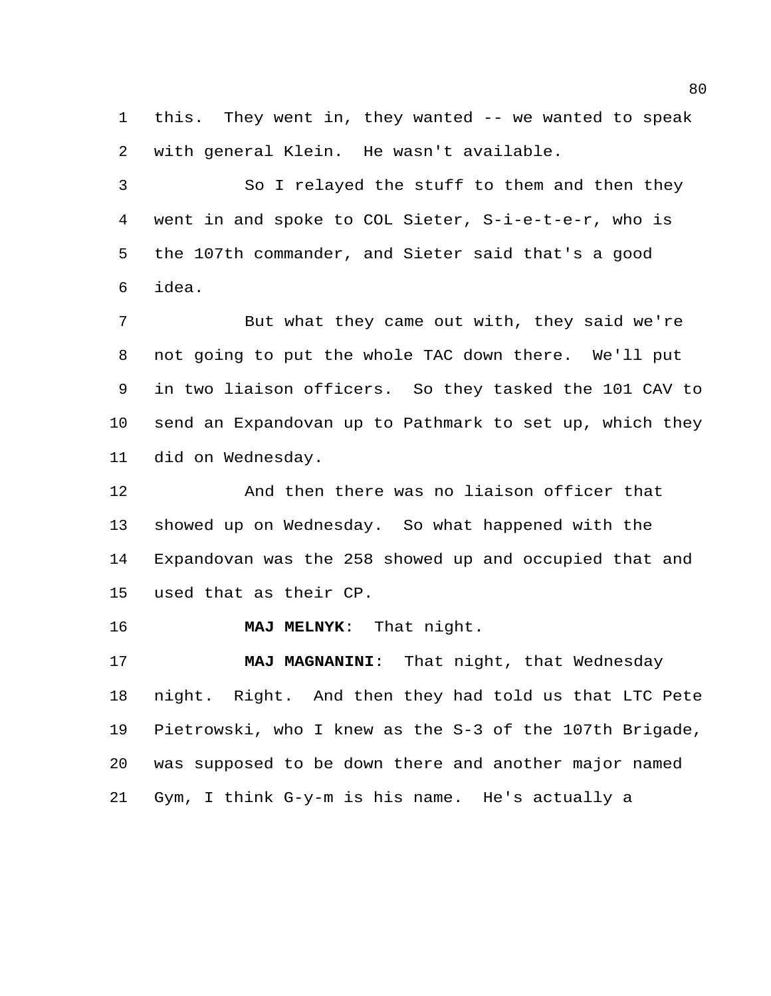this. They went in, they wanted -- we wanted to speak with general Klein. He wasn't available.

 So I relayed the stuff to them and then they went in and spoke to COL Sieter, S-i-e-t-e-r, who is the 107th commander, and Sieter said that's a good idea.

 But what they came out with, they said we're not going to put the whole TAC down there. We'll put in two liaison officers. So they tasked the 101 CAV to send an Expandovan up to Pathmark to set up, which they did on Wednesday.

 And then there was no liaison officer that showed up on Wednesday. So what happened with the Expandovan was the 258 showed up and occupied that and used that as their CP.

**MAJ MELNYK**: That night.

 **MAJ MAGNANINI**: That night, that Wednesday night. Right. And then they had told us that LTC Pete Pietrowski, who I knew as the S-3 of the 107th Brigade, was supposed to be down there and another major named Gym, I think G-y-m is his name. He's actually a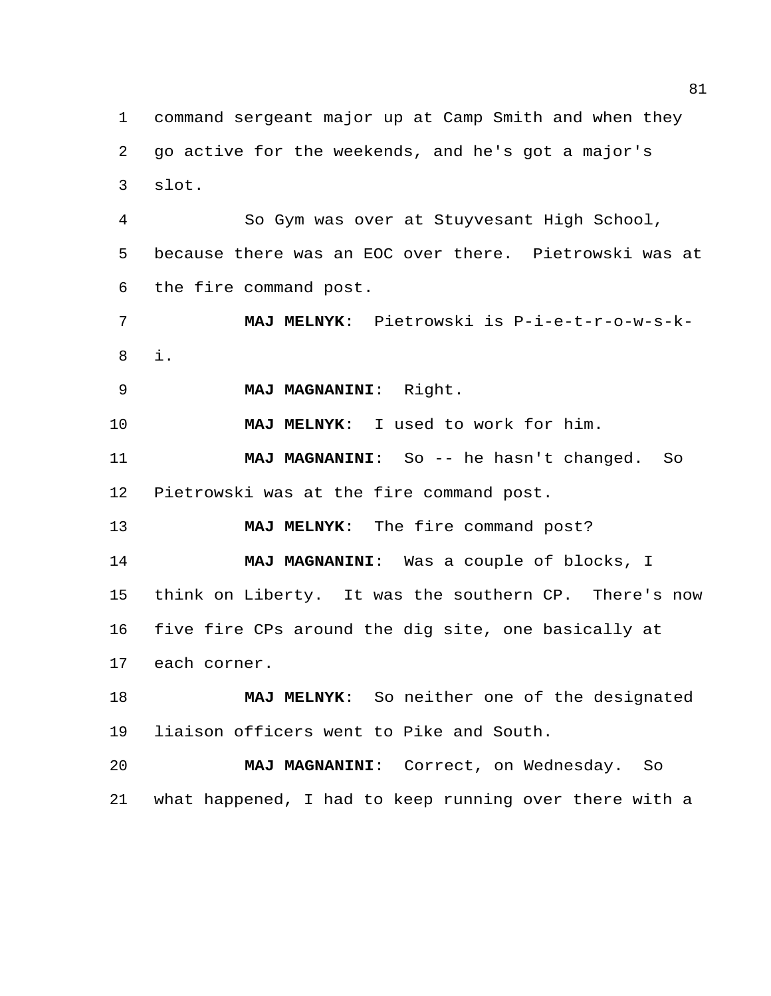command sergeant major up at Camp Smith and when they go active for the weekends, and he's got a major's slot.

 So Gym was over at Stuyvesant High School, because there was an EOC over there. Pietrowski was at the fire command post.

 **MAJ MELNYK**: Pietrowski is P-i-e-t-r-o-w-s-k-i.

**MAJ MAGNANINI**: Right.

**MAJ MELNYK**: I used to work for him.

 **MAJ MAGNANINI**: So -- he hasn't changed. So Pietrowski was at the fire command post.

**MAJ MELNYK**: The fire command post?

 **MAJ MAGNANINI**: Was a couple of blocks, I think on Liberty. It was the southern CP. There's now five fire CPs around the dig site, one basically at each corner.

 **MAJ MELNYK**: So neither one of the designated liaison officers went to Pike and South.

 **MAJ MAGNANINI**: Correct, on Wednesday. So what happened, I had to keep running over there with a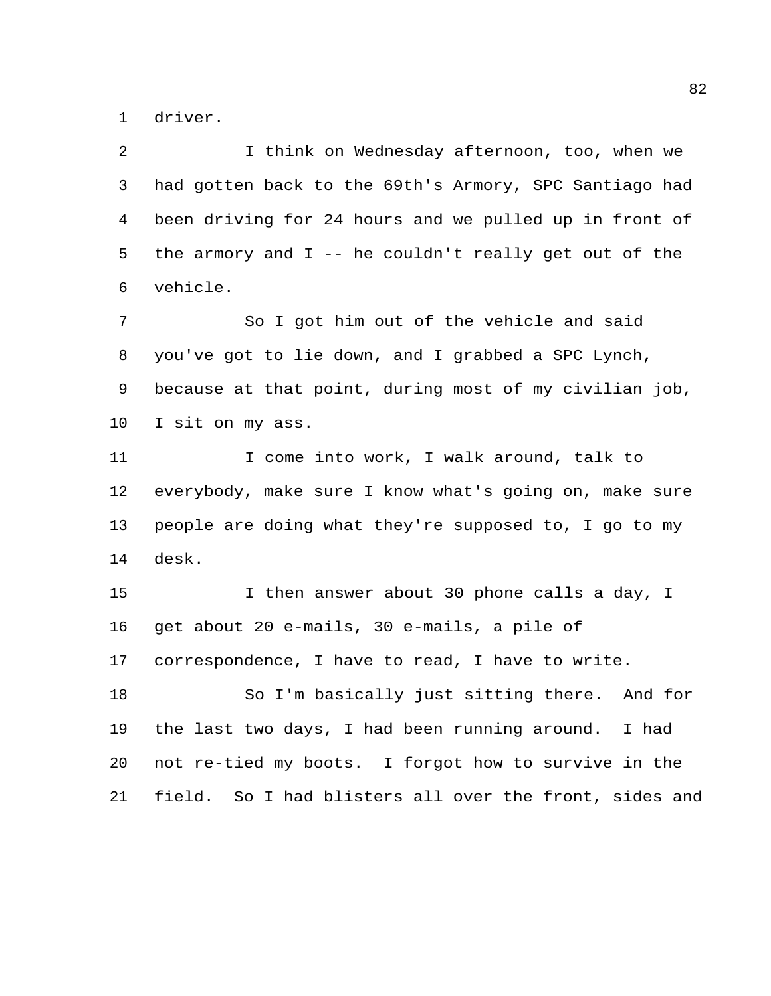driver.

| 2  | I think on Wednesday afternoon, too, when we            |
|----|---------------------------------------------------------|
| 3  | had gotten back to the 69th's Armory, SPC Santiago had  |
| 4  | been driving for 24 hours and we pulled up in front of  |
| 5  | the armory and $I$ -- he couldn't really get out of the |
| 6  | vehicle.                                                |
| 7  | So I got him out of the vehicle and said                |
| 8  | you've got to lie down, and I grabbed a SPC Lynch,      |
| 9  | because at that point, during most of my civilian job,  |
| 10 | I sit on my ass.                                        |
| 11 | I come into work, I walk around, talk to                |
| 12 | everybody, make sure I know what's going on, make sure  |
| 13 | people are doing what they're supposed to, I go to my   |
| 14 | desk.                                                   |
| 15 | I then answer about 30 phone calls a day, I             |
| 16 | get about 20 e-mails, 30 e-mails, a pile of             |
| 17 | correspondence, I have to read, I have to write.        |
| 18 | So I'm basically just sitting there. And for            |
| 19 | the last two days, I had been running around. I had     |
| 20 | not re-tied my boots. I forgot how to survive in the    |
| 21 | field. So I had blisters all over the front, sides and  |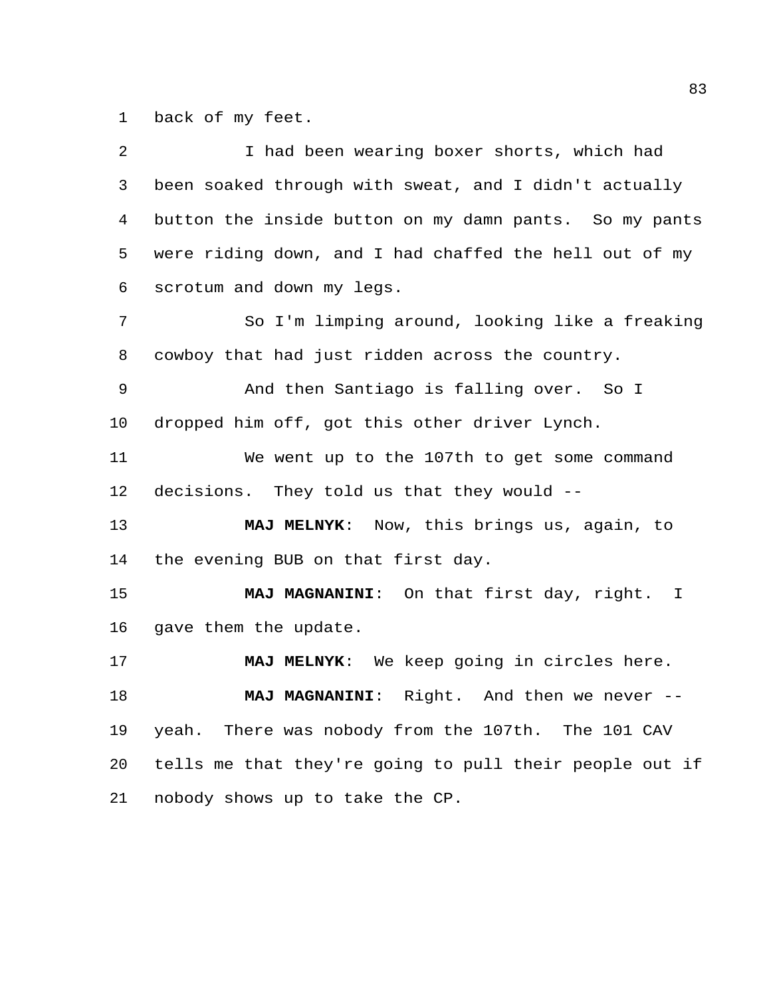back of my feet.

| 2  | I had been wearing boxer shorts, which had              |
|----|---------------------------------------------------------|
| 3  | been soaked through with sweat, and I didn't actually   |
| 4  | button the inside button on my damn pants. So my pants  |
| 5  | were riding down, and I had chaffed the hell out of my  |
| 6  | scrotum and down my legs.                               |
| 7  | So I'm limping around, looking like a freaking          |
| 8  | cowboy that had just ridden across the country.         |
| 9  | And then Santiago is falling over. So I                 |
| 10 | dropped him off, got this other driver Lynch.           |
| 11 | We went up to the 107th to get some command             |
| 12 | decisions. They told us that they would --              |
| 13 | MAJ MELNYK: Now, this brings us, again, to              |
| 14 | the evening BUB on that first day.                      |
| 15 | MAJ MAGNANINI: On that first day, right. I              |
| 16 | gave them the update.                                   |
| 17 | MAJ MELNYK: We keep going in circles here.              |
| 18 | <b>MAJ MAGNANINI:</b><br>Right. And then we never       |
| 19 | yeah. There was nobody from the 107th. The 101 CAV      |
| 20 | tells me that they're going to pull their people out if |
| 21 | nobody shows up to take the CP.                         |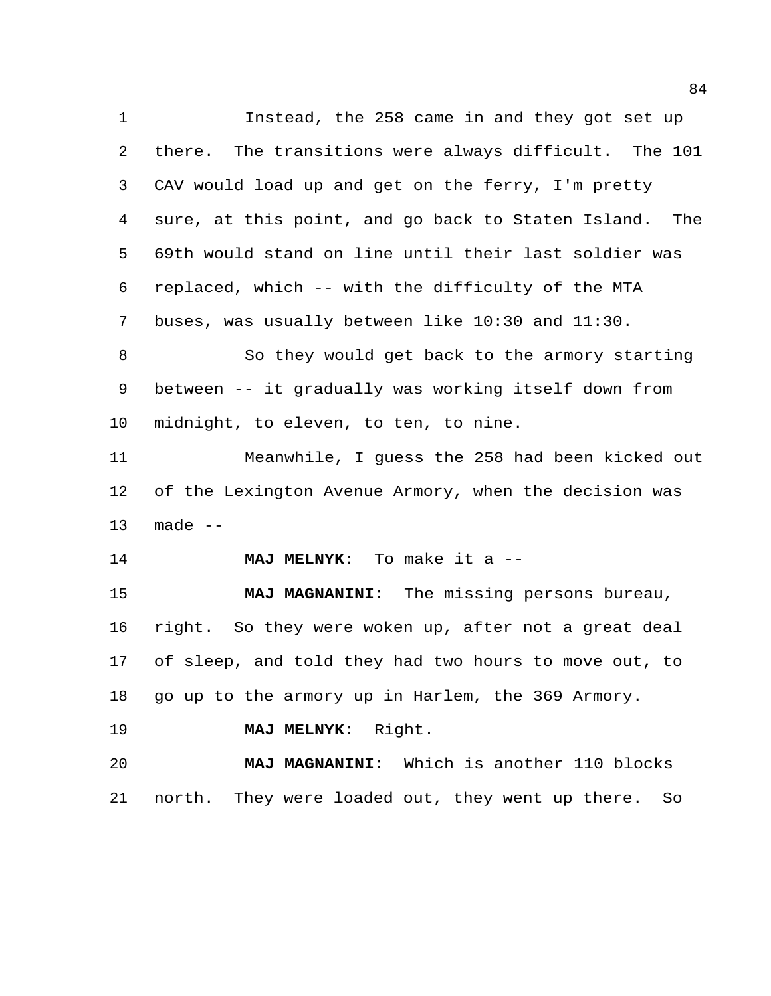Instead, the 258 came in and they got set up there. The transitions were always difficult. The 101 CAV would load up and get on the ferry, I'm pretty sure, at this point, and go back to Staten Island. The 69th would stand on line until their last soldier was replaced, which -- with the difficulty of the MTA buses, was usually between like 10:30 and 11:30. So they would get back to the armory starting between -- it gradually was working itself down from midnight, to eleven, to ten, to nine. Meanwhile, I guess the 258 had been kicked out of the Lexington Avenue Armory, when the decision was made -- **MAJ MELNYK**: To make it a -- **MAJ MAGNANINI**: The missing persons bureau, right. So they were woken up, after not a great deal of sleep, and told they had two hours to move out, to go up to the armory up in Harlem, the 369 Armory. **MAJ MELNYK**: Right. **MAJ MAGNANINI**: Which is another 110 blocks north. They were loaded out, they went up there. So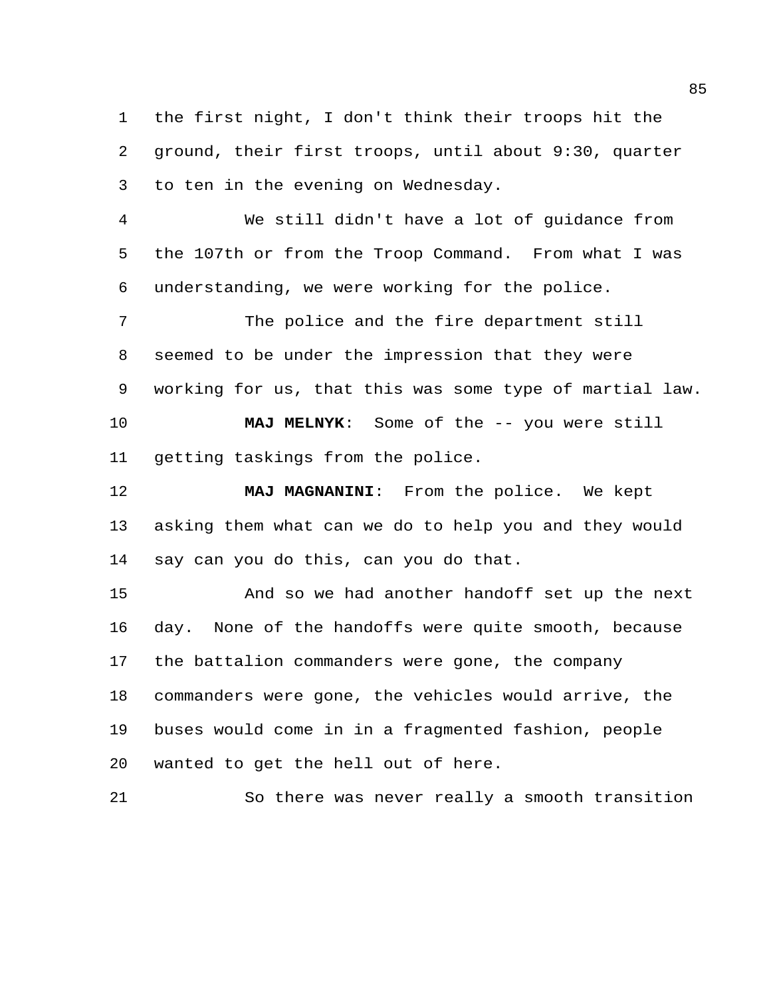the first night, I don't think their troops hit the ground, their first troops, until about 9:30, quarter to ten in the evening on Wednesday.

 We still didn't have a lot of guidance from the 107th or from the Troop Command. From what I was understanding, we were working for the police.

 The police and the fire department still seemed to be under the impression that they were working for us, that this was some type of martial law.

 **MAJ MELNYK**: Some of the -- you were still getting taskings from the police.

 **MAJ MAGNANINI**: From the police. We kept asking them what can we do to help you and they would say can you do this, can you do that.

 And so we had another handoff set up the next day. None of the handoffs were quite smooth, because the battalion commanders were gone, the company commanders were gone, the vehicles would arrive, the buses would come in in a fragmented fashion, people wanted to get the hell out of here.

So there was never really a smooth transition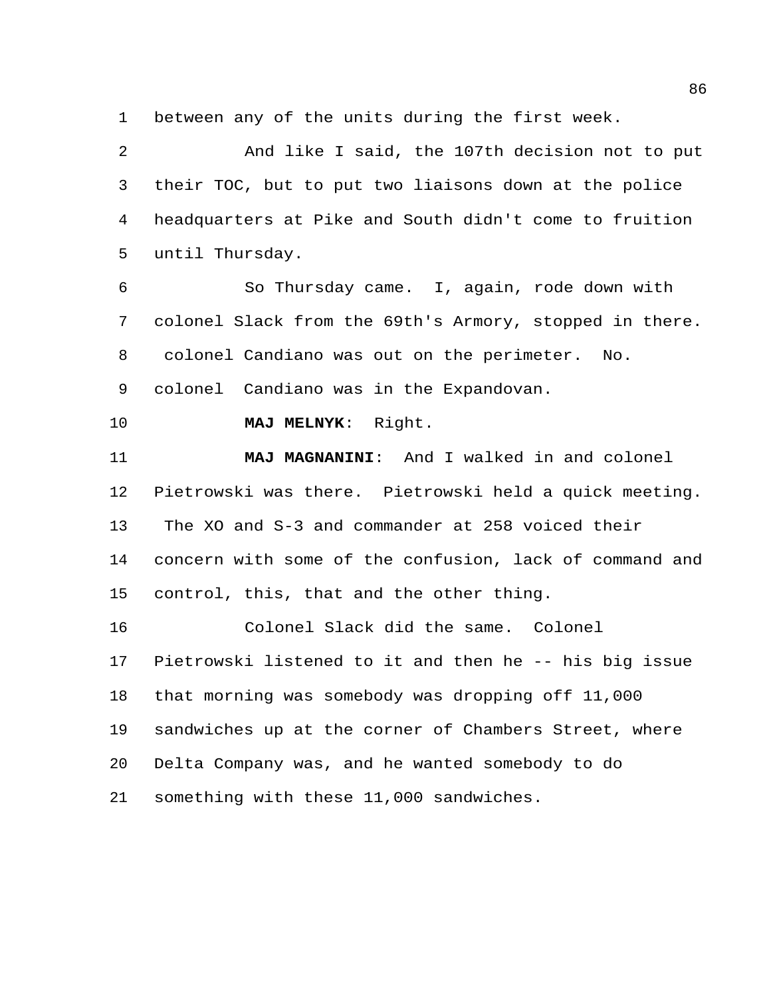between any of the units during the first week.

 And like I said, the 107th decision not to put their TOC, but to put two liaisons down at the police headquarters at Pike and South didn't come to fruition until Thursday.

 So Thursday came. I, again, rode down with colonel Slack from the 69th's Armory, stopped in there. colonel Candiano was out on the perimeter. No.

colonel Candiano was in the Expandovan.

**MAJ MELNYK**: Right.

 **MAJ MAGNANINI**: And I walked in and colonel Pietrowski was there. Pietrowski held a quick meeting. The XO and S-3 and commander at 258 voiced their concern with some of the confusion, lack of command and control, this, that and the other thing.

 Colonel Slack did the same. Colonel Pietrowski listened to it and then he -- his big issue that morning was somebody was dropping off 11,000 sandwiches up at the corner of Chambers Street, where Delta Company was, and he wanted somebody to do something with these 11,000 sandwiches.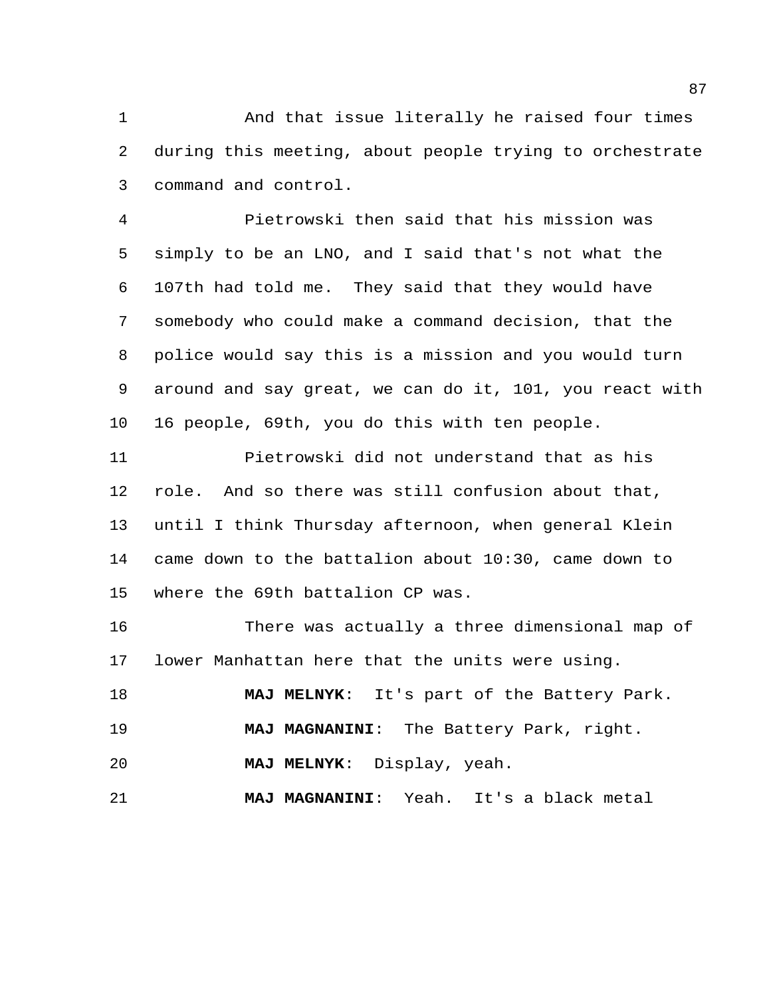And that issue literally he raised four times during this meeting, about people trying to orchestrate command and control.

 Pietrowski then said that his mission was simply to be an LNO, and I said that's not what the 107th had told me. They said that they would have somebody who could make a command decision, that the police would say this is a mission and you would turn around and say great, we can do it, 101, you react with 16 people, 69th, you do this with ten people.

 Pietrowski did not understand that as his role. And so there was still confusion about that, until I think Thursday afternoon, when general Klein came down to the battalion about 10:30, came down to where the 69th battalion CP was.

 There was actually a three dimensional map of lower Manhattan here that the units were using.

 **MAJ MELNYK**: It's part of the Battery Park. **MAJ MAGNANINI**: The Battery Park, right.

**MAJ MELNYK**: Display, yeah.

**MAJ MAGNANINI**: Yeah. It's a black metal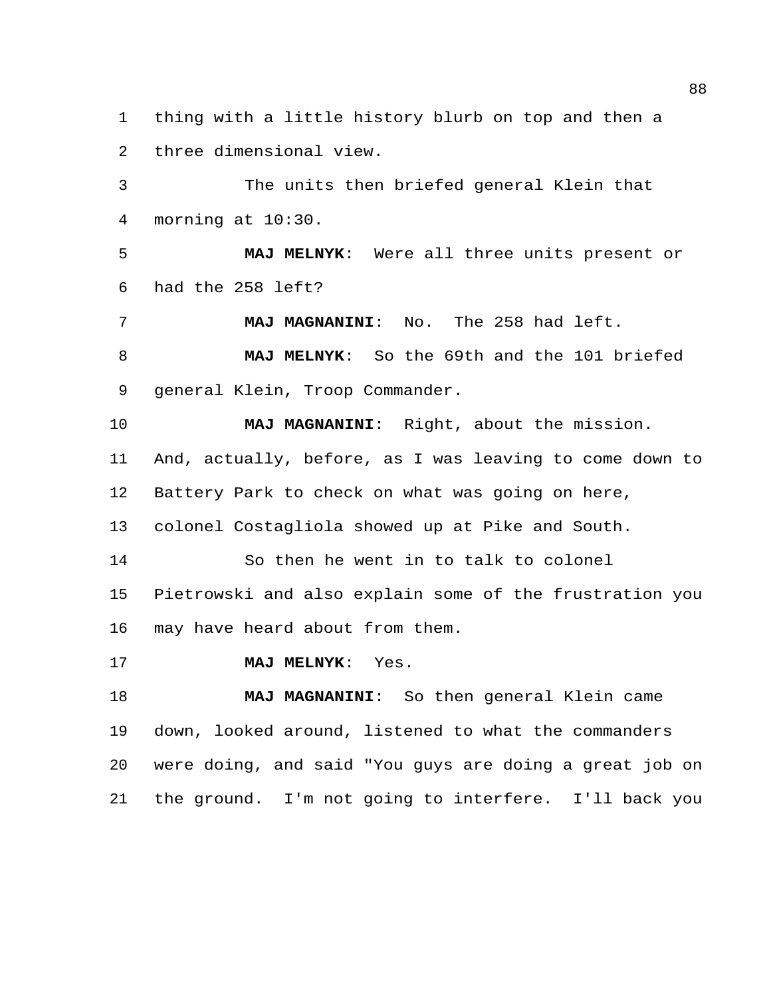thing with a little history blurb on top and then a three dimensional view.

 The units then briefed general Klein that morning at 10:30.

 **MAJ MELNYK**: Were all three units present or had the 258 left?

**MAJ MAGNANINI**: No. The 258 had left.

 **MAJ MELNYK**: So the 69th and the 101 briefed general Klein, Troop Commander.

 **MAJ MAGNANINI**: Right, about the mission. And, actually, before, as I was leaving to come down to Battery Park to check on what was going on here, colonel Costagliola showed up at Pike and South. So then he went in to talk to colonel

 Pietrowski and also explain some of the frustration you may have heard about from them.

**MAJ MELNYK**: Yes.

 **MAJ MAGNANINI**: So then general Klein came down, looked around, listened to what the commanders were doing, and said "You guys are doing a great job on the ground. I'm not going to interfere. I'll back you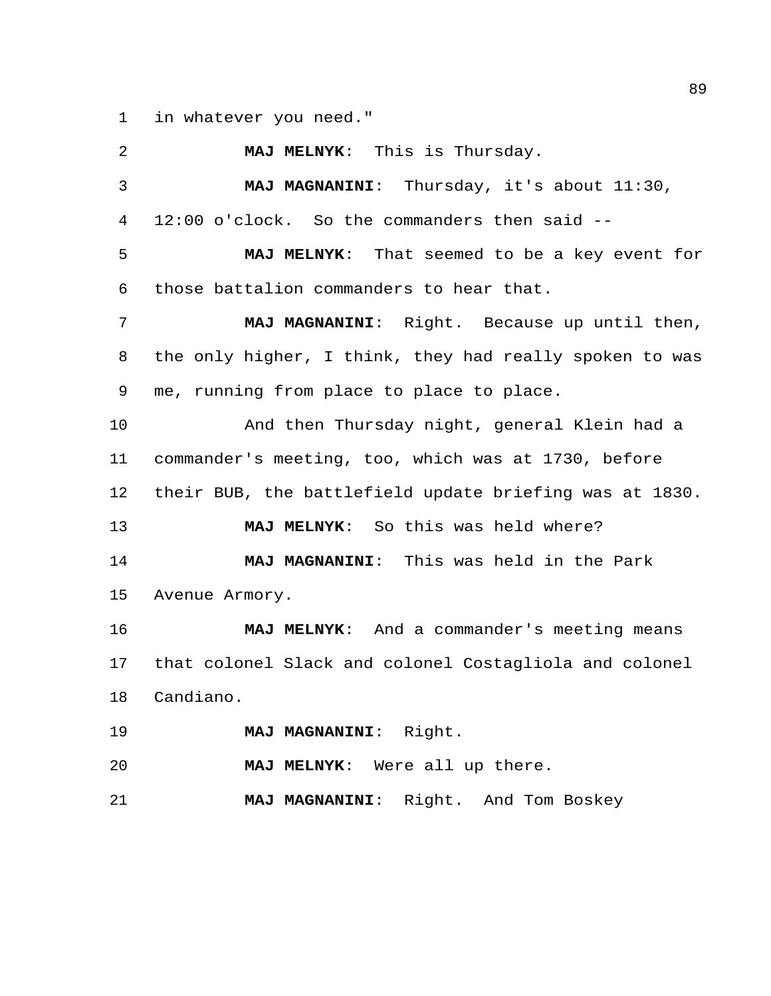in whatever you need."

 **MAJ MELNYK**: This is Thursday. **MAJ MAGNANINI**: Thursday, it's about 11:30, 12:00 o'clock. So the commanders then said -- **MAJ MELNYK**: That seemed to be a key event for those battalion commanders to hear that. **MAJ MAGNANINI**: Right. Because up until then, the only higher, I think, they had really spoken to was me, running from place to place to place. And then Thursday night, general Klein had a commander's meeting, too, which was at 1730, before their BUB, the battlefield update briefing was at 1830. **MAJ MELNYK**: So this was held where? **MAJ MAGNANINI**: This was held in the Park Avenue Armory. **MAJ MELNYK**: And a commander's meeting means that colonel Slack and colonel Costagliola and colonel Candiano. **MAJ MAGNANINI**: Right. **MAJ MELNYK**: Were all up there. **MAJ MAGNANINI**: Right. And Tom Boskey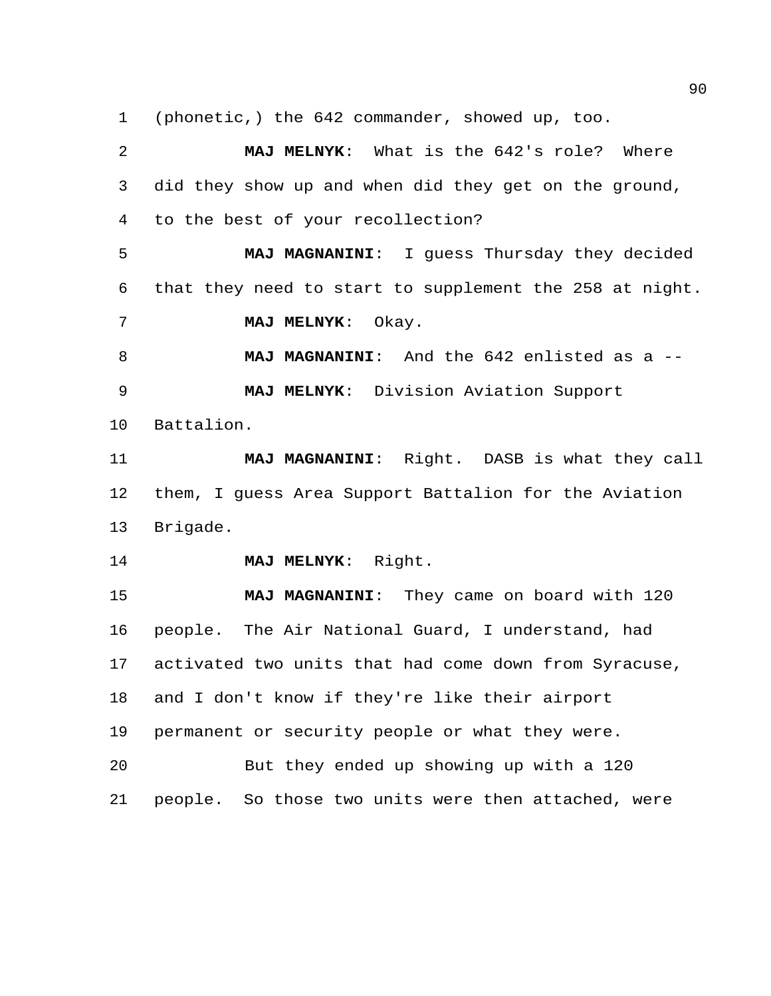(phonetic,) the 642 commander, showed up, too.

 **MAJ MELNYK**: What is the 642's role? Where did they show up and when did they get on the ground, to the best of your recollection? **MAJ MAGNANINI**: I guess Thursday they decided that they need to start to supplement the 258 at night. **MAJ MELNYK**: Okay. **MAJ MAGNANINI**: And the 642 enlisted as a -- **MAJ MELNYK**: Division Aviation Support Battalion. **MAJ MAGNANINI**: Right. DASB is what they call them, I guess Area Support Battalion for the Aviation Brigade. **MAJ MELNYK**: Right. **MAJ MAGNANINI**: They came on board with 120 people. The Air National Guard, I understand, had activated two units that had come down from Syracuse, and I don't know if they're like their airport permanent or security people or what they were. But they ended up showing up with a 120 people. So those two units were then attached, were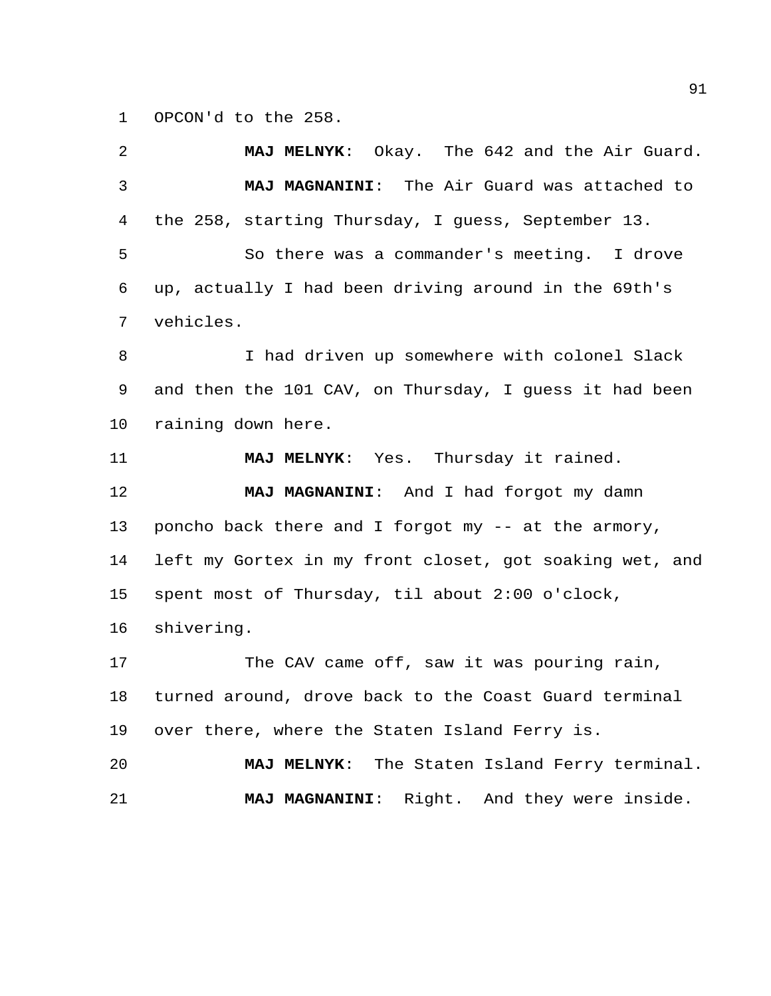OPCON'd to the 258.

 **MAJ MELNYK**: Okay. The 642 and the Air Guard. **MAJ MAGNANINI**: The Air Guard was attached to the 258, starting Thursday, I guess, September 13. So there was a commander's meeting. I drove up, actually I had been driving around in the 69th's vehicles. I had driven up somewhere with colonel Slack and then the 101 CAV, on Thursday, I guess it had been raining down here. **MAJ MELNYK**: Yes. Thursday it rained. **MAJ MAGNANINI**: And I had forgot my damn poncho back there and I forgot my -- at the armory, left my Gortex in my front closet, got soaking wet, and spent most of Thursday, til about 2:00 o'clock, shivering. 17 The CAV came off, saw it was pouring rain, turned around, drove back to the Coast Guard terminal over there, where the Staten Island Ferry is. **MAJ MELNYK**: The Staten Island Ferry terminal. **MAJ MAGNANINI**: Right. And they were inside.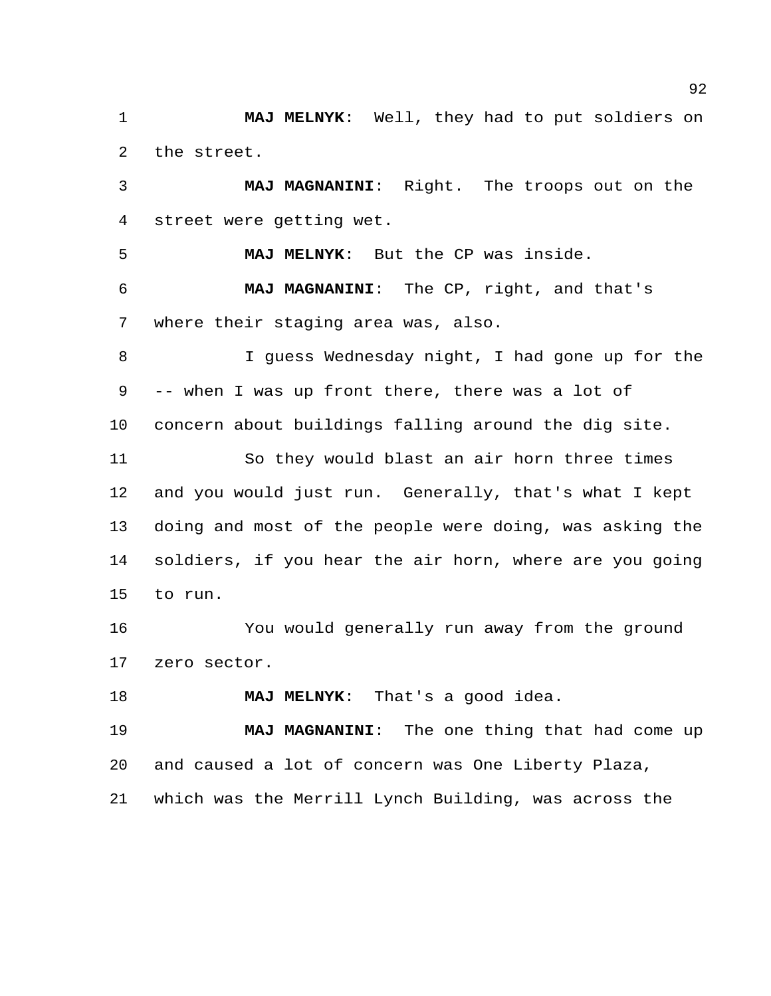**MAJ MELNYK**: Well, they had to put soldiers on the street.

 **MAJ MAGNANINI**: Right. The troops out on the street were getting wet.

 **MAJ MELNYK**: But the CP was inside. **MAJ MAGNANINI**: The CP, right, and that's where their staging area was, also.

 I guess Wednesday night, I had gone up for the -- when I was up front there, there was a lot of concern about buildings falling around the dig site.

 So they would blast an air horn three times and you would just run. Generally, that's what I kept doing and most of the people were doing, was asking the soldiers, if you hear the air horn, where are you going to run.

 You would generally run away from the ground zero sector.

**MAJ MELNYK**: That's a good idea.

 **MAJ MAGNANINI**: The one thing that had come up and caused a lot of concern was One Liberty Plaza, which was the Merrill Lynch Building, was across the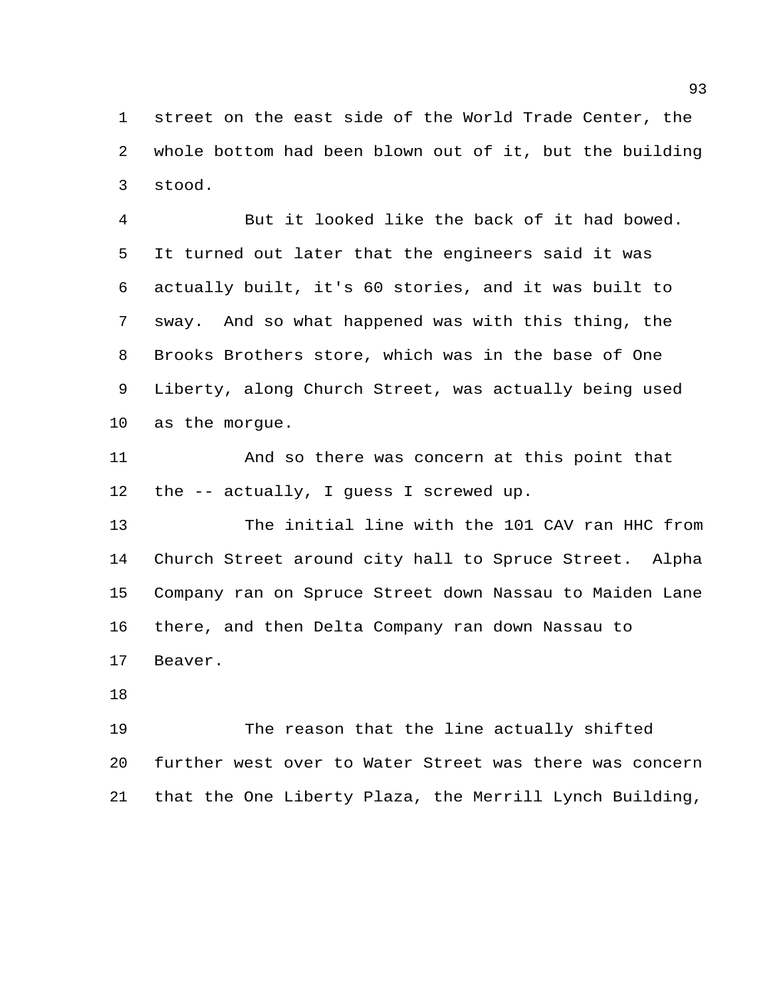street on the east side of the World Trade Center, the whole bottom had been blown out of it, but the building stood.

 But it looked like the back of it had bowed. It turned out later that the engineers said it was actually built, it's 60 stories, and it was built to sway. And so what happened was with this thing, the Brooks Brothers store, which was in the base of One Liberty, along Church Street, was actually being used as the morgue.

 And so there was concern at this point that the -- actually, I guess I screwed up.

 The initial line with the 101 CAV ran HHC from Church Street around city hall to Spruce Street. Alpha Company ran on Spruce Street down Nassau to Maiden Lane there, and then Delta Company ran down Nassau to Beaver.

 The reason that the line actually shifted further west over to Water Street was there was concern that the One Liberty Plaza, the Merrill Lynch Building,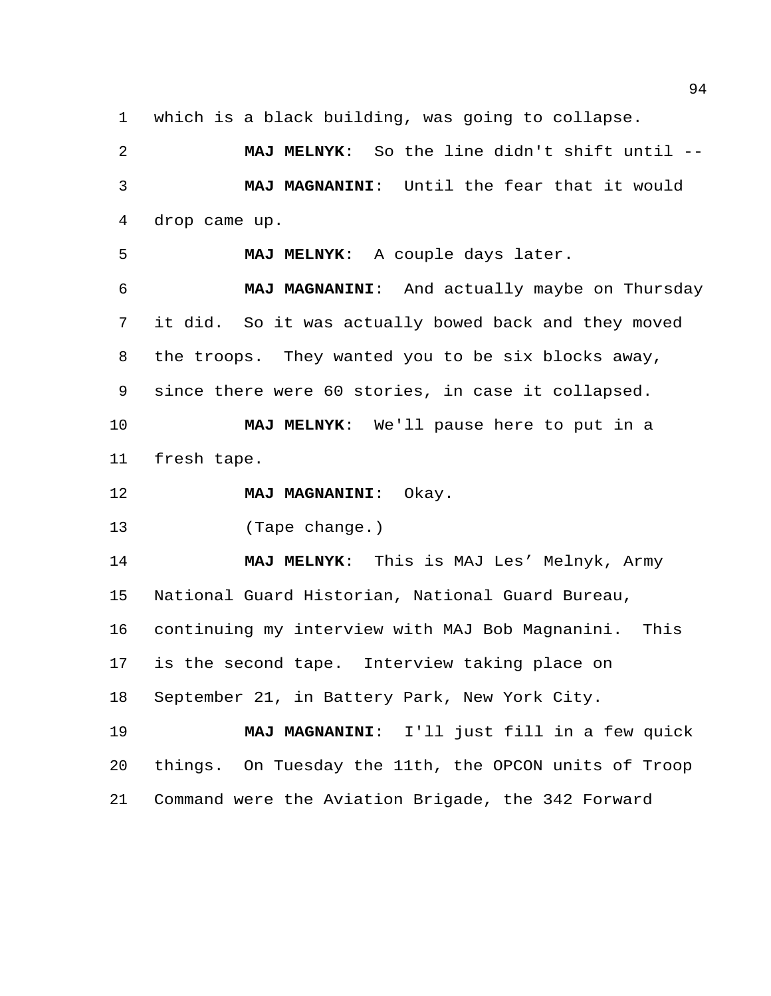which is a black building, was going to collapse.

 **MAJ MELNYK**: So the line didn't shift until -- **MAJ MAGNANINI**: Until the fear that it would drop came up.

**MAJ MELNYK**: A couple days later.

 **MAJ MAGNANINI**: And actually maybe on Thursday it did. So it was actually bowed back and they moved the troops. They wanted you to be six blocks away, since there were 60 stories, in case it collapsed. **MAJ MELNYK**: We'll pause here to put in a

fresh tape.

**MAJ MAGNANINI**: Okay.

(Tape change.)

 **MAJ MELNYK**: This is MAJ Les' Melnyk, Army National Guard Historian, National Guard Bureau, continuing my interview with MAJ Bob Magnanini. This is the second tape. Interview taking place on September 21, in Battery Park, New York City.

 **MAJ MAGNANINI**: I'll just fill in a few quick things. On Tuesday the 11th, the OPCON units of Troop Command were the Aviation Brigade, the 342 Forward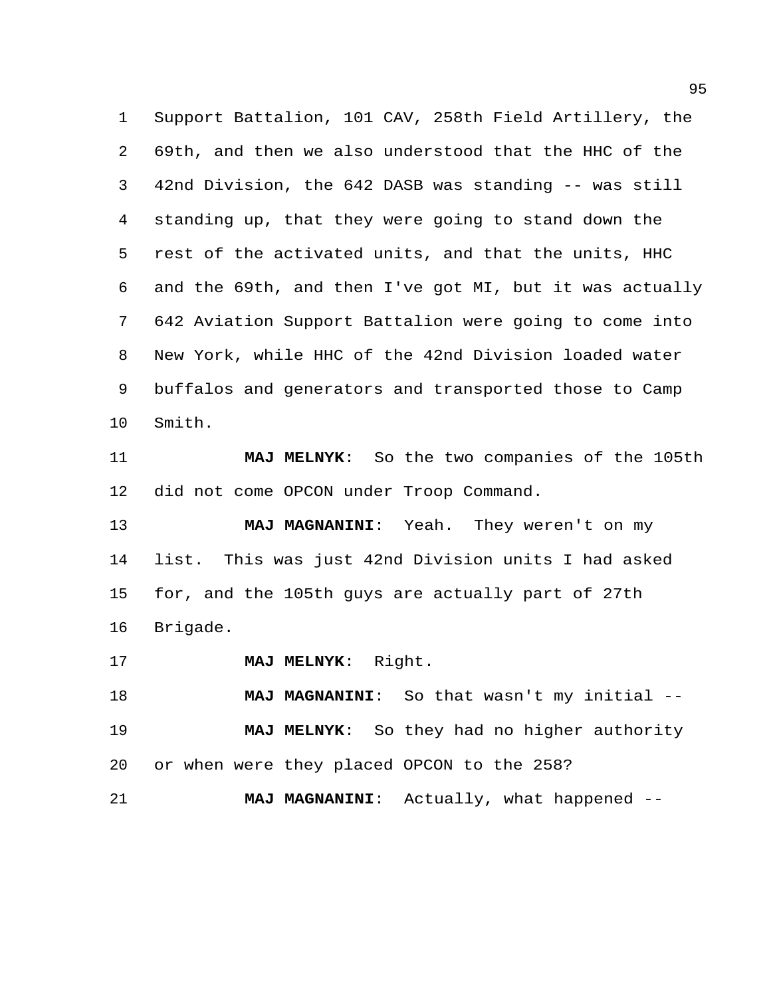Support Battalion, 101 CAV, 258th Field Artillery, the 69th, and then we also understood that the HHC of the 42nd Division, the 642 DASB was standing -- was still standing up, that they were going to stand down the rest of the activated units, and that the units, HHC and the 69th, and then I've got MI, but it was actually 642 Aviation Support Battalion were going to come into New York, while HHC of the 42nd Division loaded water buffalos and generators and transported those to Camp Smith.

 **MAJ MELNYK**: So the two companies of the 105th did not come OPCON under Troop Command.

 **MAJ MAGNANINI**: Yeah. They weren't on my list. This was just 42nd Division units I had asked for, and the 105th guys are actually part of 27th Brigade.

**MAJ MELNYK**: Right.

 **MAJ MAGNANINI**: So that wasn't my initial -- **MAJ MELNYK**: So they had no higher authority or when were they placed OPCON to the 258?

**MAJ MAGNANINI**: Actually, what happened --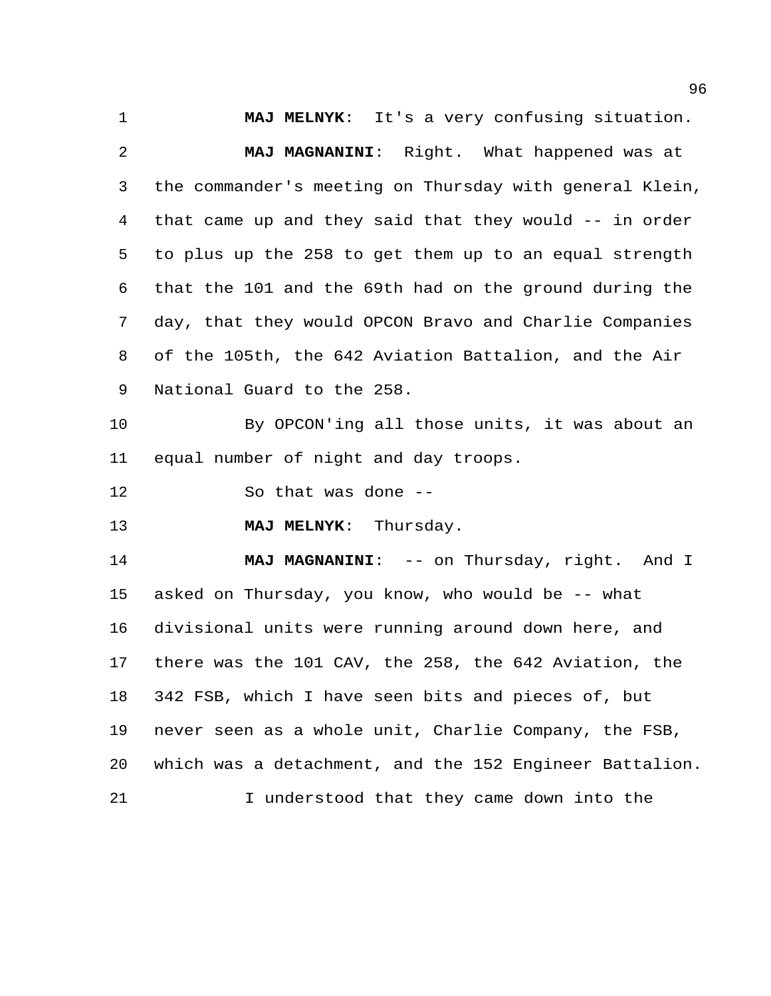**MAJ MELNYK**: It's a very confusing situation.

 **MAJ MAGNANINI**: Right. What happened was at the commander's meeting on Thursday with general Klein, that came up and they said that they would -- in order to plus up the 258 to get them up to an equal strength that the 101 and the 69th had on the ground during the day, that they would OPCON Bravo and Charlie Companies of the 105th, the 642 Aviation Battalion, and the Air National Guard to the 258.

 By OPCON'ing all those units, it was about an equal number of night and day troops.

So that was done --

**MAJ MELNYK**: Thursday.

**MAJ MAGNANINI:** -- on Thursday, right. And I asked on Thursday, you know, who would be -- what divisional units were running around down here, and there was the 101 CAV, the 258, the 642 Aviation, the 342 FSB, which I have seen bits and pieces of, but never seen as a whole unit, Charlie Company, the FSB, which was a detachment, and the 152 Engineer Battalion. I understood that they came down into the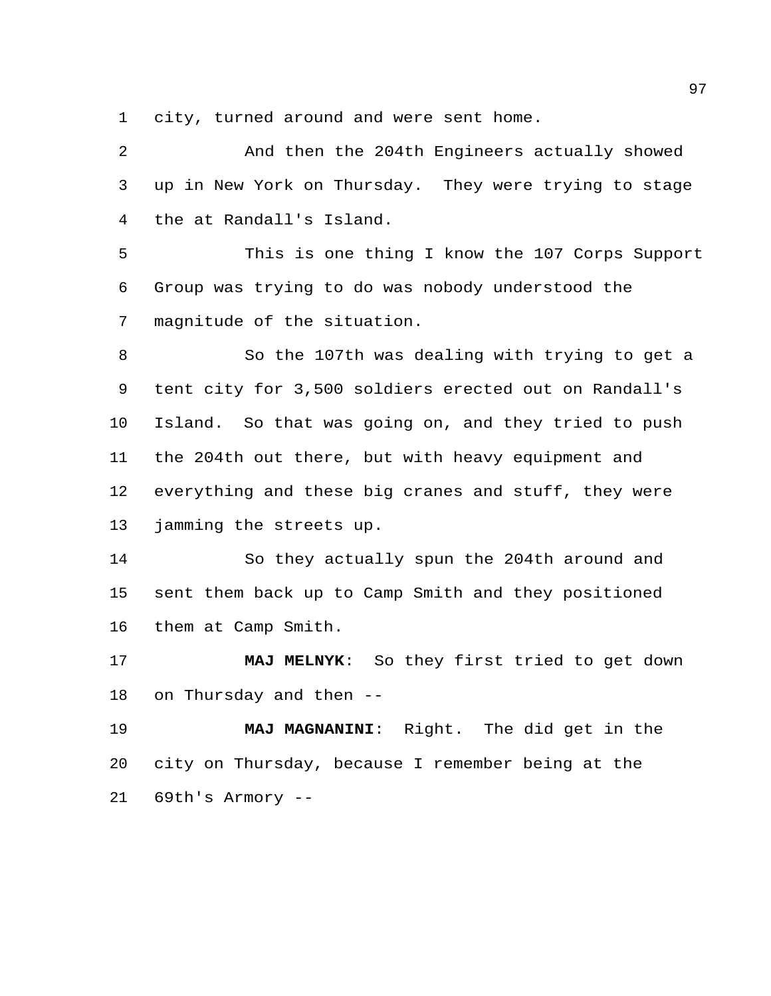city, turned around and were sent home.

 And then the 204th Engineers actually showed up in New York on Thursday. They were trying to stage the at Randall's Island.

 This is one thing I know the 107 Corps Support Group was trying to do was nobody understood the magnitude of the situation.

 So the 107th was dealing with trying to get a tent city for 3,500 soldiers erected out on Randall's Island. So that was going on, and they tried to push the 204th out there, but with heavy equipment and everything and these big cranes and stuff, they were jamming the streets up.

 So they actually spun the 204th around and sent them back up to Camp Smith and they positioned them at Camp Smith.

 **MAJ MELNYK**: So they first tried to get down on Thursday and then --

 **MAJ MAGNANINI**: Right. The did get in the city on Thursday, because I remember being at the 69th's Armory --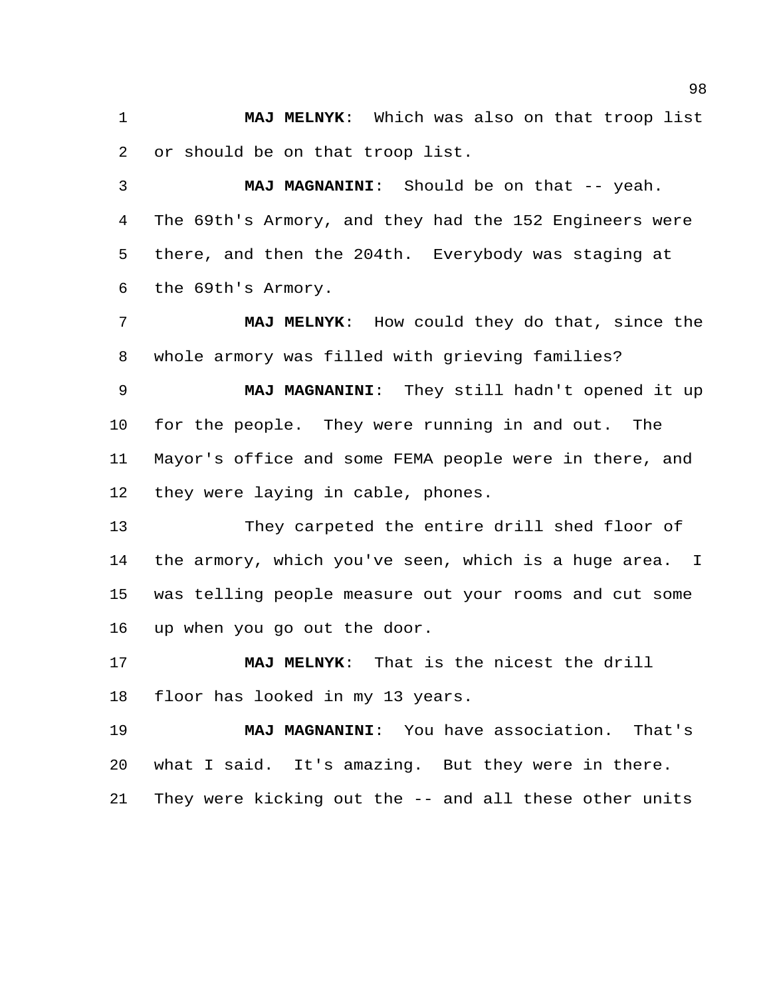**MAJ MELNYK**: Which was also on that troop list or should be on that troop list.

**MAJ MAGNANINI:** Should be on that -- yeah. The 69th's Armory, and they had the 152 Engineers were there, and then the 204th. Everybody was staging at the 69th's Armory.

 **MAJ MELNYK**: How could they do that, since the whole armory was filled with grieving families?

 **MAJ MAGNANINI**: They still hadn't opened it up for the people. They were running in and out. The Mayor's office and some FEMA people were in there, and they were laying in cable, phones.

 They carpeted the entire drill shed floor of the armory, which you've seen, which is a huge area. I was telling people measure out your rooms and cut some up when you go out the door.

 **MAJ MELNYK**: That is the nicest the drill floor has looked in my 13 years.

 **MAJ MAGNANINI**: You have association. That's what I said. It's amazing. But they were in there. They were kicking out the -- and all these other units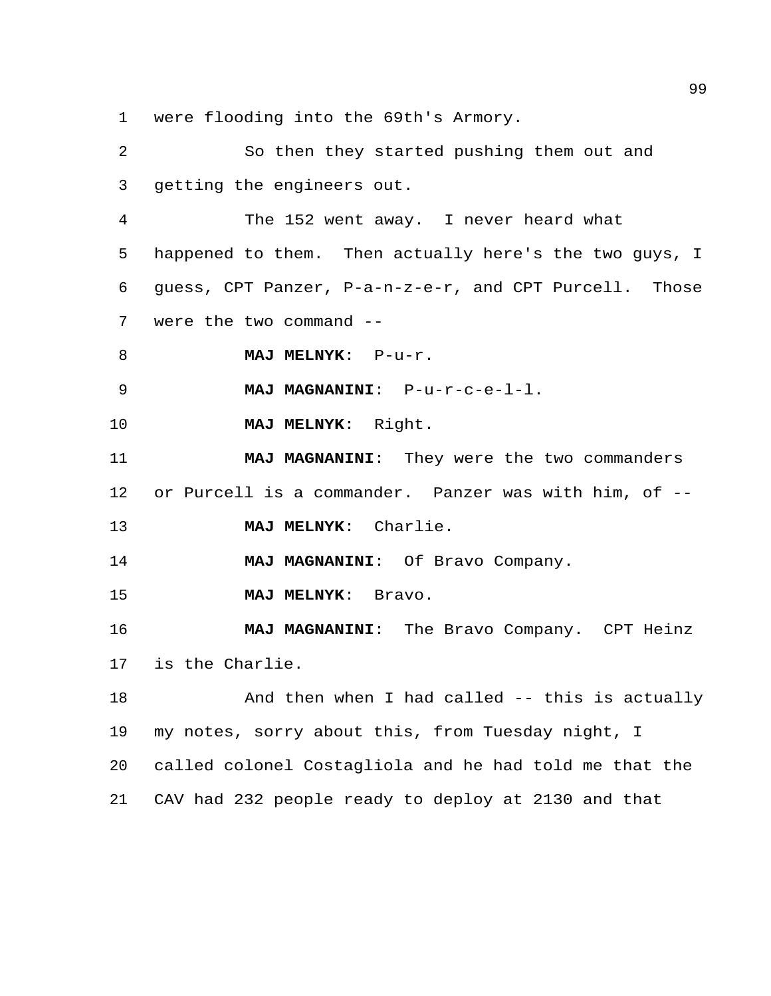were flooding into the 69th's Armory.

 So then they started pushing them out and getting the engineers out. The 152 went away. I never heard what happened to them. Then actually here's the two guys, I guess, CPT Panzer, P-a-n-z-e-r, and CPT Purcell. Those were the two command -- **MAJ MELNYK**: P-u-r. **MAJ MAGNANINI**: P-u-r-c-e-l-l. **MAJ MELNYK**: Right. **MAJ MAGNANINI**: They were the two commanders or Purcell is a commander. Panzer was with him, of -- **MAJ MELNYK**: Charlie. **MAJ MAGNANINI**: Of Bravo Company. **MAJ MELNYK**: Bravo. **MAJ MAGNANINI**: The Bravo Company. CPT Heinz is the Charlie. 18 And then when I had called -- this is actually my notes, sorry about this, from Tuesday night, I called colonel Costagliola and he had told me that the CAV had 232 people ready to deploy at 2130 and that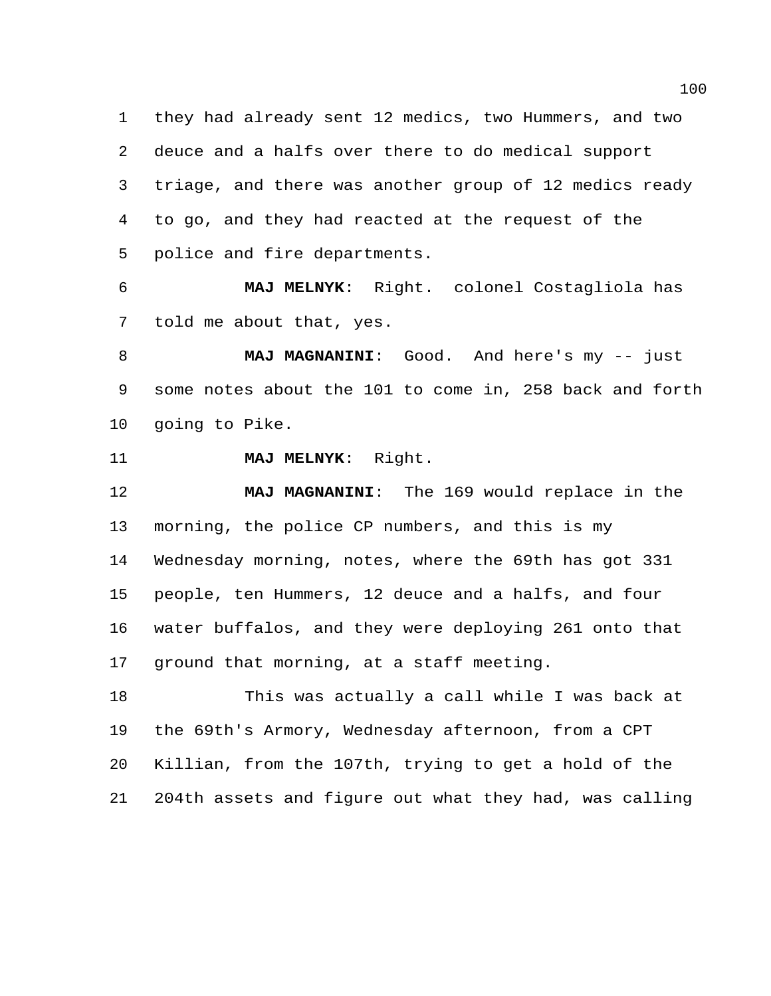they had already sent 12 medics, two Hummers, and two deuce and a halfs over there to do medical support triage, and there was another group of 12 medics ready to go, and they had reacted at the request of the police and fire departments.

 **MAJ MELNYK**: Right. colonel Costagliola has told me about that, yes.

 **MAJ MAGNANINI**: Good. And here's my -- just some notes about the 101 to come in, 258 back and forth going to Pike.

**MAJ MELNYK**: Right.

 **MAJ MAGNANINI**: The 169 would replace in the morning, the police CP numbers, and this is my Wednesday morning, notes, where the 69th has got 331 people, ten Hummers, 12 deuce and a halfs, and four water buffalos, and they were deploying 261 onto that ground that morning, at a staff meeting.

 This was actually a call while I was back at the 69th's Armory, Wednesday afternoon, from a CPT Killian, from the 107th, trying to get a hold of the 204th assets and figure out what they had, was calling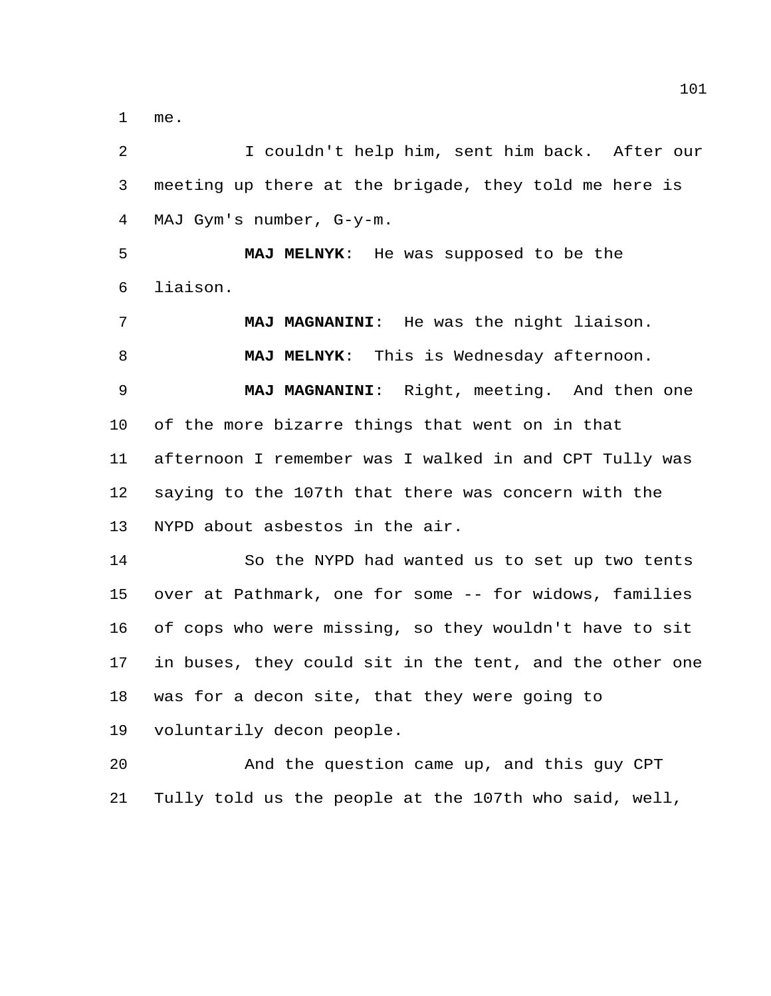me.

 I couldn't help him, sent him back. After our meeting up there at the brigade, they told me here is MAJ Gym's number, G-y-m.

 **MAJ MELNYK**: He was supposed to be the liaison.

 **MAJ MAGNANINI**: He was the night liaison. **MAJ MELNYK**: This is Wednesday afternoon. **MAJ MAGNANINI**: Right, meeting. And then one of the more bizarre things that went on in that afternoon I remember was I walked in and CPT Tully was saying to the 107th that there was concern with the NYPD about asbestos in the air.

 So the NYPD had wanted us to set up two tents over at Pathmark, one for some -- for widows, families of cops who were missing, so they wouldn't have to sit in buses, they could sit in the tent, and the other one was for a decon site, that they were going to voluntarily decon people.

 And the question came up, and this guy CPT Tully told us the people at the 107th who said, well,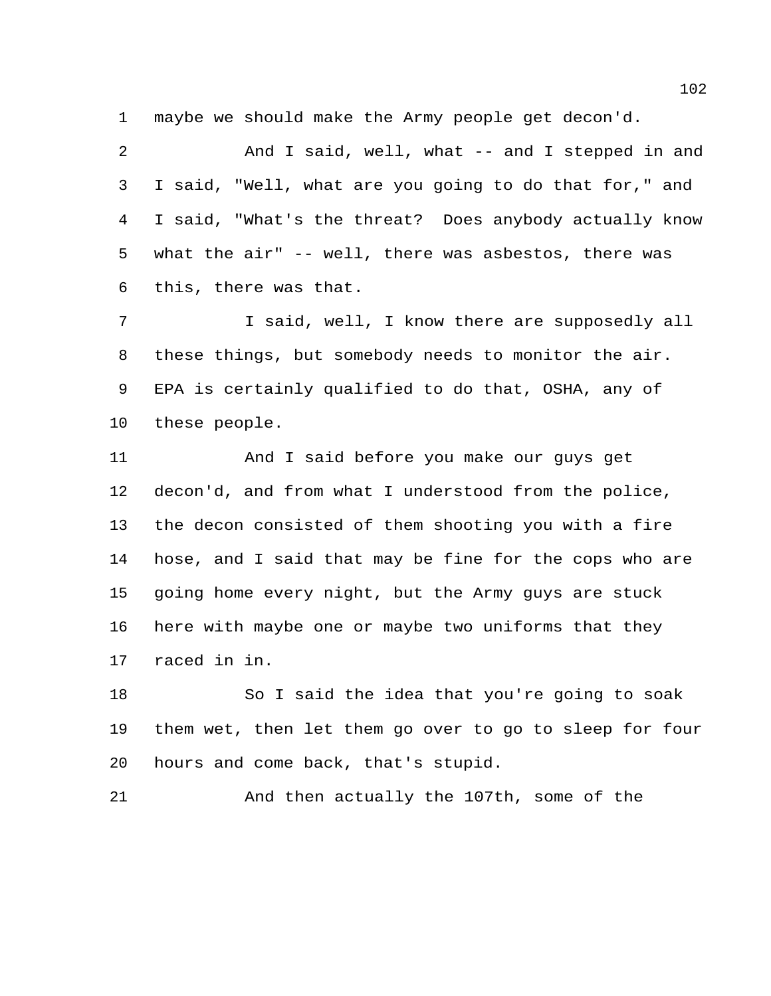maybe we should make the Army people get decon'd.

 And I said, well, what -- and I stepped in and I said, "Well, what are you going to do that for," and I said, "What's the threat? Does anybody actually know what the air" -- well, there was asbestos, there was this, there was that.

 I said, well, I know there are supposedly all these things, but somebody needs to monitor the air. EPA is certainly qualified to do that, OSHA, any of these people.

 And I said before you make our guys get decon'd, and from what I understood from the police, the decon consisted of them shooting you with a fire hose, and I said that may be fine for the cops who are going home every night, but the Army guys are stuck here with maybe one or maybe two uniforms that they raced in in.

 So I said the idea that you're going to soak them wet, then let them go over to go to sleep for four hours and come back, that's stupid.

And then actually the 107th, some of the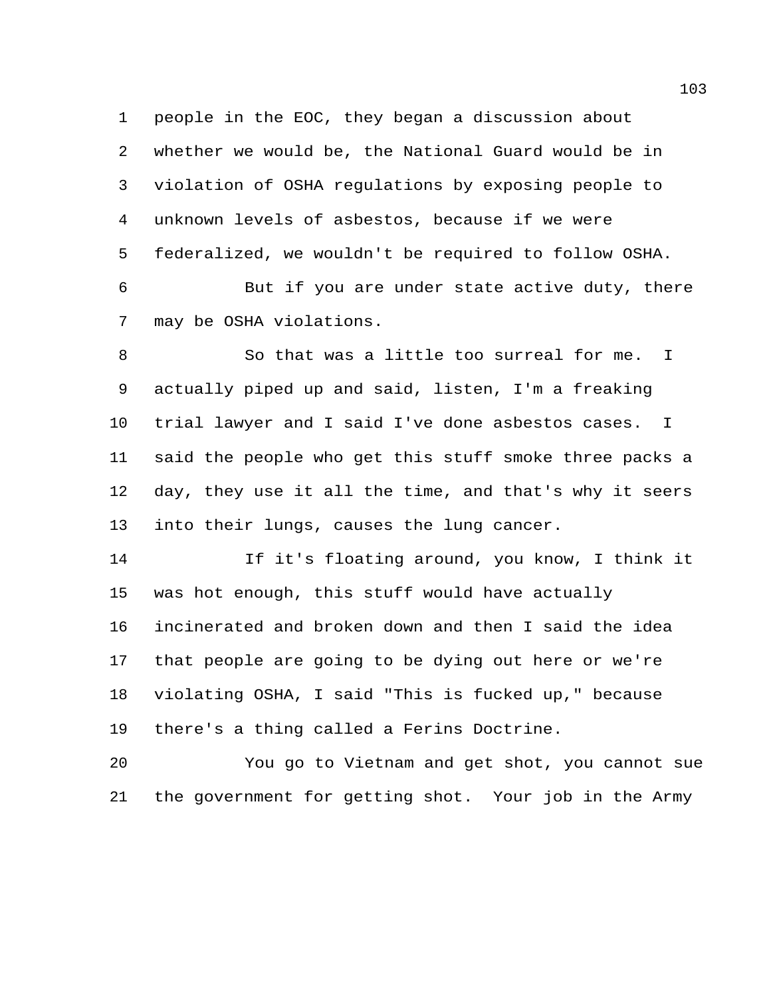people in the EOC, they began a discussion about whether we would be, the National Guard would be in violation of OSHA regulations by exposing people to unknown levels of asbestos, because if we were federalized, we wouldn't be required to follow OSHA.

 But if you are under state active duty, there may be OSHA violations.

 So that was a little too surreal for me. I actually piped up and said, listen, I'm a freaking trial lawyer and I said I've done asbestos cases. I said the people who get this stuff smoke three packs a day, they use it all the time, and that's why it seers into their lungs, causes the lung cancer.

 If it's floating around, you know, I think it was hot enough, this stuff would have actually incinerated and broken down and then I said the idea that people are going to be dying out here or we're violating OSHA, I said "This is fucked up," because there's a thing called a Ferins Doctrine.

 You go to Vietnam and get shot, you cannot sue the government for getting shot. Your job in the Army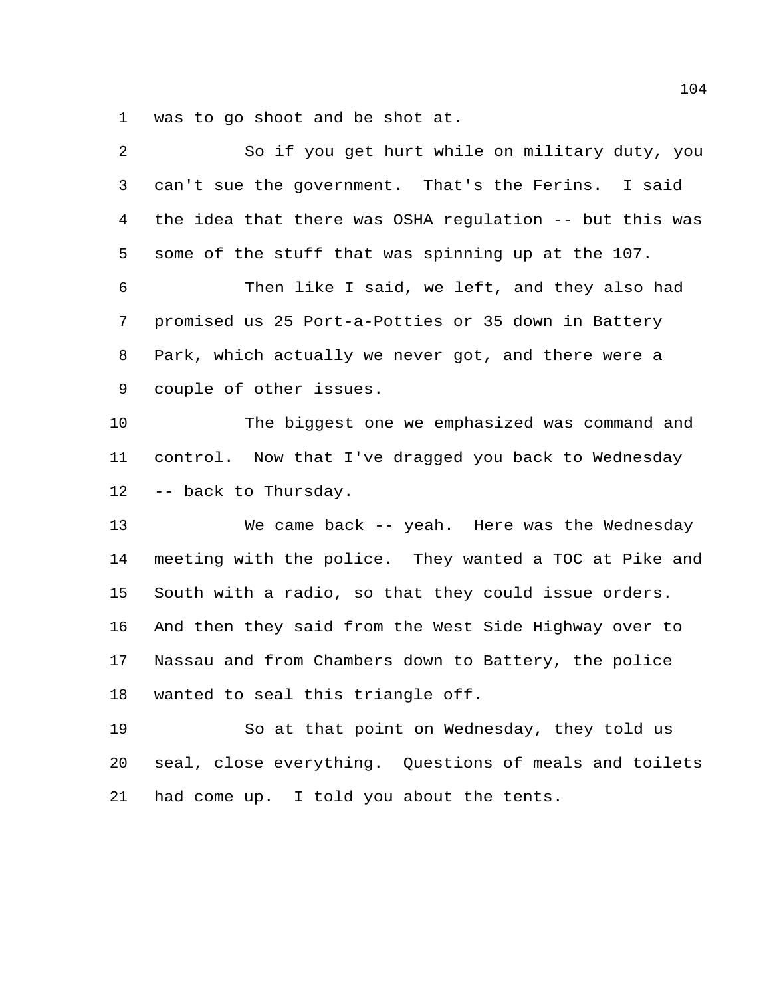was to go shoot and be shot at.

| 2  | So if you get hurt while on military duty, you          |
|----|---------------------------------------------------------|
| 3  | can't sue the government. That's the Ferins. I said     |
| 4  | the idea that there was OSHA regulation -- but this was |
| 5  | some of the stuff that was spinning up at the 107.      |
| 6  | Then like I said, we left, and they also had            |
| 7  | promised us 25 Port-a-Potties or 35 down in Battery     |
| 8  | Park, which actually we never got, and there were a     |
| 9  | couple of other issues.                                 |
| 10 | The biggest one we emphasized was command and           |
| 11 | control. Now that I've dragged you back to Wednesday    |
| 12 | -- back to Thursday.                                    |
| 13 | We came back -- yeah. Here was the Wednesday            |
| 14 | meeting with the police. They wanted a TOC at Pike and  |
| 15 | South with a radio, so that they could issue orders.    |
| 16 | And then they said from the West Side Highway over to   |
| 17 | Nassau and from Chambers down to Battery, the police    |
| 18 | wanted to seal this triangle off.                       |
| 19 | So at that point on Wednesday, they told us             |
| 20 | seal, close everything. Questions of meals and toilets  |
| 21 | had come up. I told you about the tents.                |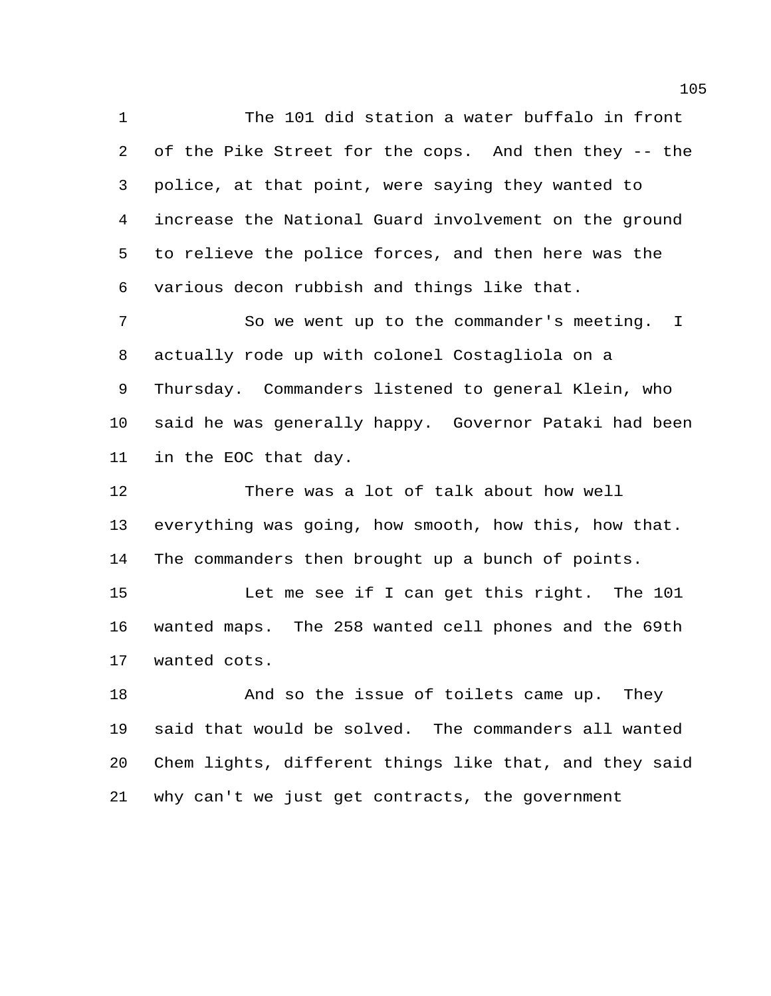The 101 did station a water buffalo in front of the Pike Street for the cops. And then they -- the police, at that point, were saying they wanted to increase the National Guard involvement on the ground to relieve the police forces, and then here was the various decon rubbish and things like that.

 So we went up to the commander's meeting. I actually rode up with colonel Costagliola on a Thursday. Commanders listened to general Klein, who said he was generally happy. Governor Pataki had been in the EOC that day.

 There was a lot of talk about how well everything was going, how smooth, how this, how that. The commanders then brought up a bunch of points.

 Let me see if I can get this right. The 101 wanted maps. The 258 wanted cell phones and the 69th wanted cots.

18 And so the issue of toilets came up. They said that would be solved. The commanders all wanted Chem lights, different things like that, and they said why can't we just get contracts, the government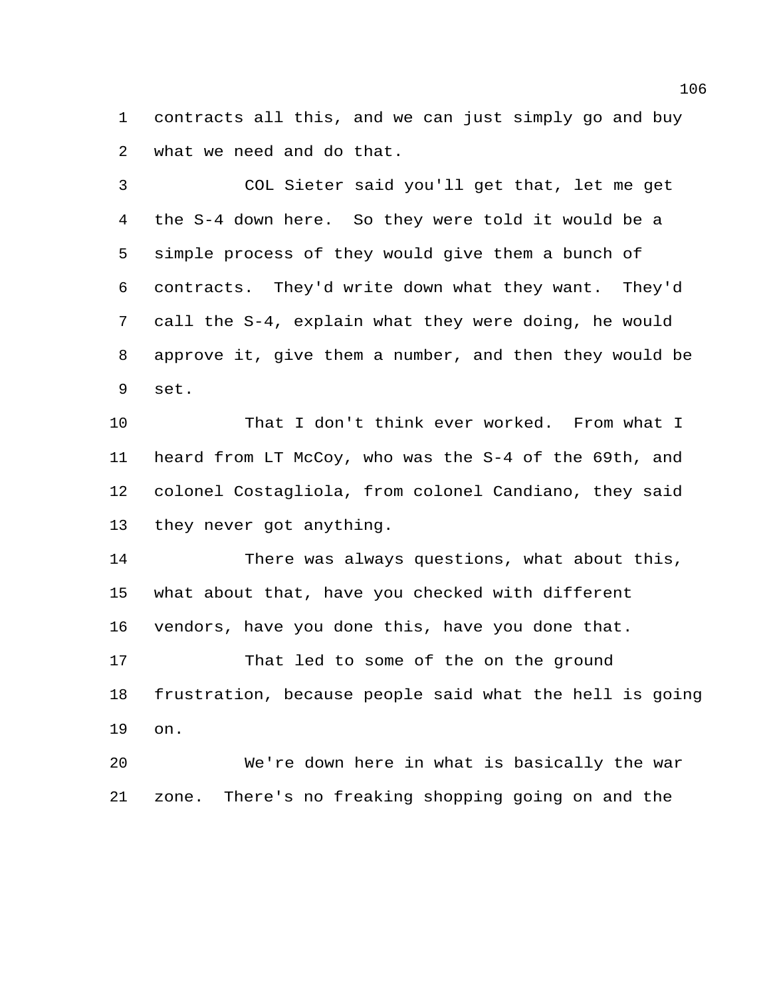contracts all this, and we can just simply go and buy what we need and do that.

 COL Sieter said you'll get that, let me get the S-4 down here. So they were told it would be a simple process of they would give them a bunch of contracts. They'd write down what they want. They'd call the S-4, explain what they were doing, he would approve it, give them a number, and then they would be set.

 That I don't think ever worked. From what I heard from LT McCoy, who was the S-4 of the 69th, and colonel Costagliola, from colonel Candiano, they said they never got anything.

 There was always questions, what about this, what about that, have you checked with different vendors, have you done this, have you done that.

 That led to some of the on the ground frustration, because people said what the hell is going on.

 We're down here in what is basically the war zone. There's no freaking shopping going on and the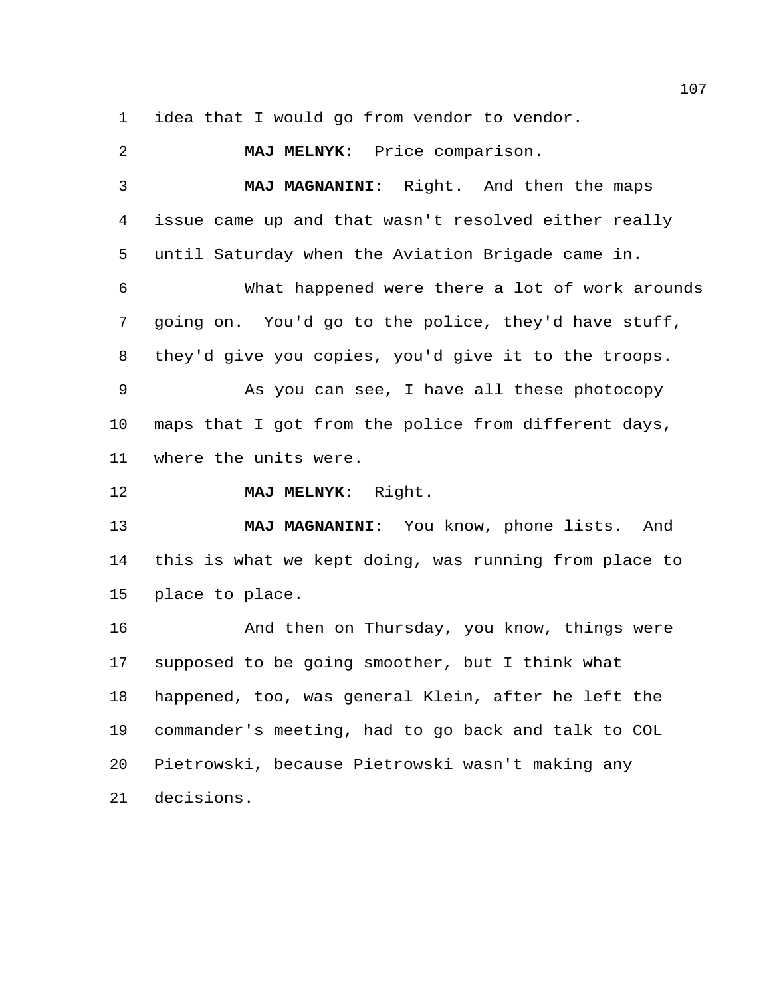idea that I would go from vendor to vendor.

 **MAJ MELNYK**: Price comparison. **MAJ MAGNANINI**: Right. And then the maps issue came up and that wasn't resolved either really until Saturday when the Aviation Brigade came in. What happened were there a lot of work arounds going on. You'd go to the police, they'd have stuff, they'd give you copies, you'd give it to the troops. As you can see, I have all these photocopy maps that I got from the police from different days, where the units were. **MAJ MELNYK**: Right. **MAJ MAGNANINI**: You know, phone lists. And this is what we kept doing, was running from place to place to place. And then on Thursday, you know, things were supposed to be going smoother, but I think what happened, too, was general Klein, after he left the commander's meeting, had to go back and talk to COL Pietrowski, because Pietrowski wasn't making any decisions.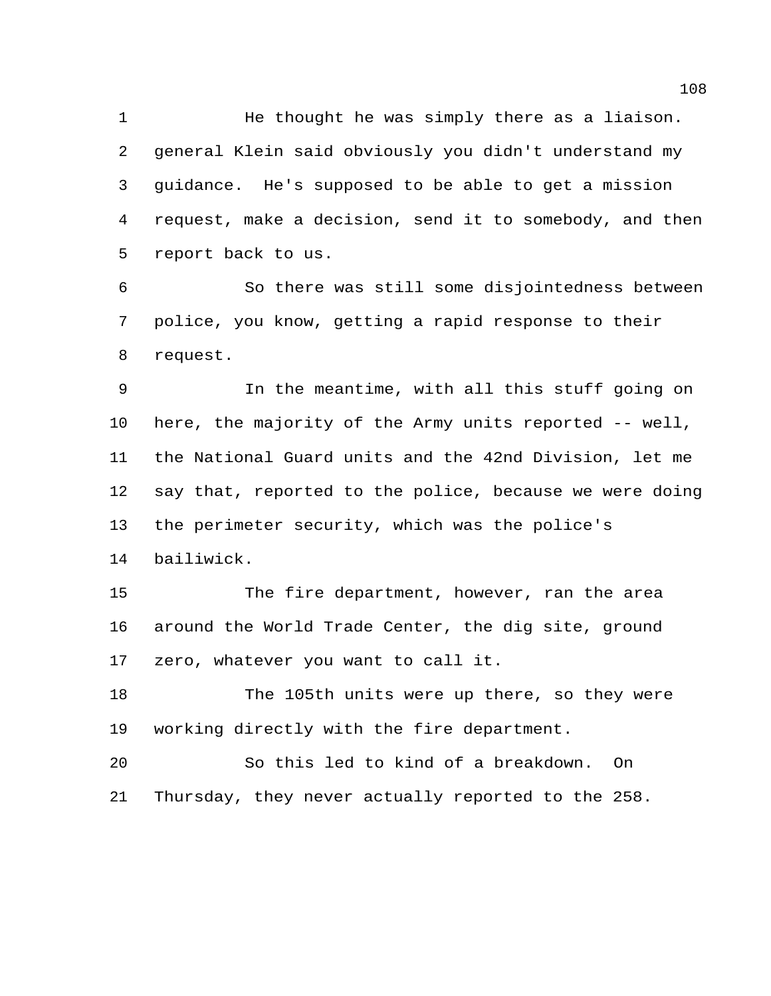He thought he was simply there as a liaison. general Klein said obviously you didn't understand my guidance. He's supposed to be able to get a mission request, make a decision, send it to somebody, and then report back to us.

 So there was still some disjointedness between police, you know, getting a rapid response to their request.

 In the meantime, with all this stuff going on here, the majority of the Army units reported -- well, the National Guard units and the 42nd Division, let me say that, reported to the police, because we were doing the perimeter security, which was the police's bailiwick.

 The fire department, however, ran the area around the World Trade Center, the dig site, ground zero, whatever you want to call it.

 The 105th units were up there, so they were working directly with the fire department.

 So this led to kind of a breakdown. On Thursday, they never actually reported to the 258.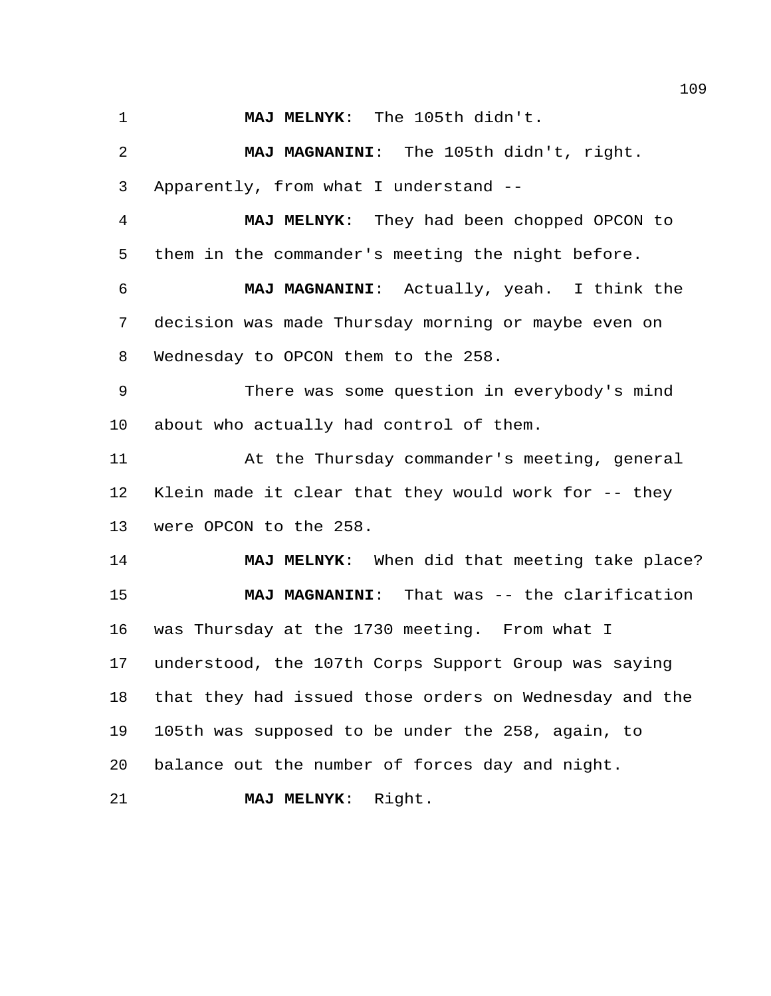**MAJ MELNYK**: The 105th didn't.

 **MAJ MAGNANINI**: The 105th didn't, right. Apparently, from what I understand --

 **MAJ MELNYK**: They had been chopped OPCON to them in the commander's meeting the night before.

 **MAJ MAGNANINI**: Actually, yeah. I think the decision was made Thursday morning or maybe even on Wednesday to OPCON them to the 258.

 There was some question in everybody's mind about who actually had control of them.

 At the Thursday commander's meeting, general Klein made it clear that they would work for -- they were OPCON to the 258.

 **MAJ MELNYK**: When did that meeting take place? **MAJ MAGNANINI**: That was -- the clarification was Thursday at the 1730 meeting. From what I understood, the 107th Corps Support Group was saying that they had issued those orders on Wednesday and the 105th was supposed to be under the 258, again, to balance out the number of forces day and night.

**MAJ MELNYK**: Right.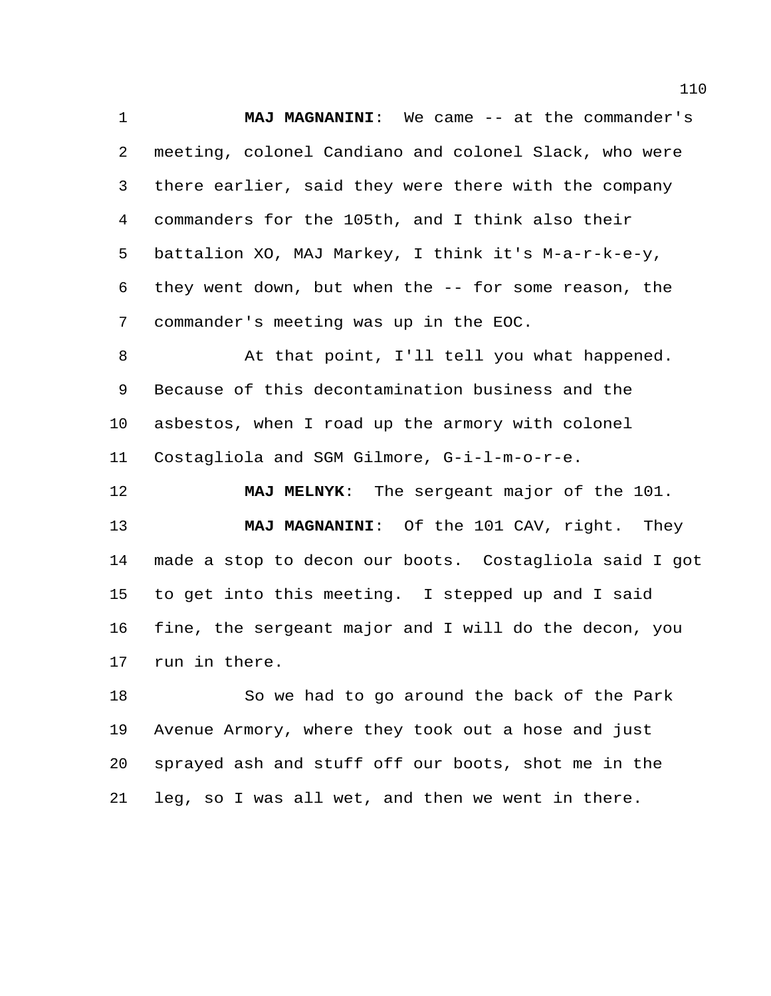**MAJ MAGNANINI**: We came -- at the commander's meeting, colonel Candiano and colonel Slack, who were there earlier, said they were there with the company commanders for the 105th, and I think also their battalion XO, MAJ Markey, I think it's M-a-r-k-e-y, they went down, but when the -- for some reason, the commander's meeting was up in the EOC.

 At that point, I'll tell you what happened. Because of this decontamination business and the asbestos, when I road up the armory with colonel Costagliola and SGM Gilmore, G-i-l-m-o-r-e.

 **MAJ MELNYK**: The sergeant major of the 101. **MAJ MAGNANINI**: Of the 101 CAV, right. They made a stop to decon our boots. Costagliola said I got to get into this meeting. I stepped up and I said fine, the sergeant major and I will do the decon, you run in there.

 So we had to go around the back of the Park Avenue Armory, where they took out a hose and just sprayed ash and stuff off our boots, shot me in the leg, so I was all wet, and then we went in there.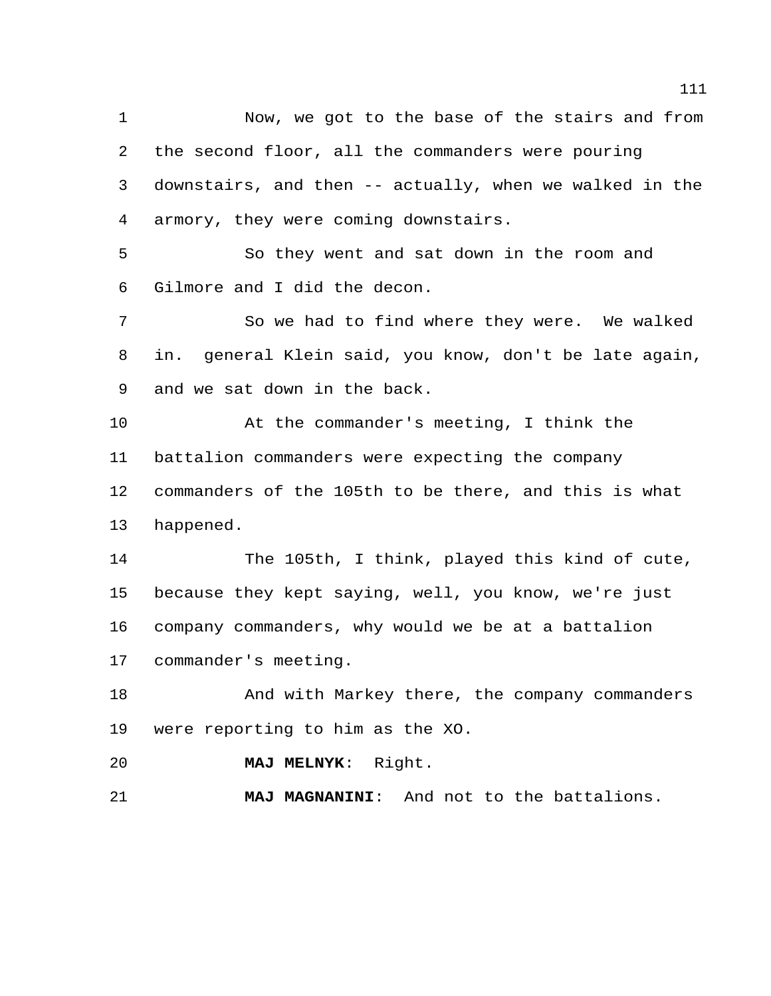Now, we got to the base of the stairs and from the second floor, all the commanders were pouring downstairs, and then -- actually, when we walked in the armory, they were coming downstairs. So they went and sat down in the room and Gilmore and I did the decon. So we had to find where they were. We walked in. general Klein said, you know, don't be late again, and we sat down in the back. At the commander's meeting, I think the battalion commanders were expecting the company commanders of the 105th to be there, and this is what happened. The 105th, I think, played this kind of cute, because they kept saying, well, you know, we're just company commanders, why would we be at a battalion commander's meeting. 18 And with Markey there, the company commanders were reporting to him as the XO. **MAJ MELNYK**: Right. **MAJ MAGNANINI**: And not to the battalions.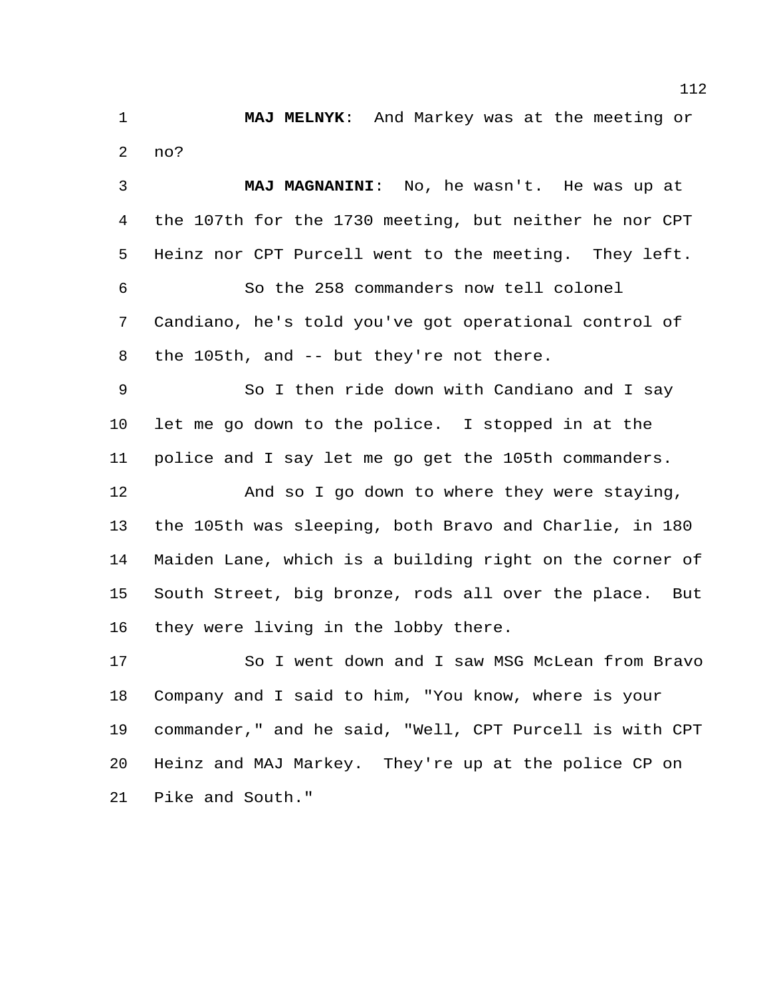**MAJ MELNYK**: And Markey was at the meeting or no?

 **MAJ MAGNANINI**: No, he wasn't. He was up at the 107th for the 1730 meeting, but neither he nor CPT Heinz nor CPT Purcell went to the meeting. They left. So the 258 commanders now tell colonel Candiano, he's told you've got operational control of 8 the 105th, and -- but they're not there. So I then ride down with Candiano and I say let me go down to the police. I stopped in at the police and I say let me go get the 105th commanders. 12 And so I go down to where they were staying, the 105th was sleeping, both Bravo and Charlie, in 180 Maiden Lane, which is a building right on the corner of South Street, big bronze, rods all over the place. But they were living in the lobby there.

 So I went down and I saw MSG McLean from Bravo Company and I said to him, "You know, where is your commander," and he said, "Well, CPT Purcell is with CPT Heinz and MAJ Markey. They're up at the police CP on Pike and South."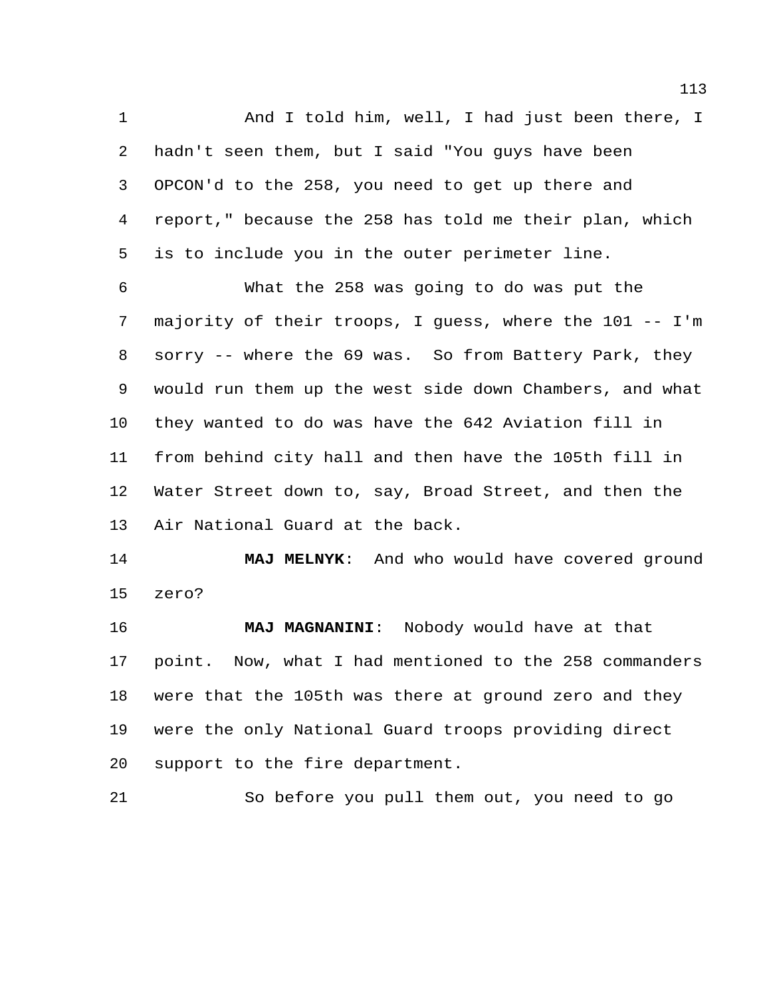1 And I told him, well, I had just been there, I hadn't seen them, but I said "You guys have been OPCON'd to the 258, you need to get up there and report," because the 258 has told me their plan, which is to include you in the outer perimeter line.

 What the 258 was going to do was put the majority of their troops, I guess, where the 101 -- I'm sorry -- where the 69 was. So from Battery Park, they would run them up the west side down Chambers, and what they wanted to do was have the 642 Aviation fill in from behind city hall and then have the 105th fill in Water Street down to, say, Broad Street, and then the Air National Guard at the back.

 **MAJ MELNYK**: And who would have covered ground zero?

 **MAJ MAGNANINI**: Nobody would have at that point. Now, what I had mentioned to the 258 commanders were that the 105th was there at ground zero and they were the only National Guard troops providing direct support to the fire department.

So before you pull them out, you need to go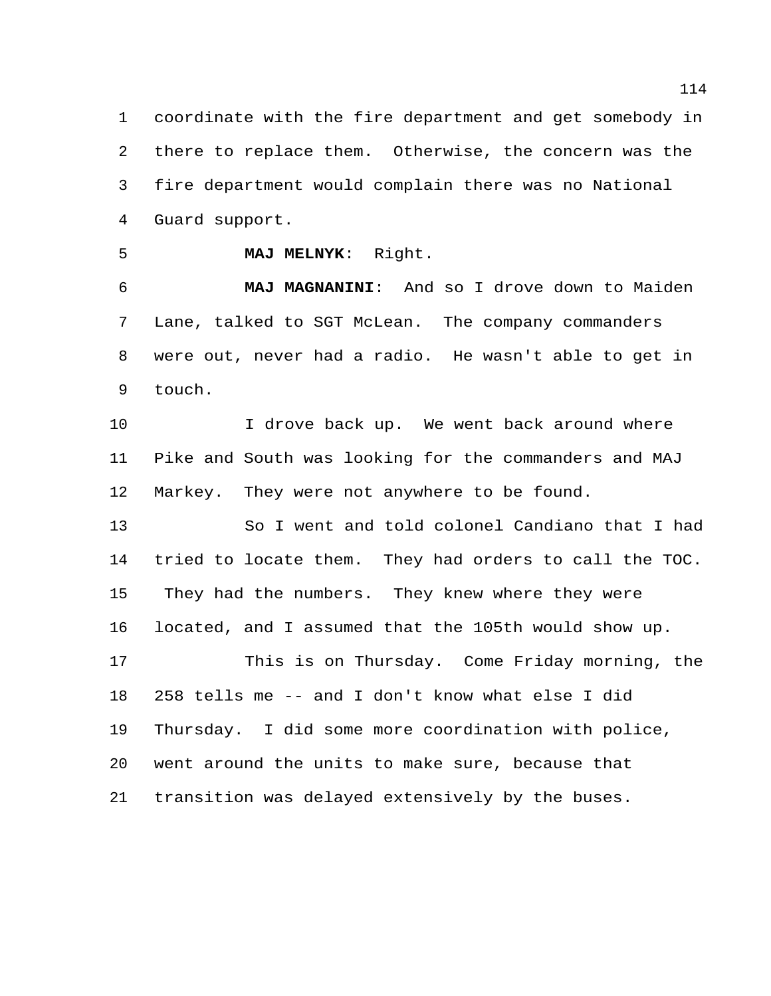coordinate with the fire department and get somebody in there to replace them. Otherwise, the concern was the fire department would complain there was no National Guard support.

**MAJ MELNYK**: Right.

 **MAJ MAGNANINI**: And so I drove down to Maiden Lane, talked to SGT McLean. The company commanders were out, never had a radio. He wasn't able to get in touch.

10 10 I drove back up. We went back around where Pike and South was looking for the commanders and MAJ Markey. They were not anywhere to be found.

 So I went and told colonel Candiano that I had tried to locate them. They had orders to call the TOC. They had the numbers. They knew where they were located, and I assumed that the 105th would show up. This is on Thursday. Come Friday morning, the 258 tells me -- and I don't know what else I did Thursday. I did some more coordination with police, went around the units to make sure, because that transition was delayed extensively by the buses.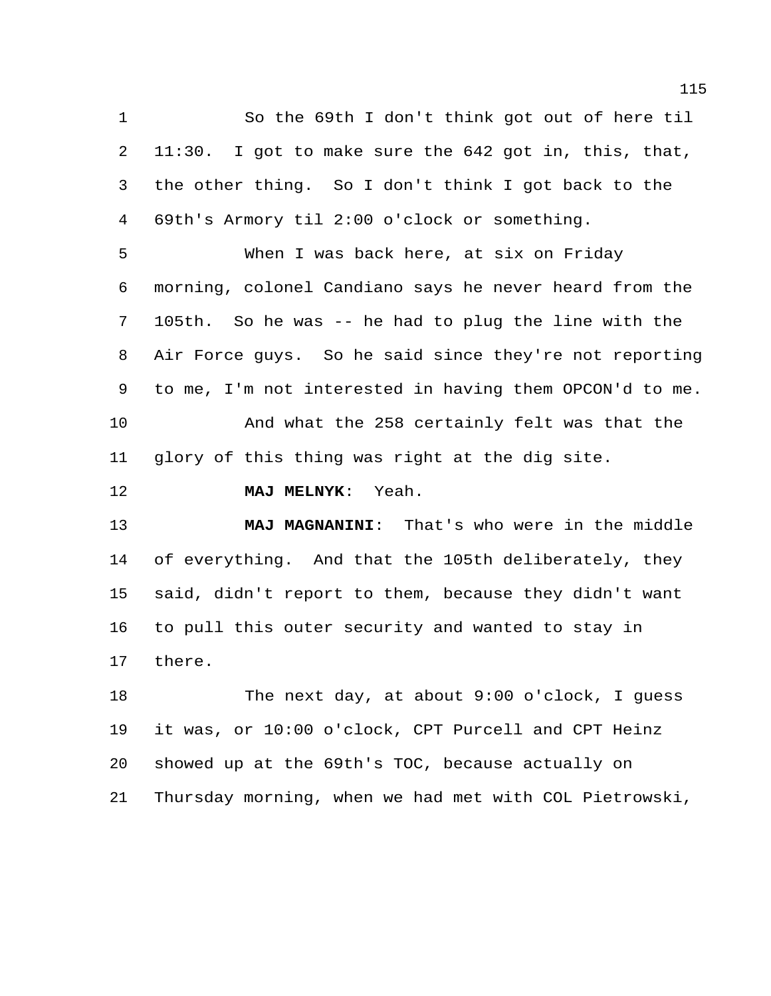So the 69th I don't think got out of here til 11:30. I got to make sure the 642 got in, this, that, the other thing. So I don't think I got back to the 69th's Armory til 2:00 o'clock or something.

 When I was back here, at six on Friday morning, colonel Candiano says he never heard from the 105th. So he was -- he had to plug the line with the Air Force guys. So he said since they're not reporting to me, I'm not interested in having them OPCON'd to me. And what the 258 certainly felt was that the glory of this thing was right at the dig site.

**MAJ MELNYK**: Yeah.

 **MAJ MAGNANINI**: That's who were in the middle of everything. And that the 105th deliberately, they said, didn't report to them, because they didn't want to pull this outer security and wanted to stay in there.

 The next day, at about 9:00 o'clock, I guess it was, or 10:00 o'clock, CPT Purcell and CPT Heinz showed up at the 69th's TOC, because actually on Thursday morning, when we had met with COL Pietrowski,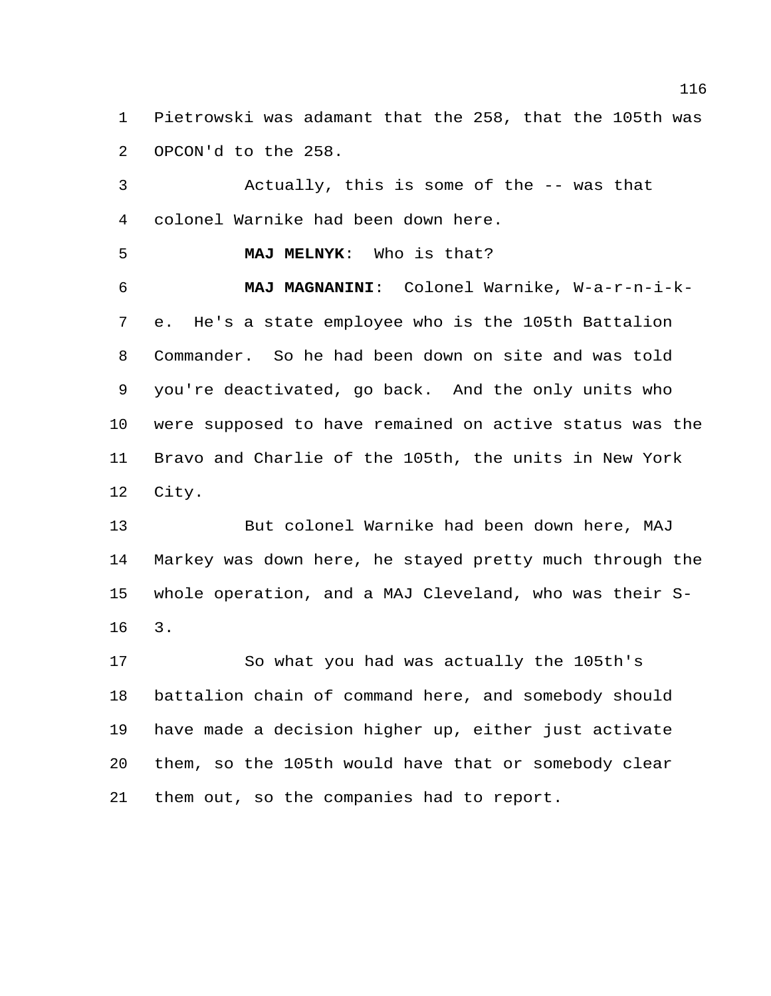Pietrowski was adamant that the 258, that the 105th was OPCON'd to the 258.

 Actually, this is some of the -- was that colonel Warnike had been down here.

**MAJ MELNYK**: Who is that?

 **MAJ MAGNANINI**: Colonel Warnike, W-a-r-n-i-k- e. He's a state employee who is the 105th Battalion Commander. So he had been down on site and was told you're deactivated, go back. And the only units who were supposed to have remained on active status was the Bravo and Charlie of the 105th, the units in New York City.

 But colonel Warnike had been down here, MAJ Markey was down here, he stayed pretty much through the whole operation, and a MAJ Cleveland, who was their S-3.

 So what you had was actually the 105th's battalion chain of command here, and somebody should have made a decision higher up, either just activate them, so the 105th would have that or somebody clear them out, so the companies had to report.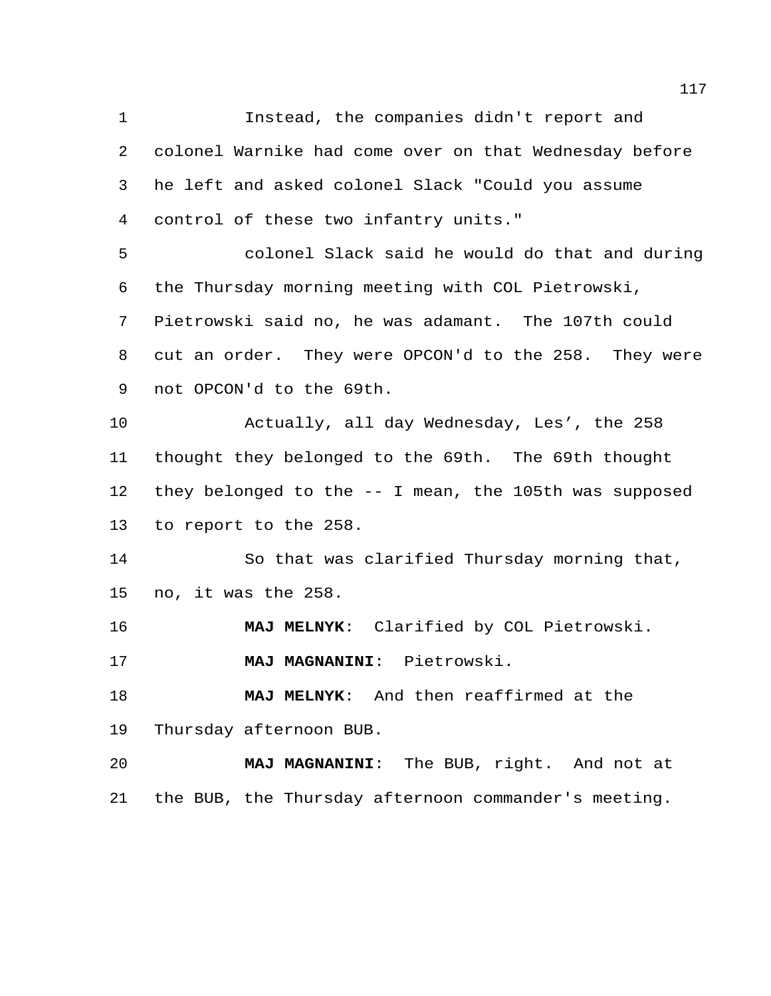Instead, the companies didn't report and colonel Warnike had come over on that Wednesday before he left and asked colonel Slack "Could you assume control of these two infantry units." colonel Slack said he would do that and during the Thursday morning meeting with COL Pietrowski, Pietrowski said no, he was adamant. The 107th could cut an order. They were OPCON'd to the 258. They were not OPCON'd to the 69th.

 Actually, all day Wednesday, Les', the 258 thought they belonged to the 69th. The 69th thought they belonged to the -- I mean, the 105th was supposed to report to the 258.

 So that was clarified Thursday morning that, no, it was the 258.

**MAJ MELNYK**: Clarified by COL Pietrowski.

**MAJ MAGNANINI**: Pietrowski.

 **MAJ MELNYK**: And then reaffirmed at the Thursday afternoon BUB.

 **MAJ MAGNANINI**: The BUB, right. And not at the BUB, the Thursday afternoon commander's meeting.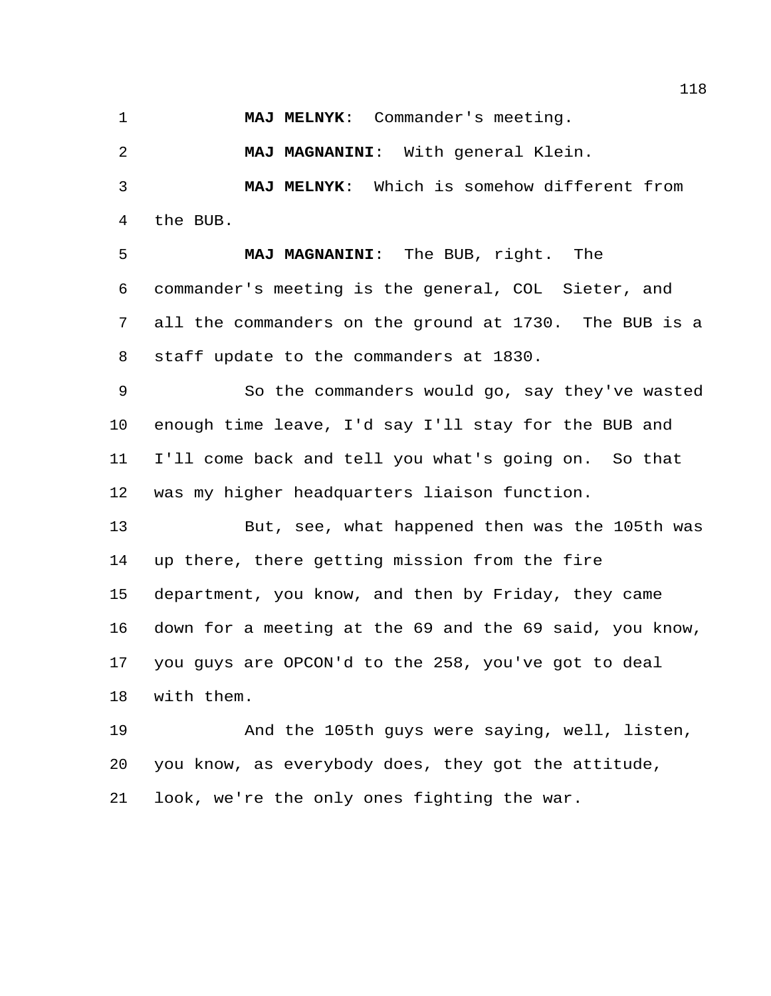**MAJ MELNYK**: Commander's meeting.

**MAJ MAGNANINI**: With general Klein.

 **MAJ MELNYK**: Which is somehow different from the BUB.

 **MAJ MAGNANINI**: The BUB, right. The commander's meeting is the general, COL Sieter, and all the commanders on the ground at 1730. The BUB is a staff update to the commanders at 1830.

 So the commanders would go, say they've wasted enough time leave, I'd say I'll stay for the BUB and I'll come back and tell you what's going on. So that was my higher headquarters liaison function.

 But, see, what happened then was the 105th was up there, there getting mission from the fire department, you know, and then by Friday, they came down for a meeting at the 69 and the 69 said, you know, you guys are OPCON'd to the 258, you've got to deal with them.

 And the 105th guys were saying, well, listen, you know, as everybody does, they got the attitude, look, we're the only ones fighting the war.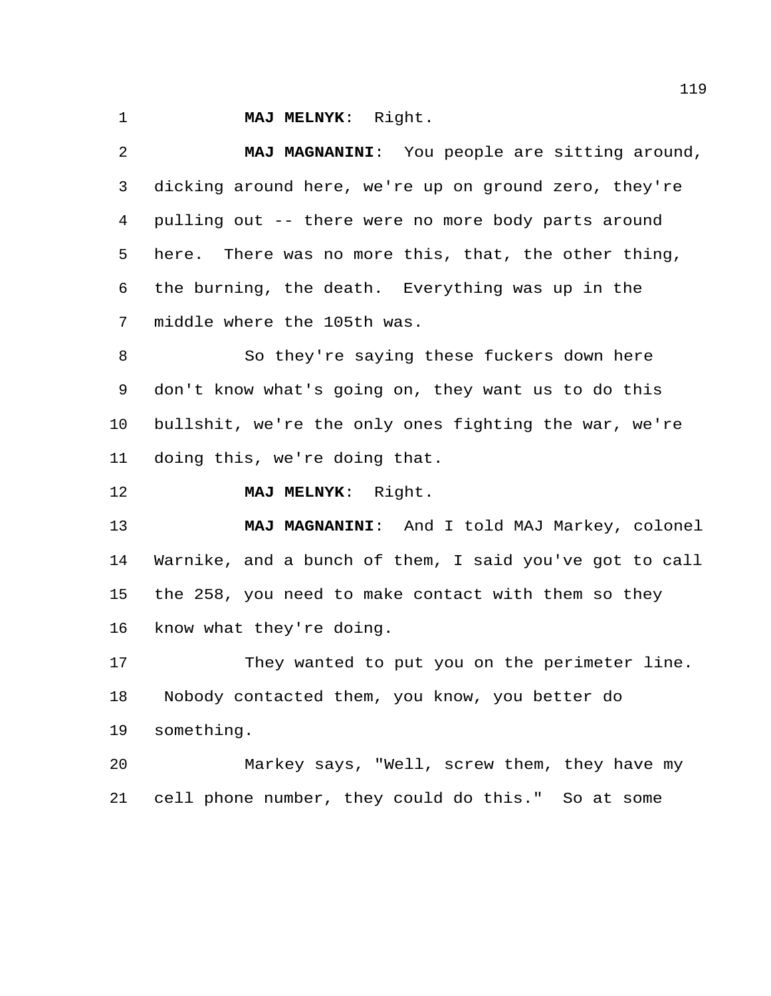**MAJ MELNYK**: Right.

 **MAJ MAGNANINI**: You people are sitting around, dicking around here, we're up on ground zero, they're pulling out -- there were no more body parts around here. There was no more this, that, the other thing, the burning, the death. Everything was up in the middle where the 105th was.

 So they're saying these fuckers down here don't know what's going on, they want us to do this bullshit, we're the only ones fighting the war, we're doing this, we're doing that.

**MAJ MELNYK**: Right.

 **MAJ MAGNANINI**: And I told MAJ Markey, colonel Warnike, and a bunch of them, I said you've got to call the 258, you need to make contact with them so they know what they're doing.

 They wanted to put you on the perimeter line. Nobody contacted them, you know, you better do something.

 Markey says, "Well, screw them, they have my cell phone number, they could do this." So at some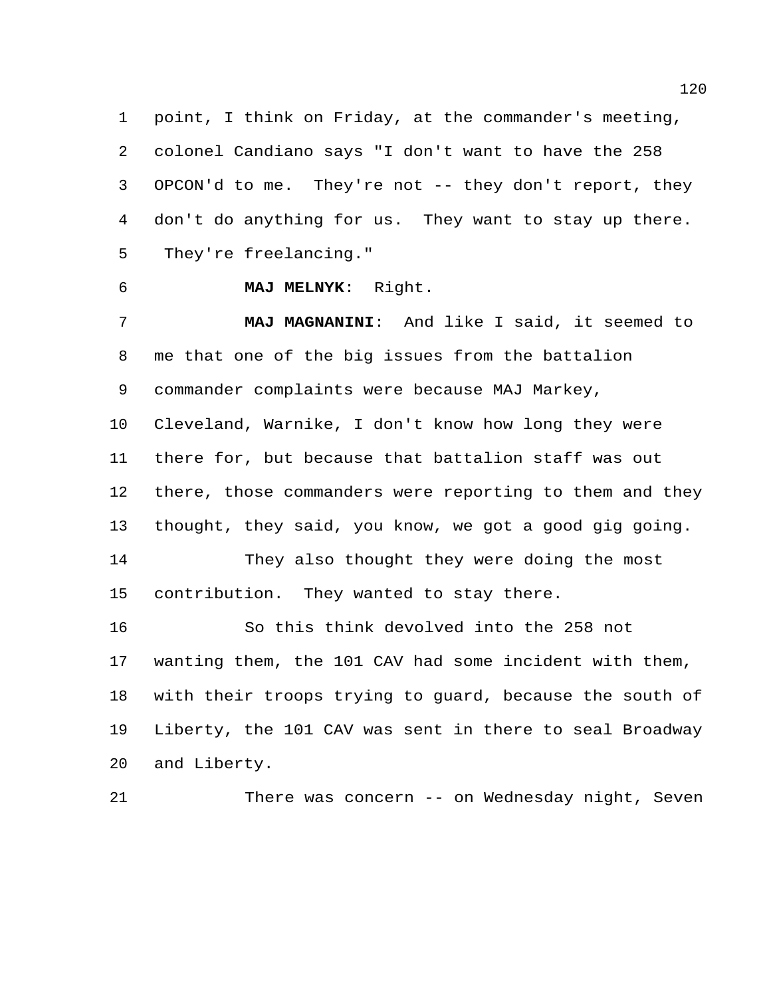point, I think on Friday, at the commander's meeting, colonel Candiano says "I don't want to have the 258 OPCON'd to me. They're not -- they don't report, they don't do anything for us. They want to stay up there. They're freelancing."

 **MAJ MELNYK**: Right. **MAJ MAGNANINI**: And like I said, it seemed to me that one of the big issues from the battalion commander complaints were because MAJ Markey, Cleveland, Warnike, I don't know how long they were there for, but because that battalion staff was out there, those commanders were reporting to them and they thought, they said, you know, we got a good gig going. They also thought they were doing the most contribution. They wanted to stay there. So this think devolved into the 258 not wanting them, the 101 CAV had some incident with them, with their troops trying to guard, because the south of Liberty, the 101 CAV was sent in there to seal Broadway and Liberty.

There was concern -- on Wednesday night, Seven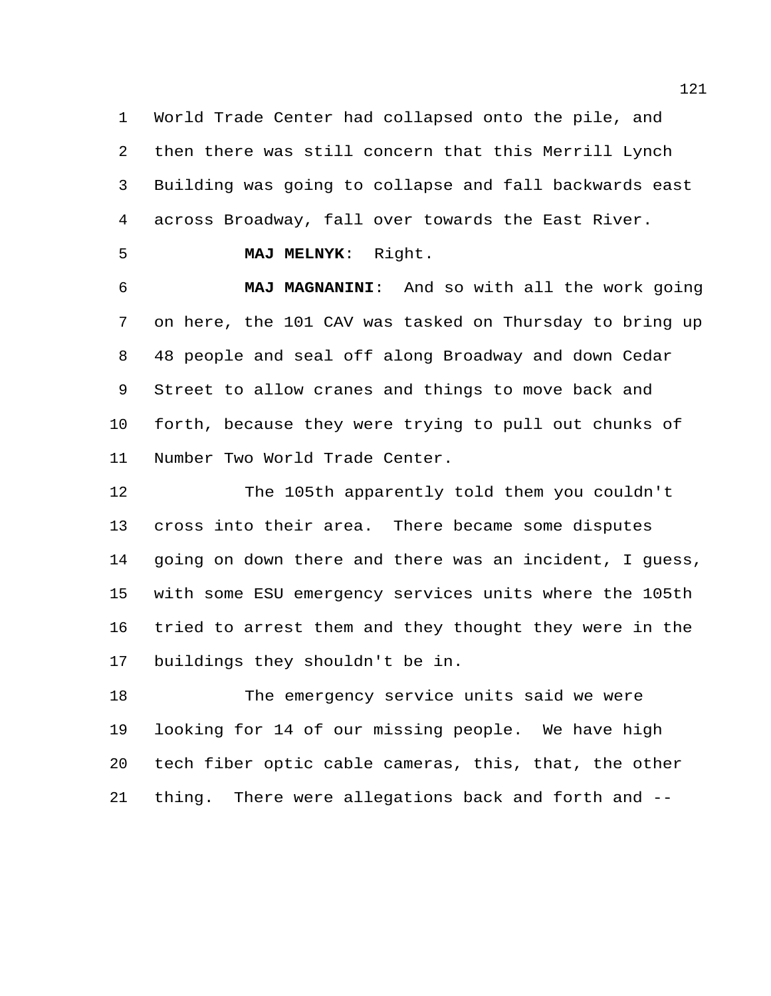World Trade Center had collapsed onto the pile, and then there was still concern that this Merrill Lynch Building was going to collapse and fall backwards east across Broadway, fall over towards the East River.

**MAJ MELNYK**: Right.

 **MAJ MAGNANINI**: And so with all the work going on here, the 101 CAV was tasked on Thursday to bring up 48 people and seal off along Broadway and down Cedar Street to allow cranes and things to move back and forth, because they were trying to pull out chunks of Number Two World Trade Center.

 The 105th apparently told them you couldn't cross into their area. There became some disputes going on down there and there was an incident, I guess, with some ESU emergency services units where the 105th tried to arrest them and they thought they were in the buildings they shouldn't be in.

 The emergency service units said we were looking for 14 of our missing people. We have high tech fiber optic cable cameras, this, that, the other thing. There were allegations back and forth and --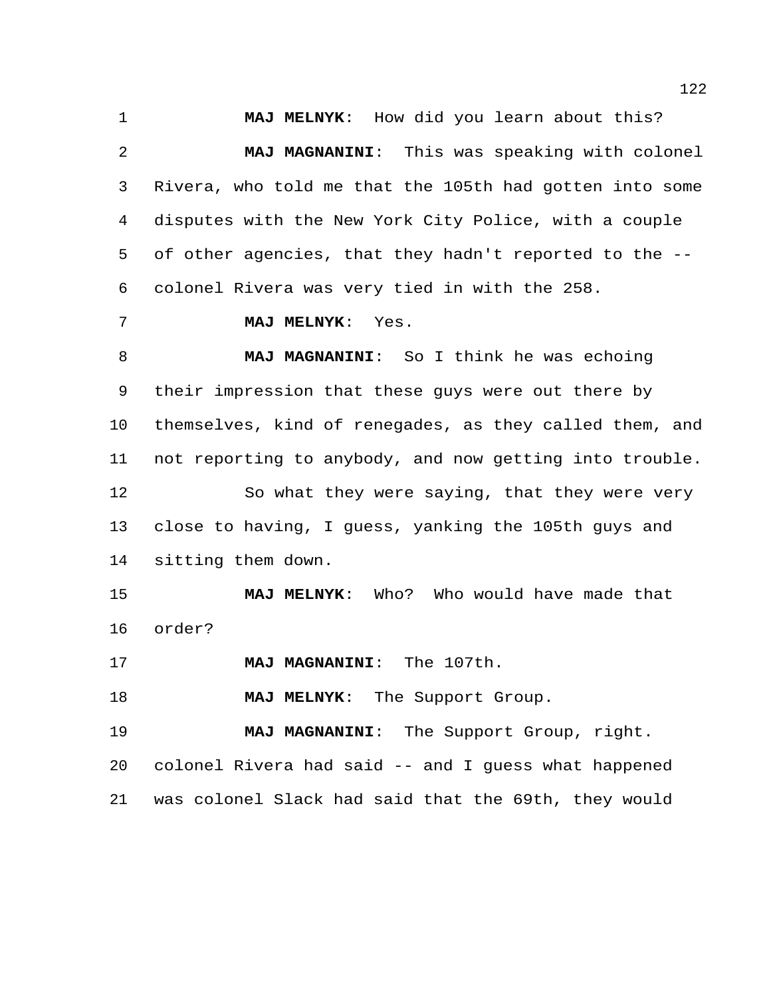**MAJ MELNYK**: How did you learn about this? **MAJ MAGNANINI**: This was speaking with colonel Rivera, who told me that the 105th had gotten into some disputes with the New York City Police, with a couple of other agencies, that they hadn't reported to the -- colonel Rivera was very tied in with the 258.

## **MAJ MELNYK**: Yes.

 **MAJ MAGNANINI**: So I think he was echoing their impression that these guys were out there by themselves, kind of renegades, as they called them, and not reporting to anybody, and now getting into trouble. So what they were saying, that they were very close to having, I guess, yanking the 105th guys and sitting them down.

 **MAJ MELNYK**: Who? Who would have made that order?

**MAJ MAGNANINI**: The 107th.

**MAJ MELNYK:** The Support Group.

 **MAJ MAGNANINI**: The Support Group, right. colonel Rivera had said -- and I guess what happened was colonel Slack had said that the 69th, they would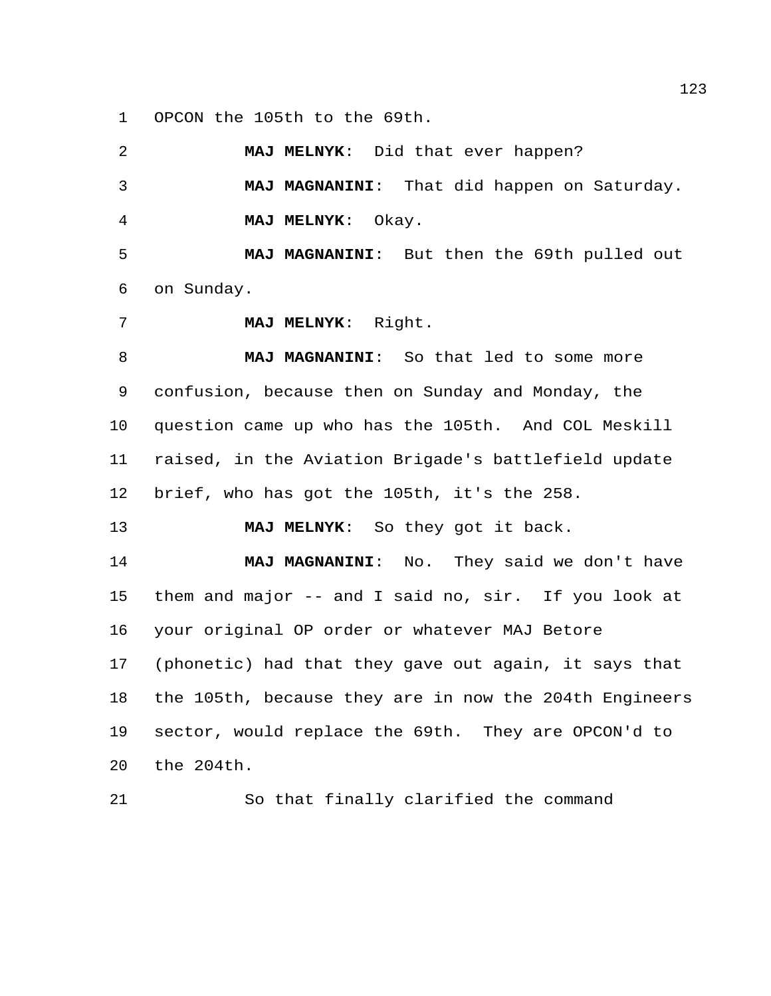OPCON the 105th to the 69th.

 **MAJ MELNYK**: Did that ever happen? **MAJ MAGNANINI**: That did happen on Saturday. **MAJ MELNYK**: Okay. **MAJ MAGNANINI**: But then the 69th pulled out on Sunday. **MAJ MELNYK**: Right. **MAJ MAGNANINI**: So that led to some more confusion, because then on Sunday and Monday, the question came up who has the 105th. And COL Meskill raised, in the Aviation Brigade's battlefield update brief, who has got the 105th, it's the 258. **MAJ MELNYK**: So they got it back. **MAJ MAGNANINI**: No. They said we don't have them and major -- and I said no, sir. If you look at your original OP order or whatever MAJ Betore (phonetic) had that they gave out again, it says that the 105th, because they are in now the 204th Engineers sector, would replace the 69th. They are OPCON'd to the 204th.

So that finally clarified the command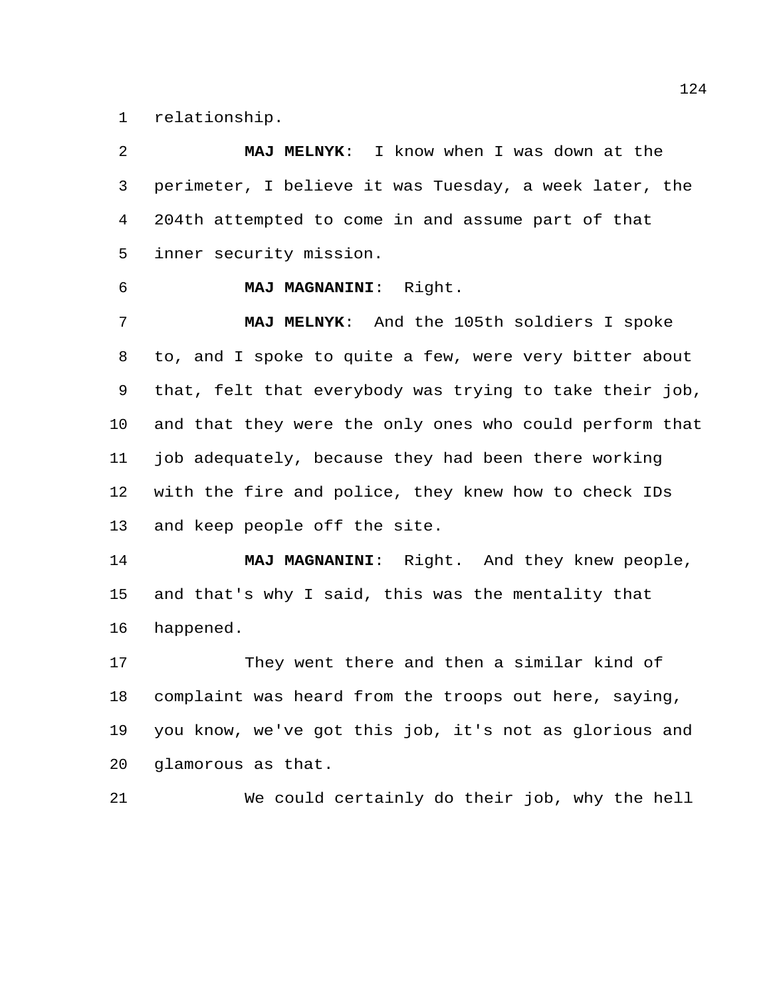relationship.

 **MAJ MELNYK**: I know when I was down at the perimeter, I believe it was Tuesday, a week later, the 204th attempted to come in and assume part of that inner security mission. **MAJ MAGNANINI**: Right. **MAJ MELNYK**: And the 105th soldiers I spoke to, and I spoke to quite a few, were very bitter about that, felt that everybody was trying to take their job, and that they were the only ones who could perform that job adequately, because they had been there working with the fire and police, they knew how to check IDs and keep people off the site. **MAJ MAGNANINI**: Right. And they knew people, and that's why I said, this was the mentality that happened. They went there and then a similar kind of complaint was heard from the troops out here, saying, you know, we've got this job, it's not as glorious and glamorous as that. We could certainly do their job, why the hell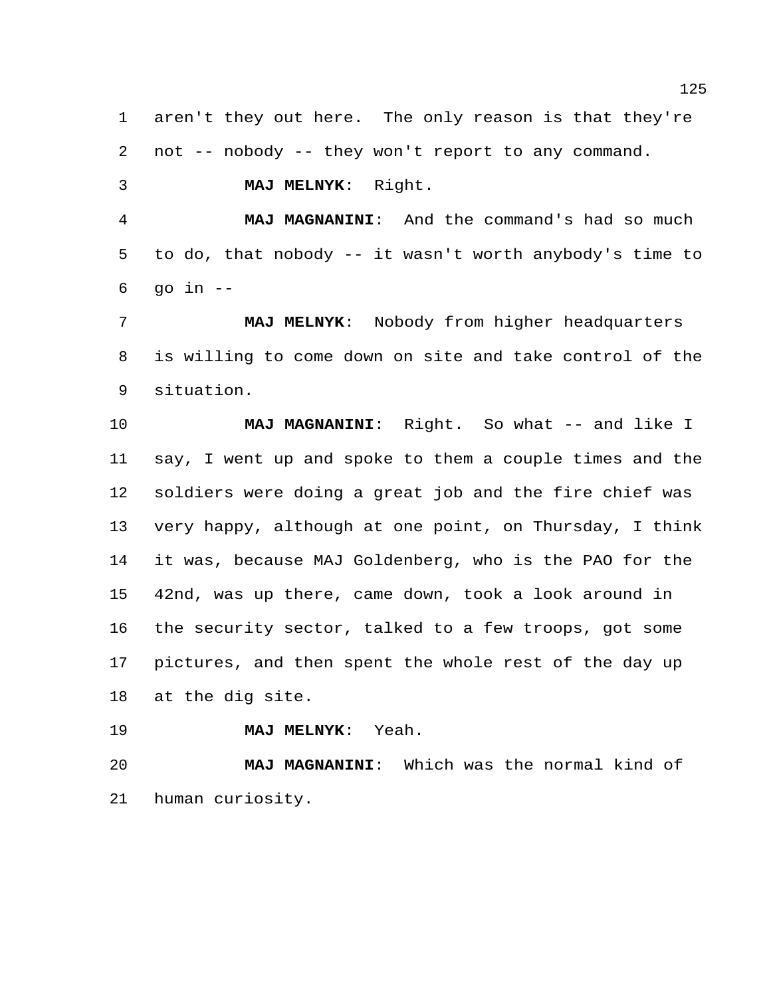aren't they out here. The only reason is that they're not -- nobody -- they won't report to any command.

**MAJ MELNYK**: Right.

 **MAJ MAGNANINI**: And the command's had so much to do, that nobody -- it wasn't worth anybody's time to qo in  $-$ 

 **MAJ MELNYK**: Nobody from higher headquarters is willing to come down on site and take control of the situation.

 **MAJ MAGNANINI**: Right. So what -- and like I say, I went up and spoke to them a couple times and the soldiers were doing a great job and the fire chief was very happy, although at one point, on Thursday, I think it was, because MAJ Goldenberg, who is the PAO for the 42nd, was up there, came down, took a look around in the security sector, talked to a few troops, got some pictures, and then spent the whole rest of the day up at the dig site.

**MAJ MELNYK**: Yeah.

 **MAJ MAGNANINI**: Which was the normal kind of human curiosity.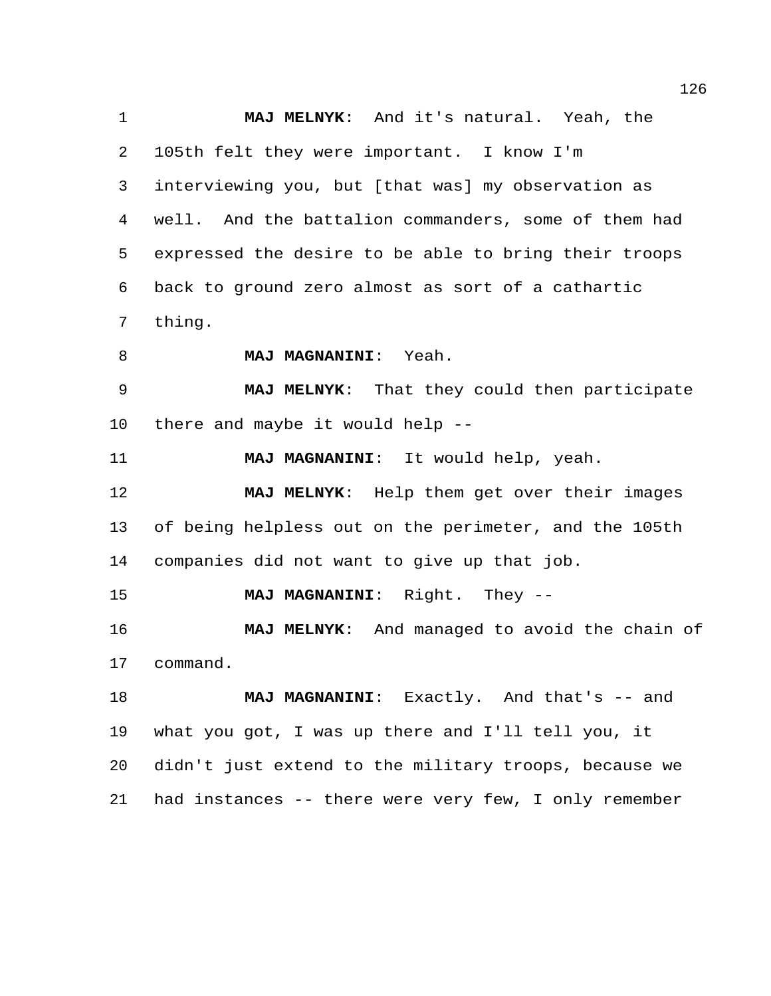**MAJ MELNYK**: And it's natural. Yeah, the 105th felt they were important. I know I'm interviewing you, but [that was] my observation as well. And the battalion commanders, some of them had expressed the desire to be able to bring their troops back to ground zero almost as sort of a cathartic thing. **MAJ MAGNANINI**: Yeah. **MAJ MELNYK**: That they could then participate there and maybe it would help -- **MAJ MAGNANINI**: It would help, yeah. **MAJ MELNYK**: Help them get over their images of being helpless out on the perimeter, and the 105th companies did not want to give up that job. **MAJ MAGNANINI**: Right. They -- **MAJ MELNYK**: And managed to avoid the chain of command. **MAJ MAGNANINI:** Exactly. And that's -- and what you got, I was up there and I'll tell you, it didn't just extend to the military troops, because we had instances -- there were very few, I only remember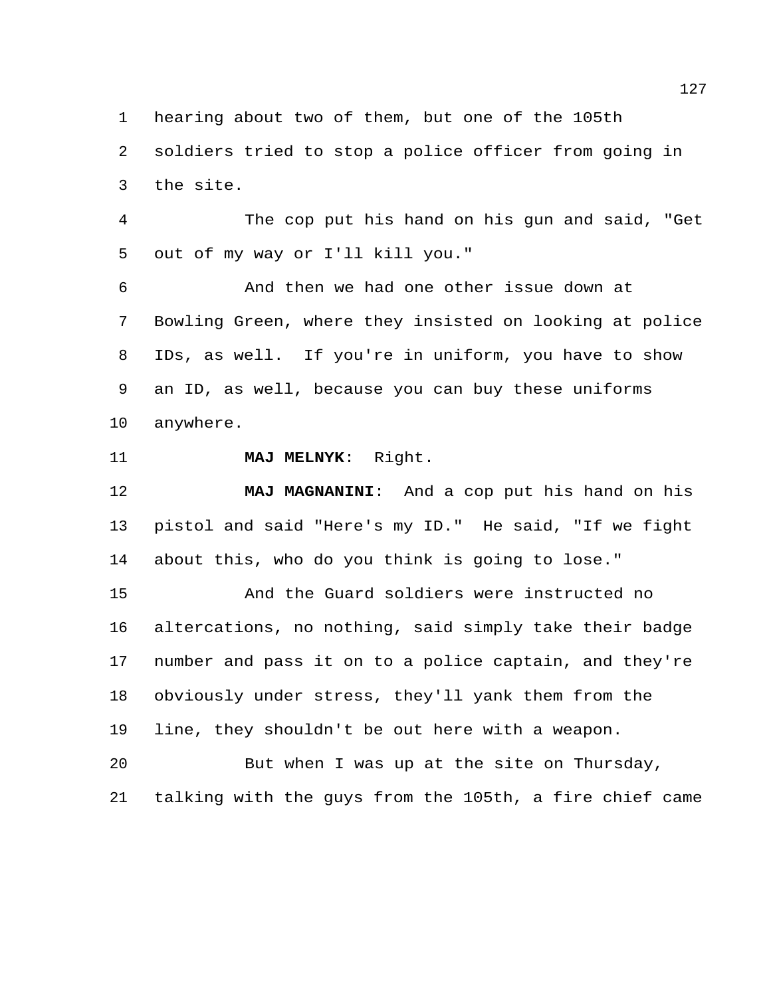hearing about two of them, but one of the 105th

 soldiers tried to stop a police officer from going in the site.

 The cop put his hand on his gun and said, "Get out of my way or I'll kill you."

 And then we had one other issue down at Bowling Green, where they insisted on looking at police IDs, as well. If you're in uniform, you have to show an ID, as well, because you can buy these uniforms anywhere.

**MAJ MELNYK**: Right.

 **MAJ MAGNANINI**: And a cop put his hand on his pistol and said "Here's my ID." He said, "If we fight about this, who do you think is going to lose."

 And the Guard soldiers were instructed no altercations, no nothing, said simply take their badge number and pass it on to a police captain, and they're obviously under stress, they'll yank them from the line, they shouldn't be out here with a weapon.

 But when I was up at the site on Thursday, talking with the guys from the 105th, a fire chief came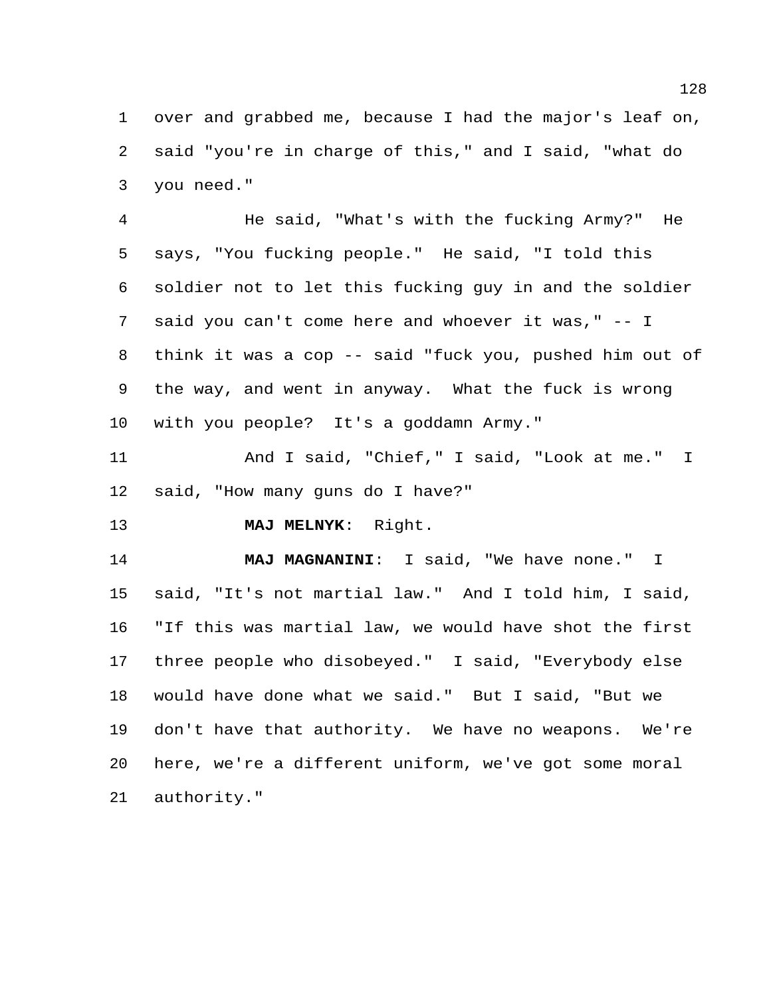over and grabbed me, because I had the major's leaf on, said "you're in charge of this," and I said, "what do you need."

 He said, "What's with the fucking Army?" He says, "You fucking people." He said, "I told this soldier not to let this fucking guy in and the soldier said you can't come here and whoever it was," -- I think it was a cop -- said "fuck you, pushed him out of the way, and went in anyway. What the fuck is wrong with you people? It's a goddamn Army."

11 And I said, "Chief," I said, "Look at me." I said, "How many guns do I have?"

**MAJ MELNYK**: Right.

 **MAJ MAGNANINI**: I said, "We have none." I said, "It's not martial law." And I told him, I said, "If this was martial law, we would have shot the first three people who disobeyed." I said, "Everybody else would have done what we said." But I said, "But we don't have that authority. We have no weapons. We're here, we're a different uniform, we've got some moral authority."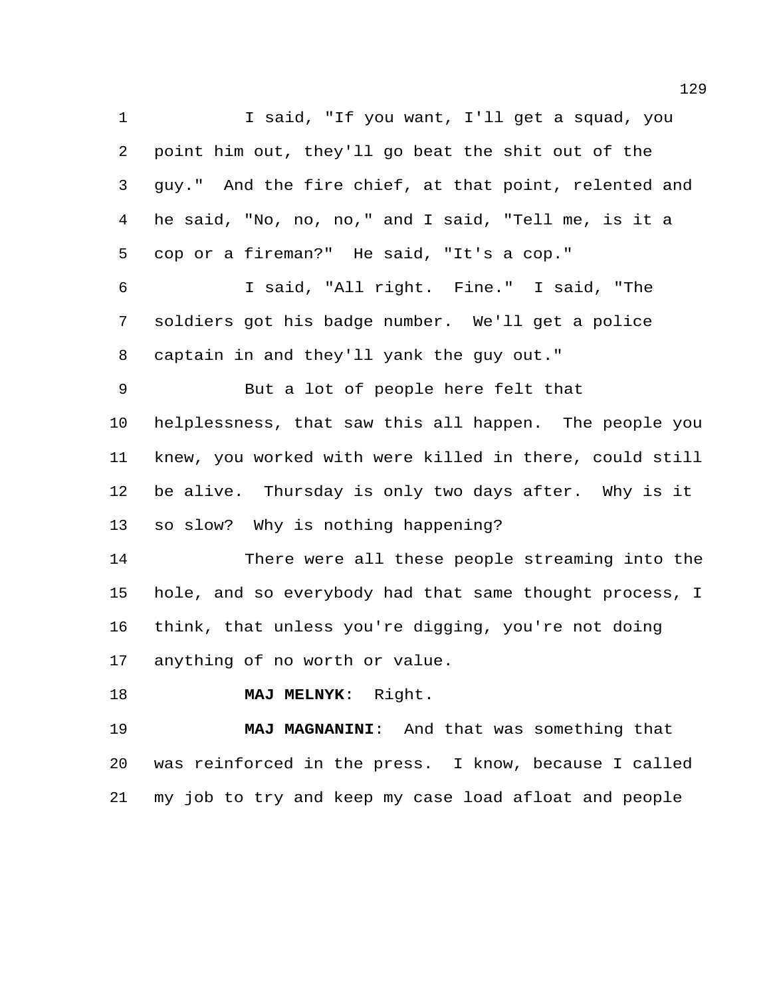I said, "If you want, I'll get a squad, you point him out, they'll go beat the shit out of the guy." And the fire chief, at that point, relented and he said, "No, no, no," and I said, "Tell me, is it a cop or a fireman?" He said, "It's a cop." I said, "All right. Fine." I said, "The soldiers got his badge number. We'll get a police captain in and they'll yank the guy out." But a lot of people here felt that helplessness, that saw this all happen. The people you knew, you worked with were killed in there, could still be alive. Thursday is only two days after. Why is it so slow? Why is nothing happening? There were all these people streaming into the hole, and so everybody had that same thought process, I think, that unless you're digging, you're not doing anything of no worth or value.

**MAJ MELNYK**: Right.

 **MAJ MAGNANINI**: And that was something that was reinforced in the press. I know, because I called my job to try and keep my case load afloat and people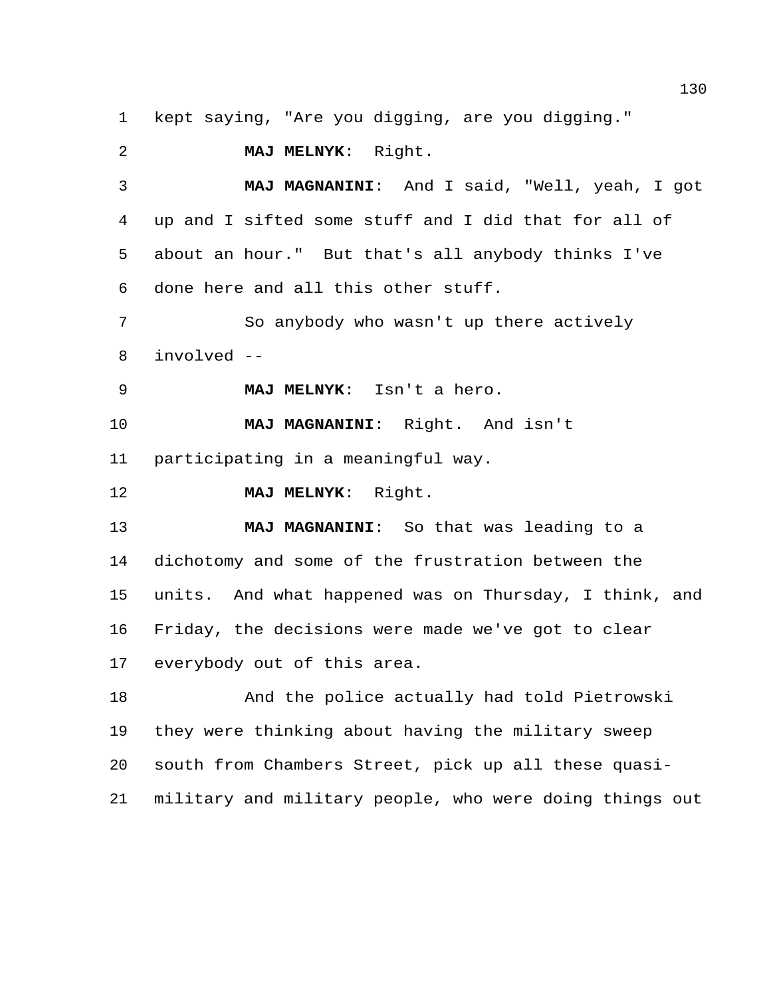kept saying, "Are you digging, are you digging."

**MAJ MELNYK**: Right.

 **MAJ MAGNANINI**: And I said, "Well, yeah, I got up and I sifted some stuff and I did that for all of about an hour." But that's all anybody thinks I've done here and all this other stuff. So anybody who wasn't up there actively

involved --

**MAJ MELNYK**: Isn't a hero.

 **MAJ MAGNANINI**: Right. And isn't participating in a meaningful way.

**MAJ MELNYK**: Right.

 **MAJ MAGNANINI**: So that was leading to a dichotomy and some of the frustration between the units. And what happened was on Thursday, I think, and Friday, the decisions were made we've got to clear everybody out of this area.

 And the police actually had told Pietrowski they were thinking about having the military sweep south from Chambers Street, pick up all these quasi-military and military people, who were doing things out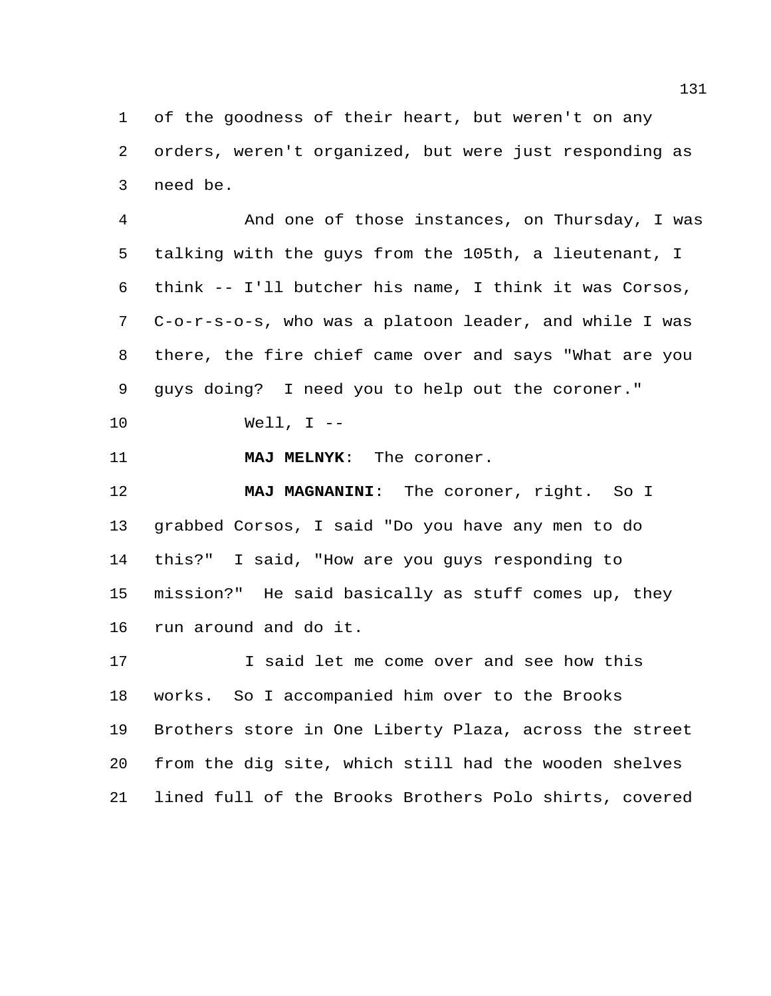of the goodness of their heart, but weren't on any orders, weren't organized, but were just responding as need be.

 And one of those instances, on Thursday, I was talking with the guys from the 105th, a lieutenant, I think -- I'll butcher his name, I think it was Corsos, C-o-r-s-o-s, who was a platoon leader, and while I was there, the fire chief came over and says "What are you guys doing? I need you to help out the coroner."

Well, I --

**MAJ MELNYK**: The coroner.

 **MAJ MAGNANINI**: The coroner, right. So I grabbed Corsos, I said "Do you have any men to do this?" I said, "How are you guys responding to mission?" He said basically as stuff comes up, they run around and do it.

**I** said let me come over and see how this works. So I accompanied him over to the Brooks Brothers store in One Liberty Plaza, across the street from the dig site, which still had the wooden shelves lined full of the Brooks Brothers Polo shirts, covered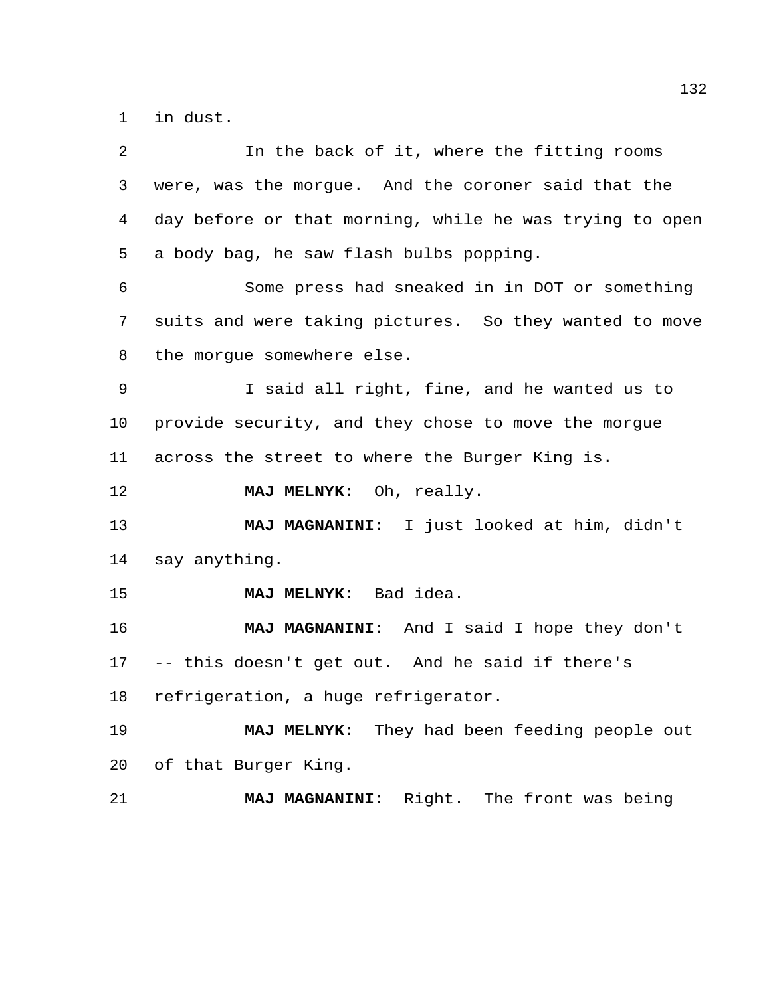in dust.

| 2  | In the back of it, where the fitting rooms              |
|----|---------------------------------------------------------|
| 3  | were, was the morgue. And the coroner said that the     |
| 4  | day before or that morning, while he was trying to open |
| 5  | a body bag, he saw flash bulbs popping.                 |
| 6  | Some press had sneaked in in DOT or something           |
| 7  | suits and were taking pictures. So they wanted to move  |
| 8  | the morgue somewhere else.                              |
| 9  | I said all right, fine, and he wanted us to             |
| 10 | provide security, and they chose to move the morgue     |
| 11 | across the street to where the Burger King is.          |
| 12 | MAJ MELNYK: Oh, really.                                 |
| 13 | MAJ MAGNANINI: I just looked at him, didn't             |
| 14 | say anything.                                           |
| 15 | MAJ MELNYK: Bad idea.                                   |
| 16 | MAJ MAGNANINI: And I said I hope they don't             |
| 17 | -- this doesn't get out. And he said if there's         |
| 18 | refrigeration, a huge refrigerator.                     |
| 19 | MAJ MELNYK: They had been feeding people out            |
| 20 | of that Burger King.                                    |
| 21 | MAJ MAGNANINI: Right. The front was being               |
|    |                                                         |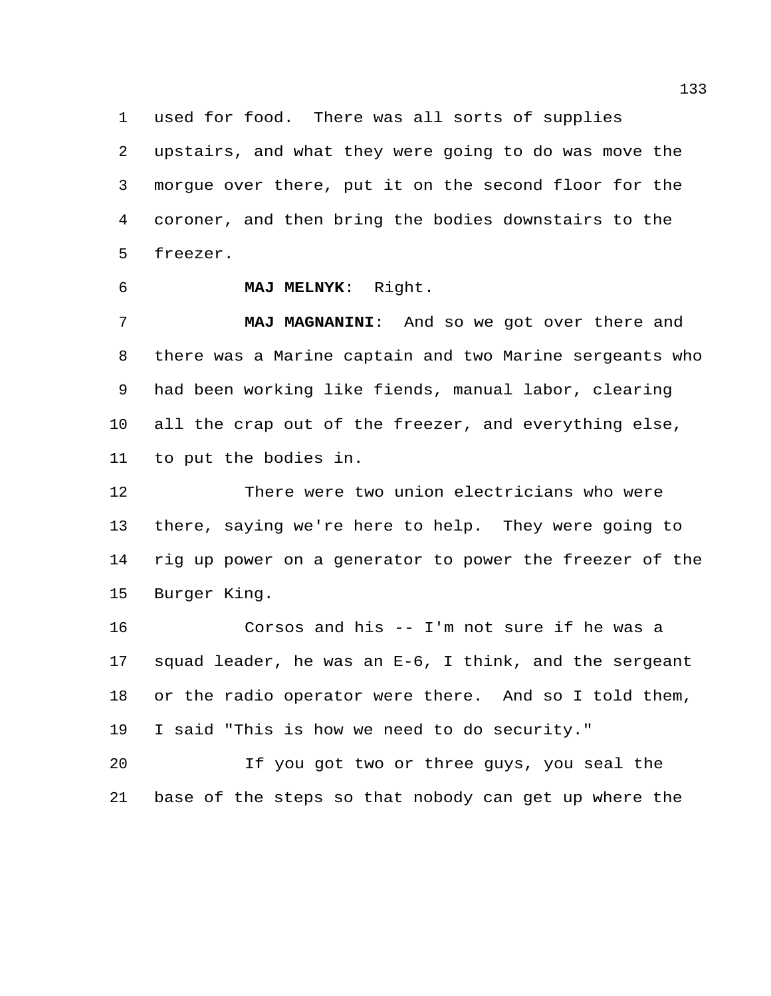used for food. There was all sorts of supplies upstairs, and what they were going to do was move the morgue over there, put it on the second floor for the coroner, and then bring the bodies downstairs to the freezer.

**MAJ MELNYK**: Right.

 **MAJ MAGNANINI**: And so we got over there and there was a Marine captain and two Marine sergeants who had been working like fiends, manual labor, clearing all the crap out of the freezer, and everything else, to put the bodies in.

 There were two union electricians who were there, saying we're here to help. They were going to rig up power on a generator to power the freezer of the Burger King.

 Corsos and his -- I'm not sure if he was a squad leader, he was an E-6, I think, and the sergeant or the radio operator were there. And so I told them, I said "This is how we need to do security."

 If you got two or three guys, you seal the base of the steps so that nobody can get up where the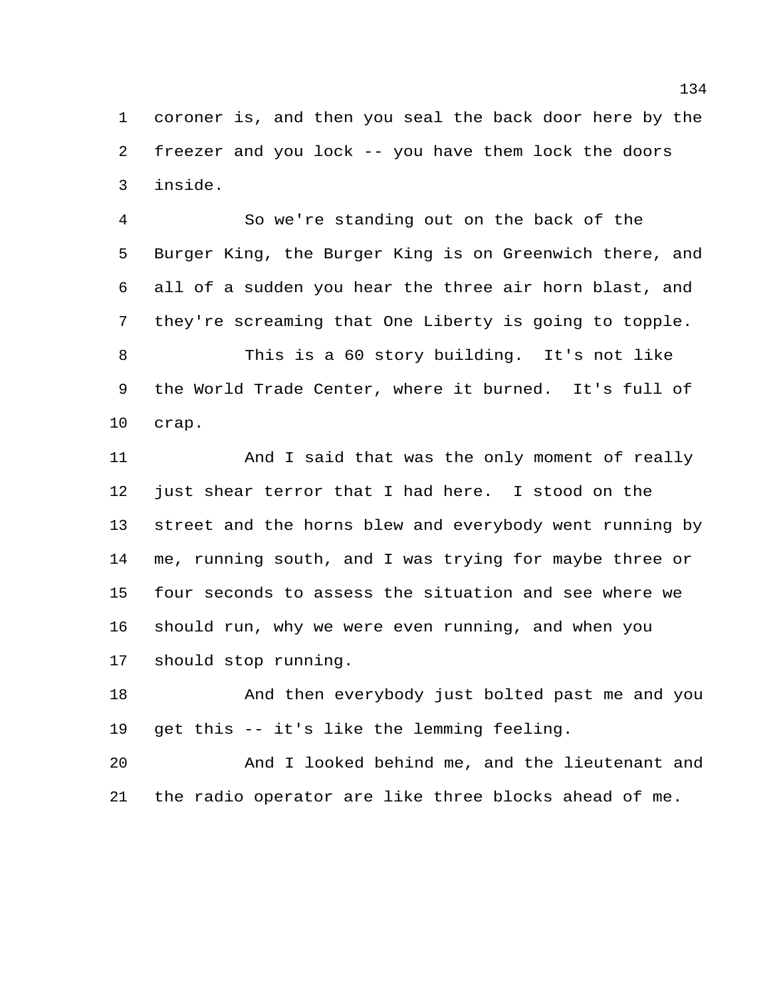coroner is, and then you seal the back door here by the freezer and you lock -- you have them lock the doors inside.

 So we're standing out on the back of the Burger King, the Burger King is on Greenwich there, and all of a sudden you hear the three air horn blast, and they're screaming that One Liberty is going to topple.

 This is a 60 story building. It's not like the World Trade Center, where it burned. It's full of crap.

 And I said that was the only moment of really just shear terror that I had here. I stood on the street and the horns blew and everybody went running by me, running south, and I was trying for maybe three or four seconds to assess the situation and see where we should run, why we were even running, and when you should stop running.

 And then everybody just bolted past me and you get this -- it's like the lemming feeling.

 And I looked behind me, and the lieutenant and the radio operator are like three blocks ahead of me.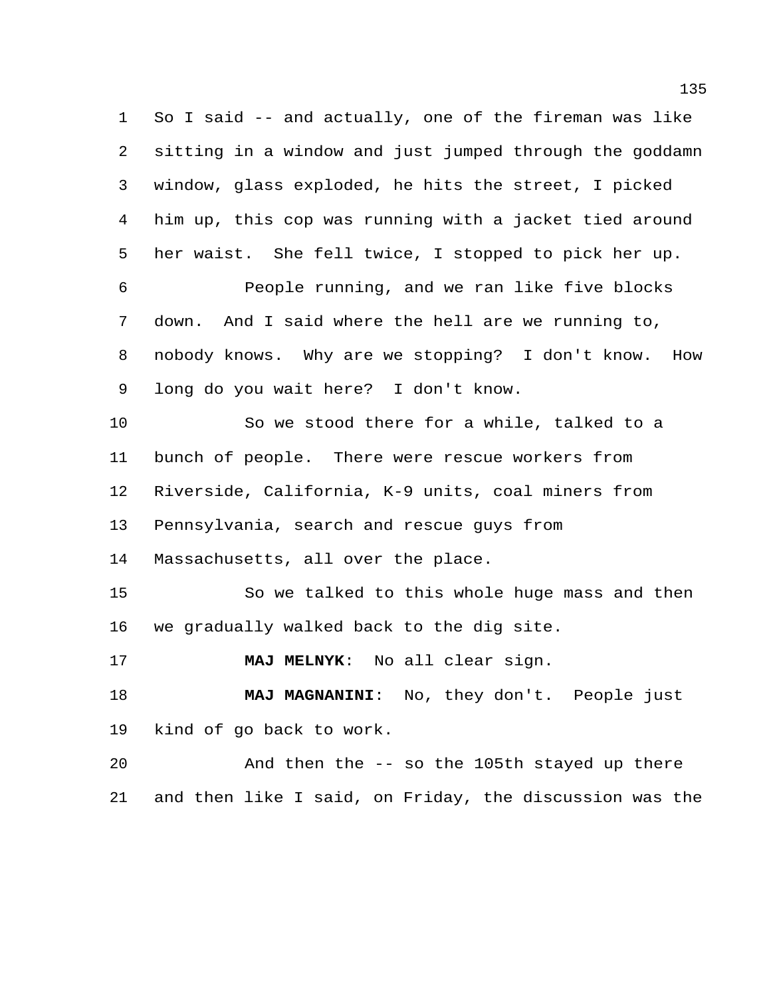So I said -- and actually, one of the fireman was like sitting in a window and just jumped through the goddamn window, glass exploded, he hits the street, I picked him up, this cop was running with a jacket tied around her waist. She fell twice, I stopped to pick her up.

 People running, and we ran like five blocks down. And I said where the hell are we running to, nobody knows. Why are we stopping? I don't know. How long do you wait here? I don't know.

 So we stood there for a while, talked to a bunch of people. There were rescue workers from Riverside, California, K-9 units, coal miners from Pennsylvania, search and rescue guys from Massachusetts, all over the place. So we talked to this whole huge mass and then

we gradually walked back to the dig site.

**MAJ MELNYK**: No all clear sign.

 **MAJ MAGNANINI**: No, they don't. People just kind of go back to work.

 And then the -- so the 105th stayed up there and then like I said, on Friday, the discussion was the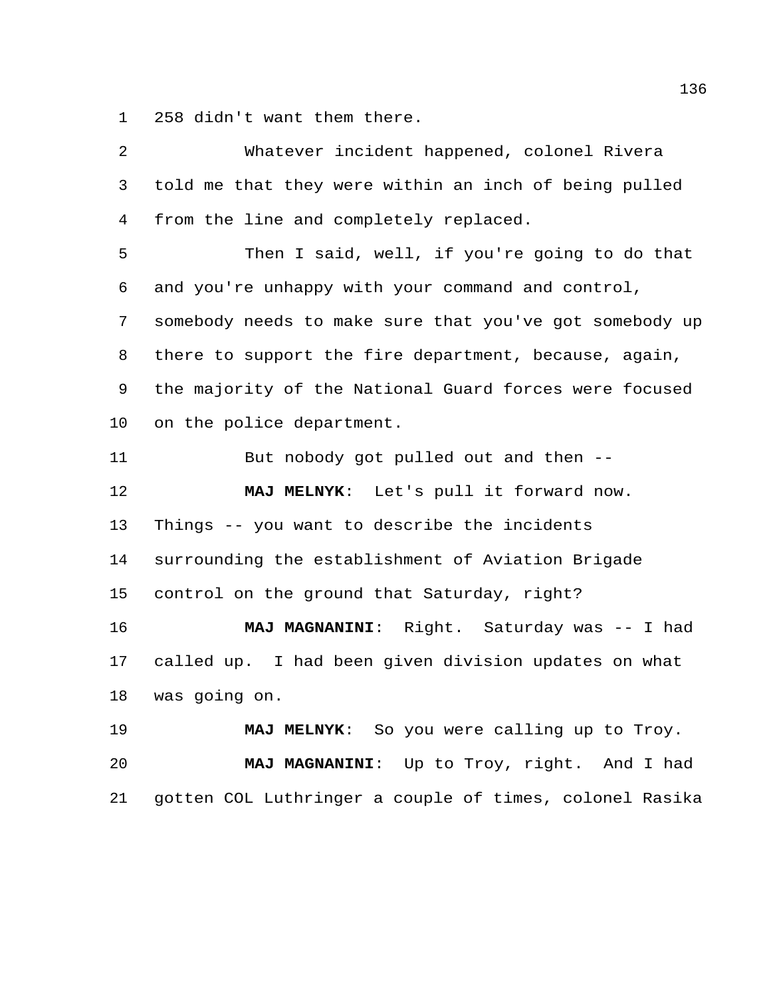258 didn't want them there.

| 2       | Whatever incident happened, colonel Rivera              |
|---------|---------------------------------------------------------|
| 3       | told me that they were within an inch of being pulled   |
| 4       | from the line and completely replaced.                  |
| 5       | Then I said, well, if you're going to do that           |
| 6       | and you're unhappy with your command and control,       |
| 7       | somebody needs to make sure that you've got somebody up |
| 8       | there to support the fire department, because, again,   |
| 9       | the majority of the National Guard forces were focused  |
| $10 \,$ | on the police department.                               |
| 11      | But nobody got pulled out and then --                   |
| 12      | MAJ MELNYK: Let's pull it forward now.                  |
| 13      | Things -- you want to describe the incidents            |
| 14      | surrounding the establishment of Aviation Brigade       |
| 15      | control on the ground that Saturday, right?             |
| 16      | MAJ MAGNANINI: Right. Saturday was -- I had             |
| 17      | called up. I had been given division updates on what    |
| 18      | was going on.                                           |
| 19      | MAJ MELNYK: So you were calling up to Troy.             |
| 20      | MAJ MAGNANINI: Up to Troy, right. And I had             |
| 21      |                                                         |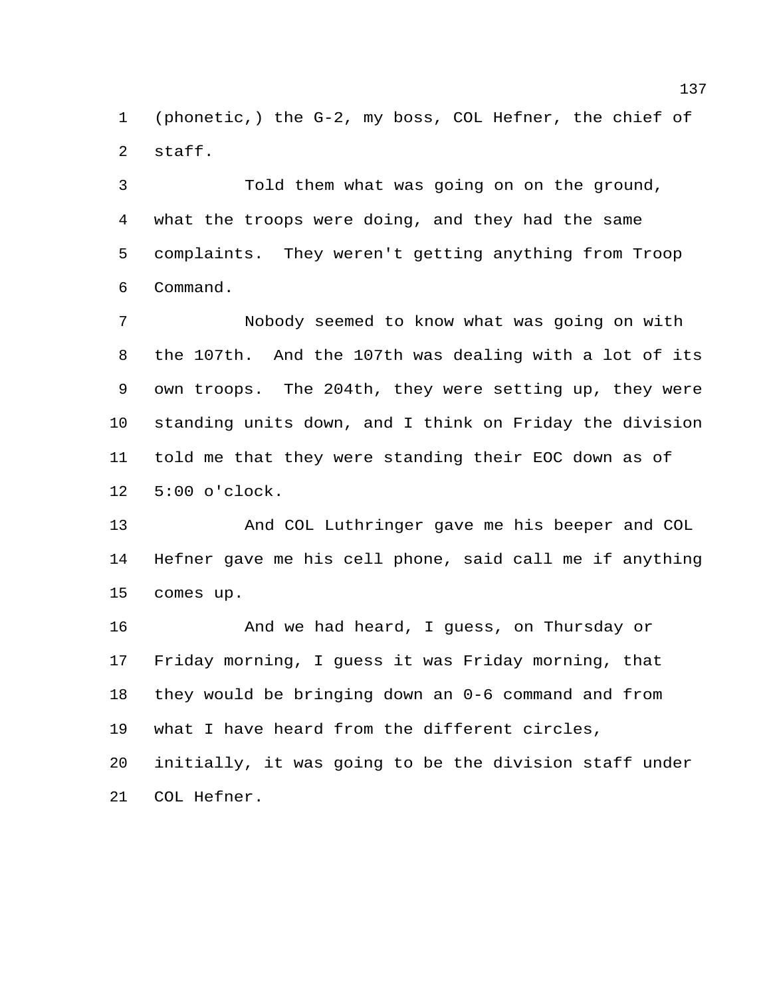(phonetic,) the G-2, my boss, COL Hefner, the chief of staff.

 Told them what was going on on the ground, what the troops were doing, and they had the same complaints. They weren't getting anything from Troop Command.

 Nobody seemed to know what was going on with the 107th. And the 107th was dealing with a lot of its own troops. The 204th, they were setting up, they were standing units down, and I think on Friday the division told me that they were standing their EOC down as of 5:00 o'clock.

 And COL Luthringer gave me his beeper and COL Hefner gave me his cell phone, said call me if anything comes up.

 And we had heard, I guess, on Thursday or Friday morning, I guess it was Friday morning, that they would be bringing down an 0-6 command and from what I have heard from the different circles,

 initially, it was going to be the division staff under COL Hefner.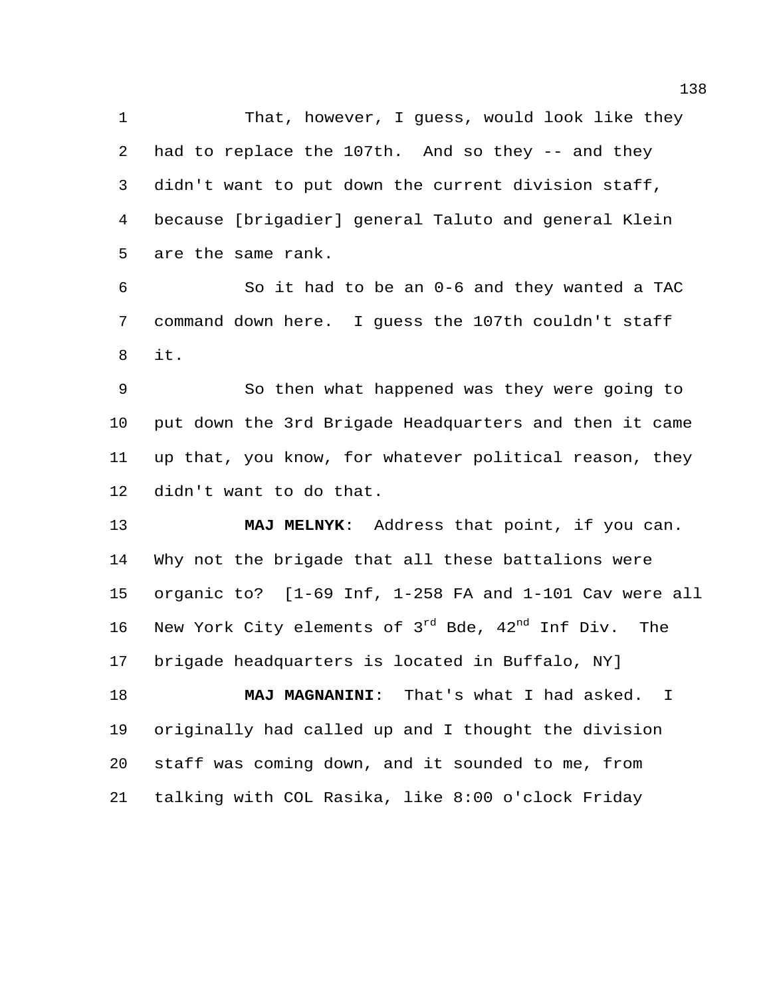That, however, I guess, would look like they had to replace the 107th. And so they -- and they didn't want to put down the current division staff, because [brigadier] general Taluto and general Klein are the same rank.

 So it had to be an 0-6 and they wanted a TAC command down here. I guess the 107th couldn't staff it.

 So then what happened was they were going to put down the 3rd Brigade Headquarters and then it came up that, you know, for whatever political reason, they didn't want to do that.

 **MAJ MELNYK**: Address that point, if you can. Why not the brigade that all these battalions were organic to? [1-69 Inf, 1-258 FA and 1-101 Cav were all 16 New York City elements of  $3^{rd}$  Bde,  $42^{nd}$  Inf Div. The brigade headquarters is located in Buffalo, NY]

 **MAJ MAGNANINI**: That's what I had asked. I originally had called up and I thought the division staff was coming down, and it sounded to me, from talking with COL Rasika, like 8:00 o'clock Friday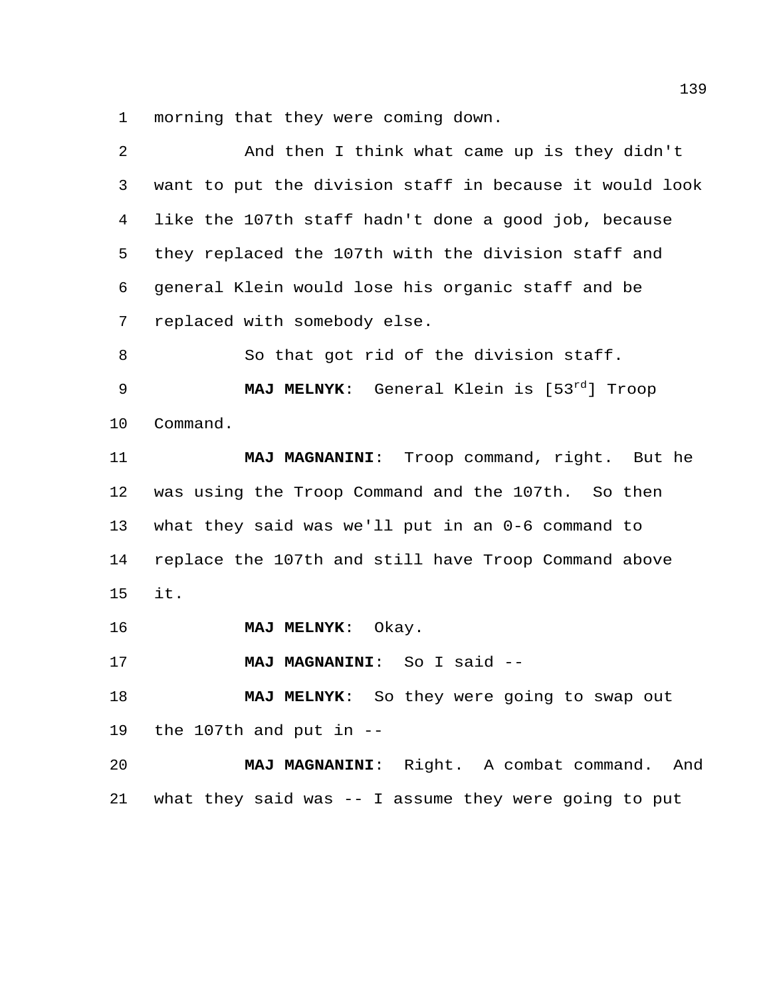morning that they were coming down.

| $\overline{a}$ | And then I think what came up is they didn't            |
|----------------|---------------------------------------------------------|
| 3              | want to put the division staff in because it would look |
| 4              | like the 107th staff hadn't done a good job, because    |
| 5              | they replaced the 107th with the division staff and     |
| 6              | general Klein would lose his organic staff and be       |
| 7              | replaced with somebody else.                            |
| 8              | So that got rid of the division staff.                  |
| 9              | MAJ MELNYK: General Klein is [53rd] Troop               |
| 10             | Command.                                                |
| 11             | MAJ MAGNANINI: Troop command, right. But he             |
| 12             | was using the Troop Command and the 107th. So then      |
| 13             | what they said was we'll put in an 0-6 command to       |
| 14             | replace the 107th and still have Troop Command above    |
| 15             | it.                                                     |
| 16             | Okay.<br><b>MAJ MELNYK:</b>                             |
| 17             | MAJ MAGNANINI: So I said --                             |
| 18             | So they were going to swap out<br><b>MAJ MELNYK:</b>    |
| 19             | the 107th and put in $-$ -                              |
| 20             | MAJ MAGNANINI: Right. A combat command. And             |
| 21             | what they said was -- I assume they were going to put   |
|                |                                                         |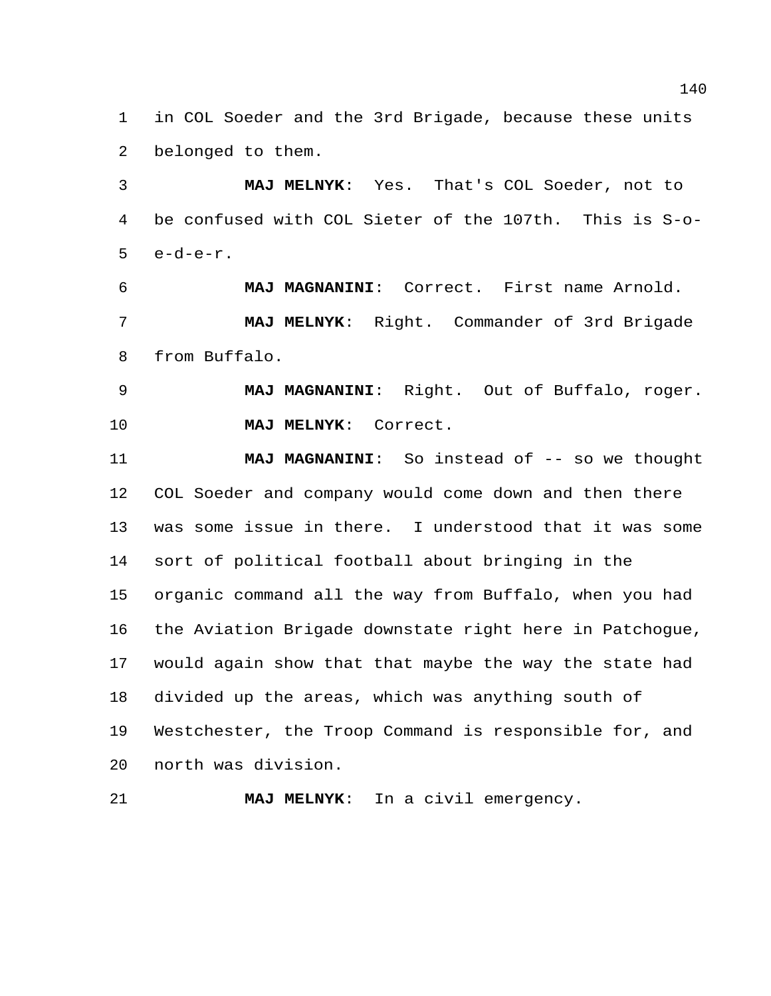in COL Soeder and the 3rd Brigade, because these units belonged to them.

 **MAJ MELNYK**: Yes. That's COL Soeder, not to be confused with COL Sieter of the 107th. This is S-o-e-d-e-r.

 **MAJ MAGNANINI**: Correct. First name Arnold. **MAJ MELNYK**: Right. Commander of 3rd Brigade from Buffalo.

 **MAJ MAGNANINI**: Right. Out of Buffalo, roger. **MAJ MELNYK**: Correct.

**MAJ MAGNANINI:** So instead of  $-$  so we thought COL Soeder and company would come down and then there was some issue in there. I understood that it was some sort of political football about bringing in the organic command all the way from Buffalo, when you had the Aviation Brigade downstate right here in Patchogue, would again show that that maybe the way the state had divided up the areas, which was anything south of Westchester, the Troop Command is responsible for, and north was division.

**MAJ MELNYK**: In a civil emergency.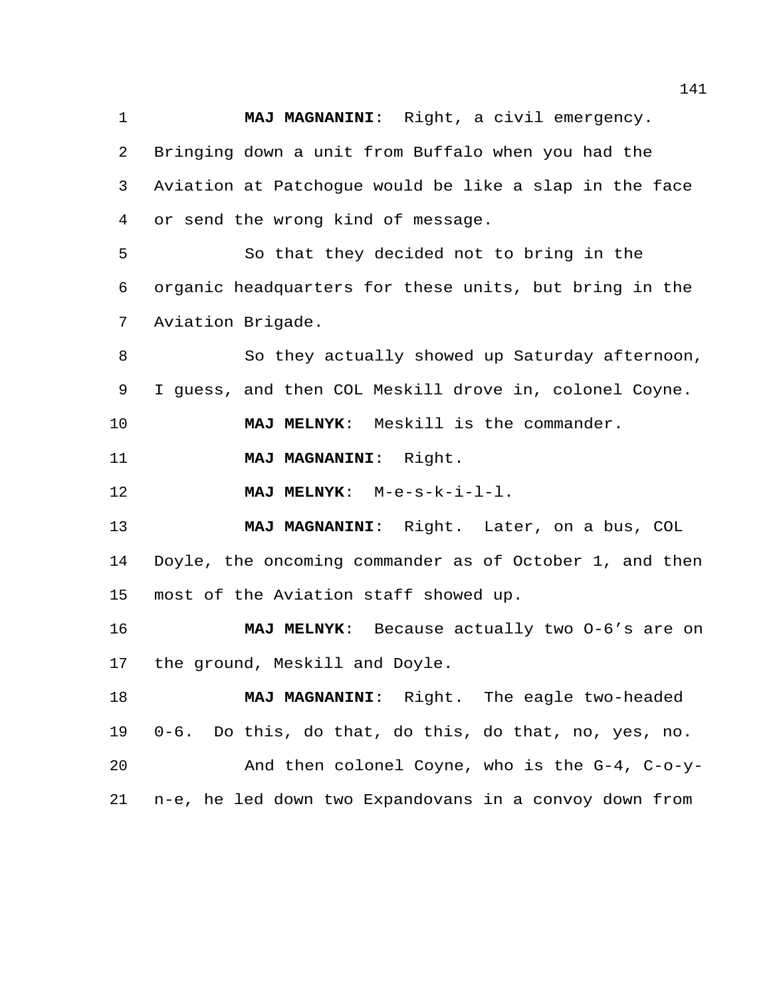**MAJ MAGNANINI**: Right, a civil emergency. Bringing down a unit from Buffalo when you had the Aviation at Patchogue would be like a slap in the face or send the wrong kind of message. So that they decided not to bring in the organic headquarters for these units, but bring in the Aviation Brigade. 8 So they actually showed up Saturday afternoon, I guess, and then COL Meskill drove in, colonel Coyne. **MAJ MELNYK**: Meskill is the commander. **MAJ MAGNANINI**: Right. **MAJ MELNYK**: M-e-s-k-i-l-l. **MAJ MAGNANINI**: Right. Later, on a bus, COL Doyle, the oncoming commander as of October 1, and then most of the Aviation staff showed up. **MAJ MELNYK**: Because actually two O-6's are on the ground, Meskill and Doyle. **MAJ MAGNANINI**: Right. The eagle two-headed 0-6. Do this, do that, do this, do that, no, yes, no. And then colonel Coyne, who is the G-4, C-o-y-n-e, he led down two Expandovans in a convoy down from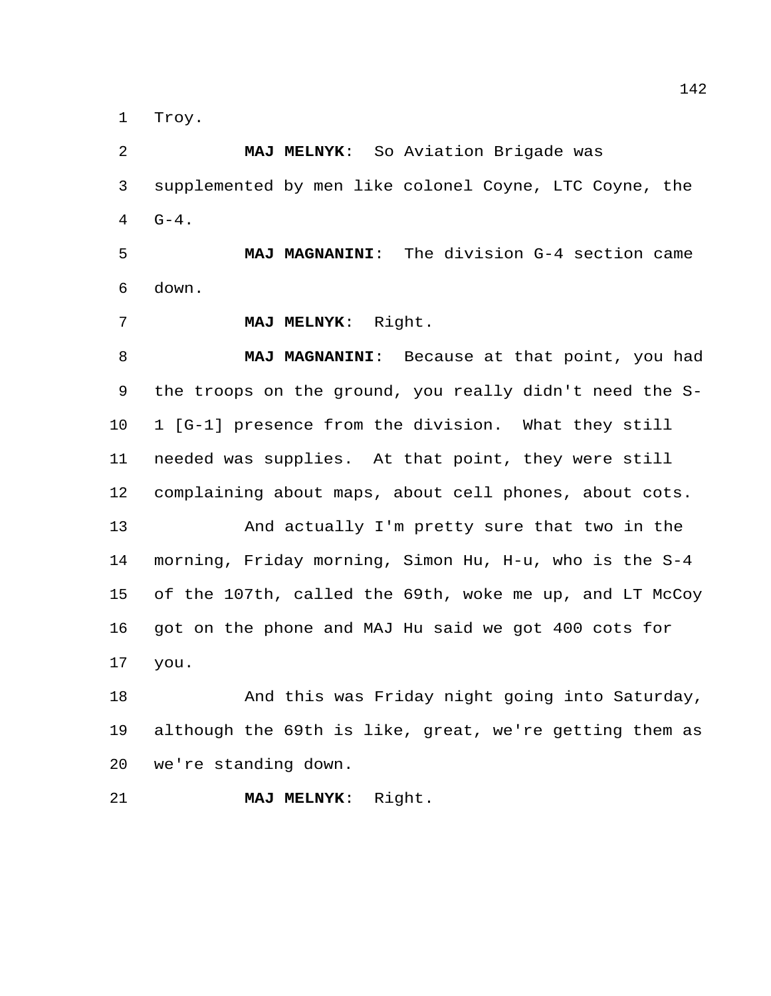Troy.

 **MAJ MELNYK**: So Aviation Brigade was supplemented by men like colonel Coyne, LTC Coyne, the  $4 \t G-4.$ 

 **MAJ MAGNANINI**: The division G-4 section came down.

**MAJ MELNYK**: Right.

 **MAJ MAGNANINI**: Because at that point, you had the troops on the ground, you really didn't need the S- 1 [G-1] presence from the division. What they still needed was supplies. At that point, they were still complaining about maps, about cell phones, about cots.

 And actually I'm pretty sure that two in the morning, Friday morning, Simon Hu, H-u, who is the S-4 of the 107th, called the 69th, woke me up, and LT McCoy got on the phone and MAJ Hu said we got 400 cots for you.

18 And this was Friday night going into Saturday, although the 69th is like, great, we're getting them as we're standing down.

**MAJ MELNYK**: Right.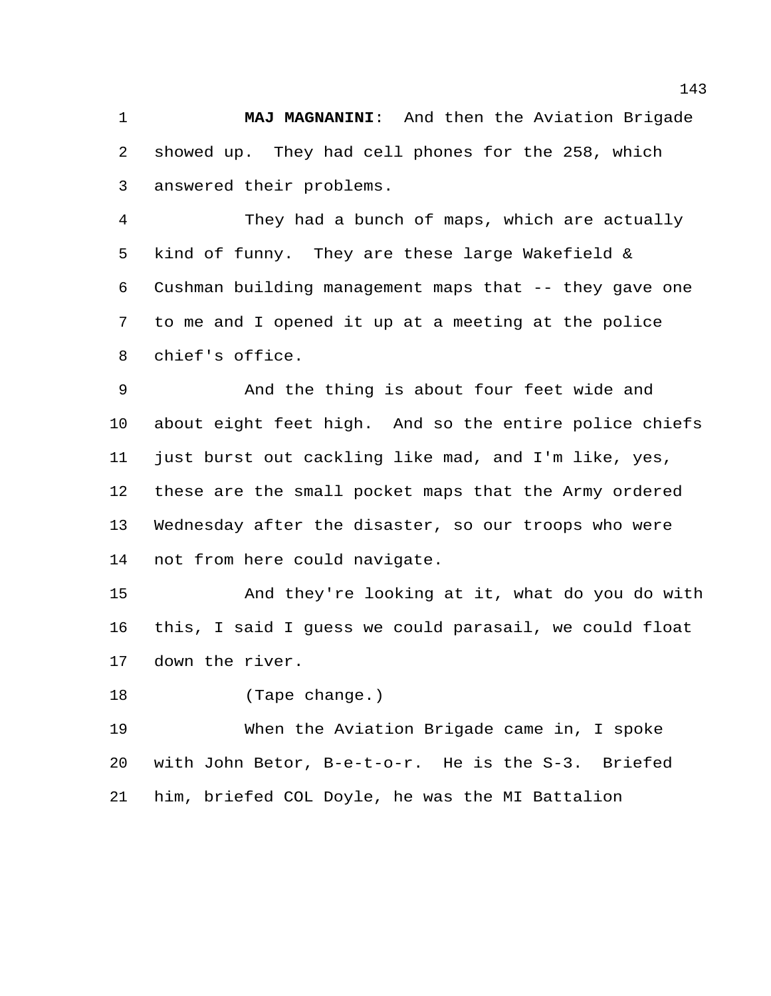**MAJ MAGNANINI**: And then the Aviation Brigade showed up. They had cell phones for the 258, which answered their problems.

 They had a bunch of maps, which are actually kind of funny. They are these large Wakefield & Cushman building management maps that -- they gave one to me and I opened it up at a meeting at the police chief's office.

 And the thing is about four feet wide and about eight feet high. And so the entire police chiefs 11 just burst out cackling like mad, and I'm like, yes, these are the small pocket maps that the Army ordered Wednesday after the disaster, so our troops who were not from here could navigate.

 And they're looking at it, what do you do with this, I said I guess we could parasail, we could float down the river.

(Tape change.)

 When the Aviation Brigade came in, I spoke with John Betor, B-e-t-o-r. He is the S-3. Briefed him, briefed COL Doyle, he was the MI Battalion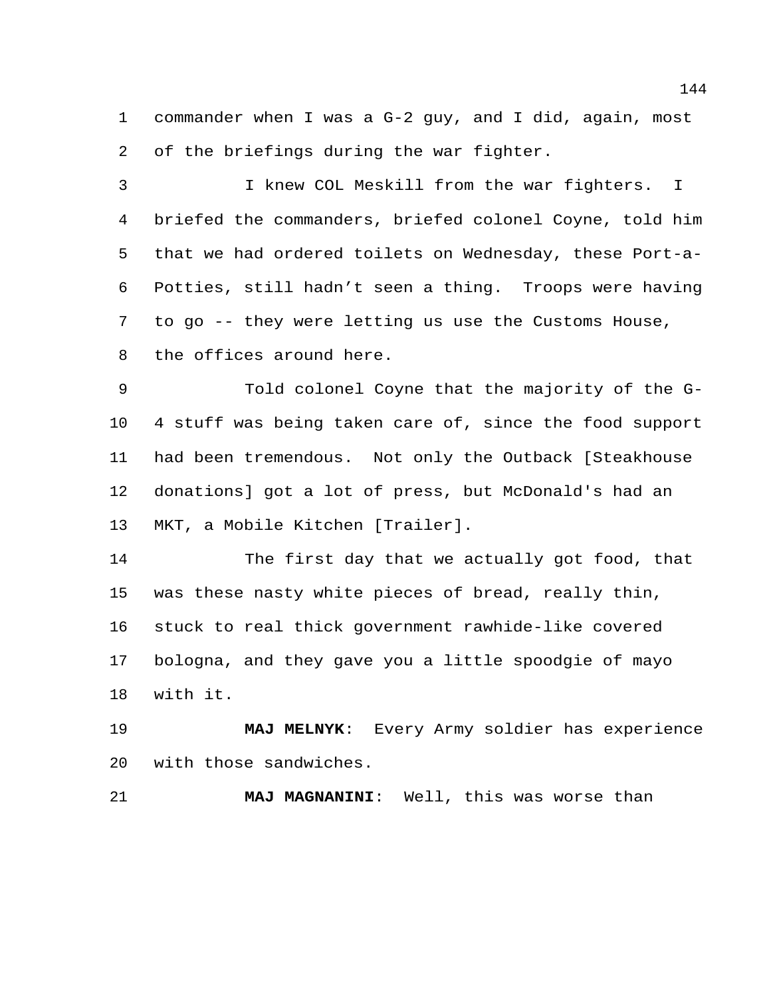commander when I was a G-2 guy, and I did, again, most of the briefings during the war fighter.

 I knew COL Meskill from the war fighters. I briefed the commanders, briefed colonel Coyne, told him that we had ordered toilets on Wednesday, these Port-a- Potties, still hadn't seen a thing. Troops were having to go -- they were letting us use the Customs House, the offices around here.

 Told colonel Coyne that the majority of the G- 4 stuff was being taken care of, since the food support had been tremendous. Not only the Outback [Steakhouse donations] got a lot of press, but McDonald's had an MKT, a Mobile Kitchen [Trailer].

 The first day that we actually got food, that was these nasty white pieces of bread, really thin, stuck to real thick government rawhide-like covered bologna, and they gave you a little spoodgie of mayo with it.

 **MAJ MELNYK**: Every Army soldier has experience with those sandwiches.

**MAJ MAGNANINI**: Well, this was worse than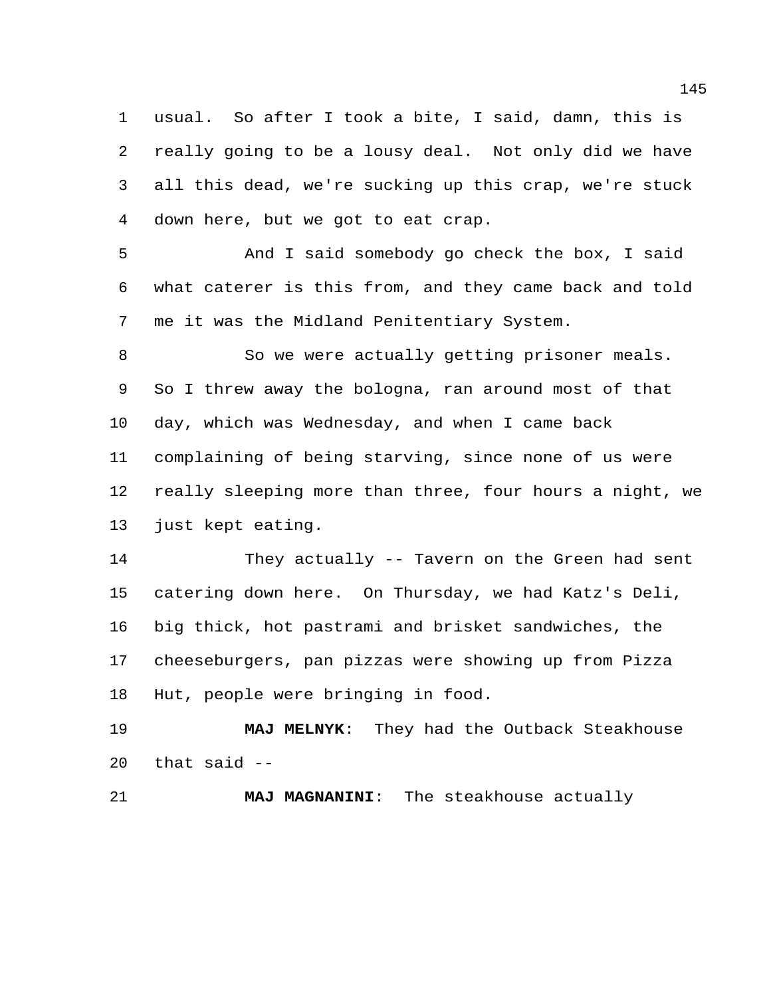usual. So after I took a bite, I said, damn, this is really going to be a lousy deal. Not only did we have all this dead, we're sucking up this crap, we're stuck down here, but we got to eat crap.

 And I said somebody go check the box, I said what caterer is this from, and they came back and told me it was the Midland Penitentiary System.

 So we were actually getting prisoner meals. So I threw away the bologna, ran around most of that day, which was Wednesday, and when I came back complaining of being starving, since none of us were really sleeping more than three, four hours a night, we just kept eating.

 They actually -- Tavern on the Green had sent catering down here. On Thursday, we had Katz's Deli, big thick, hot pastrami and brisket sandwiches, the cheeseburgers, pan pizzas were showing up from Pizza Hut, people were bringing in food.

 **MAJ MELNYK**: They had the Outback Steakhouse that said  $-$ 

**MAJ MAGNANINI**: The steakhouse actually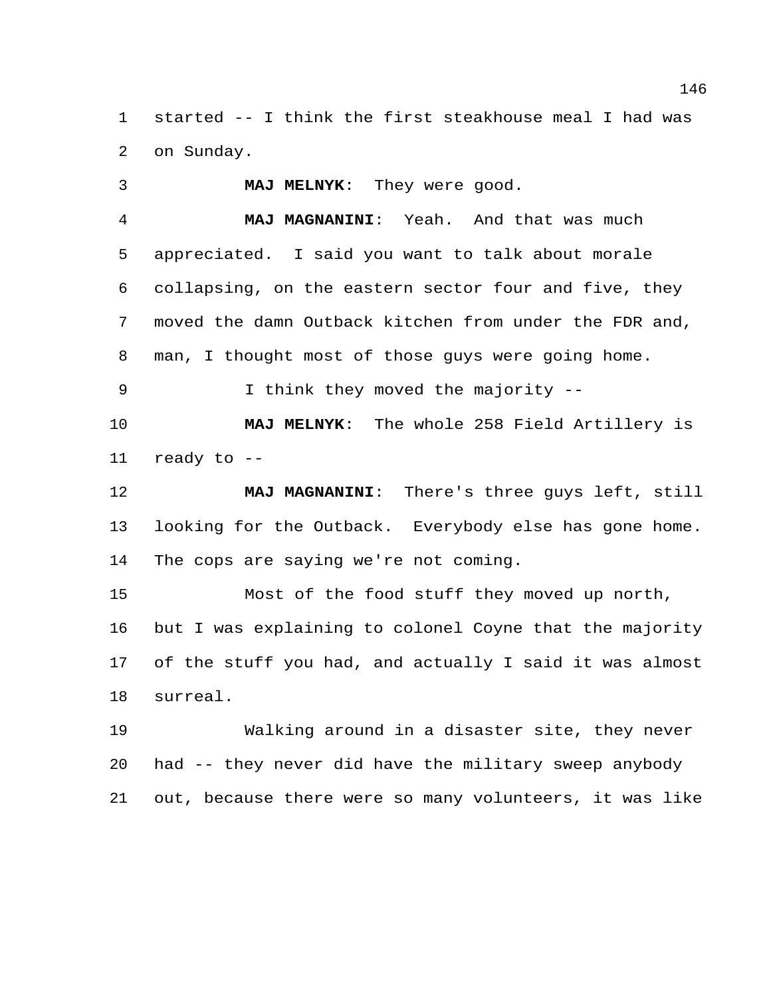started -- I think the first steakhouse meal I had was on Sunday.

 **MAJ MELNYK**: They were good. **MAJ MAGNANINI**: Yeah. And that was much appreciated. I said you want to talk about morale collapsing, on the eastern sector four and five, they moved the damn Outback kitchen from under the FDR and, man, I thought most of those guys were going home. I think they moved the majority --

 **MAJ MELNYK**: The whole 258 Field Artillery is ready to --

 **MAJ MAGNANINI**: There's three guys left, still looking for the Outback. Everybody else has gone home. The cops are saying we're not coming.

 Most of the food stuff they moved up north, but I was explaining to colonel Coyne that the majority of the stuff you had, and actually I said it was almost surreal.

 Walking around in a disaster site, they never had -- they never did have the military sweep anybody out, because there were so many volunteers, it was like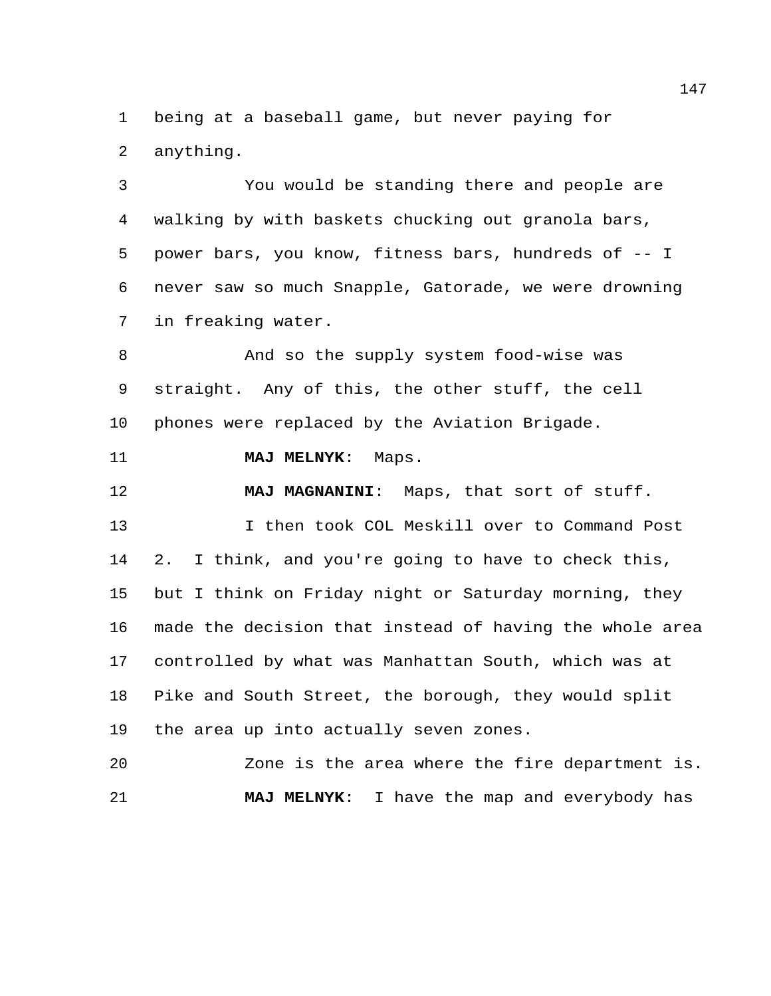being at a baseball game, but never paying for anything.

 You would be standing there and people are walking by with baskets chucking out granola bars, power bars, you know, fitness bars, hundreds of -- I never saw so much Snapple, Gatorade, we were drowning in freaking water.

 And so the supply system food-wise was straight. Any of this, the other stuff, the cell phones were replaced by the Aviation Brigade.

**MAJ MELNYK**: Maps.

**MAJ MAGNANINI**: Maps, that sort of stuff.

 I then took COL Meskill over to Command Post 2. I think, and you're going to have to check this, but I think on Friday night or Saturday morning, they made the decision that instead of having the whole area controlled by what was Manhattan South, which was at Pike and South Street, the borough, they would split the area up into actually seven zones.

 Zone is the area where the fire department is. **MAJ MELNYK**: I have the map and everybody has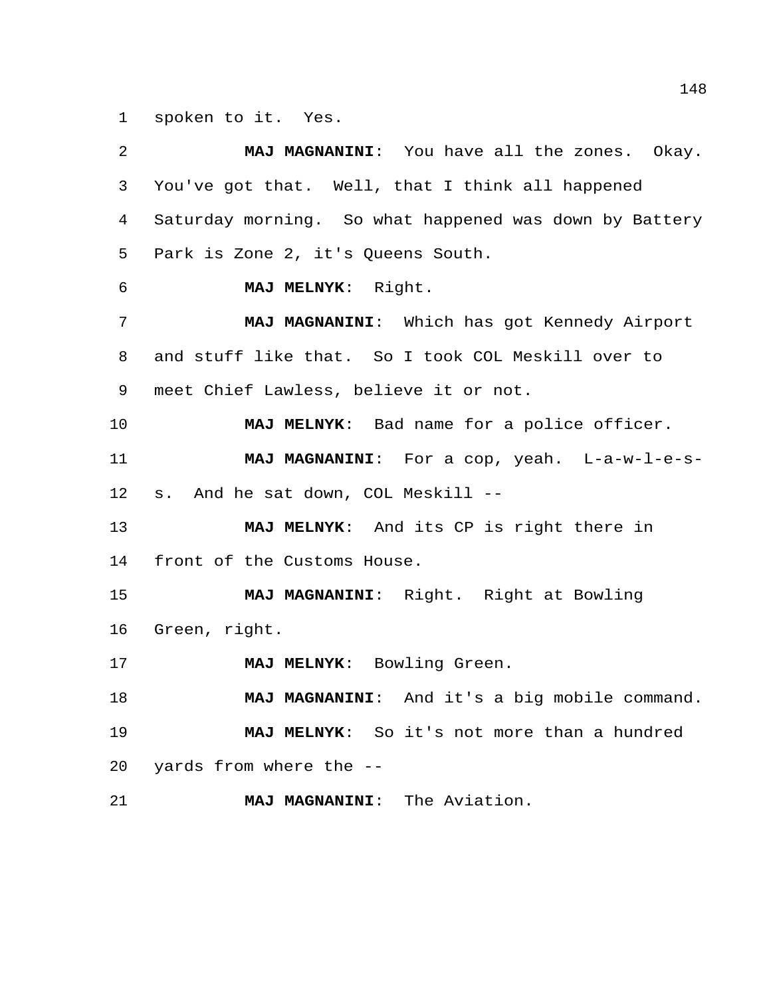spoken to it. Yes.

| 2  | MAJ MAGNANINI: You have all the zones. Okay.           |
|----|--------------------------------------------------------|
| 3  | You've got that. Well, that I think all happened       |
| 4  | Saturday morning. So what happened was down by Battery |
| 5  | Park is Zone 2, it's Queens South.                     |
| 6  | MAJ MELNYK: Right.                                     |
| 7  | MAJ MAGNANINI: Which has got Kennedy Airport           |
| 8  | and stuff like that. So I took COL Meskill over to     |
| 9  | meet Chief Lawless, believe it or not.                 |
| 10 | MAJ MELNYK: Bad name for a police officer.             |
| 11 | MAJ MAGNANINI: For a cop, yeah. L-a-w-l-e-s-           |
| 12 | s. And he sat down, COL Meskill --                     |
| 13 | MAJ MELNYK: And its CP is right there in               |
| 14 | front of the Customs House.                            |
| 15 | MAJ MAGNANINI: Right. Right at Bowling                 |
| 16 | Green, right.                                          |
| 17 | MAJ MELNYK: Bowling Green.                             |
| 18 | MAJ MAGNANINI: And it's a big mobile command.          |
| 19 | MAJ MELNYK: So it's not more than a hundred            |
| 20 | yards from where the --                                |
| 21 | MAJ MAGNANINI: The Aviation.                           |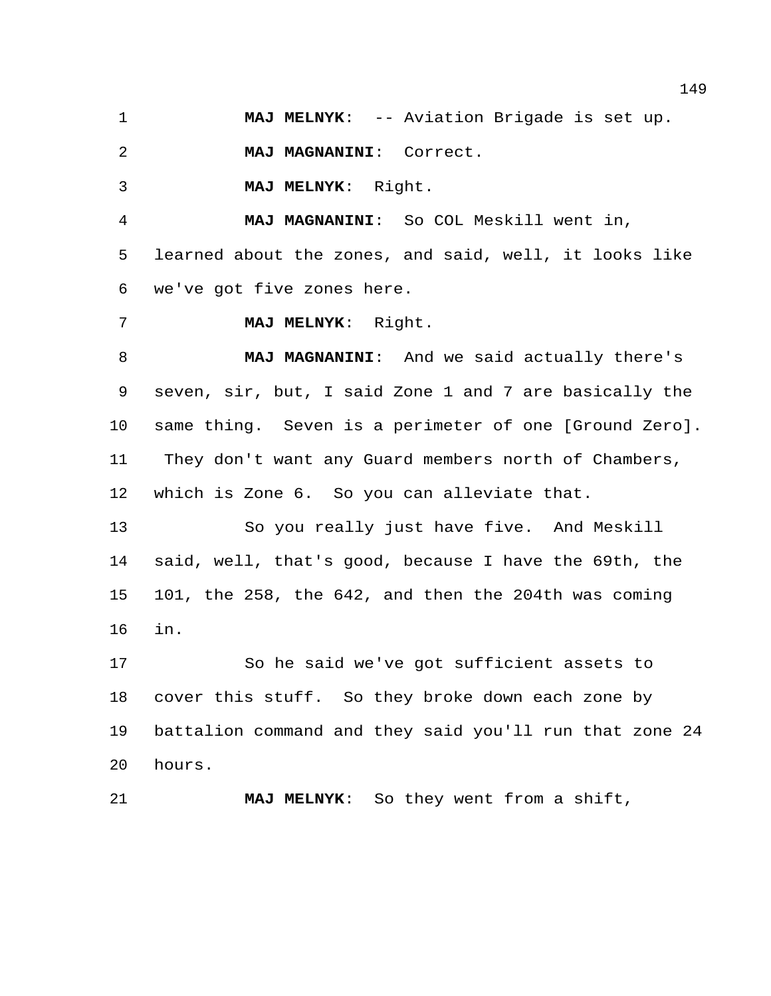**MAJ MELNYK**: -- Aviation Brigade is set up.

**MAJ MAGNANINI**: Correct.

**MAJ MELNYK**: Right.

**MAJ MAGNANINI**: So COL Meskill went in,

 learned about the zones, and said, well, it looks like we've got five zones here.

**MAJ MELNYK**: Right.

 **MAJ MAGNANINI**: And we said actually there's seven, sir, but, I said Zone 1 and 7 are basically the same thing. Seven is a perimeter of one [Ground Zero]. They don't want any Guard members north of Chambers, which is Zone 6. So you can alleviate that.

 So you really just have five. And Meskill said, well, that's good, because I have the 69th, the 101, the 258, the 642, and then the 204th was coming in.

 So he said we've got sufficient assets to cover this stuff. So they broke down each zone by battalion command and they said you'll run that zone 24 hours.

**MAJ MELNYK**: So they went from a shift,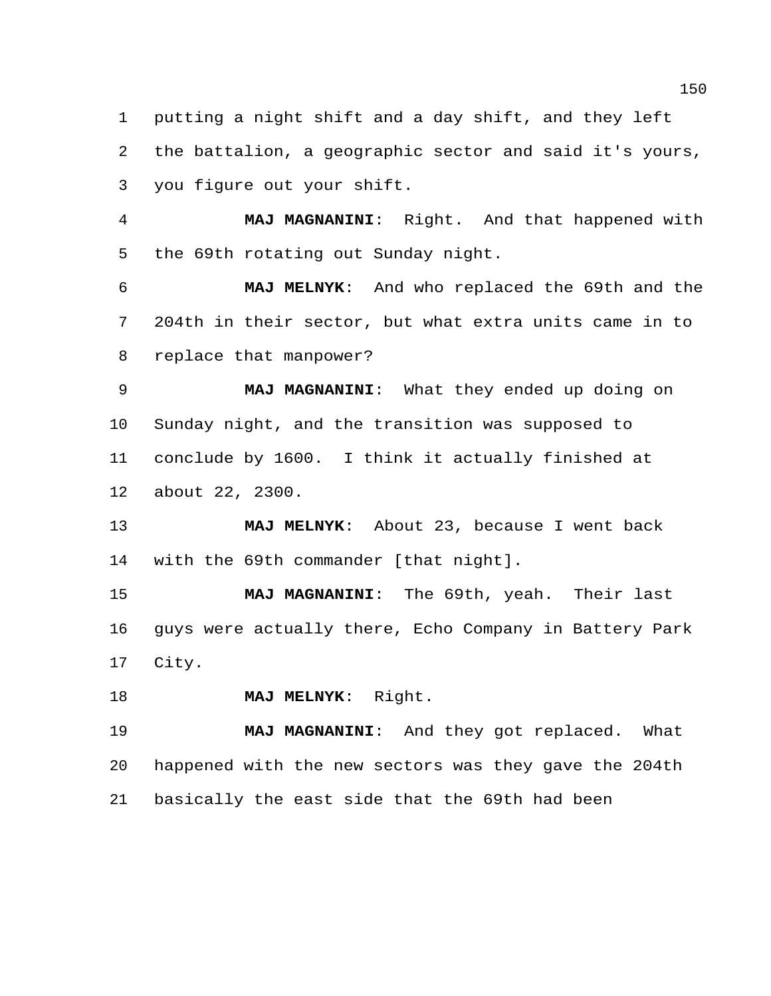putting a night shift and a day shift, and they left the battalion, a geographic sector and said it's yours, you figure out your shift.

 **MAJ MAGNANINI**: Right. And that happened with the 69th rotating out Sunday night.

 **MAJ MELNYK**: And who replaced the 69th and the 204th in their sector, but what extra units came in to replace that manpower?

 **MAJ MAGNANINI**: What they ended up doing on Sunday night, and the transition was supposed to conclude by 1600. I think it actually finished at about 22, 2300.

 **MAJ MELNYK**: About 23, because I went back with the 69th commander [that night].

 **MAJ MAGNANINI**: The 69th, yeah. Their last guys were actually there, Echo Company in Battery Park City.

**MAJ MELNYK**: Right.

 **MAJ MAGNANINI**: And they got replaced. What happened with the new sectors was they gave the 204th basically the east side that the 69th had been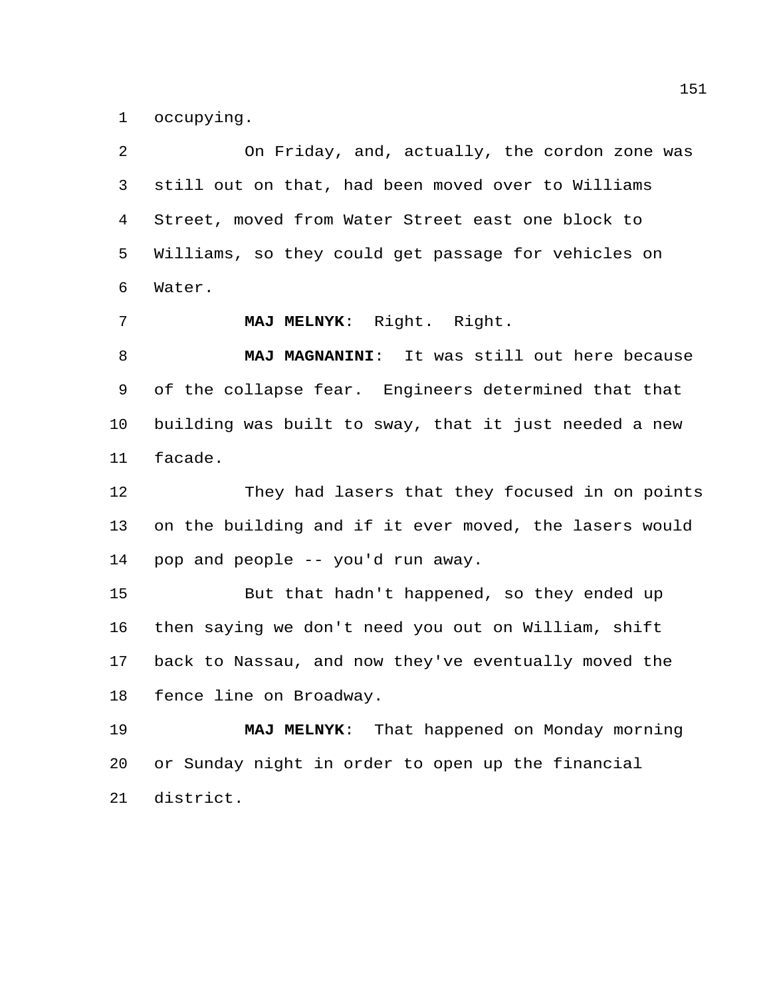occupying.

 On Friday, and, actually, the cordon zone was still out on that, had been moved over to Williams Street, moved from Water Street east one block to Williams, so they could get passage for vehicles on Water. **MAJ MELNYK**: Right. Right. **MAJ MAGNANINI**: It was still out here because of the collapse fear. Engineers determined that that building was built to sway, that it just needed a new facade. They had lasers that they focused in on points on the building and if it ever moved, the lasers would pop and people -- you'd run away. But that hadn't happened, so they ended up then saying we don't need you out on William, shift back to Nassau, and now they've eventually moved the fence line on Broadway. **MAJ MELNYK**: That happened on Monday morning or Sunday night in order to open up the financial district.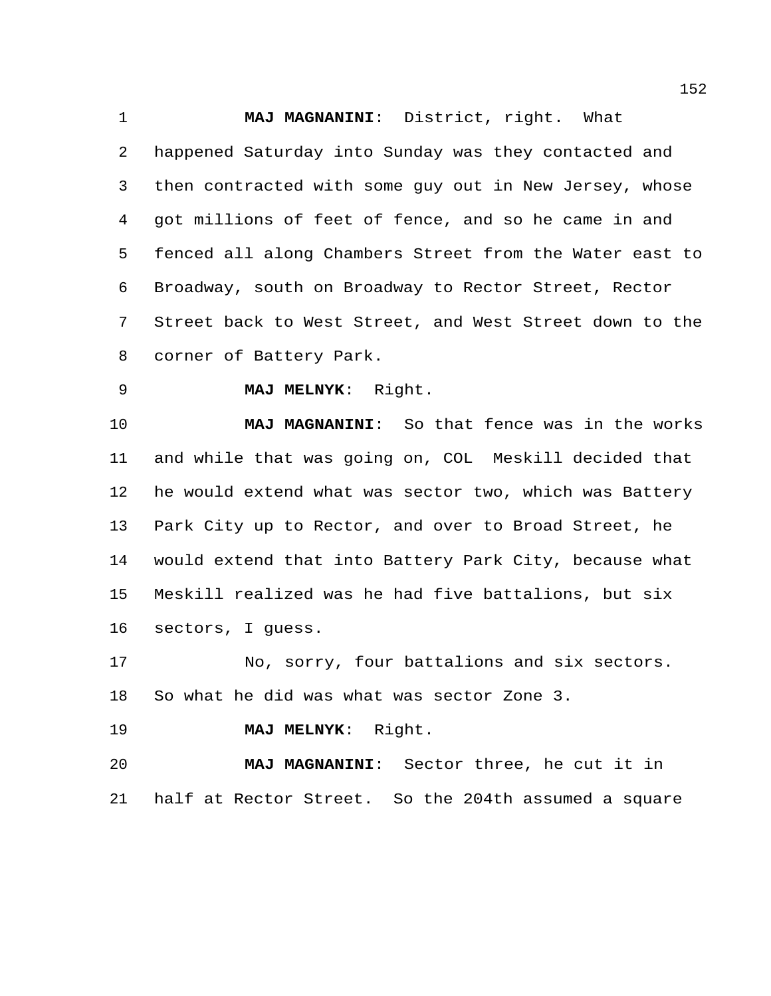**MAJ MAGNANINI**: District, right. What happened Saturday into Sunday was they contacted and then contracted with some guy out in New Jersey, whose got millions of feet of fence, and so he came in and fenced all along Chambers Street from the Water east to Broadway, south on Broadway to Rector Street, Rector Street back to West Street, and West Street down to the corner of Battery Park.

**MAJ MELNYK**: Right.

 **MAJ MAGNANINI**: So that fence was in the works and while that was going on, COL Meskill decided that he would extend what was sector two, which was Battery Park City up to Rector, and over to Broad Street, he would extend that into Battery Park City, because what Meskill realized was he had five battalions, but six sectors, I guess.

 No, sorry, four battalions and six sectors. So what he did was what was sector Zone 3.

**MAJ MELNYK**: Right.

 **MAJ MAGNANINI**: Sector three, he cut it in half at Rector Street. So the 204th assumed a square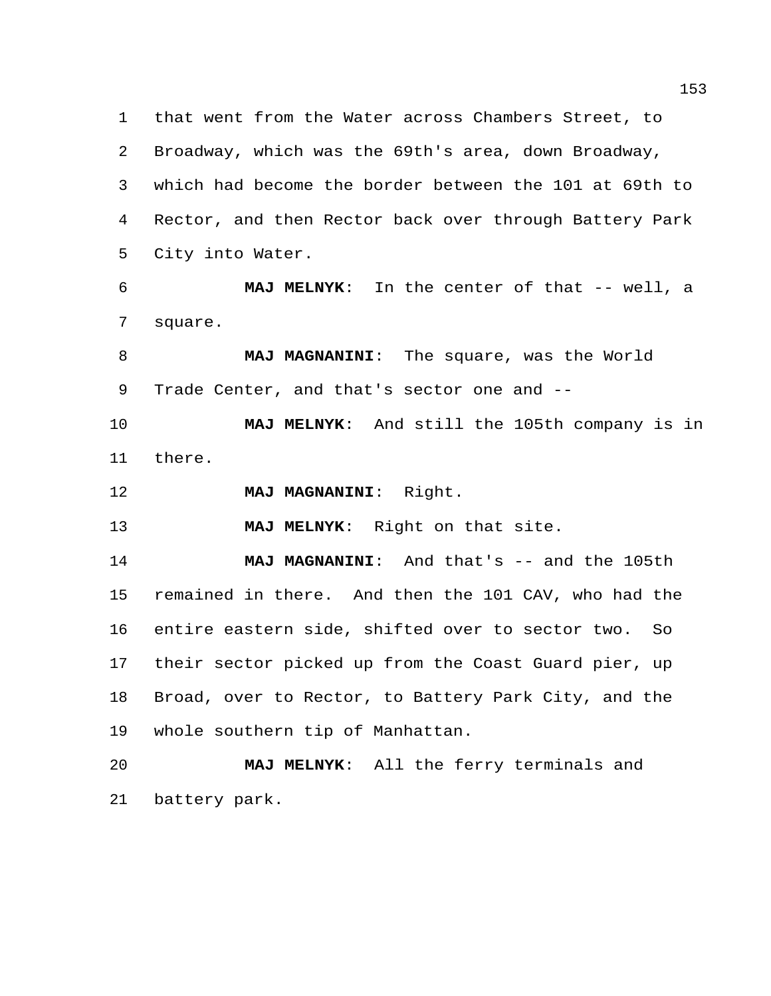that went from the Water across Chambers Street, to Broadway, which was the 69th's area, down Broadway, which had become the border between the 101 at 69th to Rector, and then Rector back over through Battery Park City into Water.

 **MAJ MELNYK**: In the center of that -- well, a square.

 **MAJ MAGNANINI**: The square, was the World Trade Center, and that's sector one and --

 **MAJ MELNYK**: And still the 105th company is in there.

**MAJ MAGNANINI**: Right.

**MAJ MELNYK**: Right on that site.

 **MAJ MAGNANINI**: And that's -- and the 105th remained in there. And then the 101 CAV, who had the entire eastern side, shifted over to sector two. So their sector picked up from the Coast Guard pier, up Broad, over to Rector, to Battery Park City, and the whole southern tip of Manhattan.

 **MAJ MELNYK**: All the ferry terminals and battery park.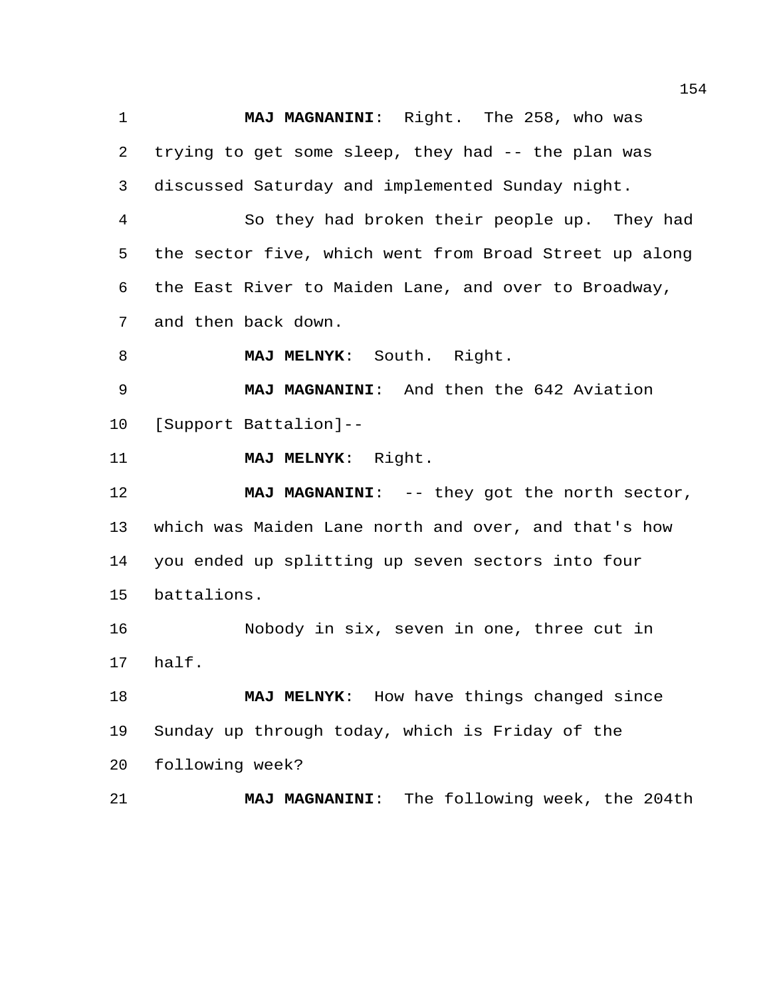**MAJ MAGNANINI**: Right. The 258, who was trying to get some sleep, they had -- the plan was discussed Saturday and implemented Sunday night.

 So they had broken their people up. They had the sector five, which went from Broad Street up along the East River to Maiden Lane, and over to Broadway, and then back down.

**MAJ MELNYK**: South. Right.

 **MAJ MAGNANINI**: And then the 642 Aviation [Support Battalion]--

**MAJ MELNYK**: Right.

**MAJ MAGNANINI:** -- they got the north sector, which was Maiden Lane north and over, and that's how you ended up splitting up seven sectors into four battalions.

 Nobody in six, seven in one, three cut in half.

 **MAJ MELNYK**: How have things changed since Sunday up through today, which is Friday of the following week?

**MAJ MAGNANINI**: The following week, the 204th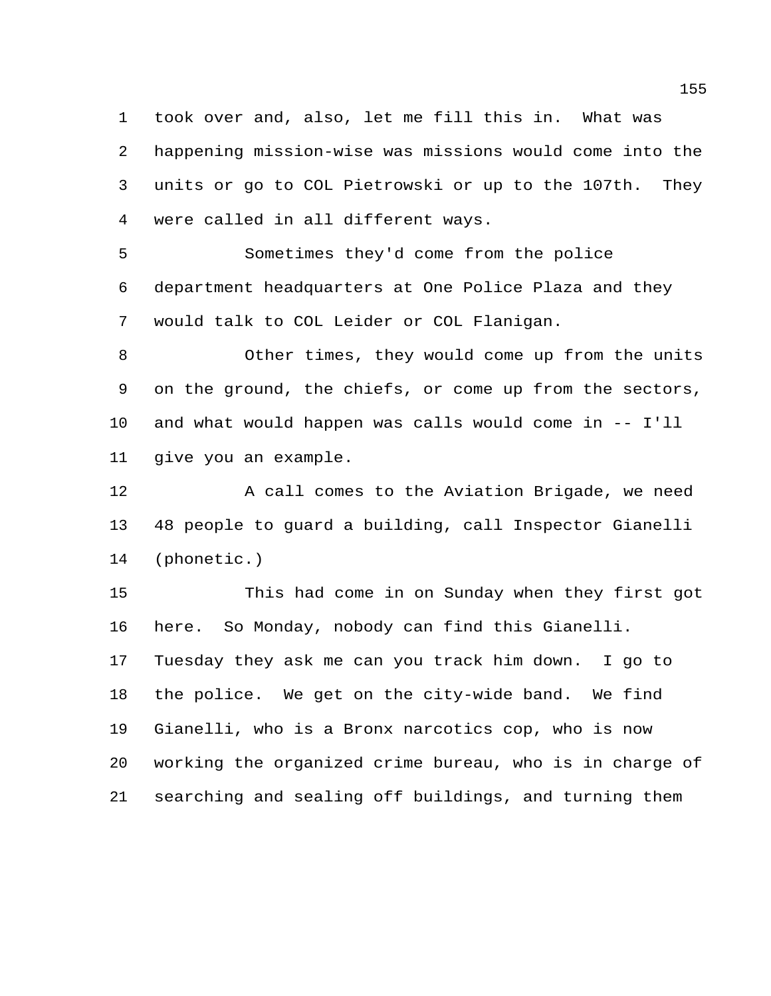took over and, also, let me fill this in. What was happening mission-wise was missions would come into the units or go to COL Pietrowski or up to the 107th. They were called in all different ways.

 Sometimes they'd come from the police department headquarters at One Police Plaza and they would talk to COL Leider or COL Flanigan.

 Other times, they would come up from the units on the ground, the chiefs, or come up from the sectors, and what would happen was calls would come in -- I'll give you an example.

12 A call comes to the Aviation Brigade, we need 48 people to guard a building, call Inspector Gianelli (phonetic.)

 This had come in on Sunday when they first got here. So Monday, nobody can find this Gianelli. Tuesday they ask me can you track him down. I go to the police. We get on the city-wide band. We find Gianelli, who is a Bronx narcotics cop, who is now working the organized crime bureau, who is in charge of searching and sealing off buildings, and turning them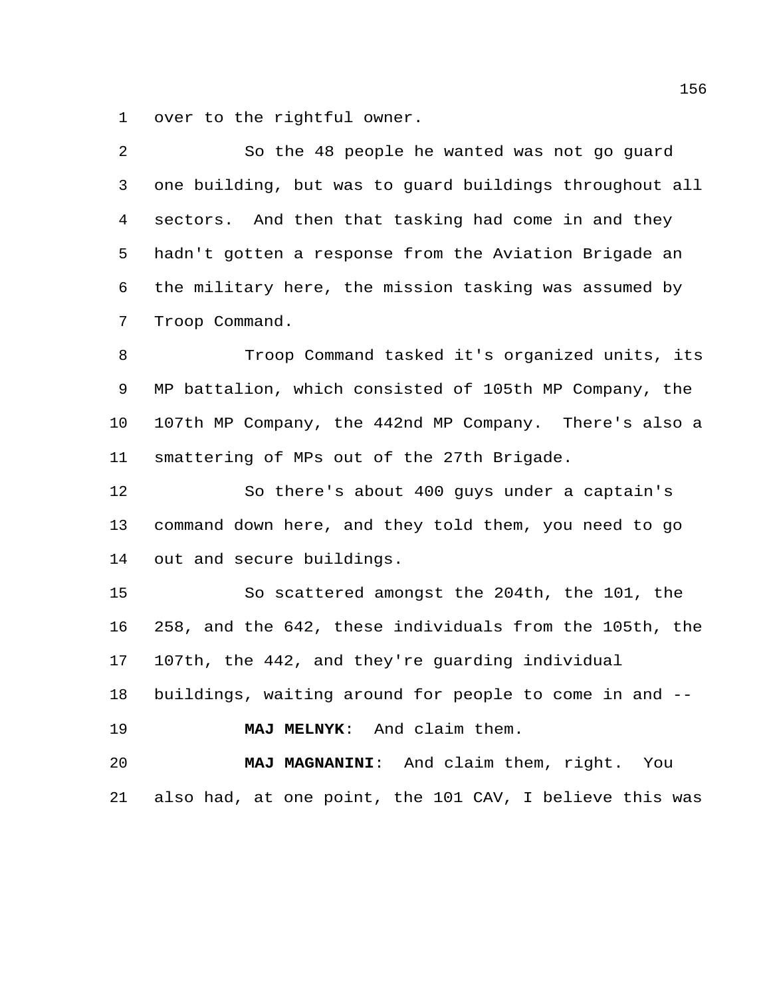over to the rightful owner.

| 2  | So the 48 people he wanted was not go guard             |
|----|---------------------------------------------------------|
| 3  | one building, but was to guard buildings throughout all |
| 4  | sectors. And then that tasking had come in and they     |
| 5  | hadn't gotten a response from the Aviation Brigade an   |
| 6  | the military here, the mission tasking was assumed by   |
| 7  | Troop Command.                                          |
| 8  | Troop Command tasked it's organized units, its          |
| 9  | MP battalion, which consisted of 105th MP Company, the  |
| 10 | 107th MP Company, the 442nd MP Company. There's also a  |
| 11 | smattering of MPs out of the 27th Brigade.              |
| 12 | So there's about 400 guys under a captain's             |
| 13 | command down here, and they told them, you need to go   |
| 14 | out and secure buildings.                               |
| 15 | So scattered amongst the 204th, the 101, the            |
| 16 | 258, and the 642, these individuals from the 105th, the |
| 17 | 107th, the 442, and they're guarding individual         |
| 18 | buildings, waiting around for people to come in and --  |
| 19 | MAJ MELNYK: And claim them.                             |
| 20 | MAJ MAGNANINI: And claim them, right. You               |
| 21 | also had, at one point, the 101 CAV, I believe this was |
|    |                                                         |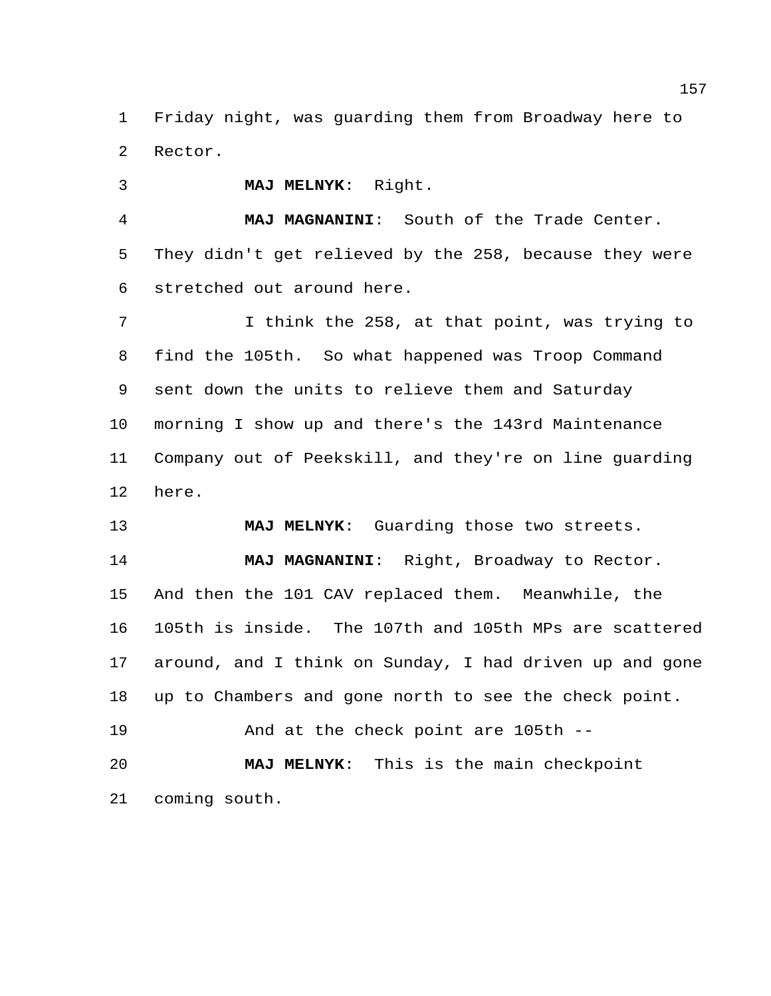Friday night, was guarding them from Broadway here to Rector.

**MAJ MELNYK**: Right.

coming south.

 **MAJ MAGNANINI**: South of the Trade Center. They didn't get relieved by the 258, because they were stretched out around here.

 I think the 258, at that point, was trying to find the 105th. So what happened was Troop Command sent down the units to relieve them and Saturday morning I show up and there's the 143rd Maintenance Company out of Peekskill, and they're on line guarding here.

 **MAJ MELNYK**: Guarding those two streets. **MAJ MAGNANINI**: Right, Broadway to Rector. And then the 101 CAV replaced them. Meanwhile, the 105th is inside. The 107th and 105th MPs are scattered around, and I think on Sunday, I had driven up and gone up to Chambers and gone north to see the check point. And at the check point are 105th -- **MAJ MELNYK**: This is the main checkpoint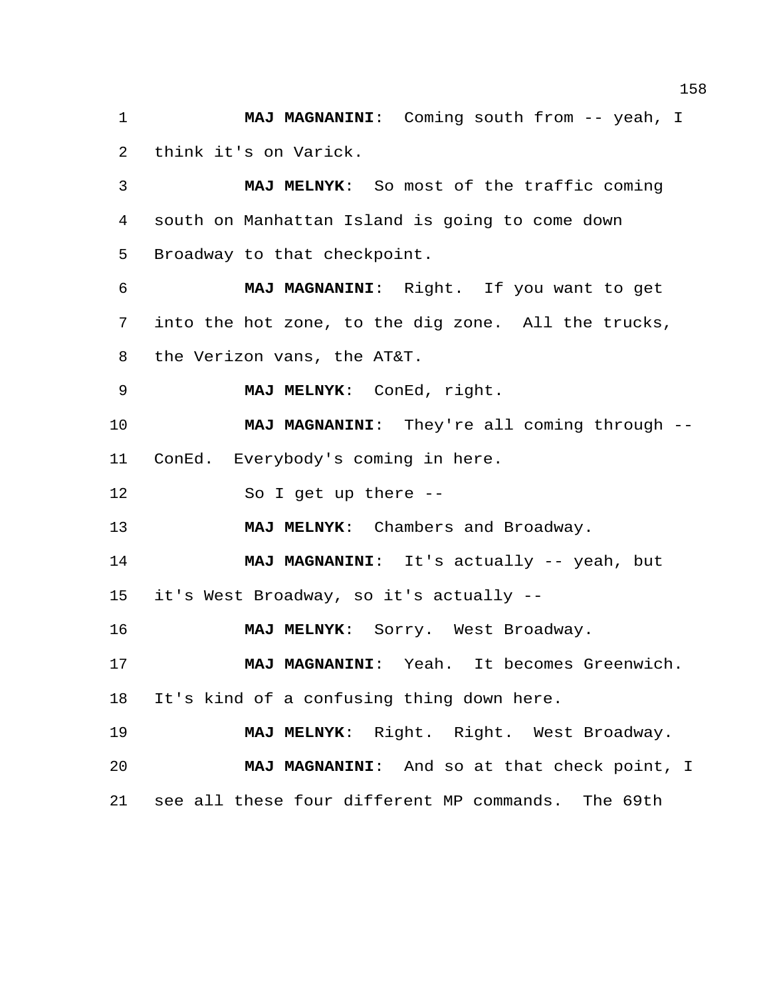**MAJ MAGNANINI**: Coming south from -- yeah, I think it's on Varick.

 **MAJ MELNYK**: So most of the traffic coming south on Manhattan Island is going to come down Broadway to that checkpoint.

 **MAJ MAGNANINI**: Right. If you want to get into the hot zone, to the dig zone. All the trucks, the Verizon vans, the AT&T.

**MAJ MELNYK**: ConEd, right.

 **MAJ MAGNANINI**: They're all coming through -- ConEd. Everybody's coming in here.

So I get up there --

**MAJ MELNYK**: Chambers and Broadway.

 **MAJ MAGNANINI**: It's actually -- yeah, but it's West Broadway, so it's actually --

**MAJ MELNYK**: Sorry. West Broadway.

 **MAJ MAGNANINI**: Yeah. It becomes Greenwich. It's kind of a confusing thing down here.

**MAJ MELNYK**: Right. Right. West Broadway.

 **MAJ MAGNANINI**: And so at that check point, I see all these four different MP commands. The 69th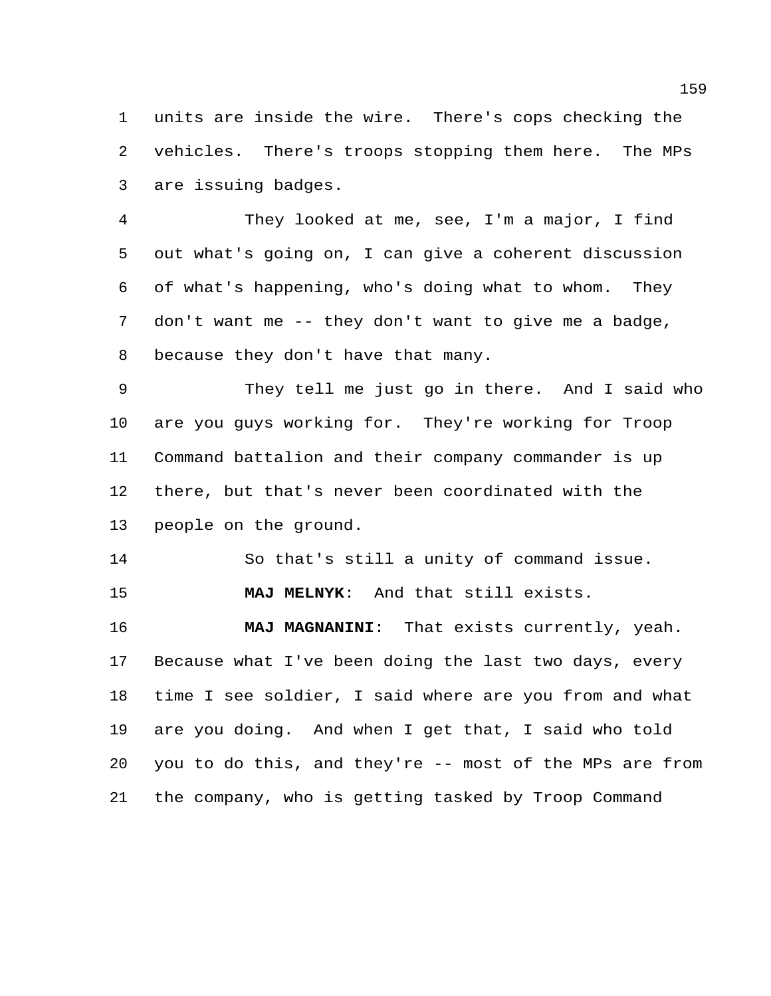units are inside the wire. There's cops checking the vehicles. There's troops stopping them here. The MPs are issuing badges.

 They looked at me, see, I'm a major, I find out what's going on, I can give a coherent discussion of what's happening, who's doing what to whom. They don't want me -- they don't want to give me a badge, because they don't have that many.

 They tell me just go in there. And I said who are you guys working for. They're working for Troop Command battalion and their company commander is up there, but that's never been coordinated with the people on the ground.

So that's still a unity of command issue.

**MAJ MELNYK**: And that still exists.

 **MAJ MAGNANINI**: That exists currently, yeah. Because what I've been doing the last two days, every time I see soldier, I said where are you from and what are you doing. And when I get that, I said who told you to do this, and they're -- most of the MPs are from the company, who is getting tasked by Troop Command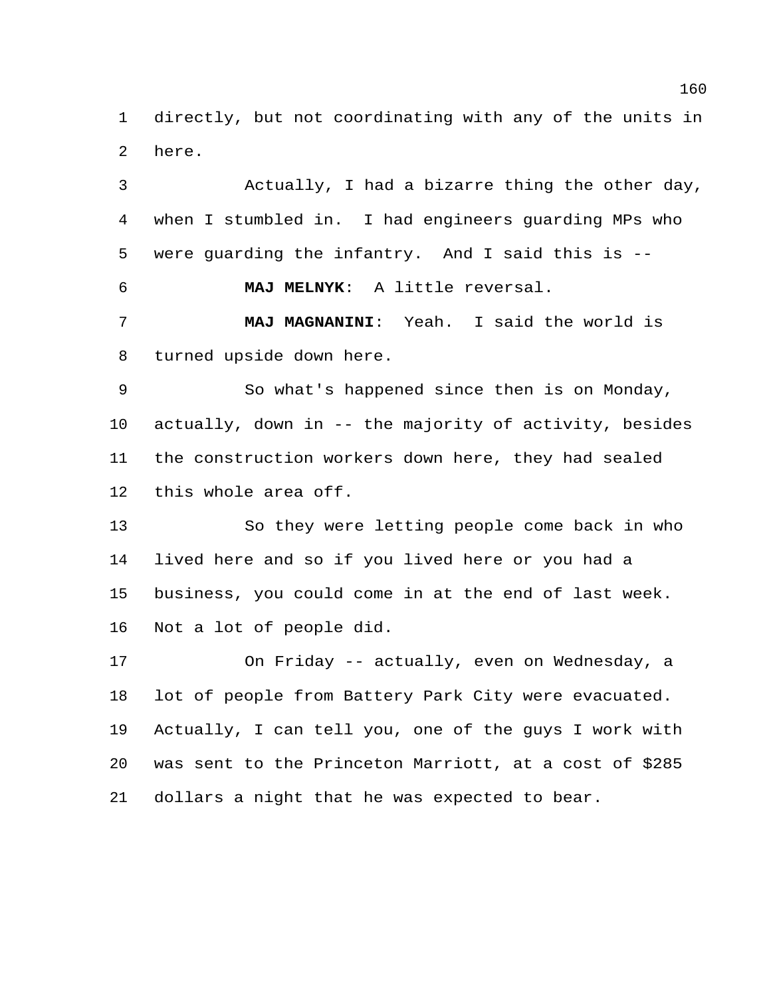directly, but not coordinating with any of the units in here.

 Actually, I had a bizarre thing the other day, when I stumbled in. I had engineers guarding MPs who were guarding the infantry. And I said this is -- **MAJ MELNYK**: A little reversal. **MAJ MAGNANINI**: Yeah. I said the world is turned upside down here. So what's happened since then is on Monday, actually, down in -- the majority of activity, besides the construction workers down here, they had sealed this whole area off. So they were letting people come back in who lived here and so if you lived here or you had a business, you could come in at the end of last week. Not a lot of people did. On Friday -- actually, even on Wednesday, a lot of people from Battery Park City were evacuated.

 Actually, I can tell you, one of the guys I work with was sent to the Princeton Marriott, at a cost of \$285 dollars a night that he was expected to bear.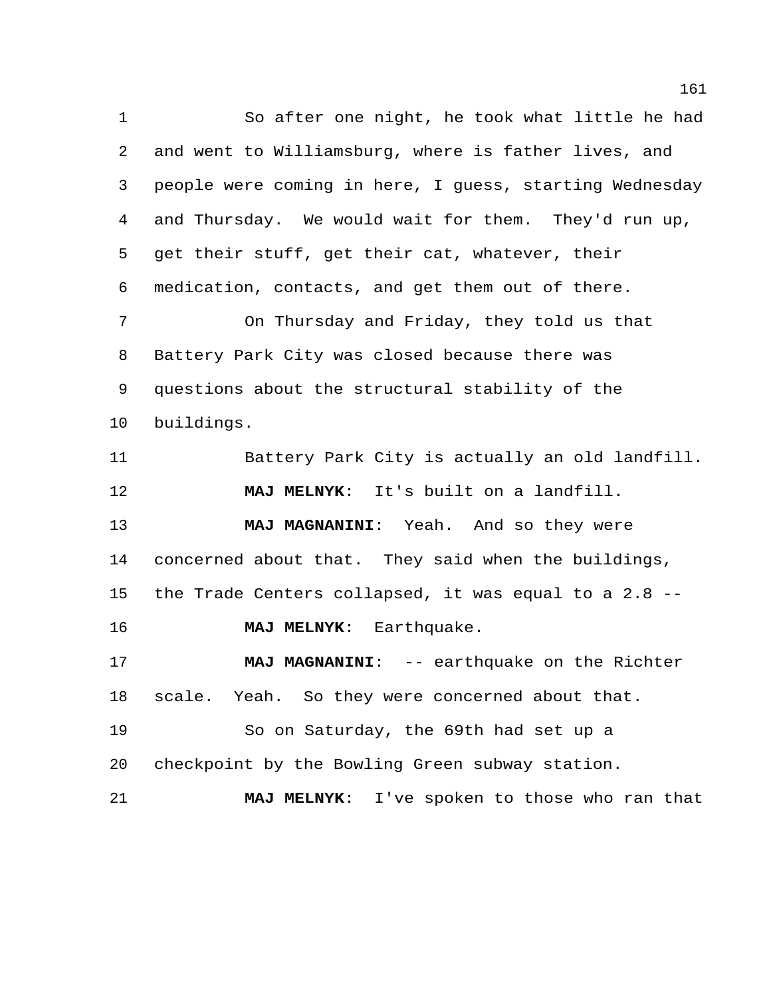So after one night, he took what little he had and went to Williamsburg, where is father lives, and people were coming in here, I guess, starting Wednesday and Thursday. We would wait for them. They'd run up, get their stuff, get their cat, whatever, their medication, contacts, and get them out of there. On Thursday and Friday, they told us that Battery Park City was closed because there was questions about the structural stability of the buildings.

 Battery Park City is actually an old landfill. **MAJ MELNYK**: It's built on a landfill. **MAJ MAGNANINI**: Yeah. And so they were concerned about that. They said when the buildings, the Trade Centers collapsed, it was equal to a 2.8 -- **MAJ MELNYK**: Earthquake. **MAJ MAGNANINI**: -- earthquake on the Richter scale. Yeah. So they were concerned about that. So on Saturday, the 69th had set up a checkpoint by the Bowling Green subway station. **MAJ MELNYK**: I've spoken to those who ran that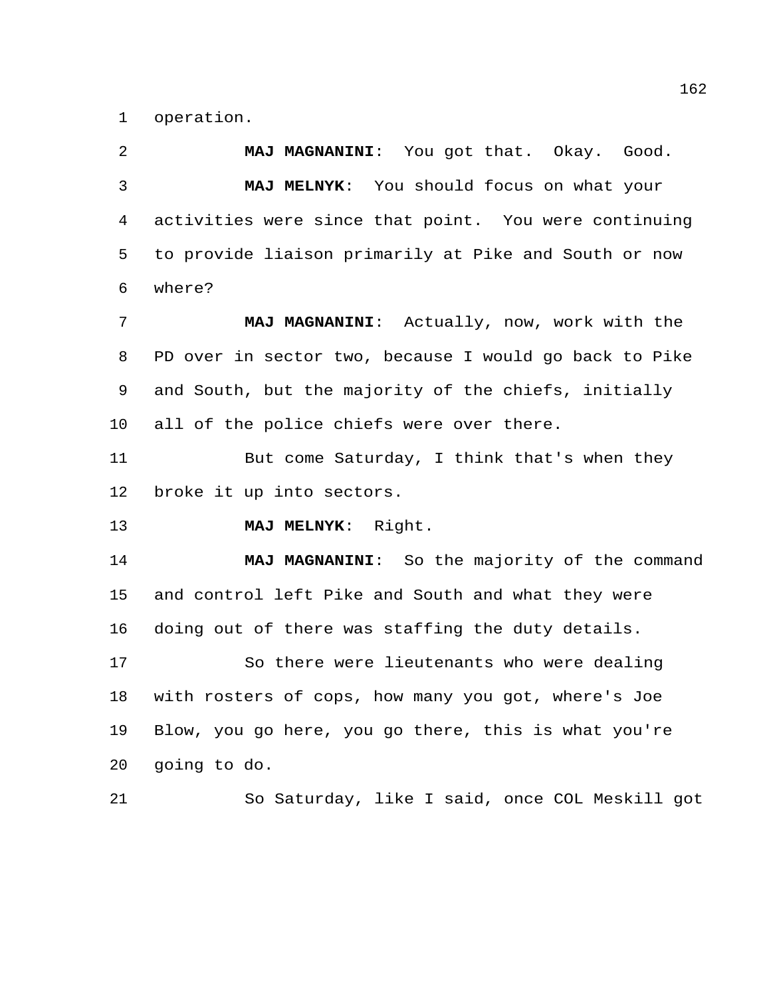operation.

 **MAJ MAGNANINI**: You got that. Okay. Good. **MAJ MELNYK**: You should focus on what your activities were since that point. You were continuing to provide liaison primarily at Pike and South or now where?

 **MAJ MAGNANINI**: Actually, now, work with the PD over in sector two, because I would go back to Pike and South, but the majority of the chiefs, initially all of the police chiefs were over there.

 But come Saturday, I think that's when they broke it up into sectors.

**MAJ MELNYK**: Right.

 **MAJ MAGNANINI**: So the majority of the command and control left Pike and South and what they were doing out of there was staffing the duty details.

 So there were lieutenants who were dealing with rosters of cops, how many you got, where's Joe Blow, you go here, you go there, this is what you're going to do.

So Saturday, like I said, once COL Meskill got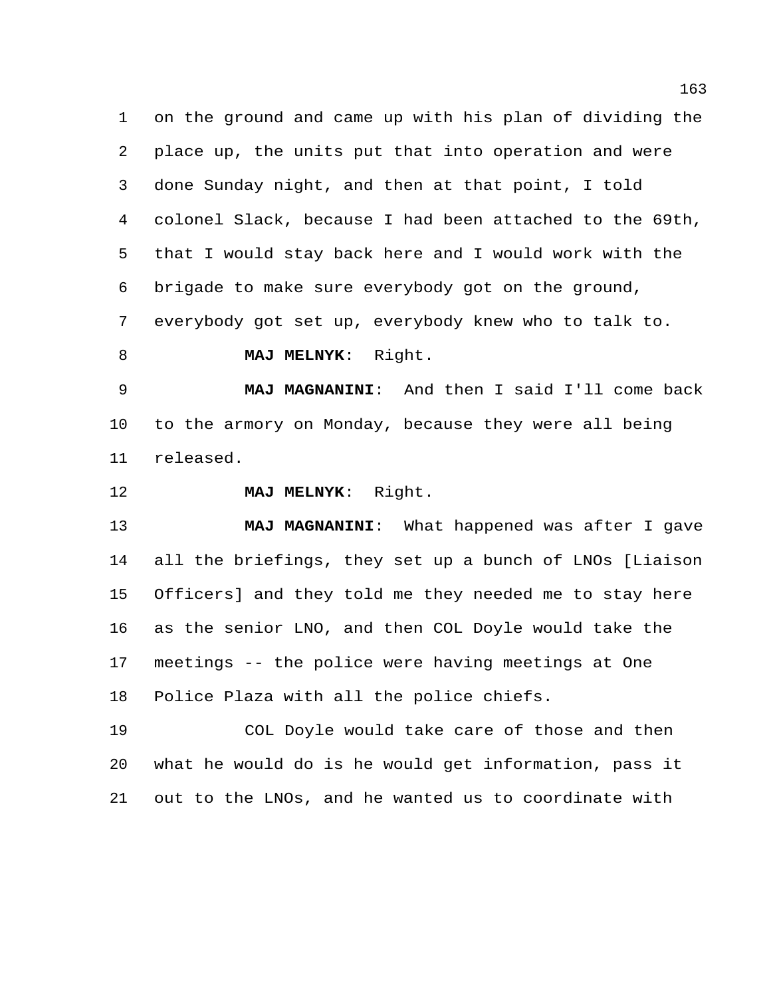on the ground and came up with his plan of dividing the place up, the units put that into operation and were done Sunday night, and then at that point, I told colonel Slack, because I had been attached to the 69th, that I would stay back here and I would work with the brigade to make sure everybody got on the ground, everybody got set up, everybody knew who to talk to.

**MAJ MELNYK**: Right.

 **MAJ MAGNANINI**: And then I said I'll come back to the armory on Monday, because they were all being released.

**MAJ MELNYK**: Right.

 **MAJ MAGNANINI**: What happened was after I gave all the briefings, they set up a bunch of LNOs [Liaison Officers] and they told me they needed me to stay here as the senior LNO, and then COL Doyle would take the meetings -- the police were having meetings at One Police Plaza with all the police chiefs.

 COL Doyle would take care of those and then what he would do is he would get information, pass it out to the LNOs, and he wanted us to coordinate with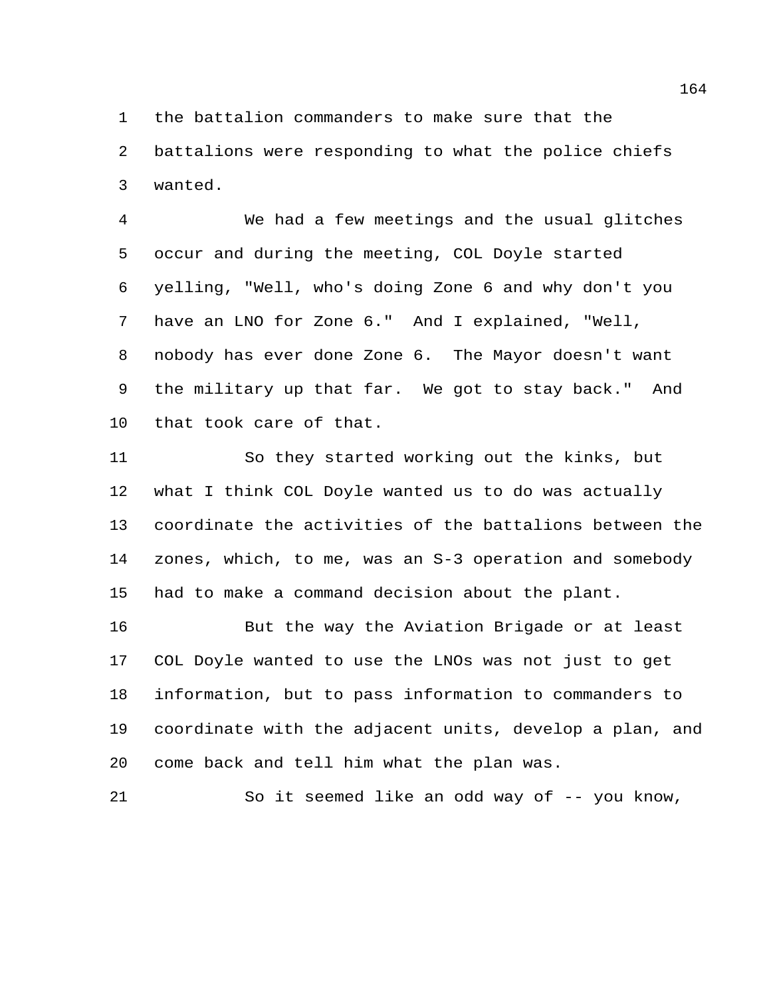the battalion commanders to make sure that the

 battalions were responding to what the police chiefs wanted.

 We had a few meetings and the usual glitches occur and during the meeting, COL Doyle started yelling, "Well, who's doing Zone 6 and why don't you have an LNO for Zone 6." And I explained, "Well, nobody has ever done Zone 6. The Mayor doesn't want the military up that far. We got to stay back." And that took care of that.

 So they started working out the kinks, but what I think COL Doyle wanted us to do was actually coordinate the activities of the battalions between the zones, which, to me, was an S-3 operation and somebody had to make a command decision about the plant.

 But the way the Aviation Brigade or at least COL Doyle wanted to use the LNOs was not just to get information, but to pass information to commanders to coordinate with the adjacent units, develop a plan, and come back and tell him what the plan was.

So it seemed like an odd way of -- you know,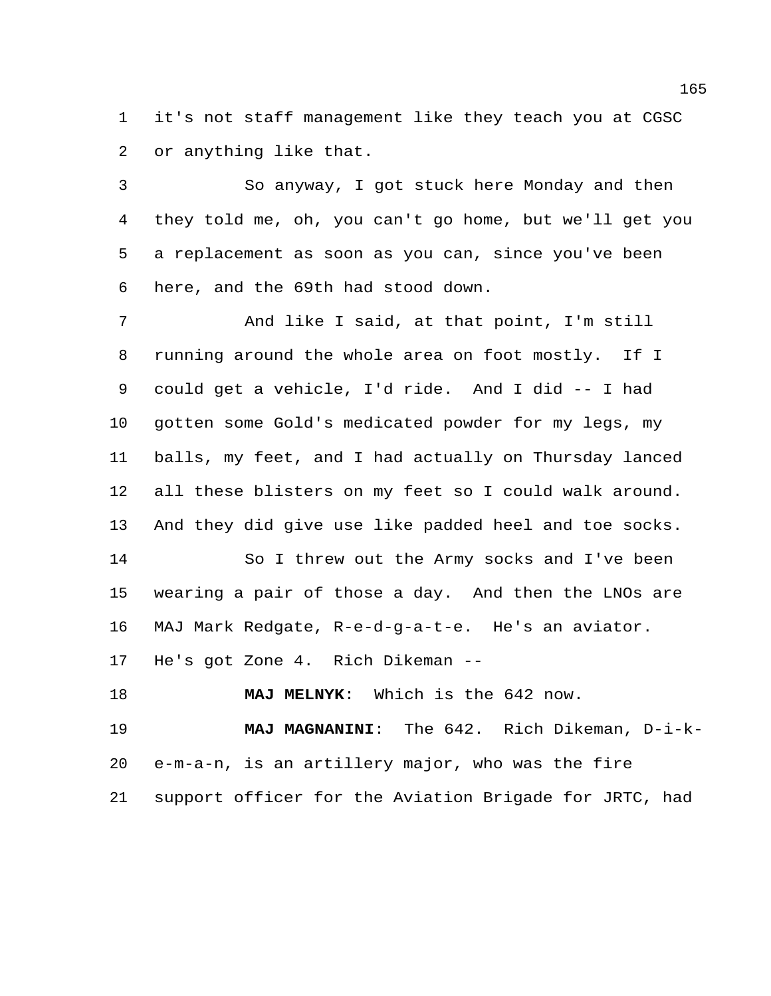it's not staff management like they teach you at CGSC or anything like that.

 So anyway, I got stuck here Monday and then they told me, oh, you can't go home, but we'll get you a replacement as soon as you can, since you've been here, and the 69th had stood down.

 And like I said, at that point, I'm still running around the whole area on foot mostly. If I could get a vehicle, I'd ride. And I did -- I had gotten some Gold's medicated powder for my legs, my balls, my feet, and I had actually on Thursday lanced all these blisters on my feet so I could walk around. And they did give use like padded heel and toe socks. So I threw out the Army socks and I've been wearing a pair of those a day. And then the LNOs are

MAJ Mark Redgate, R-e-d-g-a-t-e. He's an aviator.

He's got Zone 4. Rich Dikeman --

**MAJ MELNYK**: Which is the 642 now.

 **MAJ MAGNANINI**: The 642. Rich Dikeman, D-i-k- e-m-a-n, is an artillery major, who was the fire support officer for the Aviation Brigade for JRTC, had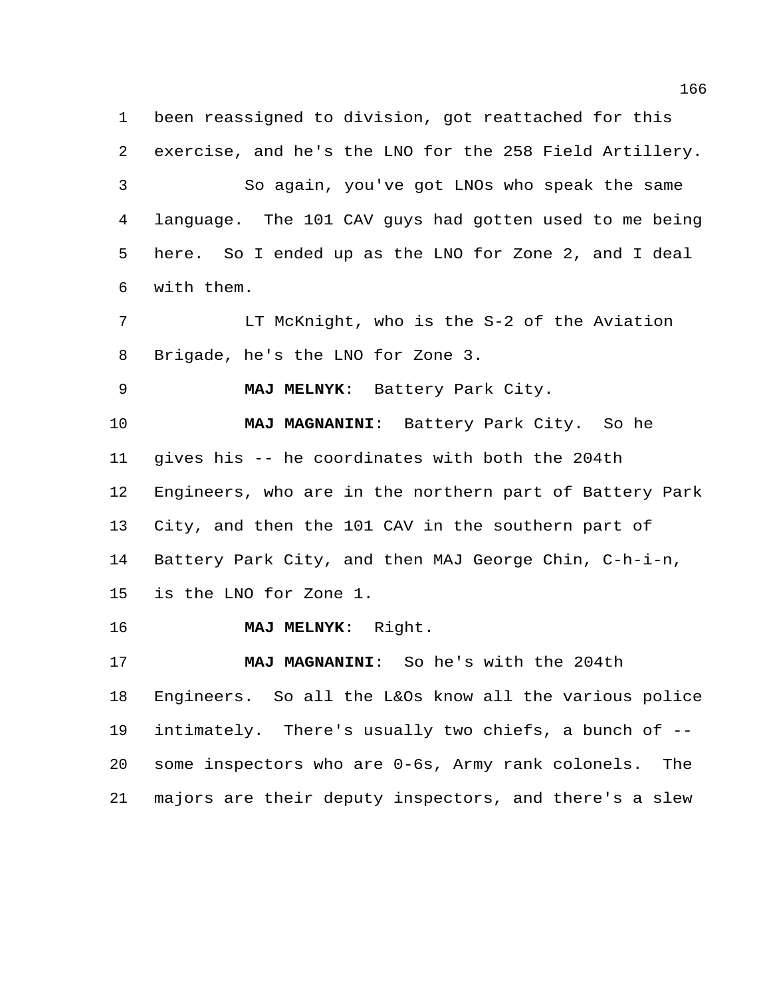been reassigned to division, got reattached for this exercise, and he's the LNO for the 258 Field Artillery. So again, you've got LNOs who speak the same language. The 101 CAV guys had gotten used to me being here. So I ended up as the LNO for Zone 2, and I deal with them.

 LT McKnight, who is the S-2 of the Aviation Brigade, he's the LNO for Zone 3.

**MAJ MELNYK**: Battery Park City.

 **MAJ MAGNANINI**: Battery Park City. So he gives his -- he coordinates with both the 204th Engineers, who are in the northern part of Battery Park City, and then the 101 CAV in the southern part of Battery Park City, and then MAJ George Chin, C-h-i-n, is the LNO for Zone 1.

**MAJ MELNYK**: Right.

 **MAJ MAGNANINI**: So he's with the 204th Engineers. So all the L&Os know all the various police intimately. There's usually two chiefs, a bunch of -- some inspectors who are 0-6s, Army rank colonels. The majors are their deputy inspectors, and there's a slew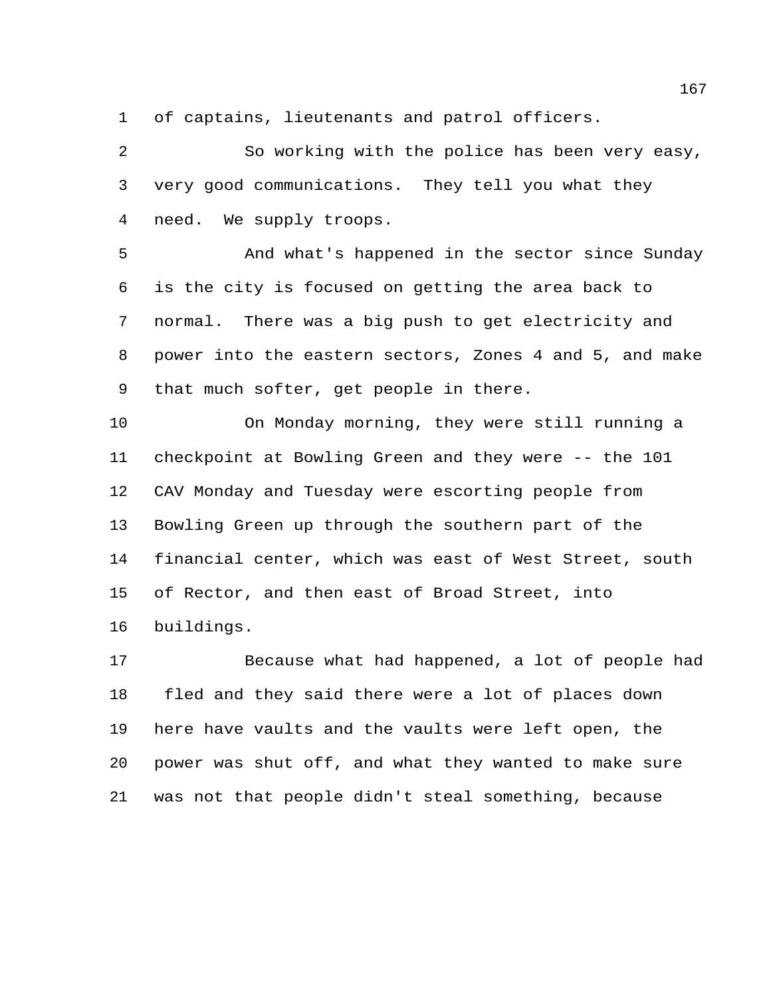of captains, lieutenants and patrol officers.

 So working with the police has been very easy, very good communications. They tell you what they need. We supply troops.

 And what's happened in the sector since Sunday is the city is focused on getting the area back to normal. There was a big push to get electricity and power into the eastern sectors, Zones 4 and 5, and make that much softer, get people in there.

 On Monday morning, they were still running a checkpoint at Bowling Green and they were -- the 101 CAV Monday and Tuesday were escorting people from Bowling Green up through the southern part of the financial center, which was east of West Street, south of Rector, and then east of Broad Street, into buildings.

 Because what had happened, a lot of people had fled and they said there were a lot of places down here have vaults and the vaults were left open, the power was shut off, and what they wanted to make sure was not that people didn't steal something, because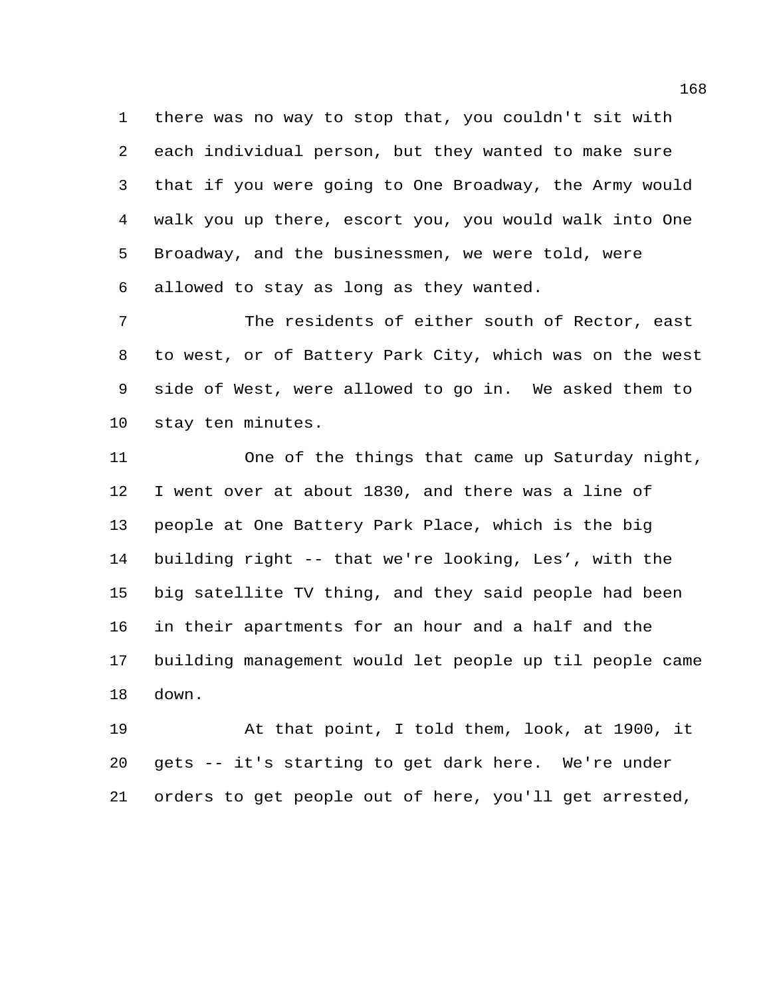there was no way to stop that, you couldn't sit with each individual person, but they wanted to make sure that if you were going to One Broadway, the Army would walk you up there, escort you, you would walk into One Broadway, and the businessmen, we were told, were allowed to stay as long as they wanted.

 The residents of either south of Rector, east to west, or of Battery Park City, which was on the west side of West, were allowed to go in. We asked them to stay ten minutes.

 One of the things that came up Saturday night, I went over at about 1830, and there was a line of people at One Battery Park Place, which is the big building right -- that we're looking, Les', with the big satellite TV thing, and they said people had been in their apartments for an hour and a half and the building management would let people up til people came down.

 At that point, I told them, look, at 1900, it gets -- it's starting to get dark here. We're under orders to get people out of here, you'll get arrested,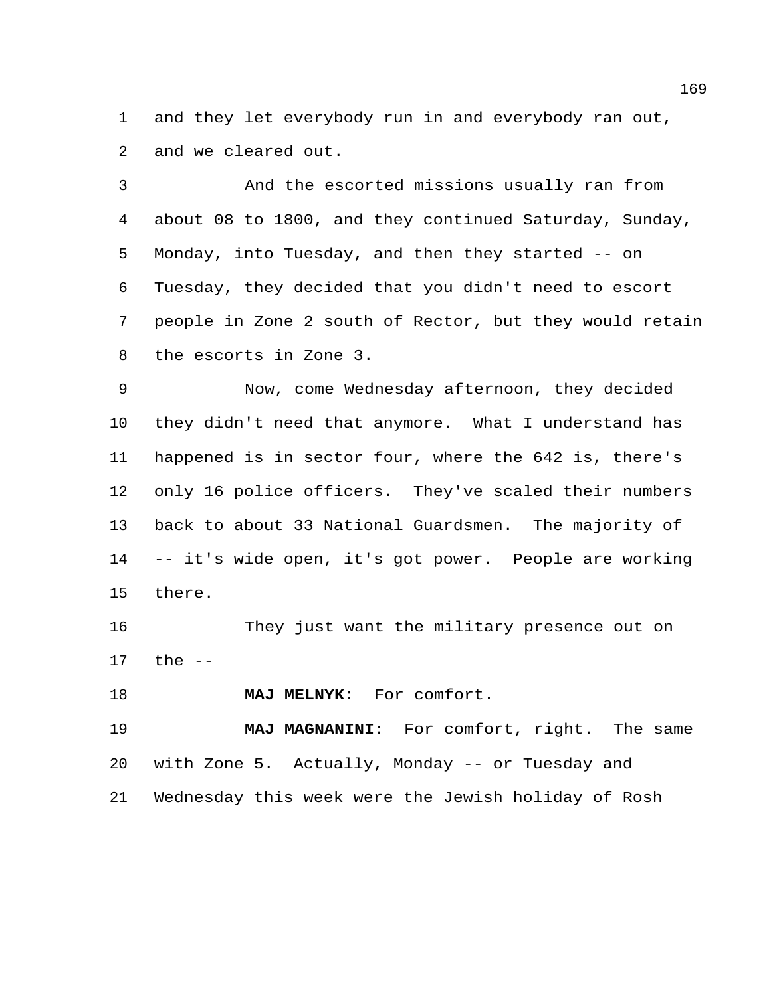and they let everybody run in and everybody ran out, and we cleared out.

 And the escorted missions usually ran from about 08 to 1800, and they continued Saturday, Sunday, Monday, into Tuesday, and then they started -- on Tuesday, they decided that you didn't need to escort people in Zone 2 south of Rector, but they would retain the escorts in Zone 3.

 Now, come Wednesday afternoon, they decided they didn't need that anymore. What I understand has happened is in sector four, where the 642 is, there's only 16 police officers. They've scaled their numbers back to about 33 National Guardsmen. The majority of -- it's wide open, it's got power. People are working there.

 They just want the military presence out on the --

**MAJ MELNYK**: For comfort.

 **MAJ MAGNANINI**: For comfort, right. The same with Zone 5. Actually, Monday -- or Tuesday and Wednesday this week were the Jewish holiday of Rosh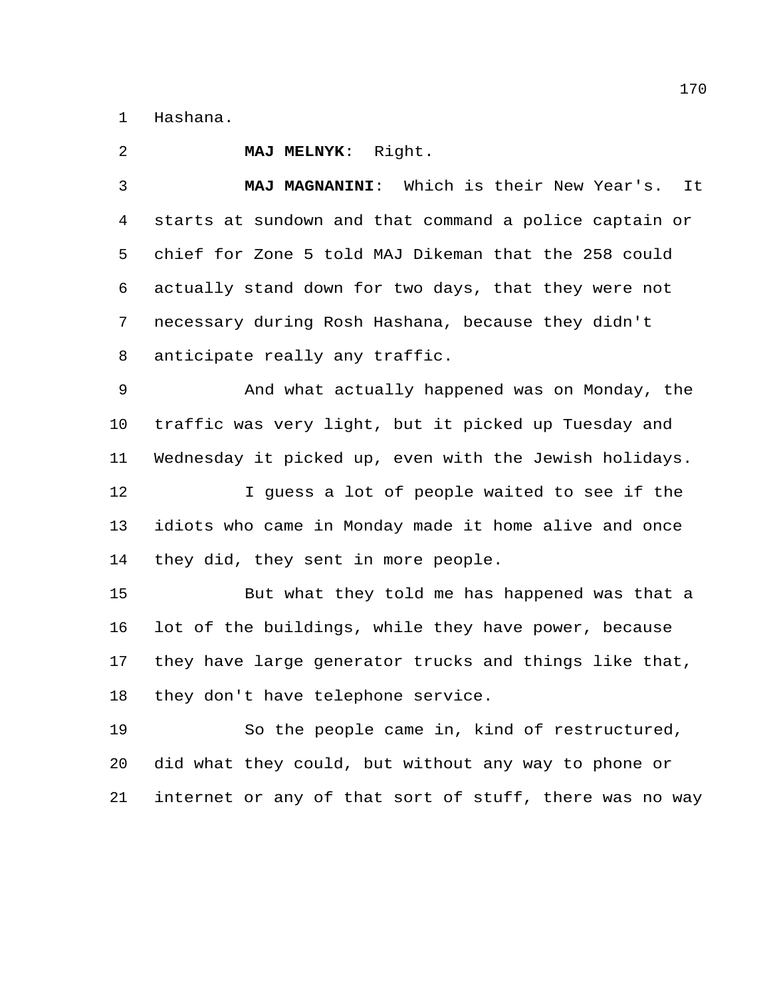Hashana.

 **MAJ MELNYK**: Right. **MAJ MAGNANINI**: Which is their New Year's. It starts at sundown and that command a police captain or chief for Zone 5 told MAJ Dikeman that the 258 could actually stand down for two days, that they were not necessary during Rosh Hashana, because they didn't anticipate really any traffic. And what actually happened was on Monday, the traffic was very light, but it picked up Tuesday and Wednesday it picked up, even with the Jewish holidays. 12 I guess a lot of people waited to see if the idiots who came in Monday made it home alive and once they did, they sent in more people. But what they told me has happened was that a lot of the buildings, while they have power, because they have large generator trucks and things like that, they don't have telephone service. So the people came in, kind of restructured, did what they could, but without any way to phone or

internet or any of that sort of stuff, there was no way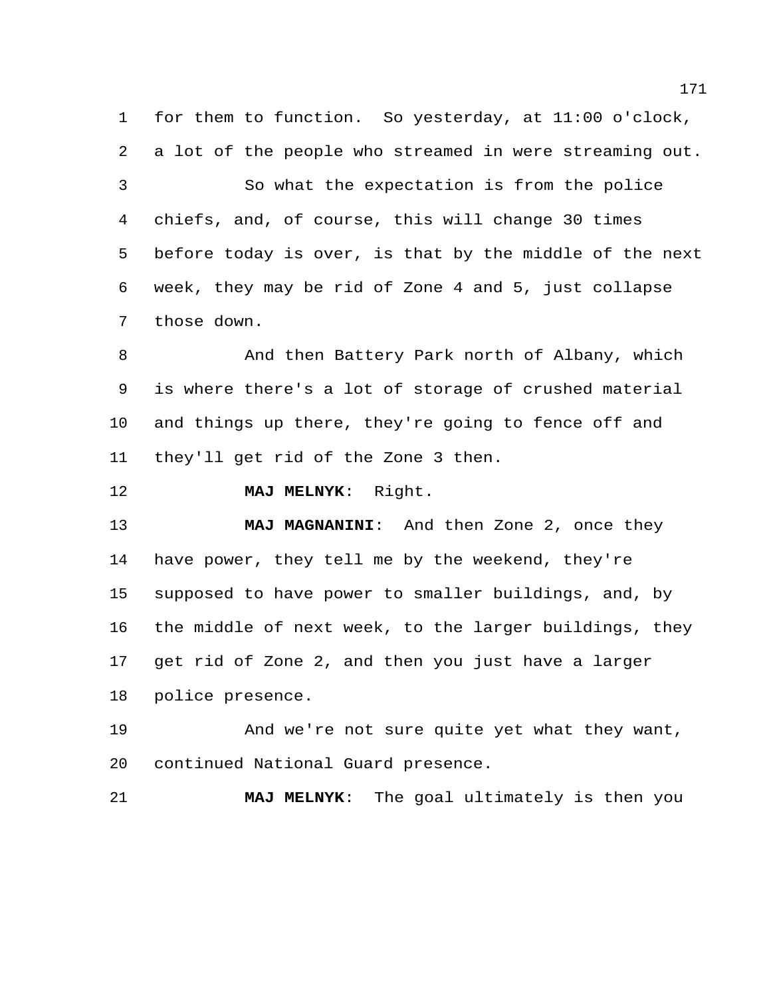for them to function. So yesterday, at 11:00 o'clock, a lot of the people who streamed in were streaming out. So what the expectation is from the police chiefs, and, of course, this will change 30 times before today is over, is that by the middle of the next week, they may be rid of Zone 4 and 5, just collapse those down.

8 And then Battery Park north of Albany, which is where there's a lot of storage of crushed material and things up there, they're going to fence off and they'll get rid of the Zone 3 then.

**MAJ MELNYK**: Right.

 **MAJ MAGNANINI**: And then Zone 2, once they have power, they tell me by the weekend, they're supposed to have power to smaller buildings, and, by the middle of next week, to the larger buildings, they get rid of Zone 2, and then you just have a larger police presence.

 And we're not sure quite yet what they want, continued National Guard presence.

**MAJ MELNYK**: The goal ultimately is then you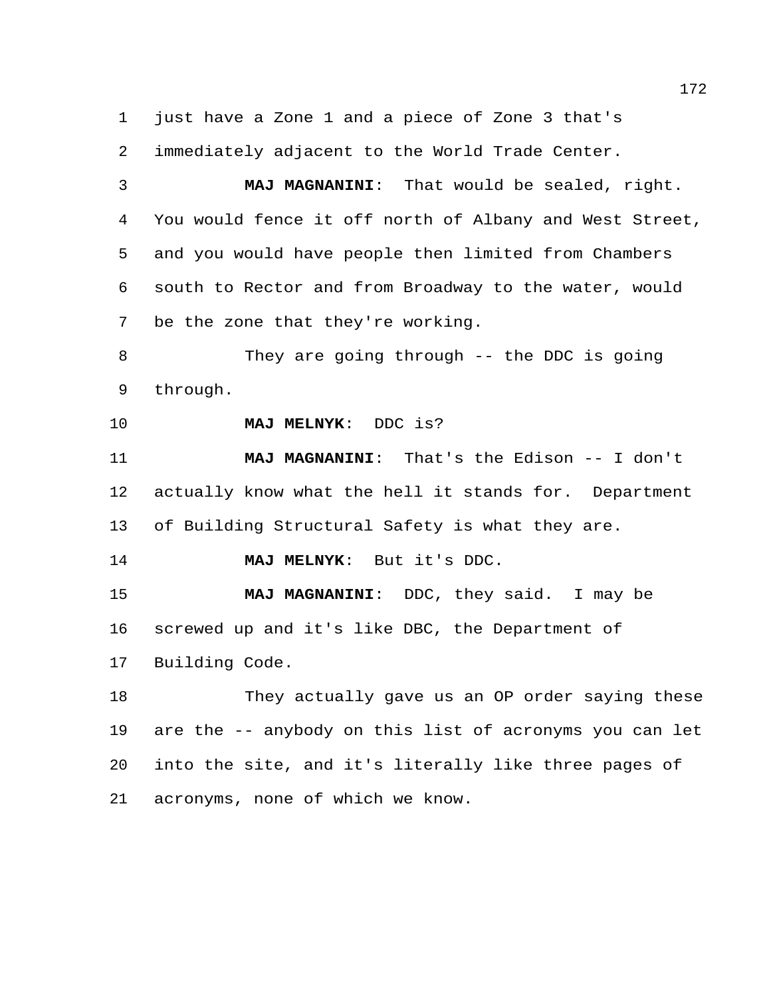just have a Zone 1 and a piece of Zone 3 that's

immediately adjacent to the World Trade Center.

 **MAJ MAGNANINI**: That would be sealed, right. You would fence it off north of Albany and West Street, and you would have people then limited from Chambers south to Rector and from Broadway to the water, would be the zone that they're working.

 They are going through -- the DDC is going through.

**MAJ MELNYK**: DDC is?

 **MAJ MAGNANINI**: That's the Edison -- I don't actually know what the hell it stands for. Department of Building Structural Safety is what they are.

**MAJ MELNYK**: But it's DDC.

 **MAJ MAGNANINI**: DDC, they said. I may be screwed up and it's like DBC, the Department of Building Code.

 They actually gave us an OP order saying these are the -- anybody on this list of acronyms you can let into the site, and it's literally like three pages of acronyms, none of which we know.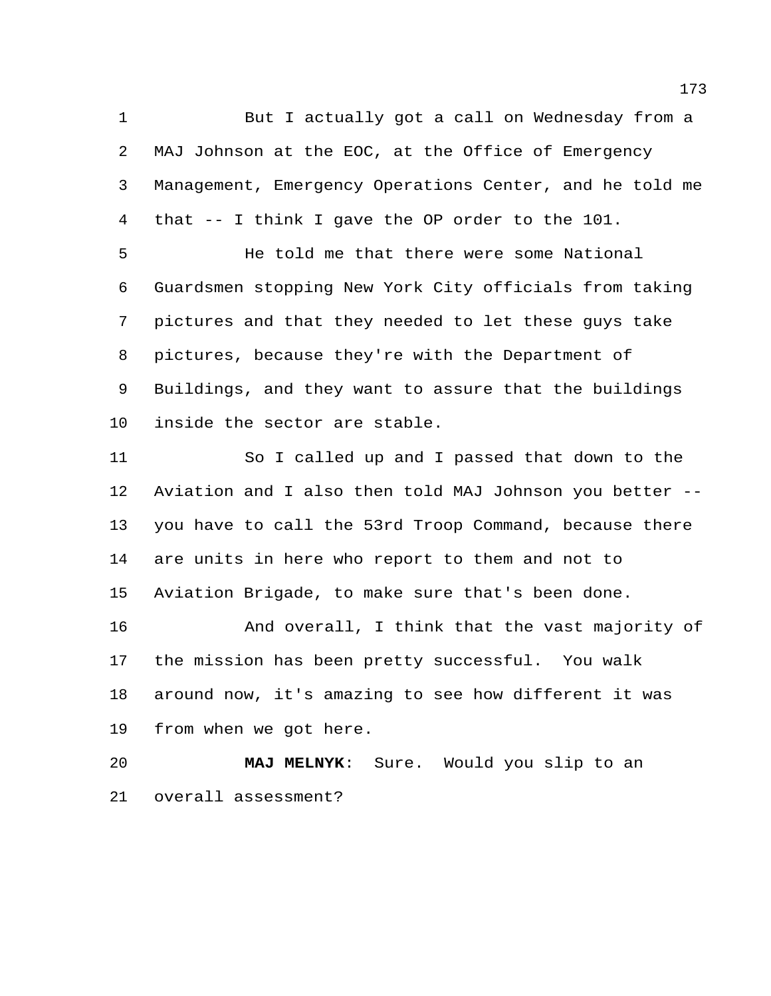But I actually got a call on Wednesday from a MAJ Johnson at the EOC, at the Office of Emergency Management, Emergency Operations Center, and he told me that -- I think I gave the OP order to the 101.

 He told me that there were some National Guardsmen stopping New York City officials from taking pictures and that they needed to let these guys take pictures, because they're with the Department of Buildings, and they want to assure that the buildings inside the sector are stable.

 So I called up and I passed that down to the Aviation and I also then told MAJ Johnson you better -- you have to call the 53rd Troop Command, because there are units in here who report to them and not to Aviation Brigade, to make sure that's been done.

 And overall, I think that the vast majority of the mission has been pretty successful. You walk around now, it's amazing to see how different it was from when we got here.

 **MAJ MELNYK**: Sure. Would you slip to an overall assessment?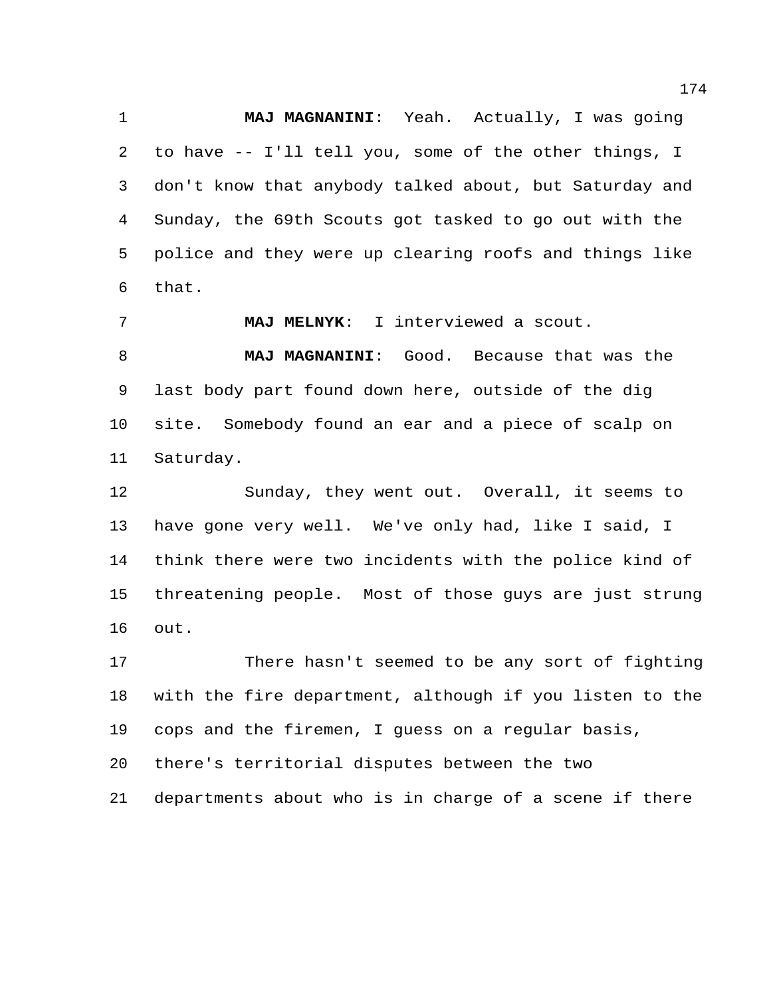**MAJ MAGNANINI**: Yeah. Actually, I was going to have -- I'll tell you, some of the other things, I don't know that anybody talked about, but Saturday and Sunday, the 69th Scouts got tasked to go out with the police and they were up clearing roofs and things like that.

 **MAJ MELNYK**: I interviewed a scout. **MAJ MAGNANINI**: Good. Because that was the last body part found down here, outside of the dig site. Somebody found an ear and a piece of scalp on Saturday.

 Sunday, they went out. Overall, it seems to have gone very well. We've only had, like I said, I think there were two incidents with the police kind of threatening people. Most of those guys are just strung out.

 There hasn't seemed to be any sort of fighting with the fire department, although if you listen to the cops and the firemen, I guess on a regular basis,

there's territorial disputes between the two

departments about who is in charge of a scene if there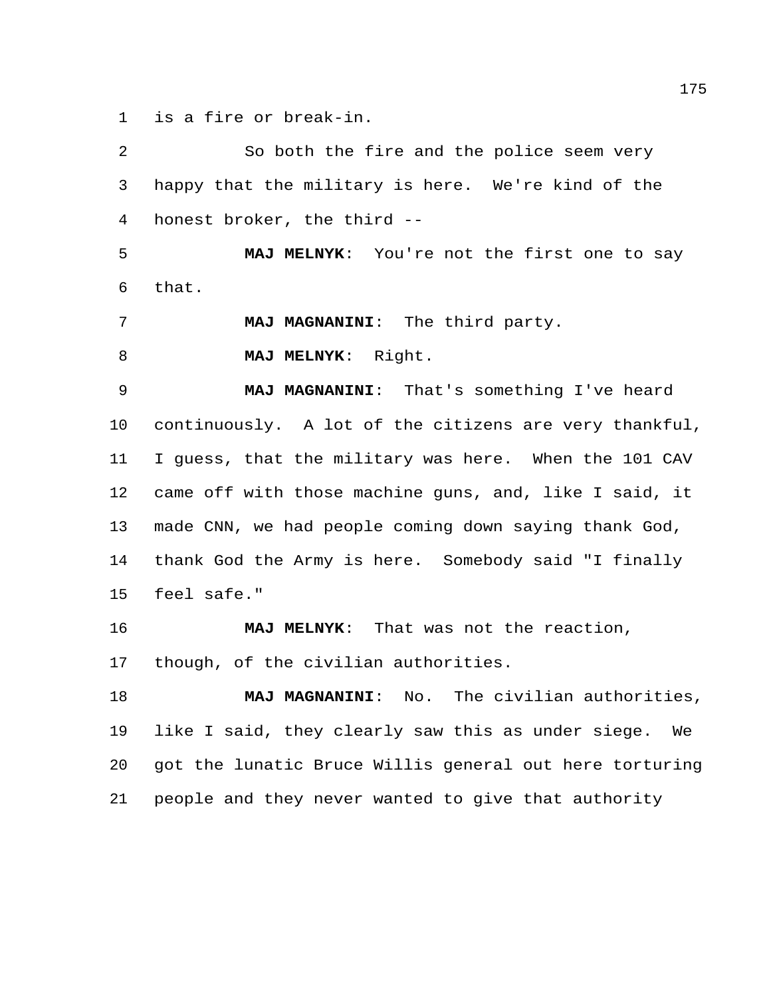is a fire or break-in.

 So both the fire and the police seem very happy that the military is here. We're kind of the honest broker, the third -- **MAJ MELNYK**: You're not the first one to say that. **MAJ MAGNANINI**: The third party. **MAJ MELNYK**: Right. **MAJ MAGNANINI**: That's something I've heard continuously. A lot of the citizens are very thankful, I guess, that the military was here. When the 101 CAV came off with those machine guns, and, like I said, it made CNN, we had people coming down saying thank God, thank God the Army is here. Somebody said "I finally feel safe." **MAJ MELNYK**: That was not the reaction, though, of the civilian authorities. **MAJ MAGNANINI**: No. The civilian authorities, like I said, they clearly saw this as under siege. We got the lunatic Bruce Willis general out here torturing people and they never wanted to give that authority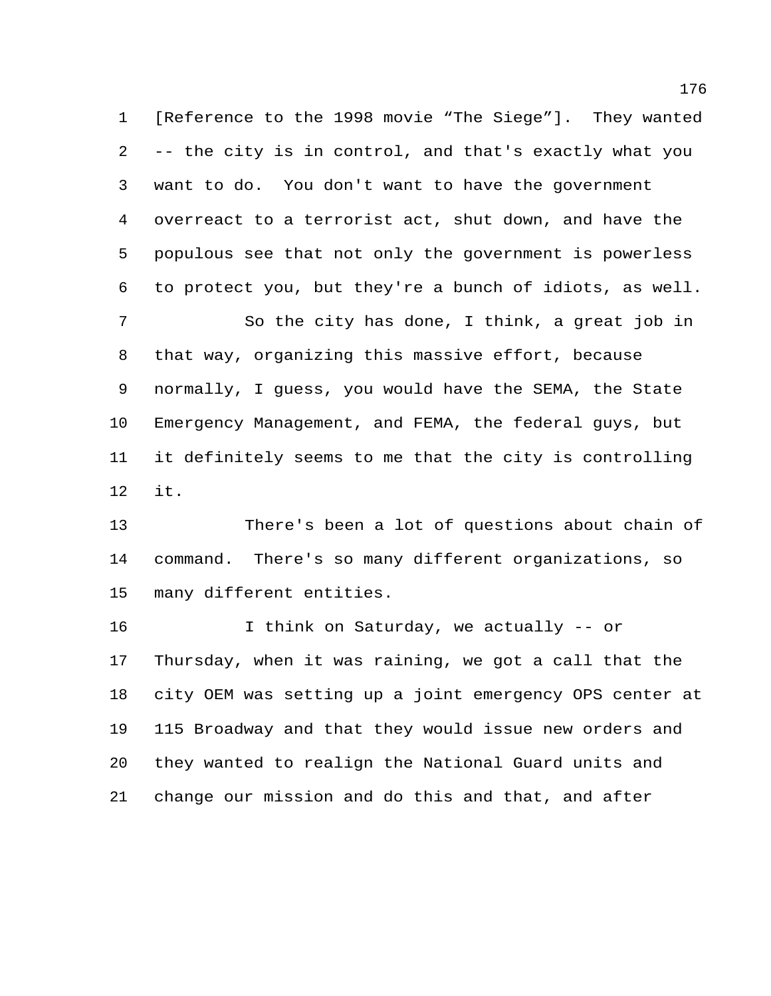[Reference to the 1998 movie "The Siege"]. They wanted -- the city is in control, and that's exactly what you want to do. You don't want to have the government overreact to a terrorist act, shut down, and have the populous see that not only the government is powerless to protect you, but they're a bunch of idiots, as well. So the city has done, I think, a great job in

 that way, organizing this massive effort, because normally, I guess, you would have the SEMA, the State Emergency Management, and FEMA, the federal guys, but it definitely seems to me that the city is controlling it.

 There's been a lot of questions about chain of command. There's so many different organizations, so many different entities.

 I think on Saturday, we actually -- or Thursday, when it was raining, we got a call that the city OEM was setting up a joint emergency OPS center at 115 Broadway and that they would issue new orders and they wanted to realign the National Guard units and change our mission and do this and that, and after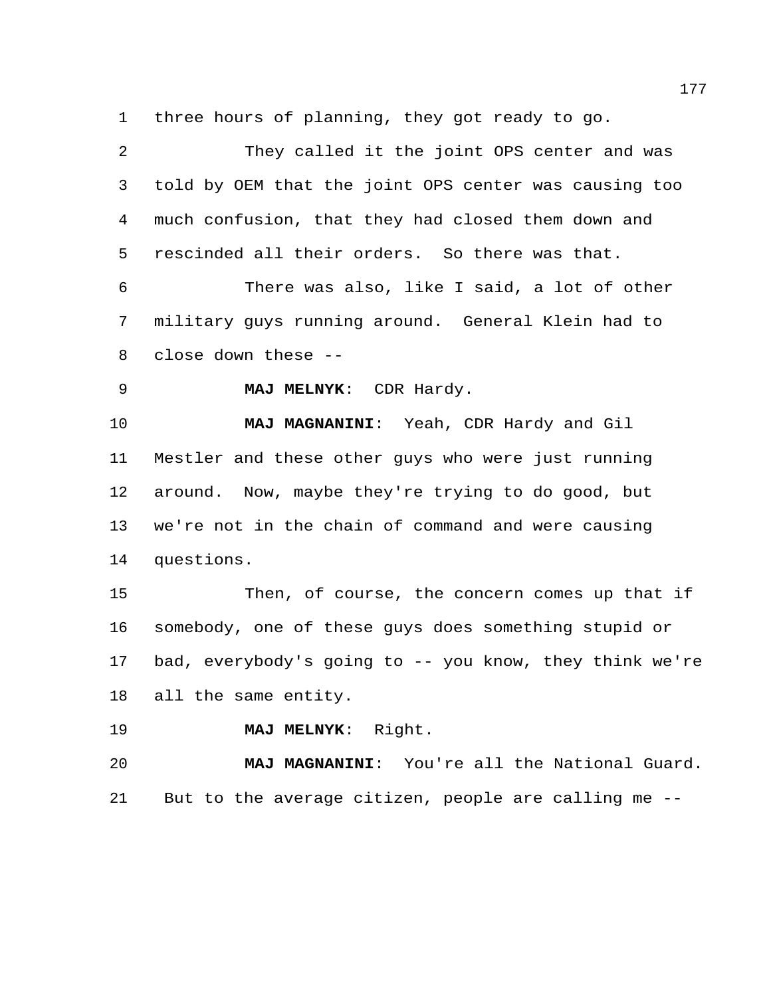three hours of planning, they got ready to go.

| $\overline{2}$ | They called it the joint OPS center and was             |
|----------------|---------------------------------------------------------|
| $\mathsf{3}$   | told by OEM that the joint OPS center was causing too   |
| 4              | much confusion, that they had closed them down and      |
| 5              | rescinded all their orders. So there was that.          |
| 6              | There was also, like I said, a lot of other             |
| 7              | military guys running around. General Klein had to      |
| 8              | close down these --                                     |
| $\mathsf 9$    | MAJ MELNYK: CDR Hardy.                                  |
| 10             | MAJ MAGNANINI: Yeah, CDR Hardy and Gil                  |
| 11             | Mestler and these other guys who were just running      |
| 12             | around. Now, maybe they're trying to do good, but       |
| 13             | we're not in the chain of command and were causing      |
| 14             | questions.                                              |
| 15             | Then, of course, the concern comes up that if           |
| 16             | somebody, one of these guys does something stupid or    |
| 17             | bad, everybody's going to -- you know, they think we're |
| 18             | all the same entity.                                    |
| 19             | MAJ MELNYK: Right.                                      |
| 20             | MAJ MAGNANINI: You're all the National Guard.           |
| 21             | But to the average citizen, people are calling me --    |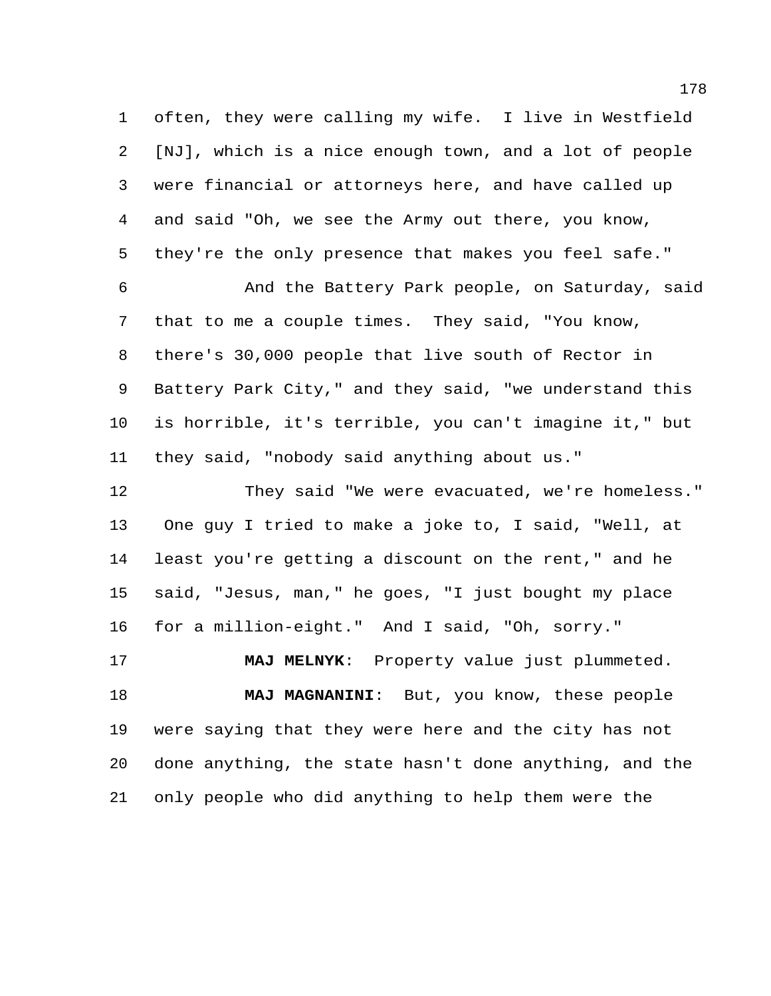often, they were calling my wife. I live in Westfield [NJ], which is a nice enough town, and a lot of people were financial or attorneys here, and have called up and said "Oh, we see the Army out there, you know, they're the only presence that makes you feel safe."

 And the Battery Park people, on Saturday, said that to me a couple times. They said, "You know, there's 30,000 people that live south of Rector in Battery Park City," and they said, "we understand this is horrible, it's terrible, you can't imagine it," but they said, "nobody said anything about us."

 They said "We were evacuated, we're homeless." One guy I tried to make a joke to, I said, "Well, at least you're getting a discount on the rent," and he said, "Jesus, man," he goes, "I just bought my place for a million-eight." And I said, "Oh, sorry."

 **MAJ MELNYK**: Property value just plummeted. **MAJ MAGNANINI**: But, you know, these people were saying that they were here and the city has not done anything, the state hasn't done anything, and the only people who did anything to help them were the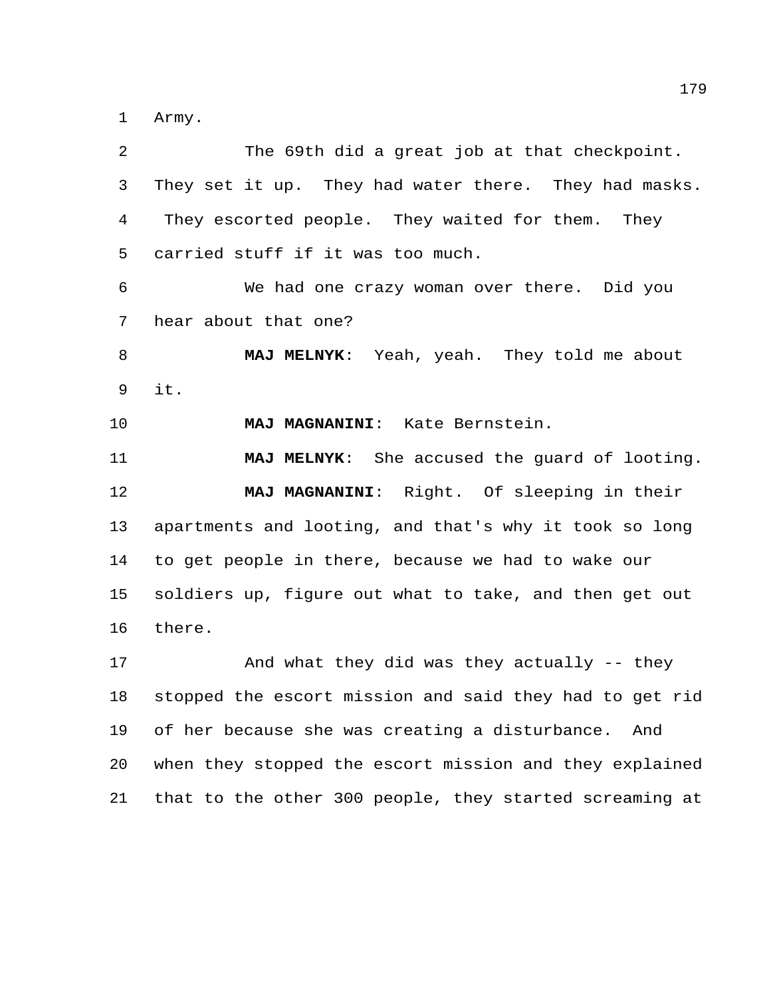Army.

| 2  | The 69th did a great job at that checkpoint.            |
|----|---------------------------------------------------------|
| 3  | They set it up. They had water there. They had masks.   |
| 4  | They escorted people. They waited for them.<br>They     |
| 5  | carried stuff if it was too much.                       |
| 6  | We had one crazy woman over there. Did you              |
| 7  | hear about that one?                                    |
| 8  | MAJ MELNYK: Yeah, yeah. They told me about              |
| 9  | it.                                                     |
| 10 | MAJ MAGNANINI: Kate Bernstein.                          |
| 11 | MAJ MELNYK: She accused the guard of looting.           |
| 12 | MAJ MAGNANINI: Right. Of sleeping in their              |
| 13 | apartments and looting, and that's why it took so long  |
| 14 | to get people in there, because we had to wake our      |
| 15 | soldiers up, figure out what to take, and then get out  |
| 16 | there.                                                  |
| 17 | And what they did was they actually -- they             |
| 18 | stopped the escort mission and said they had to get rid |
|    |                                                         |
| 19 | of her because she was creating a disturbance.<br>And   |
| 20 | when they stopped the escort mission and they explained |
| 21 | that to the other 300 people, they started screaming at |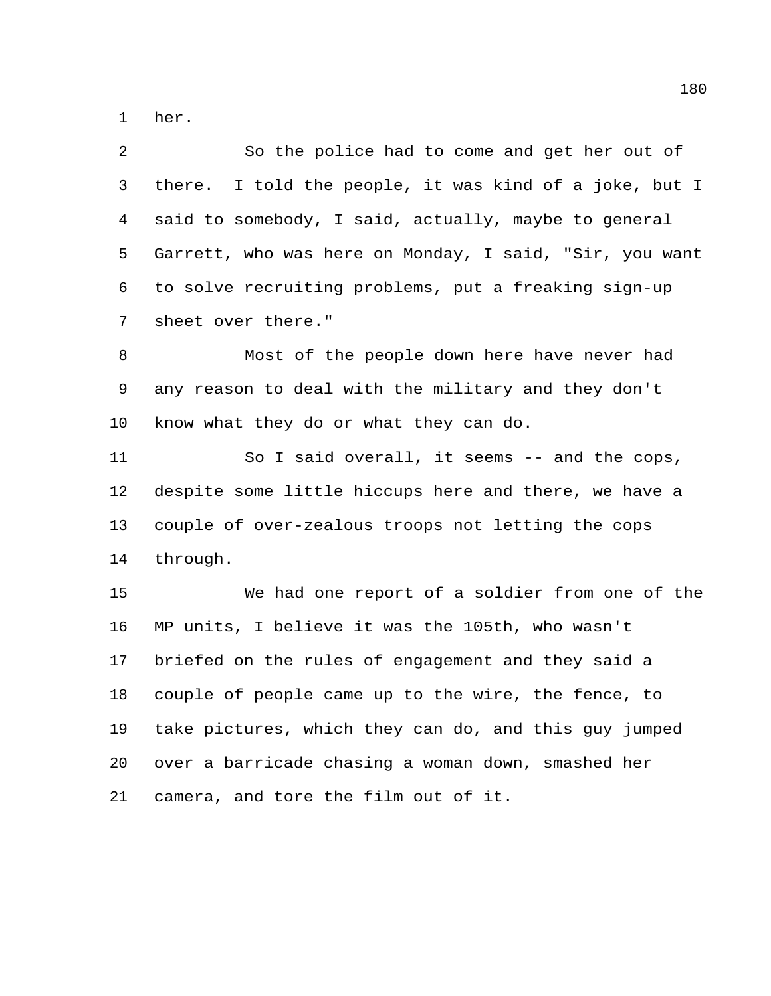her.

 So the police had to come and get her out of there. I told the people, it was kind of a joke, but I said to somebody, I said, actually, maybe to general Garrett, who was here on Monday, I said, "Sir, you want to solve recruiting problems, put a freaking sign-up sheet over there."

 Most of the people down here have never had any reason to deal with the military and they don't know what they do or what they can do.

 So I said overall, it seems -- and the cops, despite some little hiccups here and there, we have a couple of over-zealous troops not letting the cops through.

 We had one report of a soldier from one of the MP units, I believe it was the 105th, who wasn't briefed on the rules of engagement and they said a couple of people came up to the wire, the fence, to take pictures, which they can do, and this guy jumped over a barricade chasing a woman down, smashed her camera, and tore the film out of it.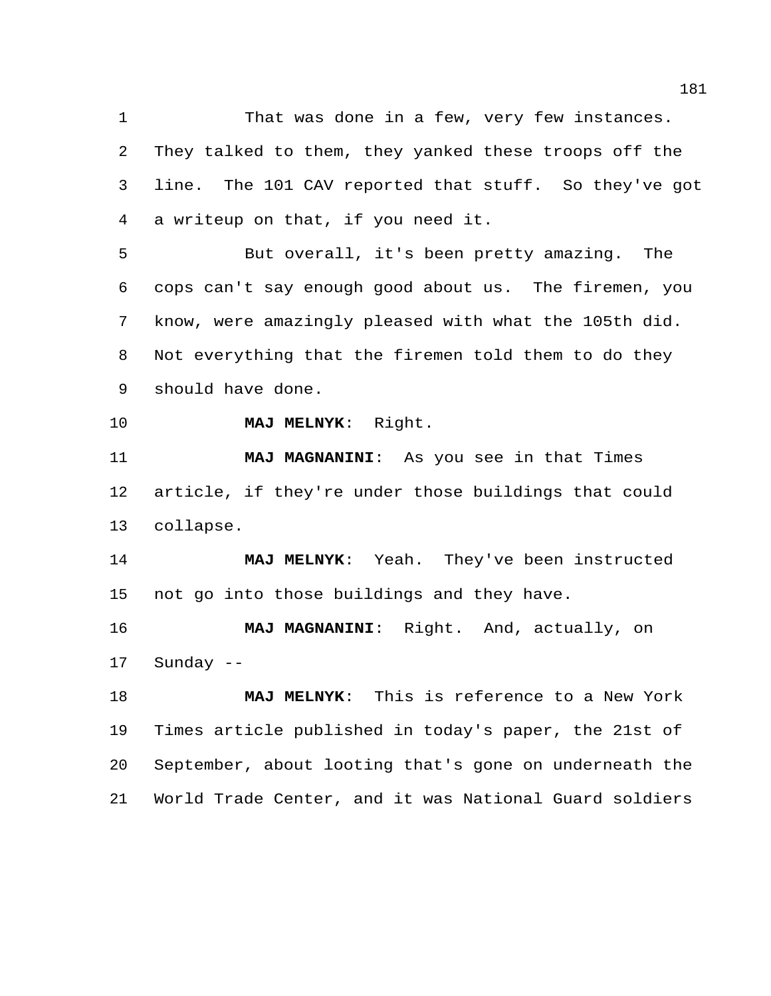1 That was done in a few, very few instances. They talked to them, they yanked these troops off the line. The 101 CAV reported that stuff. So they've got a writeup on that, if you need it.

 But overall, it's been pretty amazing. The cops can't say enough good about us. The firemen, you know, were amazingly pleased with what the 105th did. Not everything that the firemen told them to do they should have done.

**MAJ MELNYK**: Right.

 **MAJ MAGNANINI**: As you see in that Times article, if they're under those buildings that could collapse.

 **MAJ MELNYK**: Yeah. They've been instructed not go into those buildings and they have.

 **MAJ MAGNANINI**: Right. And, actually, on Sunday --

 **MAJ MELNYK**: This is reference to a New York Times article published in today's paper, the 21st of September, about looting that's gone on underneath the World Trade Center, and it was National Guard soldiers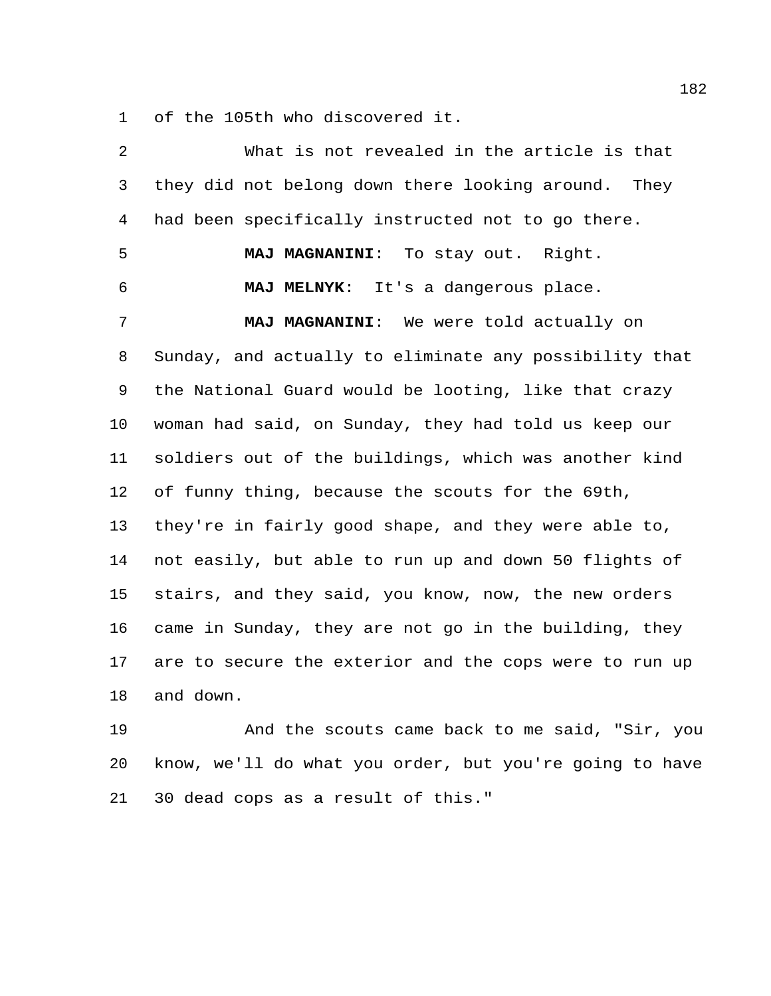of the 105th who discovered it.

| 2            | What is not revealed in the article is that            |
|--------------|--------------------------------------------------------|
| $\mathsf{3}$ | they did not belong down there looking around. They    |
| 4            | had been specifically instructed not to go there.      |
| 5            | MAJ MAGNANINI: To stay out. Right.                     |
| 6            | MAJ MELNYK: It's a dangerous place.                    |
| 7            | MAJ MAGNANINI: We were told actually on                |
| 8            | Sunday, and actually to eliminate any possibility that |
| 9            | the National Guard would be looting, like that crazy   |
| 10           | woman had said, on Sunday, they had told us keep our   |
| 11           | soldiers out of the buildings, which was another kind  |
| 12           | of funny thing, because the scouts for the 69th,       |
| 13           | they're in fairly good shape, and they were able to,   |
| 14           | not easily, but able to run up and down 50 flights of  |
| 15           | stairs, and they said, you know, now, the new orders   |
| 16           | came in Sunday, they are not go in the building, they  |
| 17           | are to secure the exterior and the cops were to run up |
| 18           | and down.                                              |
| 19           | And the scouts came back to me said, "Sir, you         |

 know, we'll do what you order, but you're going to have 30 dead cops as a result of this."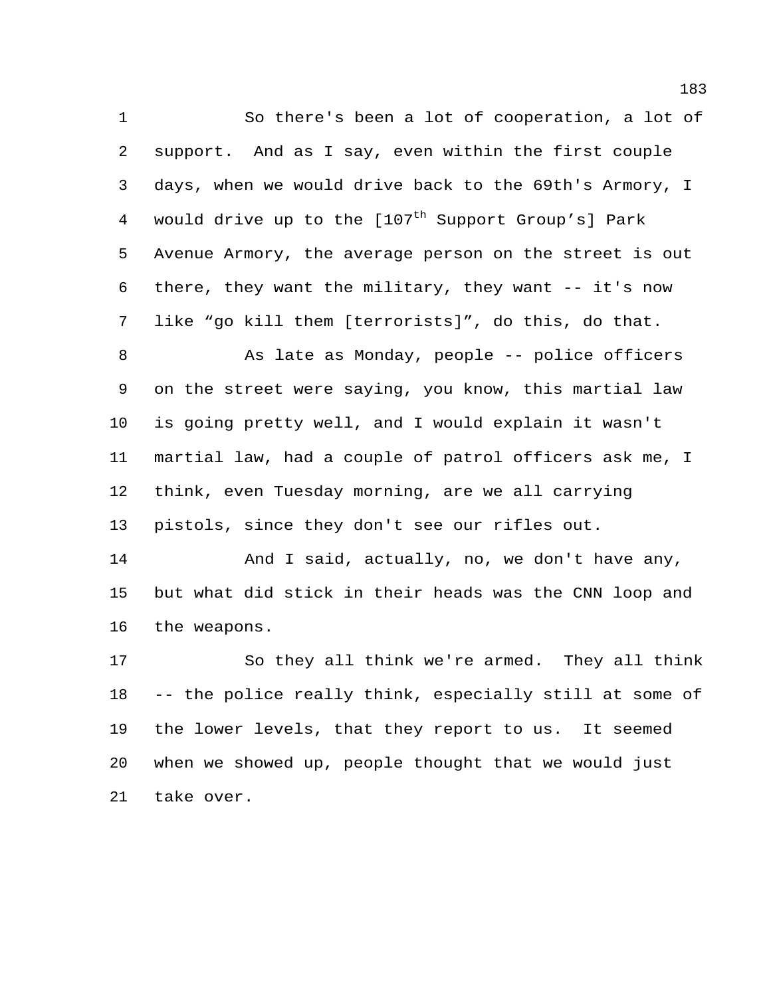So there's been a lot of cooperation, a lot of support. And as I say, even within the first couple days, when we would drive back to the 69th's Armory, I 4 would drive up to the  $[107<sup>th</sup>$  Support Group's] Park Avenue Armory, the average person on the street is out there, they want the military, they want -- it's now like "go kill them [terrorists]", do this, do that.

8 As late as Monday, people -- police officers on the street were saying, you know, this martial law is going pretty well, and I would explain it wasn't martial law, had a couple of patrol officers ask me, I think, even Tuesday morning, are we all carrying pistols, since they don't see our rifles out.

14 And I said, actually, no, we don't have any, but what did stick in their heads was the CNN loop and the weapons.

 So they all think we're armed. They all think -- the police really think, especially still at some of the lower levels, that they report to us. It seemed when we showed up, people thought that we would just take over.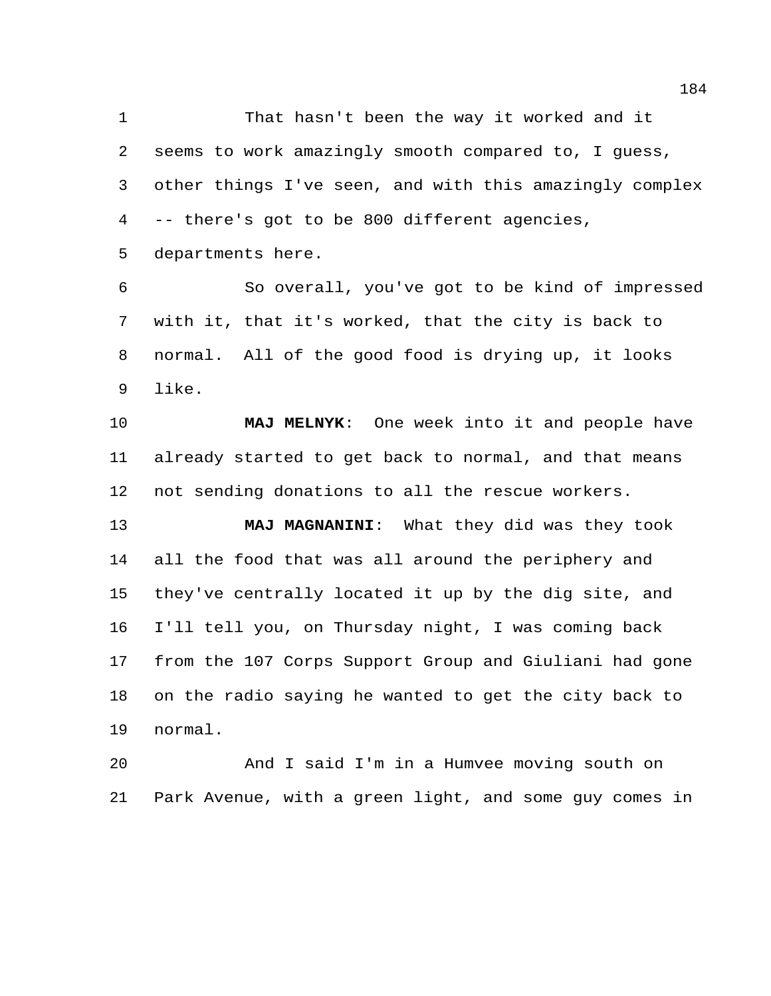That hasn't been the way it worked and it seems to work amazingly smooth compared to, I guess, other things I've seen, and with this amazingly complex -- there's got to be 800 different agencies,

departments here.

 So overall, you've got to be kind of impressed with it, that it's worked, that the city is back to normal. All of the good food is drying up, it looks like.

 **MAJ MELNYK**: One week into it and people have already started to get back to normal, and that means not sending donations to all the rescue workers.

 **MAJ MAGNANINI**: What they did was they took all the food that was all around the periphery and they've centrally located it up by the dig site, and I'll tell you, on Thursday night, I was coming back from the 107 Corps Support Group and Giuliani had gone on the radio saying he wanted to get the city back to normal.

 And I said I'm in a Humvee moving south on Park Avenue, with a green light, and some guy comes in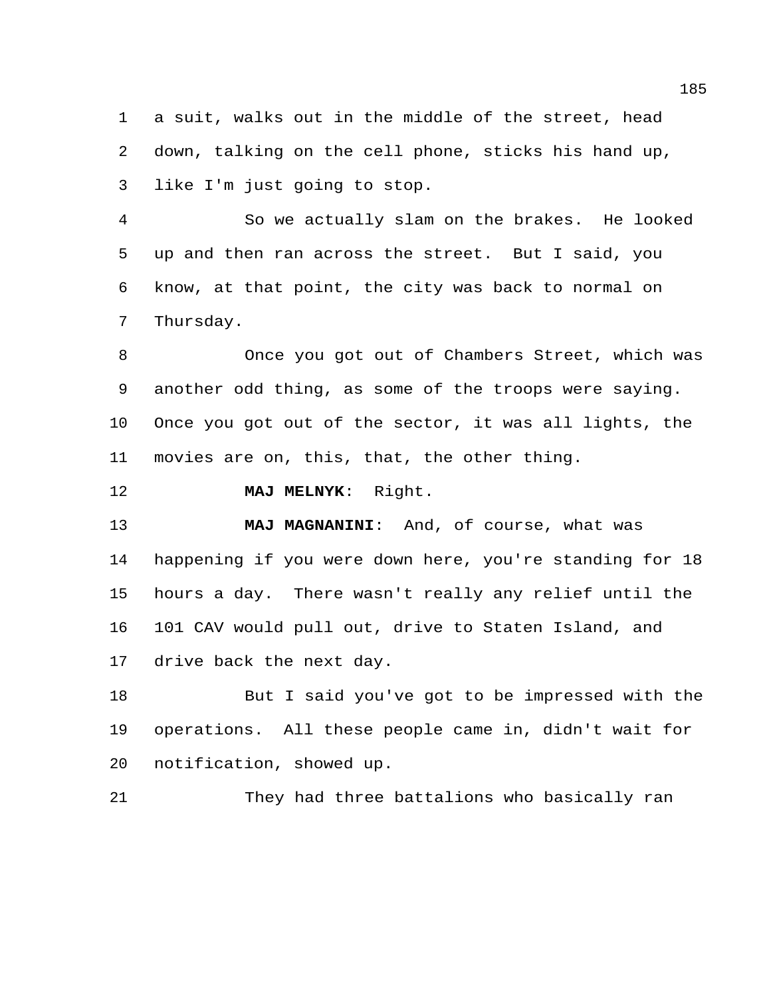a suit, walks out in the middle of the street, head down, talking on the cell phone, sticks his hand up, like I'm just going to stop.

 So we actually slam on the brakes. He looked up and then ran across the street. But I said, you know, at that point, the city was back to normal on Thursday.

 Once you got out of Chambers Street, which was another odd thing, as some of the troops were saying. Once you got out of the sector, it was all lights, the movies are on, this, that, the other thing.

**MAJ MELNYK**: Right.

 **MAJ MAGNANINI**: And, of course, what was happening if you were down here, you're standing for 18 hours a day. There wasn't really any relief until the 101 CAV would pull out, drive to Staten Island, and drive back the next day.

 But I said you've got to be impressed with the operations. All these people came in, didn't wait for notification, showed up.

They had three battalions who basically ran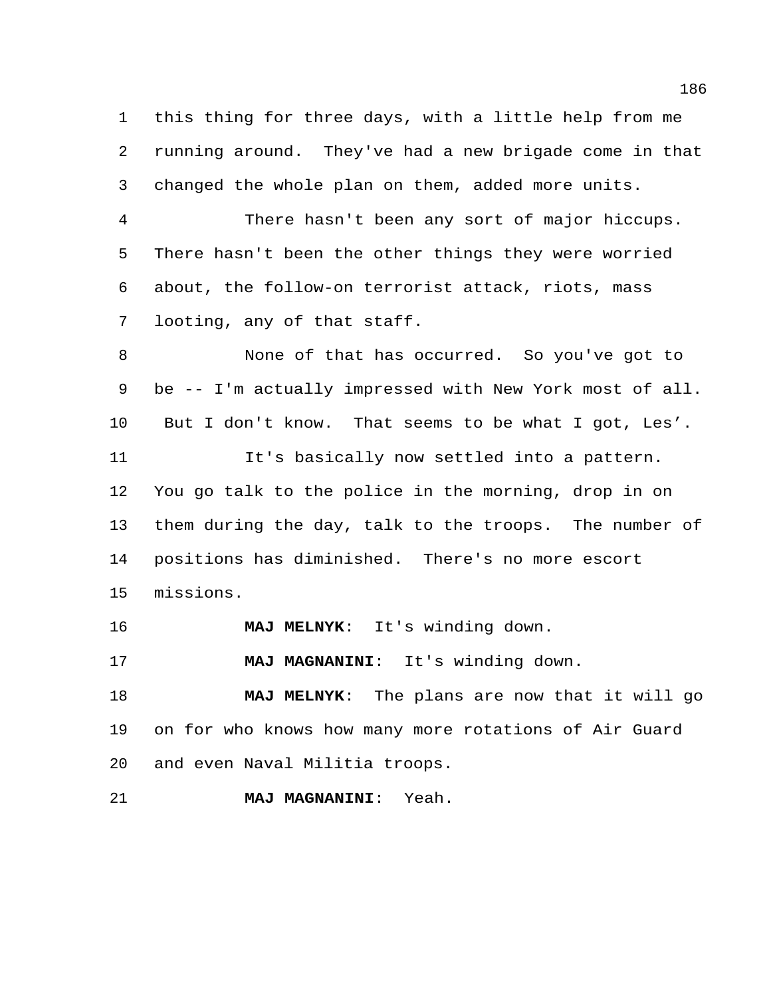this thing for three days, with a little help from me running around. They've had a new brigade come in that changed the whole plan on them, added more units.

 There hasn't been any sort of major hiccups. There hasn't been the other things they were worried about, the follow-on terrorist attack, riots, mass looting, any of that staff.

 None of that has occurred. So you've got to be -- I'm actually impressed with New York most of all. But I don't know. That seems to be what I got, Les'. It's basically now settled into a pattern. You go talk to the police in the morning, drop in on them during the day, talk to the troops. The number of positions has diminished. There's no more escort missions.

**MAJ MELNYK**: It's winding down.

**MAJ MAGNANINI**: It's winding down.

 **MAJ MELNYK**: The plans are now that it will go on for who knows how many more rotations of Air Guard and even Naval Militia troops.

**MAJ MAGNANINI**: Yeah.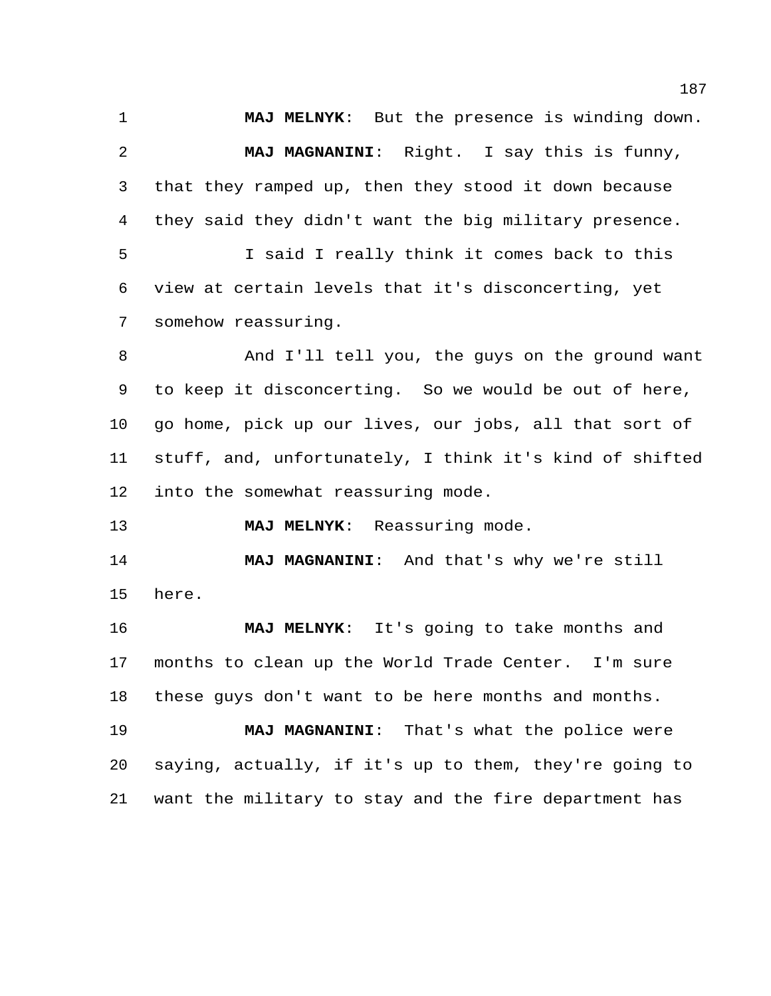**MAJ MELNYK**: But the presence is winding down. **MAJ MAGNANINI**: Right. I say this is funny, that they ramped up, then they stood it down because they said they didn't want the big military presence. I said I really think it comes back to this view at certain levels that it's disconcerting, yet somehow reassuring. And I'll tell you, the guys on the ground want to keep it disconcerting. So we would be out of here, go home, pick up our lives, our jobs, all that sort of stuff, and, unfortunately, I think it's kind of shifted into the somewhat reassuring mode. **MAJ MELNYK**: Reassuring mode. **MAJ MAGNANINI**: And that's why we're still here. **MAJ MELNYK**: It's going to take months and months to clean up the World Trade Center. I'm sure these guys don't want to be here months and months. **MAJ MAGNANINI**: That's what the police were saying, actually, if it's up to them, they're going to

want the military to stay and the fire department has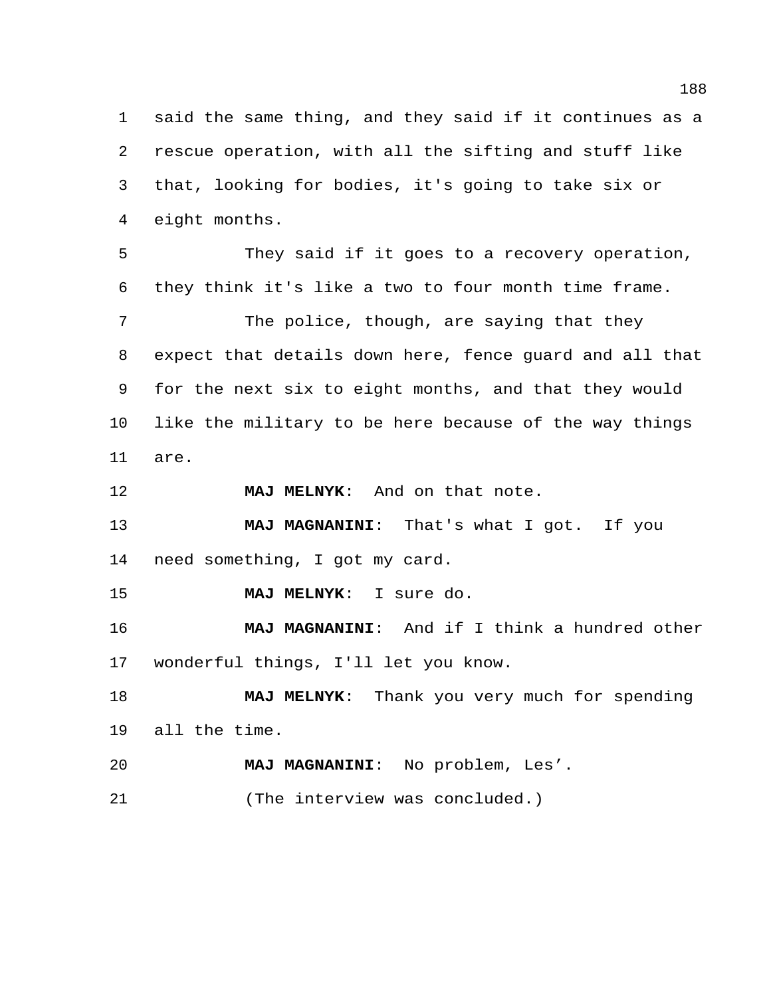said the same thing, and they said if it continues as a rescue operation, with all the sifting and stuff like that, looking for bodies, it's going to take six or eight months.

 They said if it goes to a recovery operation, they think it's like a two to four month time frame.

7 The police, though, are saying that they expect that details down here, fence guard and all that for the next six to eight months, and that they would like the military to be here because of the way things are.

**MAJ MELNYK**: And on that note.

 **MAJ MAGNANINI**: That's what I got. If you need something, I got my card.

**MAJ MELNYK**: I sure do.

 **MAJ MAGNANINI**: And if I think a hundred other wonderful things, I'll let you know.

 **MAJ MELNYK**: Thank you very much for spending all the time.

**MAJ MAGNANINI**: No problem, Les'.

(The interview was concluded.)